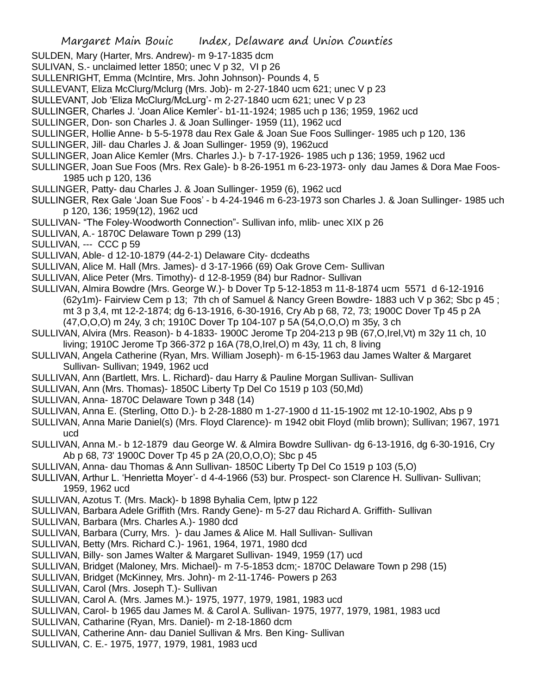- SULDEN, Mary (Harter, Mrs. Andrew)- m 9-17-1835 dcm
- SULIVAN, S.- unclaimed letter 1850; unec V p 32, VI p 26
- SULLENRIGHT, Emma (McIntire, Mrs. John Johnson)- Pounds 4, 5
- SULLEVANT, Eliza McClurg/Mclurg (Mrs. Job)- m 2-27-1840 ucm 621; unec V p 23
- SULLEVANT, Job 'Eliza McClurg/McLurg'- m 2-27-1840 ucm 621; unec V p 23
- SULLINGER, Charles J. 'Joan Alice Kemler'- b1-11-1924; 1985 uch p 136; 1959, 1962 ucd
- SULLINGER, Don- son Charles J. & Joan Sullinger- 1959 (11), 1962 ucd
- SULLINGER, Hollie Anne- b 5-5-1978 dau Rex Gale & Joan Sue Foos Sullinger- 1985 uch p 120, 136
- SULLINGER, Jill- dau Charles J. & Joan Sullinger- 1959 (9), 1962ucd
- SULLINGER, Joan Alice Kemler (Mrs. Charles J.)- b 7-17-1926- 1985 uch p 136; 1959, 1962 ucd
- SULLINGER, Joan Sue Foos (Mrs. Rex Gale)- b 8-26-1951 m 6-23-1973- only dau James & Dora Mae Foos-1985 uch p 120, 136
- SULLINGER, Patty- dau Charles J. & Joan Sullinger- 1959 (6), 1962 ucd
- SULLINGER, Rex Gale 'Joan Sue Foos' b 4-24-1946 m 6-23-1973 son Charles J. & Joan Sullinger- 1985 uch p 120, 136; 1959(12), 1962 ucd
- SULLIVAN- "The Foley-Woodworth Connection"- Sullivan info, mlib- unec XIX p 26
- SULLIVAN, A.- 1870C Delaware Town p 299 (13)
- SULLIVAN, --- CCC p 59
- SULLIVAN, Able- d 12-10-1879 (44-2-1) Delaware City- dcdeaths
- SULLIVAN, Alice M. Hall (Mrs. James)- d 3-17-1966 (69) Oak Grove Cem- Sullivan
- SULLIVAN, Alice Peter (Mrs. Timothy)- d 12-8-1959 (84) bur Radnor- Sullivan
- SULLIVAN, Almira Bowdre (Mrs. George W.)- b Dover Tp 5-12-1853 m 11-8-1874 ucm 5571 d 6-12-1916 (62y1m)- Fairview Cem p 13; 7th ch of Samuel & Nancy Green Bowdre- 1883 uch V p 362; Sbc p 45 ; mt 3 p 3,4, mt 12-2-1874; dg 6-13-1916, 6-30-1916, Cry Ab p 68, 72, 73; 1900C Dover Tp 45 p 2A (47,O,O,O) m 24y, 3 ch; 1910C Dover Tp 104-107 p 5A (54,O,O,O) m 35y, 3 ch
- SULLIVAN, Alvira (Mrs. Reason)- b 4-1833- 1900C Jerome Tp 204-213 p 9B (67,O,Irel,Vt) m 32y 11 ch, 10 living; 1910C Jerome Tp 366-372 p 16A (78,O,Irel,O) m 43y, 11 ch, 8 living
- SULLIVAN, Angela Catherine (Ryan, Mrs. William Joseph)- m 6-15-1963 dau James Walter & Margaret Sullivan- Sullivan; 1949, 1962 ucd
- SULLIVAN, Ann (Bartlett, Mrs. L. Richard)- dau Harry & Pauline Morgan Sullivan- Sullivan
- SULLIVAN, Ann (Mrs. Thomas)- 1850C Liberty Tp Del Co 1519 p 103 (50,Md)
- SULLIVAN, Anna- 1870C Delaware Town p 348 (14)
- SULLIVAN, Anna E. (Sterling, Otto D.)- b 2-28-1880 m 1-27-1900 d 11-15-1902 mt 12-10-1902, Abs p 9
- SULLIVAN, Anna Marie Daniel(s) (Mrs. Floyd Clarence)- m 1942 obit Floyd (mlib brown); Sullivan; 1967, 1971 ucd
- SULLIVAN, Anna M.- b 12-1879 dau George W. & Almira Bowdre Sullivan- dg 6-13-1916, dg 6-30-1916, Cry Ab p 68, 73' 1900C Dover Tp 45 p 2A (20,O,O,O); Sbc p 45
- SULLIVAN, Anna- dau Thomas & Ann Sullivan- 1850C Liberty Tp Del Co 1519 p 103 (5,O)
- SULLIVAN, Arthur L. 'Henrietta Moyer'- d 4-4-1966 (53) bur. Prospect- son Clarence H. Sullivan- Sullivan; 1959, 1962 ucd
- SULLIVAN, Azotus T. (Mrs. Mack)- b 1898 Byhalia Cem, lptw p 122
- SULLIVAN, Barbara Adele Griffith (Mrs. Randy Gene)- m 5-27 dau Richard A. Griffith- Sullivan
- SULLIVAN, Barbara (Mrs. Charles A.)- 1980 dcd
- SULLIVAN, Barbara (Curry, Mrs. )- dau James & Alice M. Hall Sullivan- Sullivan
- SULLIVAN, Betty (Mrs. Richard C.)- 1961, 1964, 1971, 1980 dcd
- SULLIVAN, Billy- son James Walter & Margaret Sullivan- 1949, 1959 (17) ucd
- SULLIVAN, Bridget (Maloney, Mrs. Michael)- m 7-5-1853 dcm;- 1870C Delaware Town p 298 (15)
- SULLIVAN, Bridget (McKinney, Mrs. John)- m 2-11-1746- Powers p 263
- SULLIVAN, Carol (Mrs. Joseph T.)- Sullivan
- SULLIVAN, Carol A. (Mrs. James M.)- 1975, 1977, 1979, 1981, 1983 ucd
- SULLIVAN, Carol- b 1965 dau James M. & Carol A. Sullivan- 1975, 1977, 1979, 1981, 1983 ucd
- SULLIVAN, Catharine (Ryan, Mrs. Daniel)- m 2-18-1860 dcm
- SULLIVAN, Catherine Ann- dau Daniel Sullivan & Mrs. Ben King- Sullivan
- SULLIVAN, C. E.- 1975, 1977, 1979, 1981, 1983 ucd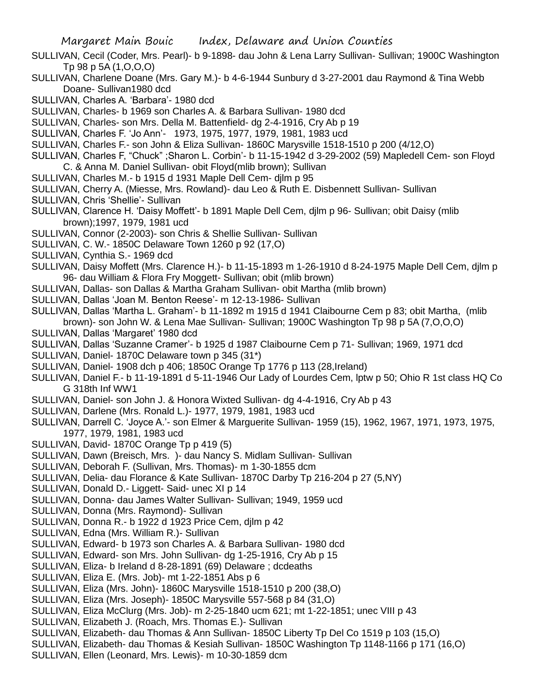- SULLIVAN, Cecil (Coder, Mrs. Pearl)- b 9-1898- dau John & Lena Larry Sullivan- Sullivan; 1900C Washington Tp 98 p 5A (1,O,O,O)
- SULLIVAN, Charlene Doane (Mrs. Gary M.)- b 4-6-1944 Sunbury d 3-27-2001 dau Raymond & Tina Webb Doane- Sullivan1980 dcd
- SULLIVAN, Charles A. 'Barbara'- 1980 dcd
- SULLIVAN, Charles- b 1969 son Charles A. & Barbara Sullivan- 1980 dcd
- SULLIVAN, Charles- son Mrs. Della M. Battenfield- dg 2-4-1916, Cry Ab p 19
- SULLIVAN, Charles F. 'Jo Ann'- 1973, 1975, 1977, 1979, 1981, 1983 ucd
- SULLIVAN, Charles F.- son John & Eliza Sullivan- 1860C Marysville 1518-1510 p 200 (4/12,O)
- SULLIVAN, Charles F, "Chuck" ;Sharon L. Corbin'- b 11-15-1942 d 3-29-2002 (59) Mapledell Cem- son Floyd C. & Anna M. Daniel Sullivan- obit Floyd(mlib brown); Sullivan
- SULLIVAN, Charles M.- b 1915 d 1931 Maple Dell Cem- djlm p 95
- SULLIVAN, Cherry A. (Miesse, Mrs. Rowland)- dau Leo & Ruth E. Disbennett Sullivan- Sullivan
- SULLIVAN, Chris 'Shellie'- Sullivan
- SULLIVAN, Clarence H. 'Daisy Moffett'- b 1891 Maple Dell Cem, djlm p 96- Sullivan; obit Daisy (mlib brown);1997, 1979, 1981 ucd
- SULLIVAN, Connor (2-2003)- son Chris & Shellie Sullivan- Sullivan
- SULLIVAN, C. W.- 1850C Delaware Town 1260 p 92 (17,O)
- SULLIVAN, Cynthia S.- 1969 dcd
- SULLIVAN, Daisy Moffett (Mrs. Clarence H.)- b 11-15-1893 m 1-26-1910 d 8-24-1975 Maple Dell Cem, djlm p 96- dau William & Flora Fry Moggett- Sullivan; obit (mlib brown)
- SULLIVAN, Dallas- son Dallas & Martha Graham Sullivan- obit Martha (mlib brown)
- SULLIVAN, Dallas 'Joan M. Benton Reese'- m 12-13-1986- Sullivan
- SULLIVAN, Dallas 'Martha L. Graham'- b 11-1892 m 1915 d 1941 Claibourne Cem p 83; obit Martha, (mlib brown)- son John W. & Lena Mae Sullivan- Sullivan; 1900C Washington Tp 98 p 5A (7,O,O,O)
- SULLIVAN, Dallas 'Margaret' 1980 dcd
- SULLIVAN, Dallas 'Suzanne Cramer'- b 1925 d 1987 Claibourne Cem p 71- Sullivan; 1969, 1971 dcd
- SULLIVAN, Daniel- 1870C Delaware town p 345 (31\*)
- SULLIVAN, Daniel- 1908 dch p 406; 1850C Orange Tp 1776 p 113 (28,Ireland)
- SULLIVAN, Daniel F.- b 11-19-1891 d 5-11-1946 Our Lady of Lourdes Cem, lptw p 50; Ohio R 1st class HQ Co G 318th Inf WW1
- SULLIVAN, Daniel- son John J. & Honora Wixted Sullivan- dg 4-4-1916, Cry Ab p 43
- SULLIVAN, Darlene (Mrs. Ronald L.)- 1977, 1979, 1981, 1983 ucd
- SULLIVAN, Darrell C. 'Joyce A.'- son Elmer & Marguerite Sullivan- 1959 (15), 1962, 1967, 1971, 1973, 1975, 1977, 1979, 1981, 1983 ucd
- SULLIVAN, David-1870C Orange Tp p 419 (5)
- SULLIVAN, Dawn (Breisch, Mrs. )- dau Nancy S. Midlam Sullivan- Sullivan
- SULLIVAN, Deborah F. (Sullivan, Mrs. Thomas)- m 1-30-1855 dcm
- SULLIVAN, Delia- dau Florance & Kate Sullivan- 1870C Darby Tp 216-204 p 27 (5,NY)
- SULLIVAN, Donald D.- Liggett- Said- unec XI p 14
- SULLIVAN, Donna- dau James Walter Sullivan- Sullivan; 1949, 1959 ucd
- SULLIVAN, Donna (Mrs. Raymond)- Sullivan
- SULLIVAN, Donna R.- b 1922 d 1923 Price Cem, djlm p 42
- SULLIVAN, Edna (Mrs. William R.)- Sullivan
- SULLIVAN, Edward- b 1973 son Charles A. & Barbara Sullivan- 1980 dcd
- SULLIVAN, Edward- son Mrs. John Sullivan- dg 1-25-1916, Cry Ab p 15
- SULLIVAN, Eliza- b Ireland d 8-28-1891 (69) Delaware ; dcdeaths
- SULLIVAN, Eliza E. (Mrs. Job)- mt 1-22-1851 Abs p 6
- SULLIVAN, Eliza (Mrs. John)- 1860C Marysville 1518-1510 p 200 (38,O)
- SULLIVAN, Eliza (Mrs. Joseph)- 1850C Marysville 557-568 p 84 (31,O)
- SULLIVAN, Eliza McClurg (Mrs. Job)- m 2-25-1840 ucm 621; mt 1-22-1851; unec VIII p 43
- SULLIVAN, Elizabeth J. (Roach, Mrs. Thomas E.)- Sullivan
- SULLIVAN, Elizabeth- dau Thomas & Ann Sullivan- 1850C Liberty Tp Del Co 1519 p 103 (15,O)
- SULLIVAN, Elizabeth- dau Thomas & Kesiah Sullivan- 1850C Washington Tp 1148-1166 p 171 (16,O)
- SULLIVAN, Ellen (Leonard, Mrs. Lewis)- m 10-30-1859 dcm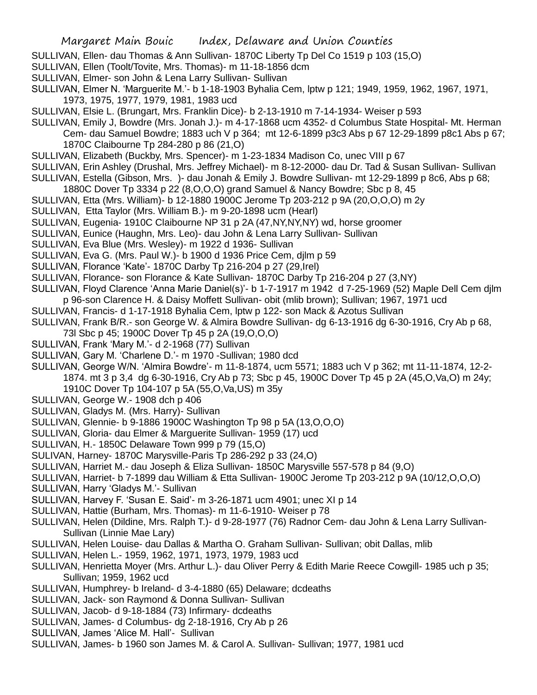- SULLIVAN, Ellen- dau Thomas & Ann Sullivan- 1870C Liberty Tp Del Co 1519 p 103 (15,O)
- SULLIVAN, Ellen (Toolt/Tovite, Mrs. Thomas)- m 11-18-1856 dcm
- SULLIVAN, Elmer- son John & Lena Larry Sullivan- Sullivan
- SULLIVAN, Elmer N. 'Marguerite M.'- b 1-18-1903 Byhalia Cem, lptw p 121; 1949, 1959, 1962, 1967, 1971, 1973, 1975, 1977, 1979, 1981, 1983 ucd
- SULLIVAN, Elsie L. (Brungart, Mrs. Franklin Dice)- b 2-13-1910 m 7-14-1934- Weiser p 593
- SULLIVAN, Emily J, Bowdre (Mrs. Jonah J.)- m 4-17-1868 ucm 4352- d Columbus State Hospital- Mt. Herman Cem- dau Samuel Bowdre; 1883 uch V p 364; mt 12-6-1899 p3c3 Abs p 67 12-29-1899 p8c1 Abs p 67;
	- 1870C Claibourne Tp 284-280 p 86 (21,O)
- SULLIVAN, Elizabeth (Buckby, Mrs. Spencer)- m 1-23-1834 Madison Co, unec VIII p 67
- SULLIVAN, Erin Ashley (Drushal, Mrs. Jeffrey Michael)- m 8-12-2000- dau Dr. Tad & Susan Sullivan- Sullivan SULLIVAN, Estella (Gibson, Mrs. )- dau Jonah & Emily J. Bowdre Sullivan- mt 12-29-1899 p 8c6, Abs p 68;
- 1880C Dover Tp 3334 p 22 (8,O,O,O) grand Samuel & Nancy Bowdre; Sbc p 8, 45
- SULLIVAN, Etta (Mrs. William)- b 12-1880 1900C Jerome Tp 203-212 p 9A (20,O,O,O) m 2y
- SULLIVAN, Etta Taylor (Mrs. William B.)- m 9-20-1898 ucm (Hearl)
- SULLIVAN, Eugenia- 1910C Claibourne NP 31 p 2A (47,NY,NY,NY) wd, horse groomer
- SULLIVAN, Eunice (Haughn, Mrs. Leo)- dau John & Lena Larry Sullivan- Sullivan
- SULLIVAN, Eva Blue (Mrs. Wesley)- m 1922 d 1936- Sullivan
- SULLIVAN, Eva G. (Mrs. Paul W.)- b 1900 d 1936 Price Cem, djlm p 59
- SULLIVAN, Florance 'Kate'- 1870C Darby Tp 216-204 p 27 (29,Irel)
- SULLIVAN, Florance- son Florance & Kate Sullivan- 1870C Darby Tp 216-204 p 27 (3,NY)
- SULLIVAN, Floyd Clarence 'Anna Marie Daniel(s)'- b 1-7-1917 m 1942 d 7-25-1969 (52) Maple Dell Cem djlm p 96-son Clarence H. & Daisy Moffett Sullivan- obit (mlib brown); Sullivan; 1967, 1971 ucd
- SULLIVAN, Francis- d 1-17-1918 Byhalia Cem, lptw p 122- son Mack & Azotus Sullivan
- SULLIVAN, Frank B/R.- son George W. & Almira Bowdre Sullivan- dg 6-13-1916 dg 6-30-1916, Cry Ab p 68,
- 73l Sbc p 45; 1900C Dover Tp 45 p 2A (19,O,O,O)
- SULLIVAN, Frank 'Mary M.'- d 2-1968 (77) Sullivan
- SULLIVAN, Gary M. 'Charlene D.'- m 1970 -Sullivan; 1980 dcd
- SULLIVAN, George W/N. 'Almira Bowdre'- m 11-8-1874, ucm 5571; 1883 uch V p 362; mt 11-11-1874, 12-2- 1874. mt 3 p 3,4 dg 6-30-1916, Cry Ab p 73; Sbc p 45, 1900C Dover Tp 45 p 2A (45,O,Va,O) m 24y;
	- 1910C Dover Tp 104-107 p 5A (55,O,Va,US) m 35y
- SULLIVAN, George W.- 1908 dch p 406
- SULLIVAN, Gladys M. (Mrs. Harry)- Sullivan
- SULLIVAN, Glennie- b 9-1886 1900C Washington Tp 98 p 5A (13,O,O,O)
- SULLIVAN, Gloria- dau Elmer & Marguerite Sullivan- 1959 (17) ucd
- SULLIVAN, H.- 1850C Delaware Town 999 p 79 (15,O)
- SULIVAN, Harney- 1870C Marysville-Paris Tp 286-292 p 33 (24,O)
- SULLIVAN, Harriet M.- dau Joseph & Eliza Sullivan- 1850C Marysville 557-578 p 84 (9,O)
- SULLIVAN, Harriet- b 7-1899 dau William & Etta Sullivan- 1900C Jerome Tp 203-212 p 9A (10/12,O,O,O)
- SULLIVAN, Harry 'Gladys M.'- Sullivan
- SULLIVAN, Harvey F. 'Susan E. Said'- m 3-26-1871 ucm 4901; unec XI p 14
- SULLIVAN, Hattie (Burham, Mrs. Thomas)- m 11-6-1910- Weiser p 78
- SULLIVAN, Helen (Dildine, Mrs. Ralph T.)- d 9-28-1977 (76) Radnor Cem- dau John & Lena Larry Sullivan-Sullivan (Linnie Mae Lary)
- SULLIVAN, Helen Louise- dau Dallas & Martha O. Graham Sullivan- Sullivan; obit Dallas, mlib
- SULLIVAN, Helen L.- 1959, 1962, 1971, 1973, 1979, 1983 ucd
- SULLIVAN, Henrietta Moyer (Mrs. Arthur L.)- dau Oliver Perry & Edith Marie Reece Cowgill- 1985 uch p 35; Sullivan; 1959, 1962 ucd
- SULLIVAN, Humphrey- b Ireland- d 3-4-1880 (65) Delaware; dcdeaths
- SULLIVAN, Jack- son Raymond & Donna Sullivan- Sullivan
- SULLIVAN, Jacob- d 9-18-1884 (73) Infirmary- dcdeaths
- SULLIVAN, James- d Columbus- dg 2-18-1916, Cry Ab p 26
- SULLIVAN, James 'Alice M. Hall'- Sullivan
- SULLIVAN, James- b 1960 son James M. & Carol A. Sullivan- Sullivan; 1977, 1981 ucd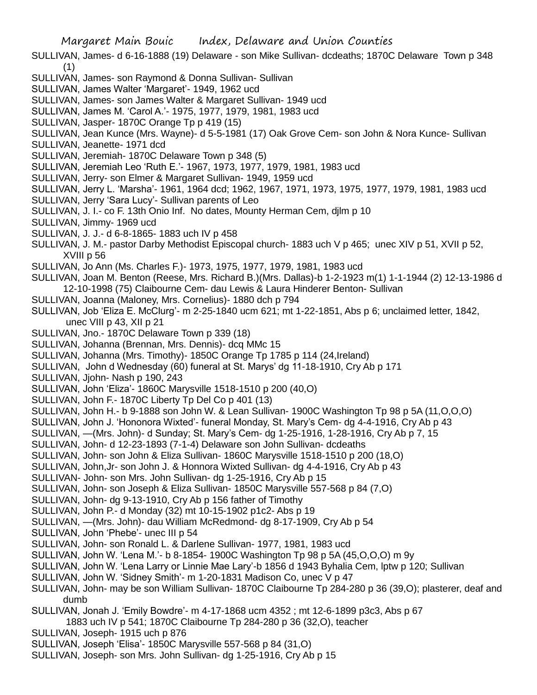SULLIVAN, James- d 6-16-1888 (19) Delaware - son Mike Sullivan- dcdeaths; 1870C Delaware Town p 348 (1)

- SULLIVAN, James- son Raymond & Donna Sullivan- Sullivan
- SULLIVAN, James Walter 'Margaret'- 1949, 1962 ucd
- SULLIVAN, James- son James Walter & Margaret Sullivan- 1949 ucd
- SULLIVAN, James M. 'Carol A.'- 1975, 1977, 1979, 1981, 1983 ucd
- SULLIVAN, Jasper- 1870C Orange Tp p 419 (15)

SULLIVAN, Jean Kunce (Mrs. Wayne)- d 5-5-1981 (17) Oak Grove Cem- son John & Nora Kunce- Sullivan SULLIVAN, Jeanette- 1971 dcd

- SULLIVAN, Jeremiah- 1870C Delaware Town p 348 (5)
- SULLIVAN, Jeremiah Leo 'Ruth E.'- 1967, 1973, 1977, 1979, 1981, 1983 ucd
- SULLIVAN, Jerry- son Elmer & Margaret Sullivan- 1949, 1959 ucd
- SULLIVAN, Jerry L. 'Marsha'- 1961, 1964 dcd; 1962, 1967, 1971, 1973, 1975, 1977, 1979, 1981, 1983 ucd
- SULLIVAN, Jerry 'Sara Lucy'- Sullivan parents of Leo
- SULLIVAN, J. I.- co F. 13th Onio Inf. No dates, Mounty Herman Cem, djlm p 10
- SULLIVAN, Jimmy- 1969 ucd
- SULLIVAN, J. J.- d 6-8-1865- 1883 uch IV p 458
- SULLIVAN, J. M.- pastor Darby Methodist Episcopal church- 1883 uch V p 465; unec XIV p 51, XVII p 52, XVIII p 56
- SULLIVAN, Jo Ann (Ms. Charles F.)- 1973, 1975, 1977, 1979, 1981, 1983 ucd
- SULLIVAN, Joan M. Benton (Reese, Mrs. Richard B.)(Mrs. Dallas)-b 1-2-1923 m(1) 1-1-1944 (2) 12-13-1986 d 12-10-1998 (75) Claibourne Cem- dau Lewis & Laura Hinderer Benton- Sullivan
- SULLIVAN, Joanna (Maloney, Mrs. Cornelius)- 1880 dch p 794
- SULLIVAN, Job 'Eliza E. McClurg'- m 2-25-1840 ucm 621; mt 1-22-1851, Abs p 6; unclaimed letter, 1842, unec VIII p 43, XII p 21
- SULLIVAN, Jno.- 1870C Delaware Town p 339 (18)
- SULLIVAN, Johanna (Brennan, Mrs. Dennis)- dcq MMc 15
- SULLIVAN, Johanna (Mrs. Timothy)- 1850C Orange Tp 1785 p 114 (24,Ireland)
- SULLIVAN, John d Wednesday (60) funeral at St. Marys' dg 11-18-1910, Cry Ab p 171
- SULLIVAN, Jjohn- Nash p 190, 243
- SULLIVAN, John 'Eliza'- 1860C Marysville 1518-1510 p 200 (40,O)
- SULLIVAN, John F.- 1870C Liberty Tp Del Co p 401 (13)
- SULLIVAN, John H.- b 9-1888 son John W. & Lean Sullivan- 1900C Washington Tp 98 p 5A (11,O,O,O)
- SULLIVAN, John J. 'Hononora Wixted'- funeral Monday, St. Mary's Cem- dg 4-4-1916, Cry Ab p 43
- SULLIVAN, —(Mrs. John)- d Sunday; St. Mary's Cem- dg 1-25-1916, 1-28-1916, Cry Ab p 7, 15
- SULLIVAN, John- d 12-23-1893 (7-1-4) Delaware son John Sullivan- dcdeaths
- SULLIVAN, John- son John & Eliza Sullivan- 1860C Marysville 1518-1510 p 200 (18,O)
- SULLIVAN, John,Jr- son John J. & Honnora Wixted Sullivan- dg 4-4-1916, Cry Ab p 43
- SULLIVAN- John- son Mrs. John Sullivan- dg 1-25-1916, Cry Ab p 15
- SULLIVAN, John- son Joseph & Eliza Sullivan- 1850C Marysville 557-568 p 84 (7,O)
- SULLIVAN, John- dg 9-13-1910, Cry Ab p 156 father of Timothy
- SULLIVAN, John P.- d Monday (32) mt 10-15-1902 p1c2- Abs p 19
- SULLIVAN, —(Mrs. John)- dau William McRedmond- dg 8-17-1909, Cry Ab p 54
- SULLIVAN, John 'Phebe'- unec III p 54
- SULLIVAN, John- son Ronald L. & Darlene Sullivan- 1977, 1981, 1983 ucd
- SULLIVAN, John W. 'Lena M.'- b 8-1854- 1900C Washington Tp 98 p 5A (45,O,O,O) m 9y
- SULLIVAN, John W. 'Lena Larry or Linnie Mae Lary'-b 1856 d 1943 Byhalia Cem, lptw p 120; Sullivan
- SULLIVAN, John W. 'Sidney Smith'- m 1-20-1831 Madison Co, unec V p 47
- SULLIVAN, John- may be son William Sullivan- 1870C Claibourne Tp 284-280 p 36 (39,O); plasterer, deaf and dumb
- SULLIVAN, Jonah J. 'Emily Bowdre'- m 4-17-1868 ucm 4352 ; mt 12-6-1899 p3c3, Abs p 67
- 1883 uch IV p 541; 1870C Claibourne Tp 284-280 p 36 (32,O), teacher
- SULLIVAN, Joseph- 1915 uch p 876
- SULLIVAN, Joseph 'Elisa'- 1850C Marysville 557-568 p 84 (31,O)
- SULLIVAN, Joseph- son Mrs. John Sullivan- dg 1-25-1916, Cry Ab p 15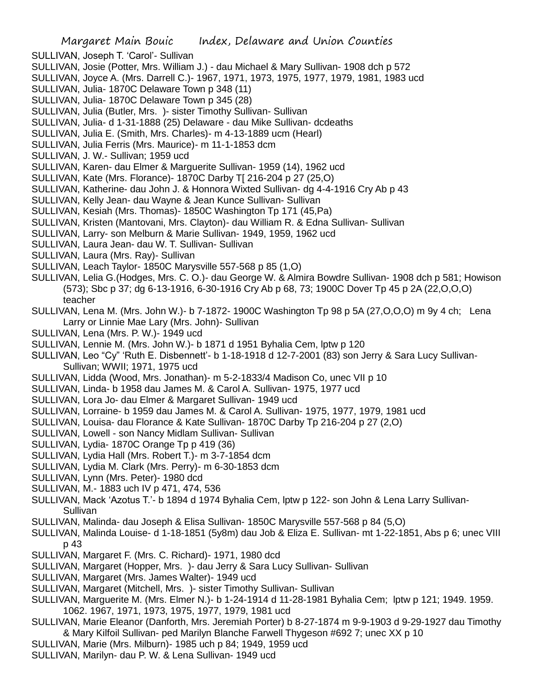- SULLIVAN, Joseph T. 'Carol'- Sullivan
- SULLIVAN, Josie (Potter, Mrs. William J.) dau Michael & Mary Sullivan- 1908 dch p 572
- SULLIVAN, Joyce A. (Mrs. Darrell C.)- 1967, 1971, 1973, 1975, 1977, 1979, 1981, 1983 ucd
- SULLIVAN, Julia- 1870C Delaware Town p 348 (11)
- SULLIVAN, Julia- 1870C Delaware Town p 345 (28)
- SULLIVAN, Julia (Butler, Mrs. )- sister Timothy Sullivan- Sullivan
- SULLIVAN, Julia- d 1-31-1888 (25) Delaware dau Mike Sullivan- dcdeaths
- SULLIVAN, Julia E. (Smith, Mrs. Charles)- m 4-13-1889 ucm (Hearl)
- SULLIVAN, Julia Ferris (Mrs. Maurice)- m 11-1-1853 dcm
- SULLIVAN, J. W.- Sullivan; 1959 ucd
- SULLIVAN, Karen- dau Elmer & Marguerite Sullivan- 1959 (14), 1962 ucd
- SULLIVAN, Kate (Mrs. Florance)- 1870C Darby T[ 216-204 p 27 (25,O)
- SULLIVAN, Katherine- dau John J. & Honnora Wixted Sullivan- dg 4-4-1916 Cry Ab p 43
- SULLIVAN, Kelly Jean- dau Wayne & Jean Kunce Sullivan- Sullivan
- SULLIVAN, Kesiah (Mrs. Thomas)- 1850C Washington Tp 171 (45,Pa)
- SULLIVAN, Kristen (Mantovani, Mrs. Clayton)- dau William R. & Edna Sullivan- Sullivan
- SULLIVAN, Larry- son Melburn & Marie Sullivan- 1949, 1959, 1962 ucd
- SULLIVAN, Laura Jean- dau W. T. Sullivan- Sullivan
- SULLIVAN, Laura (Mrs. Ray)- Sullivan
- SULLIVAN, Leach Taylor- 1850C Marysville 557-568 p 85 (1,O)
- SULLIVAN, Lelia G.(Hodges, Mrs. C. O.)- dau George W. & Almira Bowdre Sullivan- 1908 dch p 581; Howison (573); Sbc p 37; dg 6-13-1916, 6-30-1916 Cry Ab p 68, 73; 1900C Dover Tp 45 p 2A (22,O,O,O) teacher
- SULLIVAN, Lena M. (Mrs. John W.)- b 7-1872- 1900C Washington Tp 98 p 5A (27,O,O,O) m 9y 4 ch; Lena Larry or Linnie Mae Lary (Mrs. John)- Sullivan
- SULLIVAN, Lena (Mrs. P. W.)- 1949 ucd
- SULLIVAN, Lennie M. (Mrs. John W.)- b 1871 d 1951 Byhalia Cem, lptw p 120
- SULLIVAN, Leo "Cy" 'Ruth E. Disbennett'- b 1-18-1918 d 12-7-2001 (83) son Jerry & Sara Lucy Sullivan-Sullivan; WWII; 1971, 1975 ucd
- SULLIVAN, Lidda (Wood, Mrs. Jonathan)- m 5-2-1833/4 Madison Co, unec VII p 10
- SULLIVAN, Linda- b 1958 dau James M. & Carol A. Sullivan- 1975, 1977 ucd
- SULLIVAN, Lora Jo- dau Elmer & Margaret Sullivan- 1949 ucd
- SULLIVAN, Lorraine- b 1959 dau James M. & Carol A. Sullivan- 1975, 1977, 1979, 1981 ucd
- SULLIVAN, Louisa- dau Florance & Kate Sullivan- 1870C Darby Tp 216-204 p 27 (2,O)
- SULLIVAN, Lowell son Nancy Midlam Sullivan- Sullivan
- SULLIVAN, Lydia-1870C Orange Tp p 419 (36)
- SULLIVAN, Lydia Hall (Mrs. Robert T.)- m 3-7-1854 dcm
- SULLIVAN, Lydia M. Clark (Mrs. Perry)- m 6-30-1853 dcm
- SULLIVAN, Lynn (Mrs. Peter)- 1980 dcd
- SULLIVAN, M.- 1883 uch IV p 471, 474, 536
- SULLIVAN, Mack 'Azotus T.'- b 1894 d 1974 Byhalia Cem, lptw p 122- son John & Lena Larry Sullivan-**Sullivan**
- SULLIVAN, Malinda- dau Joseph & Elisa Sullivan- 1850C Marysville 557-568 p 84 (5,O)
- SULLIVAN, Malinda Louise- d 1-18-1851 (5y8m) dau Job & Eliza E. Sullivan- mt 1-22-1851, Abs p 6; unec VIII p 43
- SULLIVAN, Margaret F. (Mrs. C. Richard)- 1971, 1980 dcd
- SULLIVAN, Margaret (Hopper, Mrs. )- dau Jerry & Sara Lucy Sullivan- Sullivan
- SULLIVAN, Margaret (Mrs. James Walter)- 1949 ucd
- SULLIVAN, Margaret (Mitchell, Mrs. )- sister Timothy Sullivan- Sullivan
- SULLIVAN, Marguerite M. (Mrs. Elmer N.)- b 1-24-1914 d 11-28-1981 Byhalia Cem; lptw p 121; 1949. 1959. 1062. 1967, 1971, 1973, 1975, 1977, 1979, 1981 ucd
- SULLIVAN, Marie Eleanor (Danforth, Mrs. Jeremiah Porter) b 8-27-1874 m 9-9-1903 d 9-29-1927 dau Timothy & Mary Kilfoil Sullivan- ped Marilyn Blanche Farwell Thygeson #692 7; unec XX p 10
- SULLIVAN, Marie (Mrs. Milburn)- 1985 uch p 84; 1949, 1959 ucd
- SULLIVAN, Marilyn- dau P. W. & Lena Sullivan- 1949 ucd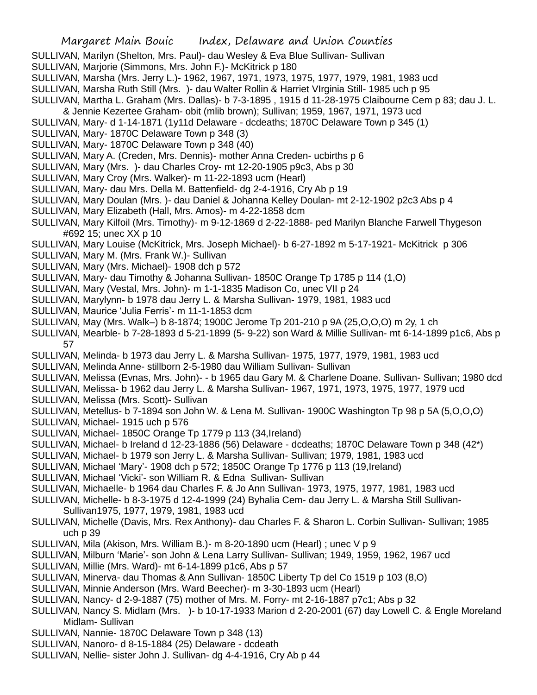- SULLIVAN, Marilyn (Shelton, Mrs. Paul)- dau Wesley & Eva Blue Sullivan- Sullivan
- SULLIVAN, Marjorie (Simmons, Mrs. John F.)- McKitrick p 180
- SULLIVAN, Marsha (Mrs. Jerry L.)- 1962, 1967, 1971, 1973, 1975, 1977, 1979, 1981, 1983 ucd
- SULLIVAN, Marsha Ruth Still (Mrs. )- dau Walter Rollin & Harriet VIrginia Still- 1985 uch p 95
- SULLIVAN, Martha L. Graham (Mrs. Dallas)- b 7-3-1895 , 1915 d 11-28-1975 Claibourne Cem p 83; dau J. L.
- & Jennie Kezertee Graham- obit (mlib brown); Sullivan; 1959, 1967, 1971, 1973 ucd
- SULLIVAN, Mary- d 1-14-1871 (1y11d Delaware dcdeaths; 1870C Delaware Town p 345 (1)
- SULLIVAN, Mary- 1870C Delaware Town p 348 (3)
- SULLIVAN, Mary- 1870C Delaware Town p 348 (40)
- SULLIVAN, Mary A. (Creden, Mrs. Dennis)- mother Anna Creden- ucbirths p 6
- SULLIVAN, Mary (Mrs. )- dau Charles Croy- mt 12-20-1905 p9c3, Abs p 30
- SULLIVAN, Mary Croy (Mrs. Walker)- m 11-22-1893 ucm (Hearl)
- SULLIVAN, Mary- dau Mrs. Della M. Battenfield- dg 2-4-1916, Cry Ab p 19
- SULLIVAN, Mary Doulan (Mrs. )- dau Daniel & Johanna Kelley Doulan- mt 2-12-1902 p2c3 Abs p 4
- SULLIVAN, Mary Elizabeth (Hall, Mrs. Amos)- m 4-22-1858 dcm
- SULLIVAN, Mary Kilfoil (Mrs. Timothy)- m 9-12-1869 d 2-22-1888- ped Marilyn Blanche Farwell Thygeson #692 15; unec XX p 10
- SULLIVAN, Mary Louise (McKitrick, Mrs. Joseph Michael)- b 6-27-1892 m 5-17-1921- McKitrick p 306
- SULLIVAN, Mary M. (Mrs. Frank W.)- Sullivan
- SULLIVAN, Mary (Mrs. Michael)- 1908 dch p 572
- SULLIVAN, Mary- dau Timothy & Johanna Sullivan- 1850C Orange Tp 1785 p 114 (1,O)
- SULLIVAN, Mary (Vestal, Mrs. John)- m 1-1-1835 Madison Co, unec VII p 24
- SULLIVAN, Marylynn- b 1978 dau Jerry L. & Marsha Sullivan- 1979, 1981, 1983 ucd
- SULLIVAN, Maurice 'Julia Ferris'- m 11-1-1853 dcm
- SULLIVAN, May (Mrs. Walk–) b 8-1874; 1900C Jerome Tp 201-210 p 9A (25,O,O,O) m 2y, 1 ch
- SULLIVAN, Mearble- b 7-28-1893 d 5-21-1899 (5- 9-22) son Ward & Millie Sullivan- mt 6-14-1899 p1c6, Abs p 57
- SULLIVAN, Melinda- b 1973 dau Jerry L. & Marsha Sullivan- 1975, 1977, 1979, 1981, 1983 ucd
- SULLIVAN, Melinda Anne- stillborn 2-5-1980 dau William Sullivan- Sullivan
- SULLIVAN, Melissa (Evnas, Mrs. John)- b 1965 dau Gary M. & Charlene Doane. Sullivan- Sullivan; 1980 dcd
- SULLIVAN, Melissa- b 1962 dau Jerry L. & Marsha Sullivan- 1967, 1971, 1973, 1975, 1977, 1979 ucd
- SULLIVAN, Melissa (Mrs. Scott)- Sullivan
- SULLIVAN, Metellus- b 7-1894 son John W. & Lena M. Sullivan- 1900C Washington Tp 98 p 5A (5,O,O,O)
- SULLIVAN, Michael- 1915 uch p 576
- SULLIVAN, Michael- 1850C Orange Tp 1779 p 113 (34,Ireland)
- SULLIVAN, Michael- b Ireland d 12-23-1886 (56) Delaware dcdeaths; 1870C Delaware Town p 348 (42\*)
- SULLIVAN, Michael- b 1979 son Jerry L. & Marsha Sullivan- Sullivan; 1979, 1981, 1983 ucd
- SULLIVAN, Michael 'Mary'- 1908 dch p 572; 1850C Orange Tp 1776 p 113 (19,Ireland)
- SULLIVAN, Michael 'Vicki'- son William R. & Edna Sullivan- Sullivan
- SULLIVAN, Michaelle- b 1964 dau Charles F. & Jo Ann Sullivan- 1973, 1975, 1977, 1981, 1983 ucd
- SULLIVAN, Michelle- b 8-3-1975 d 12-4-1999 (24) Byhalia Cem- dau Jerry L. & Marsha Still Sullivan-Sullivan1975, 1977, 1979, 1981, 1983 ucd
- SULLIVAN, Michelle (Davis, Mrs. Rex Anthony)- dau Charles F. & Sharon L. Corbin Sullivan- Sullivan; 1985 uch p 39
- SULLIVAN, Mila (Akison, Mrs. William B.)- m 8-20-1890 ucm (Hearl) ; unec V p 9
- SULLIVAN, Milburn 'Marie'- son John & Lena Larry Sullivan- Sullivan; 1949, 1959, 1962, 1967 ucd
- SULLIVAN, Millie (Mrs. Ward)- mt 6-14-1899 p1c6, Abs p 57
- SULLIVAN, Minerva- dau Thomas & Ann Sullivan- 1850C Liberty Tp del Co 1519 p 103 (8,O)
- SULLIVAN, Minnie Anderson (Mrs. Ward Beecher)- m 3-30-1893 ucm (Hearl)
- SULLIVAN, Nancy- d 2-9-1887 (75) mother of Mrs. M. Forry- mt 2-16-1887 p7c1; Abs p 32
- SULLIVAN, Nancy S. Midlam (Mrs. )- b 10-17-1933 Marion d 2-20-2001 (67) day Lowell C. & Engle Moreland Midlam- Sullivan
- SULLIVAN, Nannie- 1870C Delaware Town p 348 (13)
- SULLIVAN, Nanoro- d 8-15-1884 (25) Delaware dcdeath
- SULLIVAN, Nellie- sister John J. Sullivan- dg 4-4-1916, Cry Ab p 44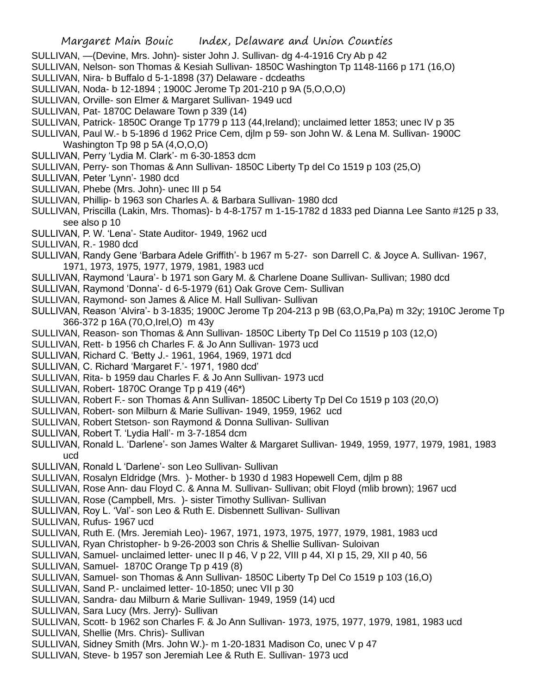- SULLIVAN, —(Devine, Mrs. John)- sister John J. Sullivan- dg 4-4-1916 Cry Ab p 42
- SULLIVAN, Nelson- son Thomas & Kesiah Sullivan- 1850C Washington Tp 1148-1166 p 171 (16,O)
- SULLIVAN, Nira- b Buffalo d 5-1-1898 (37) Delaware dcdeaths
- SULLIVAN, Noda- b 12-1894 ; 1900C Jerome Tp 201-210 p 9A (5,O,O,O)
- SULLIVAN, Orville- son Elmer & Margaret Sullivan- 1949 ucd
- SULLIVAN, Pat- 1870C Delaware Town p 339 (14)
- SULLIVAN, Patrick- 1850C Orange Tp 1779 p 113 (44,Ireland); unclaimed letter 1853; unec IV p 35
- SULLIVAN, Paul W.- b 5-1896 d 1962 Price Cem, djlm p 59- son John W. & Lena M. Sullivan- 1900C Washington Tp 98 p 5A (4,O,O,O)
- SULLIVAN, Perry 'Lydia M. Clark'- m 6-30-1853 dcm
- SULLIVAN, Perry- son Thomas & Ann Sullivan- 1850C Liberty Tp del Co 1519 p 103 (25,O)
- SULLIVAN, Peter 'Lynn'- 1980 dcd
- SULLIVAN, Phebe (Mrs. John)- unec III p 54
- SULLIVAN, Phillip- b 1963 son Charles A. & Barbara Sullivan- 1980 dcd
- SULLIVAN, Priscilla (Lakin, Mrs. Thomas)- b 4-8-1757 m 1-15-1782 d 1833 ped Dianna Lee Santo #125 p 33, see also p 10
- SULLIVAN, P. W. 'Lena'- State Auditor- 1949, 1962 ucd
- SULLIVAN, R.- 1980 dcd
- SULLIVAN, Randy Gene 'Barbara Adele Griffith'- b 1967 m 5-27- son Darrell C. & Joyce A. Sullivan- 1967, 1971, 1973, 1975, 1977, 1979, 1981, 1983 ucd
- SULLIVAN, Raymond 'Laura'- b 1971 son Gary M. & Charlene Doane Sullivan- Sullivan; 1980 dcd
- SULLIVAN, Raymond 'Donna'- d 6-5-1979 (61) Oak Grove Cem- Sullivan
- SULLIVAN, Raymond- son James & Alice M. Hall Sullivan- Sullivan
- SULLIVAN, Reason 'Alvira'- b 3-1835; 1900C Jerome Tp 204-213 p 9B (63,O,Pa,Pa) m 32y; 1910C Jerome Tp 366-372 p 16A (70,O,Irel,O) m 43y
- SULLIVAN, Reason- son Thomas & Ann Sullivan- 1850C Liberty Tp Del Co 11519 p 103 (12,O)
- SULLIVAN, Rett- b 1956 ch Charles F. & Jo Ann Sullivan- 1973 ucd
- SULLIVAN, Richard C. 'Betty J.- 1961, 1964, 1969, 1971 dcd
- SULLIVAN, C. Richard 'Margaret F.'- 1971, 1980 dcd'
- SULLIVAN, Rita- b 1959 dau Charles F. & Jo Ann Sullivan- 1973 ucd
- SULLIVAN, Robert- 1870C Orange Tp p 419 (46\*)
- SULLIVAN, Robert F.- son Thomas & Ann Sullivan- 1850C Liberty Tp Del Co 1519 p 103 (20,O)
- SULLIVAN, Robert- son Milburn & Marie Sullivan- 1949, 1959, 1962 ucd
- SULLIVAN, Robert Stetson- son Raymond & Donna Sullivan- Sullivan
- SULLIVAN, Robert T. 'Lydia Hall'- m 3-7-1854 dcm
- SULLIVAN, Ronald L. 'Darlene'- son James Walter & Margaret Sullivan- 1949, 1959, 1977, 1979, 1981, 1983 ucd
- SULLIVAN, Ronald L 'Darlene'- son Leo Sullivan- Sullivan
- SULLIVAN, Rosalyn Eldridge (Mrs. )- Mother- b 1930 d 1983 Hopewell Cem, djlm p 88
- SULLIVAN, Rose Ann- dau Floyd C. & Anna M. Sullivan- Sullivan; obit Floyd (mlib brown); 1967 ucd
- SULLIVAN, Rose (Campbell, Mrs. )- sister Timothy Sullivan- Sullivan
- SULLIVAN, Roy L. 'Val'- son Leo & Ruth E. Disbennett Sullivan- Sullivan
- SULLIVAN, Rufus- 1967 ucd
- SULLIVAN, Ruth E. (Mrs. Jeremiah Leo)- 1967, 1971, 1973, 1975, 1977, 1979, 1981, 1983 ucd
- SULLIVAN, Ryan Christopher- b 9-26-2003 son Chris & Shellie Sullivan- Suloivan
- SULLIVAN, Samuel- unclaimed letter- unec II p 46, V p 22, VIII p 44, XI p 15, 29, XII p 40, 56
- SULLIVAN, Samuel- 1870C Orange Tp p 419 (8)
- SULLIVAN, Samuel- son Thomas & Ann Sullivan- 1850C Liberty Tp Del Co 1519 p 103 (16,O)
- SULLIVAN, Sand P.- unclaimed letter- 10-1850; unec VII p 30
- SULLIVAN, Sandra- dau Milburn & Marie Sullivan- 1949, 1959 (14) ucd
- SULLIVAN, Sara Lucy (Mrs. Jerry)- Sullivan
- SULLIVAN, Scott- b 1962 son Charles F. & Jo Ann Sullivan- 1973, 1975, 1977, 1979, 1981, 1983 ucd
- SULLIVAN, Shellie (Mrs. Chris)- Sullivan
- SULLIVAN, Sidney Smith (Mrs. John W.)- m 1-20-1831 Madison Co, unec V p 47
- SULLIVAN, Steve- b 1957 son Jeremiah Lee & Ruth E. Sullivan- 1973 ucd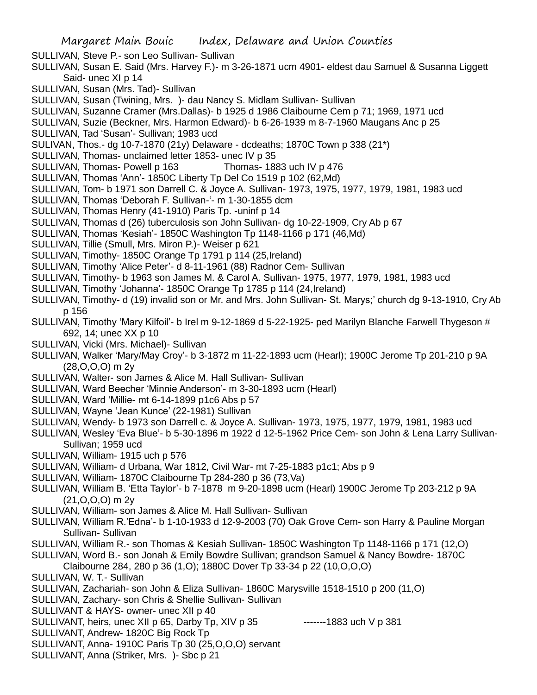SULLIVAN, Steve P.- son Leo Sullivan- Sullivan

SULLIVAN, Susan E. Said (Mrs. Harvey F.)- m 3-26-1871 ucm 4901- eldest dau Samuel & Susanna Liggett Said- unec XI p 14

- SULLIVAN, Susan (Mrs. Tad)- Sullivan
- SULLIVAN, Susan (Twining, Mrs. )- dau Nancy S. Midlam Sullivan- Sullivan

SULLIVAN, Suzanne Cramer (Mrs.Dallas)- b 1925 d 1986 Claibourne Cem p 71; 1969, 1971 ucd

SULLIVAN, Suzie (Beckner, Mrs. Harmon Edward)- b 6-26-1939 m 8-7-1960 Maugans Anc p 25

SULLIVAN, Tad 'Susan'- Sullivan; 1983 ucd

SULIVAN, Thos.- dg 10-7-1870 (21y) Delaware - dcdeaths; 1870C Town p 338 (21\*)

SULLIVAN, Thomas- unclaimed letter 1853- unec IV p 35

SULLIVAN, Thomas- Powell p 163 Thomas- 1883 uch IV p 476

- SULLIVAN, Thomas 'Ann'- 1850C Liberty Tp Del Co 1519 p 102 (62,Md)
- SULLIVAN, Tom- b 1971 son Darrell C. & Joyce A. Sullivan- 1973, 1975, 1977, 1979, 1981, 1983 ucd
- SULLIVAN, Thomas 'Deborah F. Sullivan-'- m 1-30-1855 dcm
- SULLIVAN, Thomas Henry (41-1910) Paris Tp. -uninf p 14
- SULLIVAN, Thomas d (26) tuberculosis son John Sullivan- dg 10-22-1909, Cry Ab p 67
- SULLIVAN, Thomas 'Kesiah'- 1850C Washington Tp 1148-1166 p 171 (46,Md)
- SULLIVAN, Tillie (Smull, Mrs. Miron P.)- Weiser p 621
- SULLIVAN, Timothy-1850C Orange Tp 1791 p 114 (25, Ireland)
- SULLIVAN, Timothy 'Alice Peter'- d 8-11-1961 (88) Radnor Cem- Sullivan
- SULLIVAN, Timothy- b 1963 son James M. & Carol A. Sullivan- 1975, 1977, 1979, 1981, 1983 ucd
- SULLIVAN, Timothy 'Johanna'- 1850C Orange Tp 1785 p 114 (24,Ireland)
- SULLIVAN, Timothy- d (19) invalid son or Mr. and Mrs. John Sullivan- St. Marys;' church dg 9-13-1910, Cry Ab p 156
- SULLIVAN, Timothy 'Mary Kilfoil'- b Irel m 9-12-1869 d 5-22-1925- ped Marilyn Blanche Farwell Thygeson # 692, 14; unec XX p 10
- SULLIVAN, Vicki (Mrs. Michael)- Sullivan
- SULLIVAN, Walker 'Mary/May Croy'- b 3-1872 m 11-22-1893 ucm (Hearl); 1900C Jerome Tp 201-210 p 9A (28,O,O,O) m 2y
- SULLIVAN, Walter- son James & Alice M. Hall Sullivan- Sullivan
- SULLIVAN, Ward Beecher 'Minnie Anderson'- m 3-30-1893 ucm (Hearl)
- SULLIVAN, Ward 'Millie- mt 6-14-1899 p1c6 Abs p 57
- SULLIVAN, Wayne 'Jean Kunce' (22-1981) Sullivan
- SULLIVAN, Wendy- b 1973 son Darrell c. & Joyce A. Sullivan- 1973, 1975, 1977, 1979, 1981, 1983 ucd
- SULLIVAN, Wesley 'Eva Blue'- b 5-30-1896 m 1922 d 12-5-1962 Price Cem- son John & Lena Larry Sullivan-Sullivan; 1959 ucd
- SULLIVAN, William- 1915 uch p 576
- SULLIVAN, William- d Urbana, War 1812, Civil War- mt 7-25-1883 p1c1; Abs p 9
- SULLIVAN, William- 1870C Claibourne Tp 284-280 p 36 (73,Va)
- SULLIVAN, William B. 'Etta Taylor'- b 7-1878 m 9-20-1898 ucm (Hearl) 1900C Jerome Tp 203-212 p 9A (21,O,O,O) m 2y
- SULLIVAN, William- son James & Alice M. Hall Sullivan- Sullivan
- SULLIVAN, William R.'Edna'- b 1-10-1933 d 12-9-2003 (70) Oak Grove Cem- son Harry & Pauline Morgan Sullivan- Sullivan
- SULLIVAN, William R.- son Thomas & Kesiah Sullivan- 1850C Washington Tp 1148-1166 p 171 (12,O)
- SULLIVAN, Word B.- son Jonah & Emily Bowdre Sullivan; grandson Samuel & Nancy Bowdre- 1870C Claibourne 284, 280 p 36 (1,O); 1880C Dover Tp 33-34 p 22 (10,O,O,O)
- SULLIVAN, W. T.- Sullivan
- SULLIVAN, Zachariah- son John & Eliza Sullivan- 1860C Marysville 1518-1510 p 200 (11,O)
- SULLIVAN, Zachary- son Chris & Shellie Sullivan- Sullivan
- SULLIVANT & HAYS- owner- unec XII p 40
- SULLIVANT, heirs, unec XII p 65, Darby Tp, XIV p 35 -------1883 uch V p 381
- SULLIVANT, Andrew- 1820C Big Rock Tp
- SULLIVANT, Anna- 1910C Paris Tp 30 (25,O,O,O) servant
- SULLIVANT, Anna (Striker, Mrs. )- Sbc p 21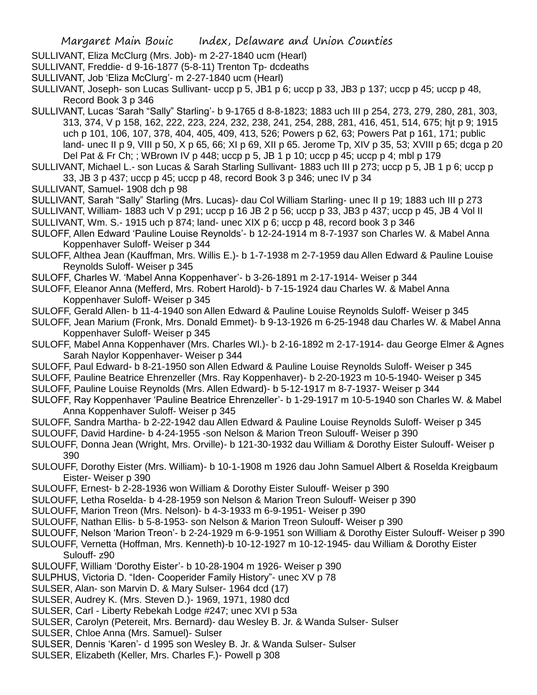- SULLIVANT, Eliza McClurg (Mrs. Job)- m 2-27-1840 ucm (Hearl)
- SULLIVANT, Freddie- d 9-16-1877 (5-8-11) Trenton Tp- dcdeaths
- SULLIVANT, Job 'Eliza McClurg'- m 2-27-1840 ucm (Hearl)
- SULLIVANT, Joseph- son Lucas Sullivant- uccp p 5, JB1 p 6; uccp p 33, JB3 p 137; uccp p 45; uccp p 48, Record Book 3 p 346
- SULLIVANT, Lucas 'Sarah "Sally" Starling'- b 9-1765 d 8-8-1823; 1883 uch III p 254, 273, 279, 280, 281, 303, 313, 374, V p 158, 162, 222, 223, 224, 232, 238, 241, 254, 288, 281, 416, 451, 514, 675; hjt p 9; 1915 uch p 101, 106, 107, 378, 404, 405, 409, 413, 526; Powers p 62, 63; Powers Pat p 161, 171; public land- unec II p 9, VIII p 50, X p 65, 66; XI p 69, XII p 65. Jerome Tp, XIV p 35, 53; XVIII p 65; dcga p 20 Del Pat & Fr Ch; ; WBrown IV p 448; uccp p 5, JB 1 p 10; uccp p 45; uccp p 4; mbl p 179
- SULLIVANT, Michael L.- son Lucas & Sarah Starling Sullivant- 1883 uch III p 273; uccp p 5, JB 1 p 6; uccp p 33, JB 3 p 437; uccp p 45; uccp p 48, record Book 3 p 346; unec IV p 34
- SULLIVANT, Samuel- 1908 dch p 98
- SULLIVANT, Sarah "Sally" Starling (Mrs. Lucas)- dau Col William Starling- unec II p 19; 1883 uch III p 273 SULLIVANT, William- 1883 uch V p 291; uccp p 16 JB 2 p 56; uccp p 33, JB3 p 437; uccp p 45, JB 4 Vol II
- SULLIVANT, Wm. S.- 1915 uch p 874; land- unec XIX p 6; uccp p 48, record book 3 p 346
- SULOFF, Allen Edward 'Pauline Louise Reynolds'- b 12-24-1914 m 8-7-1937 son Charles W. & Mabel Anna Koppenhaver Suloff- Weiser p 344
- SULOFF, Althea Jean (Kauffman, Mrs. Willis E.)- b 1-7-1938 m 2-7-1959 dau Allen Edward & Pauline Louise Reynolds Suloff- Weiser p 345
- SULOFF, Charles W. 'Mabel Anna Koppenhaver'- b 3-26-1891 m 2-17-1914- Weiser p 344
- SULOFF, Eleanor Anna (Mefferd, Mrs. Robert Harold)- b 7-15-1924 dau Charles W. & Mabel Anna Koppenhaver Suloff- Weiser p 345
- SULOFF, Gerald Allen- b 11-4-1940 son Allen Edward & Pauline Louise Reynolds Suloff- Weiser p 345
- SULOFF, Jean Marium (Fronk, Mrs. Donald Emmet)- b 9-13-1926 m 6-25-1948 dau Charles W. & Mabel Anna Koppenhaver Suloff- Weiser p 345
- SULOFF, Mabel Anna Koppenhaver (Mrs. Charles Wl.)- b 2-16-1892 m 2-17-1914- dau George Elmer & Agnes Sarah Naylor Koppenhaver- Weiser p 344
- SULOFF, Paul Edward- b 8-21-1950 son Allen Edward & Pauline Louise Reynolds Suloff- Weiser p 345
- SULOFF, Pauline Beatrice Ehrenzeller (Mrs. Ray Koppenhaver)- b 2-20-1923 m 10-5-1940- Weiser p 345
- SULOFF, Pauline Louise Reynolds (Mrs. Allen Edward)- b 5-12-1917 m 8-7-1937- Weiser p 344
- SULOFF, Ray Koppenhaver 'Pauline Beatrice Ehrenzeller'- b 1-29-1917 m 10-5-1940 son Charles W. & Mabel Anna Koppenhaver Suloff- Weiser p 345
- SULOFF, Sandra Martha- b 2-22-1942 dau Allen Edward & Pauline Louise Reynolds Suloff- Weiser p 345 SULOUFF, David Hardine- b 4-24-1955 -son Nelson & Marion Treon Sulouff- Weiser p 390
- SULOUFF, Donna Jean (Wright, Mrs. Orville)- b 121-30-1932 dau William & Dorothy Eister Sulouff- Weiser p 390
- SULOUFF, Dorothy Eister (Mrs. William)- b 10-1-1908 m 1926 dau John Samuel Albert & Roselda Kreigbaum Eister- Weiser p 390
- SULOUFF, Ernest- b 2-28-1936 won William & Dorothy Eister Sulouff- Weiser p 390
- SULOUFF, Letha Roselda- b 4-28-1959 son Nelson & Marion Treon Sulouff- Weiser p 390
- SULOUFF, Marion Treon (Mrs. Nelson)- b 4-3-1933 m 6-9-1951- Weiser p 390
- SULOUFF, Nathan Ellis- b 5-8-1953- son Nelson & Marion Treon Sulouff- Weiser p 390
- SULOUFF, Nelson 'Marion Treon'- b 2-24-1929 m 6-9-1951 son William & Dorothy Eister Sulouff- Weiser p 390
- SULOUFF, Vernetta (Hoffman, Mrs. Kenneth)-b 10-12-1927 m 10-12-1945- dau William & Dorothy Eister Sulouff- z90
- SULOUFF, William 'Dorothy Eister'- b 10-28-1904 m 1926- Weiser p 390
- SULPHUS, Victoria D. "Iden- Cooperider Family History"- unec XV p 78
- SULSER, Alan- son Marvin D. & Mary Sulser- 1964 dcd (17)
- SULSER, Audrey K. (Mrs. Steven D.)- 1969, 1971, 1980 dcd
- SULSER, Carl Liberty Rebekah Lodge #247; unec XVI p 53a
- SULSER, Carolyn (Petereit, Mrs. Bernard)- dau Wesley B. Jr. & Wanda Sulser- Sulser
- SULSER, Chloe Anna (Mrs. Samuel)- Sulser
- SULSER, Dennis 'Karen'- d 1995 son Wesley B. Jr. & Wanda Sulser- Sulser
- SULSER, Elizabeth (Keller, Mrs. Charles F.)- Powell p 308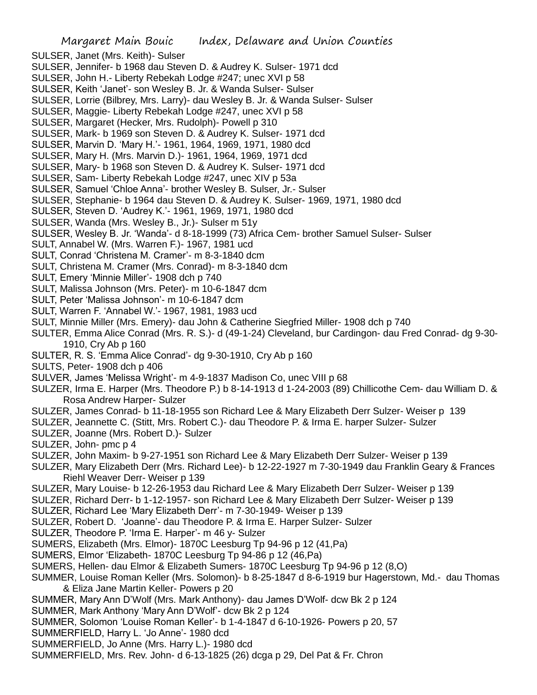- SULSER, Janet (Mrs. Keith)- Sulser
- SULSER, Jennifer- b 1968 dau Steven D. & Audrey K. Sulser- 1971 dcd
- SULSER, John H.- Liberty Rebekah Lodge #247; unec XVI p 58
- SULSER, Keith 'Janet'- son Wesley B. Jr. & Wanda Sulser- Sulser
- SULSER, Lorrie (Bilbrey, Mrs. Larry)- dau Wesley B. Jr. & Wanda Sulser- Sulser
- SULSER, Maggie- Liberty Rebekah Lodge #247, unec XVI p 58
- SULSER, Margaret (Hecker, Mrs. Rudolph)- Powell p 310
- SULSER, Mark- b 1969 son Steven D. & Audrey K. Sulser- 1971 dcd
- SULSER, Marvin D. 'Mary H.'- 1961, 1964, 1969, 1971, 1980 dcd
- SULSER, Mary H. (Mrs. Marvin D.)- 1961, 1964, 1969, 1971 dcd
- SULSER, Mary- b 1968 son Steven D. & Audrey K. Sulser- 1971 dcd
- SULSER, Sam- Liberty Rebekah Lodge #247, unec XIV p 53a
- SULSER, Samuel 'Chloe Anna'- brother Wesley B. Sulser, Jr.- Sulser
- SULSER, Stephanie- b 1964 dau Steven D. & Audrey K. Sulser- 1969, 1971, 1980 dcd
- SULSER, Steven D. 'Audrey K.'- 1961, 1969, 1971, 1980 dcd
- SULSER, Wanda (Mrs. Wesley B., Jr.)- Sulser m 51y
- SULSER, Wesley B. Jr. 'Wanda'- d 8-18-1999 (73) Africa Cem- brother Samuel Sulser- Sulser
- SULT, Annabel W. (Mrs. Warren F.)- 1967, 1981 ucd
- SULT, Conrad 'Christena M. Cramer'- m 8-3-1840 dcm
- SULT, Christena M. Cramer (Mrs. Conrad)- m 8-3-1840 dcm
- SULT, Emery 'Minnie Miller'- 1908 dch p 740
- SULT, Malissa Johnson (Mrs. Peter)- m 10-6-1847 dcm
- SULT, Peter 'Malissa Johnson'- m 10-6-1847 dcm
- SULT, Warren F. 'Annabel W.'- 1967, 1981, 1983 ucd
- SULT, Minnie Miller (Mrs. Emery)- dau John & Catherine Siegfried Miller- 1908 dch p 740
- SULTER, Emma Alice Conrad (Mrs. R. S.)- d (49-1-24) Cleveland, bur Cardingon- dau Fred Conrad- dg 9-30- 1910, Cry Ab p 160
- SULTER, R. S. 'Emma Alice Conrad'- dg 9-30-1910, Cry Ab p 160
- SULTS, Peter- 1908 dch p 406
- SULVER, James 'Melissa Wright'- m 4-9-1837 Madison Co, unec VIII p 68
- SULZER, Irma E. Harper (Mrs. Theodore P.) b 8-14-1913 d 1-24-2003 (89) Chillicothe Cem- dau William D. & Rosa Andrew Harper- Sulzer
- SULZER, James Conrad- b 11-18-1955 son Richard Lee & Mary Elizabeth Derr Sulzer- Weiser p 139
- SULZER, Jeannette C. (Stitt, Mrs. Robert C.)- dau Theodore P. & Irma E. harper Sulzer- Sulzer
- SULZER, Joanne (Mrs. Robert D.)- Sulzer
- SULZER, John- pmc p 4
- SULZER, John Maxim- b 9-27-1951 son Richard Lee & Mary Elizabeth Derr Sulzer- Weiser p 139
- SULZER, Mary Elizabeth Derr (Mrs. Richard Lee)- b 12-22-1927 m 7-30-1949 dau Franklin Geary & Frances Riehl Weaver Derr- Weiser p 139
- SULZER, Mary Louise- b 12-26-1953 dau Richard Lee & Mary Elizabeth Derr Sulzer- Weiser p 139
- SULZER, Richard Derr- b 1-12-1957- son Richard Lee & Mary Elizabeth Derr Sulzer- Weiser p 139
- SULZER, Richard Lee 'Mary Elizabeth Derr'- m 7-30-1949- Weiser p 139
- SULZER, Robert D. 'Joanne'- dau Theodore P. & Irma E. Harper Sulzer- Sulzer
- SULZER, Theodore P. 'Irma E. Harper'- m 46 y- Sulzer
- SUMERS, Elizabeth (Mrs. Elmor)- 1870C Leesburg Tp 94-96 p 12 (41,Pa)
- SUMERS, Elmor 'Elizabeth- 1870C Leesburg Tp 94-86 p 12 (46,Pa)
- SUMERS, Hellen- dau Elmor & Elizabeth Sumers- 1870C Leesburg Tp 94-96 p 12 (8,O)
- SUMMER, Louise Roman Keller (Mrs. Solomon)- b 8-25-1847 d 8-6-1919 bur Hagerstown, Md.- dau Thomas & Eliza Jane Martin Keller- Powers p 20
- SUMMER, Mary Ann D'Wolf (Mrs. Mark Anthony)- dau James D'Wolf- dcw Bk 2 p 124
- SUMMER, Mark Anthony 'Mary Ann D'Wolf'- dcw Bk 2 p 124
- SUMMER, Solomon 'Louise Roman Keller'- b 1-4-1847 d 6-10-1926- Powers p 20, 57
- SUMMERFIELD, Harry L. 'Jo Anne'- 1980 dcd
- SUMMERFIELD, Jo Anne (Mrs. Harry L.)- 1980 dcd
- SUMMERFIELD, Mrs. Rev. John- d 6-13-1825 (26) dcga p 29, Del Pat & Fr. Chron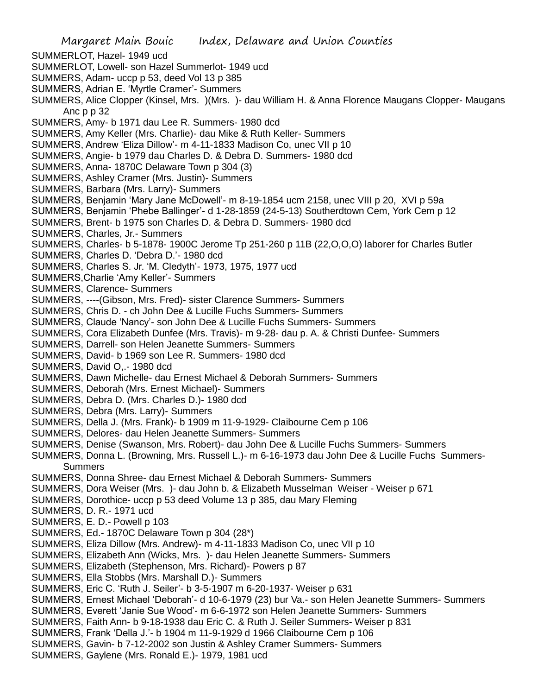Margaret Main Bouic Index, Delaware and Union Counties SUMMERLOT, Hazel- 1949 ucd SUMMERLOT, Lowell- son Hazel Summerlot- 1949 ucd SUMMERS, Adam- uccp p 53, deed Vol 13 p 385 SUMMERS, Adrian E. 'Myrtle Cramer'- Summers SUMMERS, Alice Clopper (Kinsel, Mrs. )(Mrs. )- dau William H. & Anna Florence Maugans Clopper- Maugans Anc p p 32 SUMMERS, Amy- b 1971 dau Lee R. Summers- 1980 dcd SUMMERS, Amy Keller (Mrs. Charlie)- dau Mike & Ruth Keller- Summers SUMMERS, Andrew 'Eliza Dillow'- m 4-11-1833 Madison Co, unec VII p 10 SUMMERS, Angie- b 1979 dau Charles D. & Debra D. Summers- 1980 dcd SUMMERS, Anna- 1870C Delaware Town p 304 (3) SUMMERS, Ashley Cramer (Mrs. Justin)- Summers SUMMERS, Barbara (Mrs. Larry)- Summers SUMMERS, Benjamin 'Mary Jane McDowell'- m 8-19-1854 ucm 2158, unec VIII p 20, XVI p 59a SUMMERS, Benjamin 'Phebe Ballinger'- d 1-28-1859 (24-5-13) Southerdtown Cem, York Cem p 12 SUMMERS, Brent- b 1975 son Charles D. & Debra D. Summers- 1980 dcd SUMMERS, Charles, Jr.- Summers SUMMERS, Charles- b 5-1878- 1900C Jerome Tp 251-260 p 11B (22,O,O,O) laborer for Charles Butler SUMMERS, Charles D. 'Debra D.'- 1980 dcd SUMMERS, Charles S. Jr. 'M. Cledyth'- 1973, 1975, 1977 ucd SUMMERS,Charlie 'Amy Keller'- Summers SUMMERS, Clarence- Summers SUMMERS, ----(Gibson, Mrs. Fred)- sister Clarence Summers- Summers SUMMERS, Chris D. - ch John Dee & Lucille Fuchs Summers- Summers SUMMERS, Claude 'Nancy'- son John Dee & Lucille Fuchs Summers- Summers SUMMERS, Cora Elizabeth Dunfee (Mrs. Travis)- m 9-28- dau p. A. & Christi Dunfee- Summers SUMMERS, Darrell- son Helen Jeanette Summers- Summers SUMMERS, David- b 1969 son Lee R. Summers- 1980 dcd SUMMERS, David O,.- 1980 dcd SUMMERS, Dawn Michelle- dau Ernest Michael & Deborah Summers- Summers SUMMERS, Deborah (Mrs. Ernest Michael)- Summers SUMMERS, Debra D. (Mrs. Charles D.)- 1980 dcd SUMMERS, Debra (Mrs. Larry)- Summers SUMMERS, Della J. (Mrs. Frank)- b 1909 m 11-9-1929- Claibourne Cem p 106 SUMMERS, Delores- dau Helen Jeanette Summers- Summers SUMMERS, Denise (Swanson, Mrs. Robert)- dau John Dee & Lucille Fuchs Summers- Summers SUMMERS, Donna L. (Browning, Mrs. Russell L.)- m 6-16-1973 dau John Dee & Lucille Fuchs Summers-Summers SUMMERS, Donna Shree- dau Ernest Michael & Deborah Summers- Summers SUMMERS, Dora Weiser (Mrs. )- dau John b. & Elizabeth Musselman Weiser - Weiser p 671 SUMMERS, Dorothice- uccp p 53 deed Volume 13 p 385, dau Mary Fleming SUMMERS, D. R.- 1971 ucd SUMMERS, E. D.- Powell p 103 SUMMERS, Ed.- 1870C Delaware Town p 304 (28\*) SUMMERS, Eliza Dillow (Mrs. Andrew)- m 4-11-1833 Madison Co, unec VII p 10 SUMMERS, Elizabeth Ann (Wicks, Mrs. )- dau Helen Jeanette Summers- Summers SUMMERS, Elizabeth (Stephenson, Mrs. Richard)- Powers p 87 SUMMERS, Ella Stobbs (Mrs. Marshall D.)- Summers SUMMERS, Eric C. 'Ruth J. Seiler'- b 3-5-1907 m 6-20-1937- Weiser p 631 SUMMERS, Ernest Michael 'Deborah'- d 10-6-1979 (23) bur Va.- son Helen Jeanette Summers- Summers SUMMERS, Everett 'Janie Sue Wood'- m 6-6-1972 son Helen Jeanette Summers- Summers SUMMERS, Faith Ann- b 9-18-1938 dau Eric C. & Ruth J. Seiler Summers- Weiser p 831 SUMMERS, Frank 'Della J.'- b 1904 m 11-9-1929 d 1966 Claibourne Cem p 106 SUMMERS, Gavin- b 7-12-2002 son Justin & Ashley Cramer Summers- Summers SUMMERS, Gaylene (Mrs. Ronald E.)- 1979, 1981 ucd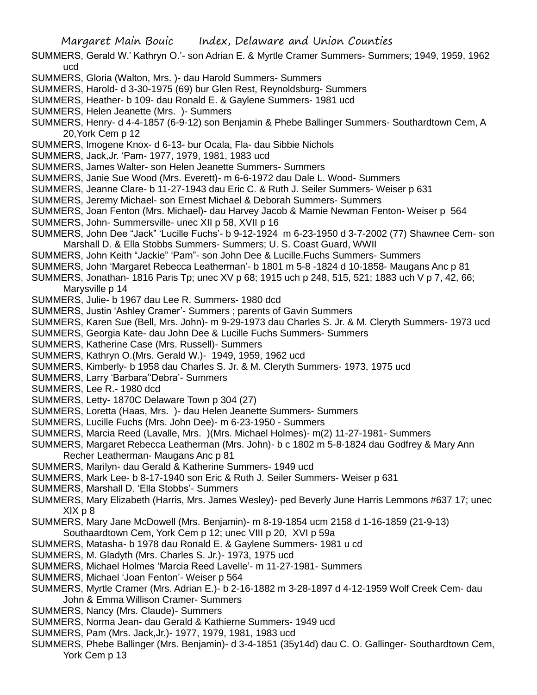- SUMMERS, Gerald W.' Kathryn O.'- son Adrian E. & Myrtle Cramer Summers- Summers; 1949, 1959, 1962 ucd
- SUMMERS, Gloria (Walton, Mrs. )- dau Harold Summers- Summers
- SUMMERS, Harold- d 3-30-1975 (69) bur Glen Rest, Reynoldsburg- Summers
- SUMMERS, Heather- b 109- dau Ronald E. & Gaylene Summers- 1981 ucd
- SUMMERS, Helen Jeanette (Mrs. )- Summers
- SUMMERS, Henry- d 4-4-1857 (6-9-12) son Benjamin & Phebe Ballinger Summers- Southardtown Cem, A 20,York Cem p 12
- SUMMERS, Imogene Knox- d 6-13- bur Ocala, Fla- dau Sibbie Nichols
- SUMMERS, Jack,Jr. 'Pam- 1977, 1979, 1981, 1983 ucd
- SUMMERS, James Walter- son Helen Jeanette Summers- Summers
- SUMMERS, Janie Sue Wood (Mrs. Everett)- m 6-6-1972 dau Dale L. Wood- Summers
- SUMMERS, Jeanne Clare- b 11-27-1943 dau Eric C. & Ruth J. Seiler Summers- Weiser p 631
- SUMMERS, Jeremy Michael- son Ernest Michael & Deborah Summers- Summers
- SUMMERS, Joan Fenton (Mrs. Michael)- dau Harvey Jacob & Mamie Newman Fenton- Weiser p 564
- SUMMERS, John- Summersville- unec XII p 58, XVII p 16
- SUMMERS, John Dee "Jack" 'Lucille Fuchs'- b 9-12-1924 m 6-23-1950 d 3-7-2002 (77) Shawnee Cem- son Marshall D. & Ella Stobbs Summers- Summers; U. S. Coast Guard, WWII
- SUMMERS, John Keith "Jackie" 'Pam"- son John Dee & Lucille.Fuchs Summers- Summers
- SUMMERS, John 'Margaret Rebecca Leatherman'- b 1801 m 5-8 -1824 d 10-1858- Maugans Anc p 81
- SUMMERS, Jonathan- 1816 Paris Tp; unec XV p 68; 1915 uch p 248, 515, 521; 1883 uch V p 7, 42, 66; Marysville p 14
- SUMMERS, Julie- b 1967 dau Lee R. Summers- 1980 dcd
- SUMMERS, Justin 'Ashley Cramer'- Summers ; parents of Gavin Summers
- SUMMERS, Karen Sue (Bell, Mrs. John)- m 9-29-1973 dau Charles S. Jr. & M. Cleryth Summers- 1973 ucd
- SUMMERS, Georgia Kate- dau John Dee & Lucille Fuchs Summers- Summers
- SUMMERS, Katherine Case (Mrs. Russell)- Summers
- SUMMERS, Kathryn O.(Mrs. Gerald W.)- 1949, 1959, 1962 ucd
- SUMMERS, Kimberly- b 1958 dau Charles S. Jr. & M. Cleryth Summers- 1973, 1975 ucd
- SUMMERS, Larry 'Barbara''Debra'- Summers
- SUMMERS, Lee R.- 1980 dcd
- SUMMERS, Letty- 1870C Delaware Town p 304 (27)
- SUMMERS, Loretta (Haas, Mrs. )- dau Helen Jeanette Summers- Summers
- SUMMERS, Lucille Fuchs (Mrs. John Dee)- m 6-23-1950 Summers
- SUMMERS, Marcia Reed (Lavalle, Mrs. )(Mrs. Michael Holmes)- m(2) 11-27-1981- Summers
- SUMMERS, Margaret Rebecca Leatherman (Mrs. John)- b c 1802 m 5-8-1824 dau Godfrey & Mary Ann Recher Leatherman- Maugans Anc p 81
- SUMMERS, Marilyn- dau Gerald & Katherine Summers- 1949 ucd
- SUMMERS, Mark Lee- b 8-17-1940 son Eric & Ruth J. Seiler Summers- Weiser p 631
- SUMMERS, Marshall D. 'Ella Stobbs'- Summers
- SUMMERS, Mary Elizabeth (Harris, Mrs. James Wesley)- ped Beverly June Harris Lemmons #637 17; unec XIX p 8
- SUMMERS, Mary Jane McDowell (Mrs. Benjamin)- m 8-19-1854 ucm 2158 d 1-16-1859 (21-9-13)
- Southaardtown Cem, York Cem p 12; unec VIII p 20, XVI p 59a
- SUMMERS, Matasha- b 1978 dau Ronald E. & Gaylene Summers- 1981 u cd
- SUMMERS, M. Gladyth (Mrs. Charles S. Jr.)- 1973, 1975 ucd
- SUMMERS, Michael Holmes 'Marcia Reed Lavelle'- m 11-27-1981- Summers
- SUMMERS, Michael 'Joan Fenton'- Weiser p 564
- SUMMERS, Myrtle Cramer (Mrs. Adrian E.)- b 2-16-1882 m 3-28-1897 d 4-12-1959 Wolf Creek Cem- dau John & Emma Willison Cramer- Summers
- SUMMERS, Nancy (Mrs. Claude)- Summers
- SUMMERS, Norma Jean- dau Gerald & Kathierne Summers- 1949 ucd
- SUMMERS, Pam (Mrs. Jack,Jr.)- 1977, 1979, 1981, 1983 ucd
- SUMMERS, Phebe Ballinger (Mrs. Benjamin)- d 3-4-1851 (35y14d) dau C. O. Gallinger- Southardtown Cem, York Cem p 13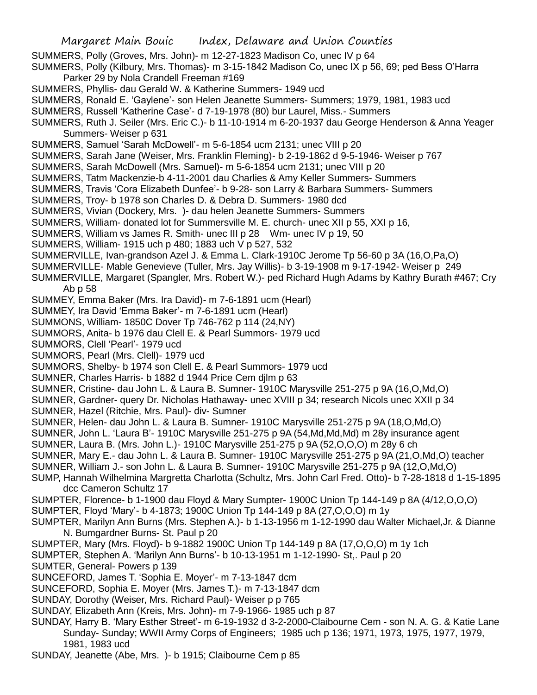SUMMERS, Polly (Groves, Mrs. John)- m 12-27-1823 Madison Co, unec IV p 64

SUMMERS, Polly (Kilbury, Mrs. Thomas)- m 3-15-1842 Madison Co, unec IX p 56, 69; ped Bess O'Harra Parker 29 by Nola Crandell Freeman #169

- SUMMERS, Phyllis- dau Gerald W. & Katherine Summers- 1949 ucd
- SUMMERS, Ronald E. 'Gaylene'- son Helen Jeanette Summers- Summers; 1979, 1981, 1983 ucd
- SUMMERS, Russell 'Katherine Case'- d 7-19-1978 (80) bur Laurel, Miss.- Summers
- SUMMERS, Ruth J. Seiler (Mrs. Eric C.)- b 11-10-1914 m 6-20-1937 dau George Henderson & Anna Yeager Summers- Weiser p 631
- SUMMERS, Samuel 'Sarah McDowell'- m 5-6-1854 ucm 2131; unec VIII p 20
- SUMMERS, Sarah Jane (Weiser, Mrs. Franklin Fleming)- b 2-19-1862 d 9-5-1946- Weiser p 767
- SUMMERS, Sarah McDowell (Mrs. Samuel)- m 5-6-1854 ucm 2131; unec VIII p 20
- SUMMERS, Tatm Mackenzie-b 4-11-2001 dau Charlies & Amy Keller Summers- Summers
- SUMMERS, Travis 'Cora Elizabeth Dunfee'- b 9-28- son Larry & Barbara Summers- Summers
- SUMMERS, Troy- b 1978 son Charles D. & Debra D. Summers- 1980 dcd
- SUMMERS, Vivian (Dockery, Mrs. )- dau helen Jeanette Summers- Summers
- SUMMERS, William- donated lot for Summersville M. E. church- unec XII p 55, XXI p 16,
- SUMMERS, William vs James R. Smith- unec III p 28 Wm- unec IV p 19, 50
- SUMMERS, William- 1915 uch p 480; 1883 uch V p 527, 532
- SUMMERVILLE, Ivan-grandson Azel J. & Emma L. Clark-1910C Jerome Tp 56-60 p 3A (16,O,Pa,O)
- SUMMERVILLE- Mable Genevieve (Tuller, Mrs. Jay Willis)- b 3-19-1908 m 9-17-1942- Weiser p 249
- SUMMERVILLE, Margaret (Spangler, Mrs. Robert W.)- ped Richard Hugh Adams by Kathry Burath #467; Cry Ab p 58
- SUMMEY, Emma Baker (Mrs. Ira David)- m 7-6-1891 ucm (Hearl)
- SUMMEY, Ira David 'Emma Baker'- m 7-6-1891 ucm (Hearl)
- SUMMONS, William- 1850C Dover Tp 746-762 p 114 (24,NY)
- SUMMORS, Anita- b 1976 dau Clell E. & Pearl Summors- 1979 ucd
- SUMMORS, Clell 'Pearl'- 1979 ucd
- SUMMORS, Pearl (Mrs. Clell)- 1979 ucd
- SUMMORS, Shelby- b 1974 son Clell E. & Pearl Summors- 1979 ucd
- SUMNER, Charles Harris- b 1882 d 1944 Price Cem djlm p 63
- SUMNER, Cristine- dau John L. & Laura B. Sumner- 1910C Marysville 251-275 p 9A (16,O,Md,O)
- SUMNER, Gardner- query Dr. Nicholas Hathaway- unec XVIII p 34; research Nicols unec XXII p 34 SUMNER, Hazel (Ritchie, Mrs. Paul)- div- Sumner
- SUMNER, Helen- dau John L. & Laura B. Sumner- 1910C Marysville 251-275 p 9A (18,O,Md,O)
- SUMNER, John L. 'Laura B'- 1910C Marysville 251-275 p 9A (54,Md,Md,Md) m 28y insurance agent
- SUMNER, Laura B. (Mrs. John L.)- 1910C Marysville 251-275 p 9A (52,O,O,O) m 28y 6 ch
- SUMNER, Mary E.- dau John L. & Laura B. Sumner- 1910C Marysville 251-275 p 9A (21,O,Md,O) teacher
- SUMNER, William J.- son John L. & Laura B. Sumner- 1910C Marysville 251-275 p 9A (12,O,Md,O)
- SUMP, Hannah Wilhelmina Margretta Charlotta (Schultz, Mrs. John Carl Fred. Otto)- b 7-28-1818 d 1-15-1895 dcc Cameron Schultz 17
- SUMPTER, Florence- b 1-1900 dau Floyd & Mary Sumpter- 1900C Union Tp 144-149 p 8A (4/12,O,O,O)
- SUMPTER, Floyd 'Mary'- b 4-1873; 1900C Union Tp 144-149 p 8A (27,O,O,O) m 1y
- SUMPTER, Marilyn Ann Burns (Mrs. Stephen A.)- b 1-13-1956 m 1-12-1990 dau Walter Michael,Jr. & Dianne N. Bumgardner Burns- St. Paul p 20
- SUMPTER, Mary (Mrs. Floyd)- b 9-1882 1900C Union Tp 144-149 p 8A (17,O,O,O) m 1y 1ch
- SUMPTER, Stephen A. 'Marilyn Ann Burns'- b 10-13-1951 m 1-12-1990- St,. Paul p 20
- SUMTER, General- Powers p 139
- SUNCEFORD, James T. 'Sophia E. Moyer'- m 7-13-1847 dcm
- SUNCEFORD, Sophia E. Moyer (Mrs. James T.)- m 7-13-1847 dcm
- SUNDAY, Dorothy (Weiser, Mrs. Richard Paul)- Weiser p p 765
- SUNDAY, Elizabeth Ann (Kreis, Mrs. John)- m 7-9-1966- 1985 uch p 87
- SUNDAY, Harry B. 'Mary Esther Street'- m 6-19-1932 d 3-2-2000-Claibourne Cem son N. A. G. & Katie Lane Sunday- Sunday; WWII Army Corps of Engineers; 1985 uch p 136; 1971, 1973, 1975, 1977, 1979, 1981, 1983 ucd
- SUNDAY, Jeanette (Abe, Mrs. )- b 1915; Claibourne Cem p 85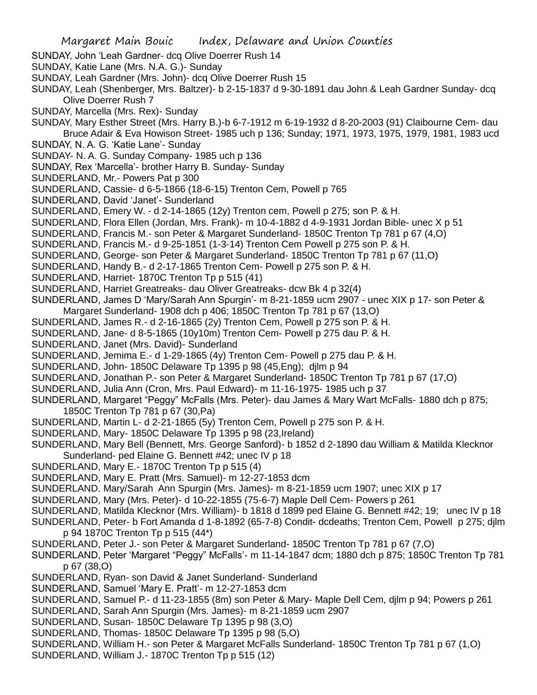- SUNDAY, John 'Leah Gardner- dcq Olive Doerrer Rush 14
- SUNDAY, Katie Lane (Mrs. N.A. G.)- Sunday
- SUNDAY, Leah Gardner (Mrs. John)- dcq Olive Doerrer Rush 15
- SUNDAY, Leah (Shenberger, Mrs. Baltzer)- b 2-15-1837 d 9-30-1891 dau John & Leah Gardner Sunday- dcq Olive Doerrer Rush 7
- SUNDAY, Marcella (Mrs. Rex)- Sunday
- SUNDAY, Mary Esther Street (Mrs. Harry B.)-b 6-7-1912 m 6-19-1932 d 8-20-2003 (91) Claibourne Cem- dau Bruce Adair & Eva Howison Street- 1985 uch p 136; Sunday; 1971, 1973, 1975, 1979, 1981, 1983 ucd
- SUNDAY, N. A. G. 'Katie Lane'- Sunday
- SUNDAY- N. A. G. Sunday Company- 1985 uch p 136
- SUNDAY, Rex 'Marcella'- brother Harry B. Sunday- Sunday
- SUNDERLAND, Mr.- Powers Pat p 300
- SUNDERLAND, Cassie- d 6-5-1866 (18-6-15) Trenton Cem, Powell p 765
- SUNDERLAND, David 'Janet'- Sunderland
- SUNDERLAND, Emery W. d 2-14-1865 (12y) Trenton cem, Powell p 275; son P. & H.
- SUNDERLAND, Flora Ellen (Jordan, Mrs. Frank)- m 10-4-1882 d 4-9-1931 Jordan Bible- unec X p 51
- SUNDERLAND, Francis M.- son Peter & Margaret Sunderland- 1850C Trenton Tp 781 p 67 (4,O)
- SUNDERLAND, Francis M.- d 9-25-1851 (1-3-14) Trenton Cem Powell p 275 son P. & H.
- SUNDERLAND, George- son Peter & Margaret Sunderland- 1850C Trenton Tp 781 p 67 (11,O)
- SUNDERLAND, Handy B.- d 2-17-1865 Trenton Cem- Powell p 275 son P. & H.
- SUNDERLAND, Harriet- 1870C Trenton Tp p 515 (41)
- SUNDERLAND, Harriet Greatreaks- dau Oliver Greatreaks- dcw Bk 4 p 32(4)
- SUNDERLAND, James D 'Mary/Sarah Ann Spurgin'- m 8-21-1859 ucm 2907 unec XIX p 17- son Peter & Margaret Sunderland- 1908 dch p 406; 1850C Trenton Tp 781 p 67 (13,O)
- SUNDERLAND, James R.- d 2-16-1865 (2y) Trenton Cem, Powell p 275 son P. & H.
- SUNDERLAND, Jane- d 8-5-1865 (10y10m) Trenton Cem- Powell p 275 dau P. & H.
- SUNDERLAND, Janet (Mrs. David)- Sunderland
- SUNDERLAND, Jemima E.- d 1-29-1865 (4y) Trenton Cem- Powell p 275 dau P. & H.
- SUNDERLAND, John- 1850C Delaware Tp 1395 p 98 (45,Eng); djlm p 94
- SUNDERLAND, Jonathan P.- son Peter & Margaret Sunderland- 1850C Trenton Tp 781 p 67 (17,O)
- SUNDERLAND, Julia Ann (Cron, Mrs. Paul Edward)- m 11-16-1975- 1985 uch p 37
- SUNDERLAND, Margaret "Peggy" McFalls (Mrs. Peter)- dau James & Mary Wart McFalls- 1880 dch p 875; 1850C Trenton Tp 781 p 67 (30,Pa)
- SUNDERLAND, Martin L- d 2-21-1865 (5y) Trenton Cem, Powell p 275 son P. & H.
- SUNDERLAND, Mary- 1850C Delaware Tp 1395 p 98 (23,Ireland)
- SUNDERLAND, Mary Bell (Bennett, Mrs. George Sanford)- b 1852 d 2-1890 dau William & Matilda Klecknor Sunderland- ped Elaine G. Bennett #42; unec IV p 18
- SUNDERLAND, Mary E.- 1870C Trenton Tp p 515 (4)
- SUNDERLAND, Mary E. Pratt (Mrs. Samuel)- m 12-27-1853 dcm
- SUNDERLAND. Mary/Sarah Ann Spurgin (Mrs. James)- m 8-21-1859 ucm 1907; unec XIX p 17
- SUNDERLAND, Mary (Mrs. Peter)- d 10-22-1855 (75-6-7) Maple Dell Cem- Powers p 261
- SUNDERLAND, Matilda Klecknor (Mrs. William)- b 1818 d 1899 ped Elaine G. Bennett #42; 19; unec IV p 18
- SUNDERLAND, Peter- b Fort Amanda d 1-8-1892 (65-7-8) Condit- dcdeaths; Trenton Cem, Powell p 275; djlm p 94 1870C Trenton Tp p 515 (44\*)
- SUNDERLAND, Peter J.- son Peter & Margaret Sunderland- 1850C Trenton Tp 781 p 67 (7,O)
- SUNDERLAND, Peter 'Margaret "Peggy" McFalls'- m 11-14-1847 dcm; 1880 dch p 875; 1850C Trenton Tp 781 p 67 (38,O)
- SUNDERLAND, Ryan- son David & Janet Sunderland- Sunderland
- SUNDERLAND, Samuel 'Mary E. Pratt'- m 12-27-1853 dcm
- SUNDERLAND, Samuel P.- d 11-23-1855 (8m) son Peter & Mary- Maple Dell Cem, djlm p 94; Powers p 261
- SUNDERLAND, Sarah Ann Spurgin (Mrs. James)- m 8-21-1859 ucm 2907
- SUNDERLAND, Susan- 1850C Delaware Tp 1395 p 98 (3,O)
- SUNDERLAND, Thomas- 1850C Delaware Tp 1395 p 98 (5,O)
- SUNDERLAND, William H.- son Peter & Margaret McFalls Sunderland- 1850C Trenton Tp 781 p 67 (1,O)
- SUNDERLAND, William J.- 1870C Trenton Tp p 515 (12)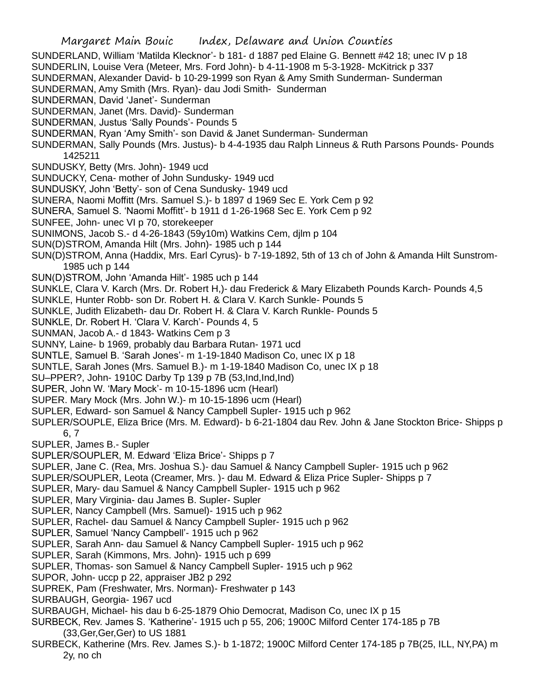SUNDERLAND, William 'Matilda Klecknor'- b 181- d 1887 ped Elaine G. Bennett #42 18; unec IV p 18

SUNDERLIN, Louise Vera (Meteer, Mrs. Ford John)- b 4-11-1908 m 5-3-1928- McKitrick p 337

SUNDERMAN, Alexander David- b 10-29-1999 son Ryan & Amy Smith Sunderman- Sunderman

SUNDERMAN, Amy Smith (Mrs. Ryan)- dau Jodi Smith- Sunderman

SUNDERMAN, David 'Janet'- Sunderman

SUNDERMAN, Janet (Mrs. David)- Sunderman

SUNDERMAN, Justus 'Sally Pounds'- Pounds 5

SUNDERMAN, Ryan 'Amy Smith'- son David & Janet Sunderman- Sunderman

SUNDERMAN, Sally Pounds (Mrs. Justus)- b 4-4-1935 dau Ralph Linneus & Ruth Parsons Pounds- Pounds 1425211

- SUNDUSKY, Betty (Mrs. John)- 1949 ucd
- SUNDUCKY, Cena- mother of John Sundusky- 1949 ucd
- SUNDUSKY, John 'Betty'- son of Cena Sundusky- 1949 ucd

SUNERA, Naomi Moffitt (Mrs. Samuel S.)- b 1897 d 1969 Sec E. York Cem p 92

SUNERA, Samuel S. 'Naomi Moffitt'- b 1911 d 1-26-1968 Sec E. York Cem p 92

SUNFEE, John- unec VI p 70, storekeeper

SUNIMONS, Jacob S.- d 4-26-1843 (59y10m) Watkins Cem, djlm p 104

SUN(D)STROM, Amanda Hilt (Mrs. John)- 1985 uch p 144

SUN(D)STROM, Anna (Haddix, Mrs. Earl Cyrus)- b 7-19-1892, 5th of 13 ch of John & Amanda Hilt Sunstrom-1985 uch p 144

SUN(D)STROM, John 'Amanda Hilt'- 1985 uch p 144

SUNKLE, Clara V. Karch (Mrs. Dr. Robert H,)- dau Frederick & Mary Elizabeth Pounds Karch- Pounds 4,5

SUNKLE, Hunter Robb- son Dr. Robert H. & Clara V. Karch Sunkle- Pounds 5

SUNKLE, Judith Elizabeth- dau Dr. Robert H. & Clara V. Karch Runkle- Pounds 5

SUNKLE, Dr. Robert H. 'Clara V. Karch'- Pounds 4, 5

SUNMAN, Jacob A.- d 1843- Watkins Cem p 3

SUNNY, Laine- b 1969, probably dau Barbara Rutan- 1971 ucd

SUNTLE, Samuel B. 'Sarah Jones'- m 1-19-1840 Madison Co, unec IX p 18

SUNTLE, Sarah Jones (Mrs. Samuel B.)- m 1-19-1840 Madison Co, unec IX p 18

SU–PPER?, John- 1910C Darby Tp 139 p 7B (53,Ind,Ind,Ind)

SUPER, John W. 'Mary Mock'- m 10-15-1896 ucm (Hearl)

SUPER. Mary Mock (Mrs. John W.)- m 10-15-1896 ucm (Hearl)

SUPLER, Edward- son Samuel & Nancy Campbell Supler- 1915 uch p 962

SUPLER/SOUPLE, Eliza Brice (Mrs. M. Edward)- b 6-21-1804 dau Rev. John & Jane Stockton Brice- Shipps p 6, 7

SUPLER, James B.- Supler

SUPLER/SOUPLER, M. Edward 'Eliza Brice'- Shipps p 7

SUPLER, Jane C. (Rea, Mrs. Joshua S.)- dau Samuel & Nancy Campbell Supler- 1915 uch p 962

SUPLER/SOUPLER, Leota (Creamer, Mrs. )- dau M. Edward & Eliza Price Supler- Shipps p 7

SUPLER, Mary- dau Samuel & Nancy Campbell Supler- 1915 uch p 962

SUPLER, Mary Virginia- dau James B. Supler- Supler

SUPLER, Nancy Campbell (Mrs. Samuel)- 1915 uch p 962

SUPLER, Rachel- dau Samuel & Nancy Campbell Supler- 1915 uch p 962

SUPLER, Samuel 'Nancy Campbell'- 1915 uch p 962

SUPLER, Sarah Ann- dau Samuel & Nancy Campbell Supler- 1915 uch p 962

SUPLER, Sarah (Kimmons, Mrs. John)- 1915 uch p 699

SUPLER, Thomas- son Samuel & Nancy Campbell Supler- 1915 uch p 962

SUPOR, John- uccp p 22, appraiser JB2 p 292

SUPREK, Pam (Freshwater, Mrs. Norman)- Freshwater p 143

SURBAUGH, Georgia- 1967 ucd

SURBAUGH, Michael- his dau b 6-25-1879 Ohio Democrat, Madison Co, unec IX p 15

SURBECK, Rev. James S. 'Katherine'- 1915 uch p 55, 206; 1900C Milford Center 174-185 p 7B (33,Ger,Ger,Ger) to US 1881

SURBECK, Katherine (Mrs. Rev. James S.)- b 1-1872; 1900C Milford Center 174-185 p 7B(25, ILL, NY,PA) m 2y, no ch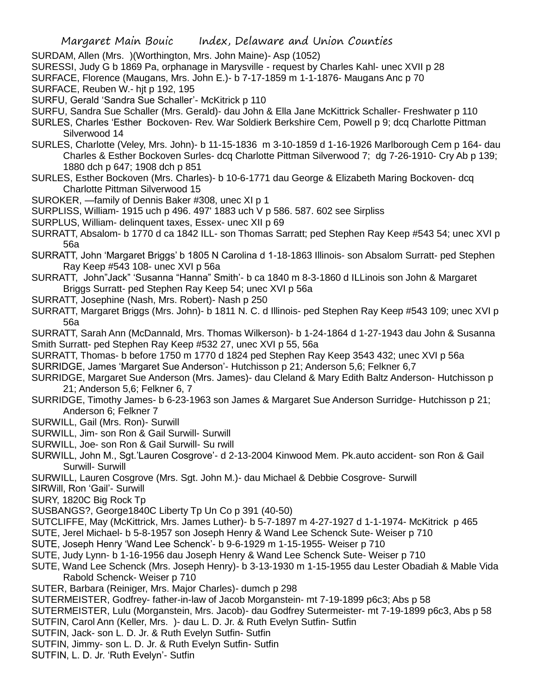SURDAM, Allen (Mrs. )(Worthington, Mrs. John Maine)- Asp (1052)

SURESSI, Judy G b 1869 Pa, orphanage in Marysville - request by Charles Kahl- unec XVII p 28

SURFACE, Florence (Maugans, Mrs. John E.)- b 7-17-1859 m 1-1-1876- Maugans Anc p 70

SURFACE, Reuben W.- hjt p 192, 195

SURFU, Gerald 'Sandra Sue Schaller'- McKitrick p 110

SURFU, Sandra Sue Schaller (Mrs. Gerald)- dau John & Ella Jane McKittrick Schaller- Freshwater p 110

SURLES, Charles 'Esther Bockoven- Rev. War Soldierk Berkshire Cem, Powell p 9; dcq Charlotte Pittman Silverwood 14

SURLES, Charlotte (Veley, Mrs. John)- b 11-15-1836 m 3-10-1859 d 1-16-1926 Marlborough Cem p 164- dau Charles & Esther Bockoven Surles- dcq Charlotte Pittman Silverwood 7; dg 7-26-1910- Cry Ab p 139; 1880 dch p 647; 1908 dch p 851

SURLES, Esther Bockoven (Mrs. Charles)- b 10-6-1771 dau George & Elizabeth Maring Bockoven- dcq Charlotte Pittman Silverwood 15

SUROKER, —family of Dennis Baker #308, unec XI p 1

SURPLISS, William- 1915 uch p 496. 497' 1883 uch V p 586. 587. 602 see Sirpliss

SURPLUS, William- delinquent taxes, Essex- unec XII p 69

SURRATT, Absalom- b 1770 d ca 1842 ILL- son Thomas Sarratt; ped Stephen Ray Keep #543 54; unec XVI p 56a

SURRATT, John 'Margaret Briggs' b 1805 N Carolina d 1-18-1863 Illinois- son Absalom Surratt- ped Stephen Ray Keep #543 108- unec XVI p 56a

- SURRATT, John"Jack" 'Susanna "Hanna" Smith'- b ca 1840 m 8-3-1860 d ILLinois son John & Margaret Briggs Surratt- ped Stephen Ray Keep 54; unec XVI p 56a
- SURRATT, Josephine (Nash, Mrs. Robert)- Nash p 250

SURRATT, Margaret Briggs (Mrs. John)- b 1811 N. C. d Illinois- ped Stephen Ray Keep #543 109; unec XVI p 56a

SURRATT, Sarah Ann (McDannald, Mrs. Thomas Wilkerson)- b 1-24-1864 d 1-27-1943 dau John & Susanna Smith Surratt- ped Stephen Ray Keep #532 27, unec XVI p 55, 56a

SURRATT, Thomas- b before 1750 m 1770 d 1824 ped Stephen Ray Keep 3543 432; unec XVI p 56a SURRIDGE, James 'Margaret Sue Anderson'- Hutchisson p 21; Anderson 5,6; Felkner 6,7

SURRIDGE, Margaret Sue Anderson (Mrs. James)- dau Cleland & Mary Edith Baltz Anderson- Hutchisson p 21; Anderson 5,6; Felkner 6, 7

SURRIDGE, Timothy James- b 6-23-1963 son James & Margaret Sue Anderson Surridge- Hutchisson p 21; Anderson 6; Felkner 7

SURWILL, Gail (Mrs. Ron)- Surwill

SURWILL, Jim- son Ron & Gail Surwill- Surwill

SURWILL, Joe- son Ron & Gail Surwill- Su rwill

SURWILL, John M., Sgt.'Lauren Cosgrove'- d 2-13-2004 Kinwood Mem. Pk.auto accident- son Ron & Gail Surwill- Surwill

SURWILL, Lauren Cosgrove (Mrs. Sgt. John M.)- dau Michael & Debbie Cosgrove- Surwill

SIRWill, Ron 'Gail'- Surwill

SURY, 1820C Big Rock Tp

SUSBANGS?, George1840C Liberty Tp Un Co p 391 (40-50)

SUTCLIFFE, May (McKittrick, Mrs. James Luther)- b 5-7-1897 m 4-27-1927 d 1-1-1974- McKitrick p 465

SUTE, Jerel Michael- b 5-8-1957 son Joseph Henry & Wand Lee Schenck Sute- Weiser p 710

SUTE, Joseph Henry 'Wand Lee Schenck'- b 9-6-1929 m 1-15-1955- Weiser p 710

SUTE, Judy Lynn- b 1-16-1956 dau Joseph Henry & Wand Lee Schenck Sute- Weiser p 710

SUTE, Wand Lee Schenck (Mrs. Joseph Henry)- b 3-13-1930 m 1-15-1955 dau Lester Obadiah & Mable Vida Rabold Schenck- Weiser p 710

SUTER, Barbara (Reiniger, Mrs. Major Charles)- dumch p 298

SUTERMEISTER, Godfrey- father-in-law of Jacob Morganstein- mt 7-19-1899 p6c3; Abs p 58

SUTERMEISTER, Lulu (Morganstein, Mrs. Jacob)- dau Godfrey Sutermeister- mt 7-19-1899 p6c3, Abs p 58

- SUTFIN, Carol Ann (Keller, Mrs. )- dau L. D. Jr. & Ruth Evelyn Sutfin- Sutfin
- SUTFIN, Jack- son L. D. Jr. & Ruth Evelyn Sutfin- Sutfin
- SUTFIN, Jimmy- son L. D. Jr. & Ruth Evelyn Sutfin- Sutfin
- SUTFIN, L. D. Jr. 'Ruth Evelyn'- Sutfin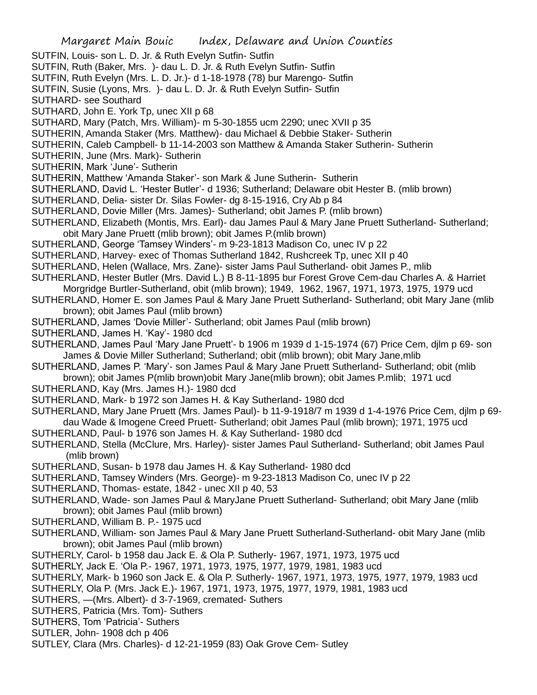- SUTFIN, Louis- son L. D. Jr. & Ruth Evelyn Sutfin- Sutfin
- SUTFIN, Ruth (Baker, Mrs. )- dau L. D. Jr. & Ruth Evelyn Sutfin- Sutfin
- SUTFIN, Ruth Evelyn (Mrs. L. D. Jr.)- d 1-18-1978 (78) bur Marengo- Sutfin
- SUTFIN, Susie (Lyons, Mrs. )- dau L. D. Jr. & Ruth Evelyn Sutfin- Sutfin
- SUTHARD- see Southard
- SUTHARD, John E. York Tp, unec XII p 68
- SUTHARD, Mary (Patch, Mrs. William)- m 5-30-1855 ucm 2290; unec XVII p 35
- SUTHERIN, Amanda Staker (Mrs. Matthew)- dau Michael & Debbie Staker- Sutherin
- SUTHERIN, Caleb Campbell- b 11-14-2003 son Matthew & Amanda Staker Sutherin- Sutherin
- SUTHERIN, June (Mrs. Mark)- Sutherin
- SUTHERIN, Mark 'June'- Sutherin
- SUTHERIN, Matthew 'Amanda Staker'- son Mark & June Sutherin- Sutherin
- SUTHERLAND, David L. 'Hester Butler'- d 1936; Sutherland; Delaware obit Hester B. (mlib brown)
- SUTHERLAND, Delia- sister Dr. Silas Fowler- dg 8-15-1916, Cry Ab p 84
- SUTHERLAND, Dovie Miller (Mrs. James)- Sutherland; obit James P. (mlib brown)
- SUTHERLAND, Elizabeth (Montis, Mrs. Earl)- dau James Paul & Mary Jane Pruett Sutherland- Sutherland; obit Mary Jane Pruett (mlib brown); obit James P.(mlib brown)
- SUTHERLAND, George 'Tamsey Winders'- m 9-23-1813 Madison Co, unec IV p 22
- SUTHERLAND, Harvey- exec of Thomas Sutherland 1842, Rushcreek Tp, unec XII p 40
- SUTHERLAND, Helen (Wallace, Mrs. Zane)- sister Jams Paul Sutherland- obit James P., mlib
- SUTHERLAND, Hester Butler (Mrs. David L.) B 8-11-1895 bur Forest Grove Cem-dau Charles A. & Harriet Morgridge Burtler-Sutherland, obit (mlib brown); 1949, 1962, 1967, 1971, 1973, 1975, 1979 ucd
- SUTHERLAND, Homer E. son James Paul & Mary Jane Pruett Sutherland- Sutherland; obit Mary Jane (mlib brown); obit James Paul (mlib brown)
- SUTHERLAND, James 'Dovie Miller'- Sutherland; obit James Paul (mlib brown)
- SUTHERLAND, James H. 'Kay'- 1980 dcd
- SUTHERLAND, James Paul 'Mary Jane Pruett'- b 1906 m 1939 d 1-15-1974 (67) Price Cem, djlm p 69- son James & Dovie Miller Sutherland; Sutherland; obit (mlib brown); obit Mary Jane,mlib
- SUTHERLAND, James P. 'Mary'- son James Paul & Mary Jane Pruett Sutherland- Sutherland; obit (mlib brown); obit James P(mlib brown)obit Mary Jane(mlib brown); obit James P.mlib; 1971 ucd
- SUTHERLAND, Kay (Mrs. James H.)- 1980 dcd
- SUTHERLAND, Mark- b 1972 son James H. & Kay Sutherland- 1980 dcd
- SUTHERLAND, Mary Jane Pruett (Mrs. James Paul)- b 11-9-1918/7 m 1939 d 1-4-1976 Price Cem, djlm p 69 dau Wade & Imogene Creed Pruett- Sutherland; obit James Paul (mlib brown); 1971, 1975 ucd
- SUTHERLAND, Paul- b 1976 son James H. & Kay Sutherland- 1980 dcd
- SUTHERLAND, Stella (McClure, Mrs. Harley)- sister James Paul Sutherland- Sutherland; obit James Paul (mlib brown)
- SUTHERLAND, Susan- b 1978 dau James H. & Kay Sutherland- 1980 dcd
- SUTHERLAND, Tamsey Winders (Mrs. George)- m 9-23-1813 Madison Co, unec IV p 22
- SUTHERLAND, Thomas- estate, 1842 unec XII p 40, 53
- SUTHERLAND, Wade- son James Paul & MaryJane Pruett Sutherland- Sutherland; obit Mary Jane (mlib brown); obit James Paul (mlib brown)
- SUTHERLAND, William B. P.- 1975 ucd
- SUTHERLAND, William- son James Paul & Mary Jane Pruett Sutherland-Sutherland- obit Mary Jane (mlib brown); obit James Paul (mlib brown)
- SUTHERLY, Carol- b 1958 dau Jack E. & Ola P. Sutherly- 1967, 1971, 1973, 1975 ucd
- SUTHERLY, Jack E. 'Ola P.- 1967, 1971, 1973, 1975, 1977, 1979, 1981, 1983 ucd
- SUTHERLY, Mark- b 1960 son Jack E. & Ola P. Sutherly- 1967, 1971, 1973, 1975, 1977, 1979, 1983 ucd
- SUTHERLY, Ola P. (Mrs. Jack E.)- 1967, 1971, 1973, 1975, 1977, 1979, 1981, 1983 ucd
- SUTHERS, —(Mrs. Albert)- d 3-7-1969, cremated- Suthers
- SUTHERS, Patricia (Mrs. Tom)- Suthers
- SUTHERS, Tom 'Patricia'- Suthers
- SUTLER, John- 1908 dch p 406
- SUTLEY, Clara (Mrs. Charles)- d 12-21-1959 (83) Oak Grove Cem- Sutley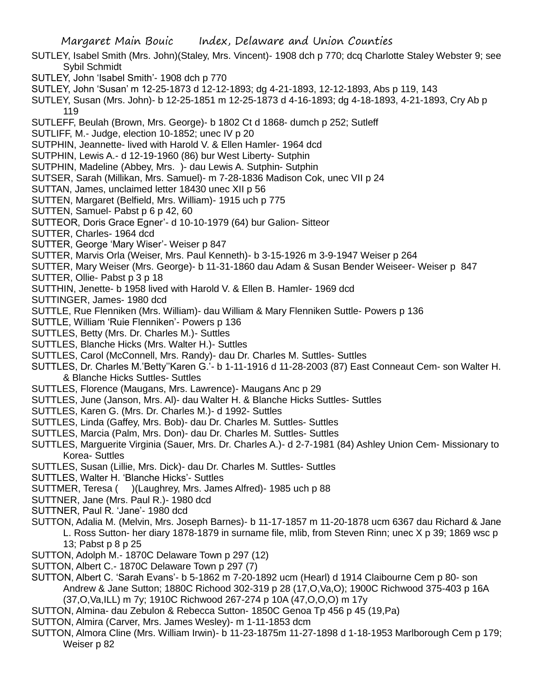- SUTLEY, Isabel Smith (Mrs. John)(Staley, Mrs. Vincent)- 1908 dch p 770; dcq Charlotte Staley Webster 9; see Sybil Schmidt
- SUTLEY, John 'Isabel Smith'- 1908 dch p 770
- SUTLEY, John 'Susan' m 12-25-1873 d 12-12-1893; dg 4-21-1893, 12-12-1893, Abs p 119, 143
- SUTLEY, Susan (Mrs. John)- b 12-25-1851 m 12-25-1873 d 4-16-1893; dg 4-18-1893, 4-21-1893, Cry Ab p 119
- SUTLEFF, Beulah (Brown, Mrs. George)- b 1802 Ct d 1868- dumch p 252; Sutleff
- SUTLIFF, M.- Judge, election 10-1852; unec IV p 20
- SUTPHIN, Jeannette- lived with Harold V. & Ellen Hamler- 1964 dcd
- SUTPHIN, Lewis A.- d 12-19-1960 (86) bur West Liberty- Sutphin
- SUTPHIN, Madeline (Abbey, Mrs. )- dau Lewis A. Sutphin- Sutphin
- SUTSER, Sarah (Millikan, Mrs. Samuel)- m 7-28-1836 Madison Cok, unec VII p 24
- SUTTAN, James, unclaimed letter 18430 unec XII p 56
- SUTTEN, Margaret (Belfield, Mrs. William)- 1915 uch p 775
- SUTTEN, Samuel- Pabst p 6 p 42, 60
- SUTTEOR, Doris Grace Egner'- d 10-10-1979 (64) bur Galion- Sitteor
- SUTTER, Charles- 1964 dcd
- SUTTER, George 'Mary Wiser'- Weiser p 847
- SUTTER, Marvis Orla (Weiser, Mrs. Paul Kenneth)- b 3-15-1926 m 3-9-1947 Weiser p 264
- SUTTER, Mary Weiser (Mrs. George)- b 11-31-1860 dau Adam & Susan Bender Weiseer- Weiser p 847
- SUTTER, Ollie- Pabst p 3 p 18
- SUTTHIN, Jenette- b 1958 lived with Harold V. & Ellen B. Hamler- 1969 dcd
- SUTTINGER, James- 1980 dcd
- SUTTLE, Rue Flenniken (Mrs. William)- dau William & Mary Flenniken Suttle- Powers p 136
- SUTTLE, William 'Ruie Flenniken'- Powers p 136
- SUTTLES, Betty (Mrs. Dr. Charles M.)- Suttles
- SUTTLES, Blanche Hicks (Mrs. Walter H.)- Suttles
- SUTTLES, Carol (McConnell, Mrs. Randy)- dau Dr. Charles M. Suttles- Suttles
- SUTTLES, Dr. Charles M.'Betty''Karen G.'- b 1-11-1916 d 11-28-2003 (87) East Conneaut Cem- son Walter H. & Blanche Hicks Suttles- Suttles
- SUTTLES, Florence (Maugans, Mrs. Lawrence)- Maugans Anc p 29
- SUTTLES, June (Janson, Mrs. Al)- dau Walter H. & Blanche Hicks Suttles- Suttles
- SUTTLES, Karen G. (Mrs. Dr. Charles M.)- d 1992- Suttles
- SUTTLES, Linda (Gaffey, Mrs. Bob)- dau Dr. Charles M. Suttles- Suttles
- SUTTLES, Marcia (Palm, Mrs. Don)- dau Dr. Charles M. Suttles- Suttles
- SUTTLES, Marguerite Virginia (Sauer, Mrs. Dr. Charles A.)- d 2-7-1981 (84) Ashley Union Cem- Missionary to Korea- Suttles
- SUTTLES, Susan (Lillie, Mrs. Dick)- dau Dr. Charles M. Suttles- Suttles
- SUTTLES, Walter H. 'Blanche Hicks'- Suttles
- SUTTMER, Teresa ( )(Laughrey, Mrs. James Alfred)- 1985 uch p 88
- SUTTNER, Jane (Mrs. Paul R.)- 1980 dcd
- SUTTNER, Paul R. 'Jane'- 1980 dcd
- SUTTON, Adalia M. (Melvin, Mrs. Joseph Barnes)- b 11-17-1857 m 11-20-1878 ucm 6367 dau Richard & Jane L. Ross Sutton- her diary 1878-1879 in surname file, mlib, from Steven Rinn; unec X p 39; 1869 wsc p 13; Pabst p 8 p 25
- SUTTON, Adolph M.- 1870C Delaware Town p 297 (12)
- SUTTON, Albert C.- 1870C Delaware Town p 297 (7)
- SUTTON, Albert C. 'Sarah Evans'- b 5-1862 m 7-20-1892 ucm (Hearl) d 1914 Claibourne Cem p 80- son Andrew & Jane Sutton; 1880C Richood 302-319 p 28 (17,O,Va,O); 1900C Richwood 375-403 p 16A (37,O,Va,ILL) m 7y; 1910C Richwood 267-274 p 10A (47,O,O,O) m 17y
- SUTTON, Almina- dau Zebulon & Rebecca Sutton- 1850C Genoa Tp 456 p 45 (19,Pa)
- SUTTON, Almira (Carver, Mrs. James Wesley)- m 1-11-1853 dcm
- SUTTON, Almora Cline (Mrs. William Irwin)- b 11-23-1875m 11-27-1898 d 1-18-1953 Marlborough Cem p 179; Weiser p 82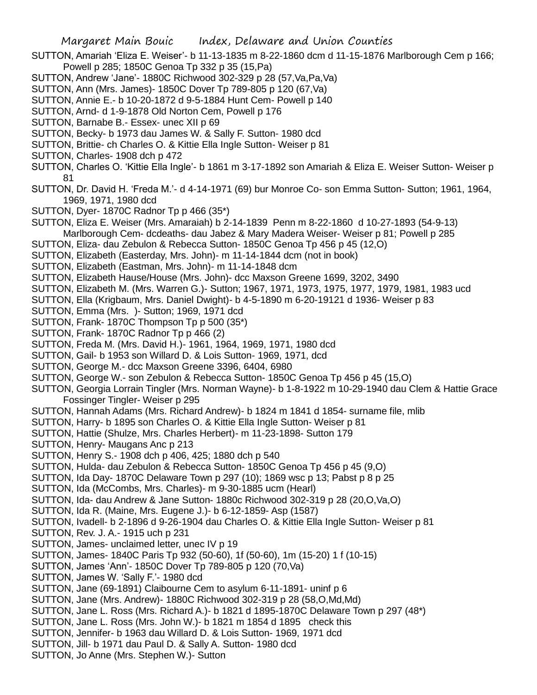- SUTTON, Amariah 'Eliza E. Weiser'- b 11-13-1835 m 8-22-1860 dcm d 11-15-1876 Marlborough Cem p 166; Powell p 285; 1850C Genoa Tp 332 p 35 (15,Pa)
- SUTTON, Andrew 'Jane'- 1880C Richwood 302-329 p 28 (57,Va,Pa,Va)
- SUTTON, Ann (Mrs. James)- 1850C Dover Tp 789-805 p 120 (67,Va)
- SUTTON, Annie E.- b 10-20-1872 d 9-5-1884 Hunt Cem- Powell p 140
- SUTTON, Arnd- d 1-9-1878 Old Norton Cem, Powell p 176
- SUTTON, Barnabe B.- Essex- unec XII p 69
- SUTTON, Becky- b 1973 dau James W. & Sally F. Sutton- 1980 dcd
- SUTTON, Brittie- ch Charles O. & Kittie Ella Ingle Sutton- Weiser p 81
- SUTTON, Charles- 1908 dch p 472
- SUTTON, Charles O. 'Kittie Ella Ingle'- b 1861 m 3-17-1892 son Amariah & Eliza E. Weiser Sutton- Weiser p 81
- SUTTON, Dr. David H. 'Freda M.'- d 4-14-1971 (69) bur Monroe Co- son Emma Sutton- Sutton; 1961, 1964, 1969, 1971, 1980 dcd
- SUTTON, Dyer- 1870C Radnor Tp p 466 (35\*)
- SUTTON, Eliza E. Weiser (Mrs. Amaraiah) b 2-14-1839 Penn m 8-22-1860 d 10-27-1893 (54-9-13) Marlborough Cem- dcdeaths- dau Jabez & Mary Madera Weiser- Weiser p 81; Powell p 285
- SUTTON, Eliza- dau Zebulon & Rebecca Sutton- 1850C Genoa Tp 456 p 45 (12,O)
- SUTTON, Elizabeth (Easterday, Mrs. John)- m 11-14-1844 dcm (not in book)
- SUTTON, Elizabeth (Eastman, Mrs. John)- m 11-14-1848 dcm
- SUTTON, Elizabeth Hause/House (Mrs. John)- dcc Maxson Greene 1699, 3202, 3490
- SUTTON, Elizabeth M. (Mrs. Warren G.)- Sutton; 1967, 1971, 1973, 1975, 1977, 1979, 1981, 1983 ucd
- SUTTON, Ella (Krigbaum, Mrs. Daniel Dwight)- b 4-5-1890 m 6-20-19121 d 1936- Weiser p 83
- SUTTON, Emma (Mrs. )- Sutton; 1969, 1971 dcd
- SUTTON, Frank- 1870C Thompson Tp p 500 (35\*)
- SUTTON, Frank- 1870C Radnor Tp p 466 (2)
- SUTTON, Freda M. (Mrs. David H.)- 1961, 1964, 1969, 1971, 1980 dcd
- SUTTON, Gail- b 1953 son Willard D. & Lois Sutton- 1969, 1971, dcd
- SUTTON, George M.- dcc Maxson Greene 3396, 6404, 6980
- SUTTON, George W.- son Zebulon & Rebecca Sutton- 1850C Genoa Tp 456 p 45 (15,O)
- SUTTON, Georgia Lorrain Tingler (Mrs. Norman Wayne)- b 1-8-1922 m 10-29-1940 dau Clem & Hattie Grace Fossinger Tingler- Weiser p 295
- SUTTON, Hannah Adams (Mrs. Richard Andrew)- b 1824 m 1841 d 1854- surname file, mlib
- SUTTON, Harry- b 1895 son Charles O. & Kittie Ella Ingle Sutton- Weiser p 81
- SUTTON, Hattie (Shulze, Mrs. Charles Herbert)- m 11-23-1898- Sutton 179
- SUTTON, Henry- Maugans Anc p 213
- SUTTON, Henry S.- 1908 dch p 406, 425; 1880 dch p 540
- SUTTON, Hulda- dau Zebulon & Rebecca Sutton- 1850C Genoa Tp 456 p 45 (9,O)
- SUTTON, Ida Day- 1870C Delaware Town p 297 (10); 1869 wsc p 13; Pabst p 8 p 25
- SUTTON, Ida (McCombs, Mrs. Charles)- m 9-30-1885 ucm (Hearl)
- SUTTON, Ida- dau Andrew & Jane Sutton- 1880c Richwood 302-319 p 28 (20,O,Va,O)
- SUTTON, Ida R. (Maine, Mrs. Eugene J.)- b 6-12-1859- Asp (1587)
- SUTTON, Ivadell- b 2-1896 d 9-26-1904 dau Charles O. & Kittie Ella Ingle Sutton- Weiser p 81
- SUTTON, Rev. J. A.- 1915 uch p 231
- SUTTON, James- unclaimed letter, unec IV p 19
- SUTTON, James- 1840C Paris Tp 932 (50-60), 1f (50-60), 1m (15-20) 1 f (10-15)
- SUTTON, James 'Ann'- 1850C Dover Tp 789-805 p 120 (70,Va)
- SUTTON, James W. 'Sally F.'- 1980 dcd
- SUTTON, Jane (69-1891) Claibourne Cem to asylum 6-11-1891- uninf p 6
- SUTTON, Jane (Mrs. Andrew)- 1880C Richwood 302-319 p 28 (58,O,Md,Md)
- SUTTON, Jane L. Ross (Mrs. Richard A.)- b 1821 d 1895-1870C Delaware Town p 297 (48\*)
- SUTTON, Jane L. Ross (Mrs. John W.)- b 1821 m 1854 d 1895 check this
- SUTTON, Jennifer- b 1963 dau Willard D. & Lois Sutton- 1969, 1971 dcd
- SUTTON, Jill- b 1971 dau Paul D. & Sally A. Sutton- 1980 dcd
- SUTTON, Jo Anne (Mrs. Stephen W.)- Sutton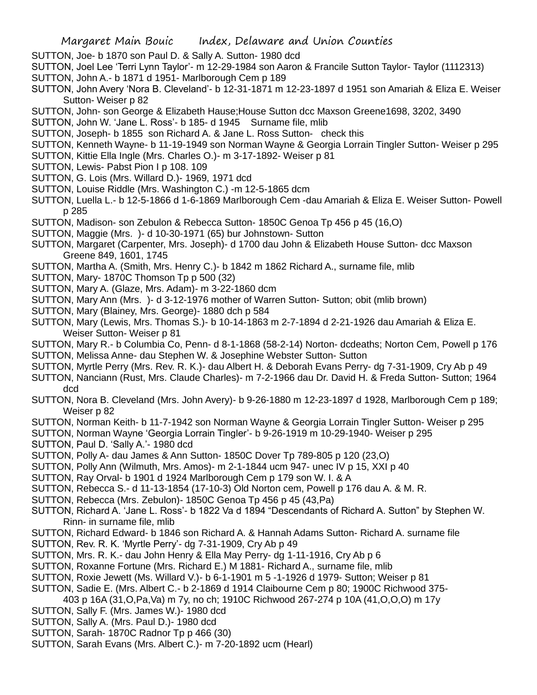- SUTTON, Joe- b 1870 son Paul D. & Sally A. Sutton- 1980 dcd
- SUTTON, Joel Lee 'Terri Lynn Taylor'- m 12-29-1984 son Aaron & Francile Sutton Taylor- Taylor (1112313)
- SUTTON, John A.- b 1871 d 1951- Marlborough Cem p 189
- SUTTON, John Avery 'Nora B. Cleveland'- b 12-31-1871 m 12-23-1897 d 1951 son Amariah & Eliza E. Weiser Sutton- Weiser p 82
- SUTTON, John- son George & Elizabeth Hause;House Sutton dcc Maxson Greene1698, 3202, 3490
- SUTTON, John W. 'Jane L. Ross'- b 185- d 1945 Surname file, mlib
- SUTTON, Joseph- b 1855 son Richard A. & Jane L. Ross Sutton- check this
- SUTTON, Kenneth Wayne- b 11-19-1949 son Norman Wayne & Georgia Lorrain Tingler Sutton- Weiser p 295
- SUTTON, Kittie Ella Ingle (Mrs. Charles O.)- m 3-17-1892- Weiser p 81
- SUTTON, Lewis- Pabst Pion I p 108. 109
- SUTTON, G. Lois (Mrs. Willard D.)- 1969, 1971 dcd
- SUTTON, Louise Riddle (Mrs. Washington C.) -m 12-5-1865 dcm
- SUTTON, Luella L.- b 12-5-1866 d 1-6-1869 Marlborough Cem -dau Amariah & Eliza E. Weiser Sutton- Powell p 285
- SUTTON, Madison- son Zebulon & Rebecca Sutton- 1850C Genoa Tp 456 p 45 (16,O)
- SUTTON, Maggie (Mrs. )- d 10-30-1971 (65) bur Johnstown- Sutton
- SUTTON, Margaret (Carpenter, Mrs. Joseph)- d 1700 dau John & Elizabeth House Sutton- dcc Maxson Greene 849, 1601, 1745
- SUTTON, Martha A. (Smith, Mrs. Henry C.)- b 1842 m 1862 Richard A., surname file, mlib
- SUTTON, Mary- 1870C Thomson Tp p 500 (32)
- SUTTON, Mary A. (Glaze, Mrs. Adam)- m 3-22-1860 dcm
- SUTTON, Mary Ann (Mrs. )- d 3-12-1976 mother of Warren Sutton- Sutton; obit (mlib brown)
- SUTTON, Mary (Blainey, Mrs. George)- 1880 dch p 584
- SUTTON, Mary (Lewis, Mrs. Thomas S.)- b 10-14-1863 m 2-7-1894 d 2-21-1926 dau Amariah & Eliza E. Weiser Sutton- Weiser p 81
- SUTTON, Mary R.- b Columbia Co, Penn- d 8-1-1868 (58-2-14) Norton- dcdeaths; Norton Cem, Powell p 176 SUTTON, Melissa Anne- dau Stephen W. & Josephine Webster Sutton- Sutton
- SUTTON, Myrtle Perry (Mrs. Rev. R. K.)- dau Albert H. & Deborah Evans Perry- dg 7-31-1909, Cry Ab p 49
- SUTTON, Nanciann (Rust, Mrs. Claude Charles)- m 7-2-1966 dau Dr. David H. & Freda Sutton- Sutton; 1964 dcd
- SUTTON, Nora B. Cleveland (Mrs. John Avery)- b 9-26-1880 m 12-23-1897 d 1928, Marlborough Cem p 189; Weiser p 82
- SUTTON, Norman Keith- b 11-7-1942 son Norman Wayne & Georgia Lorrain Tingler Sutton- Weiser p 295
- SUTTON, Norman Wayne 'Georgia Lorrain Tingler'- b 9-26-1919 m 10-29-1940- Weiser p 295
- SUTTON, Paul D. 'Sally A.'- 1980 dcd
- SUTTON, Polly A- dau James & Ann Sutton- 1850C Dover Tp 789-805 p 120 (23,O)
- SUTTON, Polly Ann (Wilmuth, Mrs. Amos)- m 2-1-1844 ucm 947- unec IV p 15, XXI p 40
- SUTTON, Ray Orval- b 1901 d 1924 Marlborough Cem p 179 son W. I. & A
- SUTTON, Rebecca S.- d 11-13-1854 (17-10-3) Old Norton cem, Powell p 176 dau A. & M. R.
- SUTTON, Rebecca (Mrs. Zebulon)- 1850C Genoa Tp 456 p 45 (43,Pa)
- SUTTON, Richard A. 'Jane L. Ross'- b 1822 Va d 1894 "Descendants of Richard A. Sutton" by Stephen W. Rinn- in surname file, mlib
- SUTTON, Richard Edward- b 1846 son Richard A. & Hannah Adams Sutton- Richard A. surname file
- SUTTON, Rev. R. K. 'Myrtle Perry'- dg 7-31-1909, Cry Ab p 49
- SUTTON, Mrs. R. K.- dau John Henry & Ella May Perry- dg 1-11-1916, Cry Ab p 6
- SUTTON, Roxanne Fortune (Mrs. Richard E.) M 1881- Richard A., surname file, mlib
- SUTTON, Roxie Jewett (Ms. Willard V.)- b 6-1-1901 m 5 -1-1926 d 1979- Sutton; Weiser p 81
- SUTTON, Sadie E. (Mrs. Albert C.- b 2-1869 d 1914 Claibourne Cem p 80; 1900C Richwood 375-
- 403 p 16A (31,O,Pa,Va) m 7y, no ch; 1910C Richwood 267-274 p 10A (41,O,O,O) m 17y
- SUTTON, Sally F. (Mrs. James W.)- 1980 dcd
- SUTTON, Sally A. (Mrs. Paul D.)- 1980 dcd
- SUTTON, Sarah- 1870C Radnor Tp p 466 (30)
- SUTTON, Sarah Evans (Mrs. Albert C.)- m 7-20-1892 ucm (Hearl)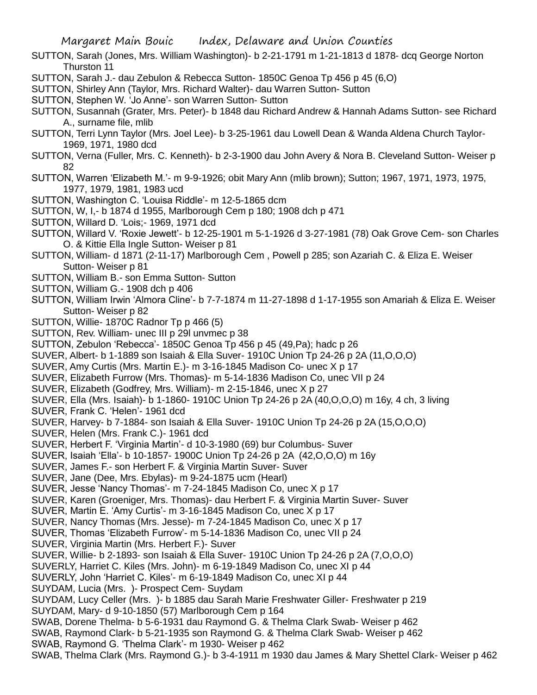- SUTTON, Sarah (Jones, Mrs. William Washington)- b 2-21-1791 m 1-21-1813 d 1878- dcq George Norton Thurston 11
- SUTTON, Sarah J.- dau Zebulon & Rebecca Sutton- 1850C Genoa Tp 456 p 45 (6,O)
- SUTTON, Shirley Ann (Taylor, Mrs. Richard Walter)- dau Warren Sutton- Sutton
- SUTTON, Stephen W. 'Jo Anne'- son Warren Sutton- Sutton
- SUTTON, Susannah (Grater, Mrs. Peter)- b 1848 dau Richard Andrew & Hannah Adams Sutton- see Richard A., surname file, mlib
- SUTTON, Terri Lynn Taylor (Mrs. Joel Lee)- b 3-25-1961 dau Lowell Dean & Wanda Aldena Church Taylor-1969, 1971, 1980 dcd
- SUTTON, Verna (Fuller, Mrs. C. Kenneth)- b 2-3-1900 dau John Avery & Nora B. Cleveland Sutton- Weiser p 82
- SUTTON, Warren 'Elizabeth M.'- m 9-9-1926; obit Mary Ann (mlib brown); Sutton; 1967, 1971, 1973, 1975, 1977, 1979, 1981, 1983 ucd
- SUTTON, Washington C. 'Louisa Riddle'- m 12-5-1865 dcm
- SUTTON, W, I,- b 1874 d 1955, Marlborough Cem p 180; 1908 dch p 471
- SUTTON, Willard D. 'Lois;- 1969, 1971 dcd
- SUTTON, Willard V. 'Roxie Jewett'- b 12-25-1901 m 5-1-1926 d 3-27-1981 (78) Oak Grove Cem- son Charles O. & Kittie Ella Ingle Sutton- Weiser p 81
- SUTTON, William- d 1871 (2-11-17) Marlborough Cem , Powell p 285; son Azariah C. & Eliza E. Weiser Sutton- Weiser p 81
- SUTTON, William B.- son Emma Sutton- Sutton
- SUTTON, William G.- 1908 dch p 406
- SUTTON, William Irwin 'Almora Cline'- b 7-7-1874 m 11-27-1898 d 1-17-1955 son Amariah & Eliza E. Weiser Sutton- Weiser p 82
- SUTTON, Willie- 1870C Radnor Tp p 466 (5)
- SUTTON, Rev. William- unec III p 29l unvmec p 38
- SUTTON, Zebulon 'Rebecca'- 1850C Genoa Tp 456 p 45 (49,Pa); hadc p 26
- SUVER, Albert- b 1-1889 son Isaiah & Ella Suver- 1910C Union Tp 24-26 p 2A (11,O,O,O)
- SUVER, Amy Curtis (Mrs. Martin E.)- m 3-16-1845 Madison Co- unec X p 17
- SUVER, Elizabeth Furrow (Mrs. Thomas)- m 5-14-1836 Madison Co, unec VII p 24
- SUVER, Elizabeth (Godfrey, Mrs. William)- m 2-15-1846, unec X p 27
- SUVER, Ella (Mrs. Isaiah)- b 1-1860- 1910C Union Tp 24-26 p 2A (40,O,O,O) m 16y, 4 ch, 3 living
- SUVER, Frank C. 'Helen'- 1961 dcd
- SUVER, Harvey- b 7-1884- son Isaiah & Ella Suver- 1910C Union Tp 24-26 p 2A (15,O,O,O)
- SUVER, Helen (Mrs. Frank C.)- 1961 dcd
- SUVER, Herbert F. 'Virginia Martin'- d 10-3-1980 (69) bur Columbus- Suver
- SUVER, Isaiah 'Ella'- b 10-1857- 1900C Union Tp 24-26 p 2A (42,O,O,O) m 16y
- SUVER, James F.- son Herbert F. & Virginia Martin Suver- Suver
- SUVER, Jane (Dee, Mrs. Ebylas)- m 9-24-1875 ucm (Hearl)
- SUVER, Jesse 'Nancy Thomas'- m 7-24-1845 Madison Co, unec X p 17
- SUVER, Karen (Groeniger, Mrs. Thomas)- dau Herbert F. & Virginia Martin Suver- Suver
- SUVER, Martin E. 'Amy Curtis'- m 3-16-1845 Madison Co, unec X p 17
- SUVER, Nancy Thomas (Mrs. Jesse)- m 7-24-1845 Madison Co, unec X p 17
- SUVER, Thomas 'Elizabeth Furrow'- m 5-14-1836 Madison Co, unec VII p 24
- SUVER, Virginia Martin (Mrs. Herbert F.)- Suver
- SUVER, Willie- b 2-1893- son Isaiah & Ella Suver- 1910C Union Tp 24-26 p 2A (7,O,O,O)
- SUVERLY, Harriet C. Kiles (Mrs. John)- m 6-19-1849 Madison Co, unec XI p 44
- SUVERLY, John 'Harriet C. Kiles'- m 6-19-1849 Madison Co, unec XI p 44
- SUYDAM, Lucia (Mrs. )- Prospect Cem- Suydam
- SUYDAM, Lucy Celler (Mrs. )- b 1885 dau Sarah Marie Freshwater Giller- Freshwater p 219 SUYDAM, Mary- d 9-10-1850 (57) Marlborough Cem p 164
- SWAB, Dorene Thelma- b 5-6-1931 dau Raymond G. & Thelma Clark Swab- Weiser p 462
- SWAB, Raymond Clark- b 5-21-1935 son Raymond G. & Thelma Clark Swab- Weiser p 462
- SWAB, Raymond G. 'Thelma Clark'- m 1930- Weiser p 462
- SWAB, Thelma Clark (Mrs. Raymond G.)- b 3-4-1911 m 1930 dau James & Mary Shettel Clark- Weiser p 462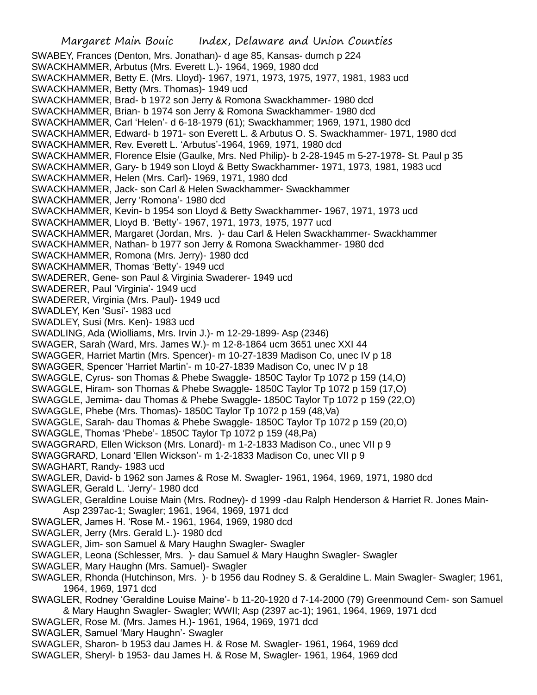Margaret Main Bouic Index, Delaware and Union Counties SWABEY, Frances (Denton, Mrs. Jonathan)- d age 85, Kansas- dumch p 224 SWACKHAMMER, Arbutus (Mrs. Everett L.)- 1964, 1969, 1980 dcd SWACKHAMMER, Betty E. (Mrs. Lloyd)- 1967, 1971, 1973, 1975, 1977, 1981, 1983 ucd SWACKHAMMER, Betty (Mrs. Thomas)- 1949 ucd SWACKHAMMER, Brad- b 1972 son Jerry & Romona Swackhammer- 1980 dcd SWACKHAMMER, Brian- b 1974 son Jerry & Romona Swackhammer- 1980 dcd SWACKHAMMER, Carl 'Helen'- d 6-18-1979 (61); Swackhammer; 1969, 1971, 1980 dcd SWACKHAMMER, Edward- b 1971- son Everett L. & Arbutus O. S. Swackhammer- 1971, 1980 dcd SWACKHAMMER, Rev. Everett L. 'Arbutus'-1964, 1969, 1971, 1980 dcd SWACKHAMMER, Florence Elsie (Gaulke, Mrs. Ned Philip)- b 2-28-1945 m 5-27-1978- St. Paul p 35 SWACKHAMMER, Gary- b 1949 son Lloyd & Betty Swackhammer- 1971, 1973, 1981, 1983 ucd SWACKHAMMER, Helen (Mrs. Carl)- 1969, 1971, 1980 dcd SWACKHAMMER, Jack- son Carl & Helen Swackhammer- Swackhammer SWACKHAMMER, Jerry 'Romona'- 1980 dcd SWACKHAMMER, Kevin- b 1954 son Lloyd & Betty Swackhammer- 1967, 1971, 1973 ucd SWACKHAMMER, Lloyd B. 'Betty'- 1967, 1971, 1973, 1975, 1977 ucd SWACKHAMMER, Margaret (Jordan, Mrs. )- dau Carl & Helen Swackhammer- Swackhammer SWACKHAMMER, Nathan- b 1977 son Jerry & Romona Swackhammer- 1980 dcd SWACKHAMMER, Romona (Mrs. Jerry)- 1980 dcd SWACKHAMMER, Thomas 'Betty'- 1949 ucd SWADERER, Gene- son Paul & Virginia Swaderer- 1949 ucd SWADERER, Paul 'Virginia'- 1949 ucd SWADERER, Virginia (Mrs. Paul)- 1949 ucd SWADLEY, Ken 'Susi'- 1983 ucd SWADLEY, Susi (Mrs. Ken)- 1983 ucd SWADLING, Ada (Wiolliams, Mrs. Irvin J.)- m 12-29-1899- Asp (2346) SWAGER, Sarah (Ward, Mrs. James W.)- m 12-8-1864 ucm 3651 unec XXI 44 SWAGGER, Harriet Martin (Mrs. Spencer)- m 10-27-1839 Madison Co, unec IV p 18 SWAGGER, Spencer 'Harriet Martin'- m 10-27-1839 Madison Co, unec IV p 18 SWAGGLE, Cyrus- son Thomas & Phebe Swaggle- 1850C Taylor Tp 1072 p 159 (14,O) SWAGGLE, Hiram- son Thomas & Phebe Swaggle- 1850C Taylor Tp 1072 p 159 (17,O) SWAGGLE, Jemima- dau Thomas & Phebe Swaggle- 1850C Taylor Tp 1072 p 159 (22,O) SWAGGLE, Phebe (Mrs. Thomas)- 1850C Taylor Tp 1072 p 159 (48,Va) SWAGGLE, Sarah- dau Thomas & Phebe Swaggle- 1850C Taylor Tp 1072 p 159 (20,O) SWAGGLE, Thomas 'Phebe'- 1850C Taylor Tp 1072 p 159 (48,Pa) SWAGGRARD, Ellen Wickson (Mrs. Lonard)- m 1-2-1833 Madison Co., unec VII p 9 SWAGGRARD, Lonard 'Ellen Wickson'- m 1-2-1833 Madison Co, unec VII p 9 SWAGHART, Randy- 1983 ucd SWAGLER, David- b 1962 son James & Rose M. Swagler- 1961, 1964, 1969, 1971, 1980 dcd SWAGLER, Gerald L. 'Jerry'- 1980 dcd SWAGLER, Geraldine Louise Main (Mrs. Rodney)- d 1999 -dau Ralph Henderson & Harriet R. Jones Main-Asp 2397ac-1; Swagler; 1961, 1964, 1969, 1971 dcd SWAGLER, James H. 'Rose M.- 1961, 1964, 1969, 1980 dcd SWAGLER, Jerry (Mrs. Gerald L.)- 1980 dcd SWAGLER, Jim- son Samuel & Mary Haughn Swagler- Swagler SWAGLER, Leona (Schlesser, Mrs. )- dau Samuel & Mary Haughn Swagler- Swagler SWAGLER, Mary Haughn (Mrs. Samuel)- Swagler SWAGLER, Rhonda (Hutchinson, Mrs. )- b 1956 dau Rodney S. & Geraldine L. Main Swagler- Swagler; 1961, 1964, 1969, 1971 dcd SWAGLER, Rodney 'Geraldine Louise Maine'- b 11-20-1920 d 7-14-2000 (79) Greenmound Cem- son Samuel & Mary Haughn Swagler- Swagler; WWII; Asp (2397 ac-1); 1961, 1964, 1969, 1971 dcd SWAGLER, Rose M. (Mrs. James H.)- 1961, 1964, 1969, 1971 dcd SWAGLER, Samuel 'Mary Haughn'- Swagler SWAGLER, Sharon- b 1953 dau James H. & Rose M. Swagler- 1961, 1964, 1969 dcd SWAGLER, Sheryl- b 1953- dau James H. & Rose M, Swagler- 1961, 1964, 1969 dcd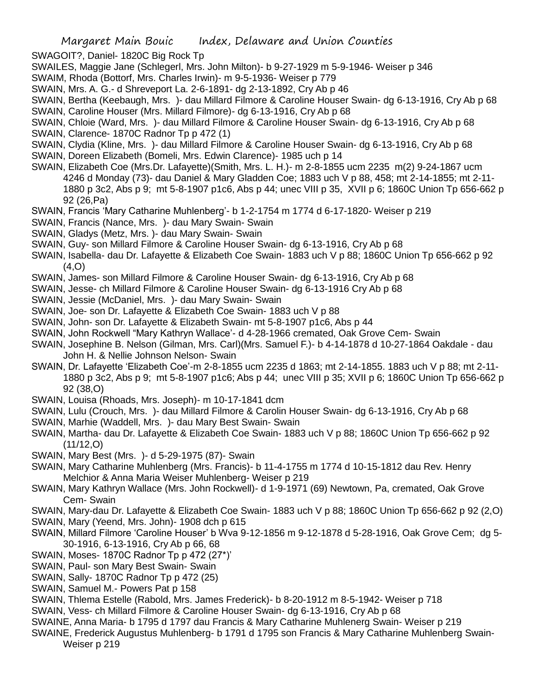SWAGOIT?, Daniel- 1820C Big Rock Tp

SWAILES, Maggie Jane (Schlegerl, Mrs. John Milton)- b 9-27-1929 m 5-9-1946- Weiser p 346

- SWAIM, Rhoda (Bottorf, Mrs. Charles Irwin)- m 9-5-1936- Weiser p 779
- SWAIN, Mrs. A. G.- d Shreveport La. 2-6-1891- dg 2-13-1892, Cry Ab p 46
- SWAIN, Bertha (Keebaugh, Mrs. )- dau Millard Filmore & Caroline Houser Swain- dg 6-13-1916, Cry Ab p 68 SWAIN, Caroline Houser (Mrs. Millard Filmore)- dg 6-13-1916, Cry Ab p 68
- SWAIN, Chloie (Ward, Mrs. )- dau Millard Filmore & Caroline Houser Swain- dg 6-13-1916, Cry Ab p 68
- SWAIN, Clarence- 1870C Radnor Tp p 472 (1)
- SWAIN, Clydia (Kline, Mrs. )- dau Millard Filmore & Caroline Houser Swain- dg 6-13-1916, Cry Ab p 68
- SWAIN, Doreen Elizabeth (Bomeli, Mrs. Edwin Clarence)- 1985 uch p 14
- SWAIN, Elizabeth Coe (Mrs.Dr. Lafayette)(Smith, Mrs. L. H.)- m 2-8-1855 ucm 2235 m(2) 9-24-1867 ucm 4246 d Monday (73)- dau Daniel & Mary Gladden Coe; 1883 uch V p 88, 458; mt 2-14-1855; mt 2-11- 1880 p 3c2, Abs p 9; mt 5-8-1907 p1c6, Abs p 44; unec VIII p 35, XVII p 6; 1860C Union Tp 656-662 p 92 (26,Pa)
- SWAIN, Francis 'Mary Catharine Muhlenberg'- b 1-2-1754 m 1774 d 6-17-1820- Weiser p 219
- SWAIN, Francis (Nance, Mrs. )- dau Mary Swain- Swain
- SWAIN, Gladys (Metz, Mrs. )- dau Mary Swain- Swain
- SWAIN, Guy- son Millard Filmore & Caroline Houser Swain- dg 6-13-1916, Cry Ab p 68
- SWAIN, Isabella- dau Dr. Lafayette & Elizabeth Coe Swain- 1883 uch V p 88; 1860C Union Tp 656-662 p 92  $(4.0)$
- SWAIN, James- son Millard Filmore & Caroline Houser Swain- dg 6-13-1916, Cry Ab p 68
- SWAIN, Jesse- ch Millard Filmore & Caroline Houser Swain- dg 6-13-1916 Cry Ab p 68
- SWAIN, Jessie (McDaniel, Mrs. )- dau Mary Swain- Swain
- SWAIN, Joe- son Dr. Lafayette & Elizabeth Coe Swain- 1883 uch V p 88
- SWAIN, John- son Dr. Lafayette & Elizabeth Swain- mt 5-8-1907 p1c6, Abs p 44
- SWAIN, John Rockwell "Mary Kathryn Wallace'- d 4-28-1966 cremated, Oak Grove Cem- Swain
- SWAIN, Josephine B. Nelson (Gilman, Mrs. Carl)(Mrs. Samuel F.)- b 4-14-1878 d 10-27-1864 Oakdale dau John H. & Nellie Johnson Nelson- Swain
- SWAIN, Dr. Lafayette 'Elizabeth Coe'-m 2-8-1855 ucm 2235 d 1863; mt 2-14-1855. 1883 uch V p 88; mt 2-11- 1880 p 3c2, Abs p 9; mt 5-8-1907 p1c6; Abs p 44; unec VIII p 35; XVII p 6; 1860C Union Tp 656-662 p 92 (38,O)
- SWAIN, Louisa (Rhoads, Mrs. Joseph)- m 10-17-1841 dcm
- SWAIN, Lulu (Crouch, Mrs. )- dau Millard Filmore & Carolin Houser Swain- dg 6-13-1916, Cry Ab p 68
- SWAIN, Marhie (Waddell, Mrs. )- dau Mary Best Swain- Swain
- SWAIN, Martha- dau Dr. Lafayette & Elizabeth Coe Swain- 1883 uch V p 88; 1860C Union Tp 656-662 p 92  $(11/12,0)$
- SWAIN, Mary Best (Mrs. )- d 5-29-1975 (87)- Swain
- SWAIN, Mary Catharine Muhlenberg (Mrs. Francis)- b 11-4-1755 m 1774 d 10-15-1812 dau Rev. Henry Melchior & Anna Maria Weiser Muhlenberg- Weiser p 219
- SWAIN, Mary Kathryn Wallace (Mrs. John Rockwell)- d 1-9-1971 (69) Newtown, Pa, cremated, Oak Grove Cem- Swain
- SWAIN, Mary-dau Dr. Lafayette & Elizabeth Coe Swain- 1883 uch V p 88; 1860C Union Tp 656-662 p 92 (2,O)
- SWAIN, Mary (Yeend, Mrs. John)- 1908 dch p 615
- SWAIN, Millard Filmore 'Caroline Houser' b Wva 9-12-1856 m 9-12-1878 d 5-28-1916, Oak Grove Cem; dg 5- 30-1916, 6-13-1916, Cry Ab p 66, 68
- SWAIN, Moses- 1870C Radnor Tp p 472 (27\*)'
- SWAIN, Paul- son Mary Best Swain- Swain
- SWAIN, Sally- 1870C Radnor Tp p 472 (25)
- SWAIN, Samuel M.- Powers Pat p 158
- SWAIN, Thlema Estelle (Rabold, Mrs. James Frederick)- b 8-20-1912 m 8-5-1942- Weiser p 718
- SWAIN, Vess- ch Millard Filmore & Caroline Houser Swain- dg 6-13-1916, Cry Ab p 68
- SWAINE, Anna Maria- b 1795 d 1797 dau Francis & Mary Catharine Muhlenerg Swain- Weiser p 219
- SWAINE, Frederick Augustus Muhlenberg- b 1791 d 1795 son Francis & Mary Catharine Muhlenberg Swain-Weiser p 219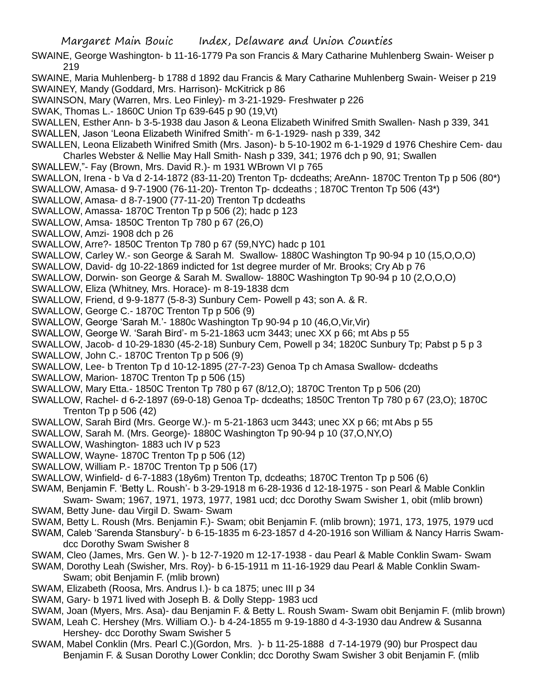SWAINE, George Washington- b 11-16-1779 Pa son Francis & Mary Catharine Muhlenberg Swain- Weiser p 219

SWAINE, Maria Muhlenberg- b 1788 d 1892 dau Francis & Mary Catharine Muhlenberg Swain- Weiser p 219 SWAINEY, Mandy (Goddard, Mrs. Harrison)- McKitrick p 86

- SWAINSON, Mary (Warren, Mrs. Leo Finley)- m 3-21-1929- Freshwater p 226
- SWAK, Thomas L.- 1860C Union Tp 639-645 p 90 (19,Vt)
- SWALLEN, Esther Ann- b 3-5-1938 dau Jason & Leona Elizabeth Winifred Smith Swallen- Nash p 339, 341
- SWALLEN, Jason 'Leona Elizabeth Winifred Smith'- m 6-1-1929- nash p 339, 342
- SWALLEN, Leona Elizabeth Winifred Smith (Mrs. Jason)- b 5-10-1902 m 6-1-1929 d 1976 Cheshire Cem- dau Charles Webster & Nellie May Hall Smith- Nash p 339, 341; 1976 dch p 90, 91; Swallen
- SWALLEW,"- Fay (Brown, Mrs. David R.)- m 1931 WBrown VI p 765
- SWALLON, Irena b Va d 2-14-1872 (83-11-20) Trenton Tp- dcdeaths; AreAnn- 1870C Trenton Tp p 506 (80\*)
- SWALLOW, Amasa- d 9-7-1900 (76-11-20)- Trenton Tp- dcdeaths ; 1870C Trenton Tp 506 (43\*)
- SWALLOW, Amasa- d 8-7-1900 (77-11-20) Trenton Tp dcdeaths
- SWALLOW, Amassa- 1870C Trenton Tp p 506 (2); hadc p 123
- SWALLOW, Amsa- 1850C Trenton Tp 780 p 67 (26,O)
- SWALLOW, Amzi- 1908 dch p 26
- SWALLOW, Arre?- 1850C Trenton Tp 780 p 67 (59,NYC) hadc p 101
- SWALLOW, Carley W.- son George & Sarah M. Swallow- 1880C Washington Tp 90-94 p 10 (15,O,O,O)
- SWALLOW, David- dg 10-22-1869 indicted for 1st degree murder of Mr. Brooks; Cry Ab p 76
- SWALLOW, Dorwin- son George & Sarah M. Swallow- 1880C Washington Tp 90-94 p 10 (2,O,O,O)
- SWALLOW, Eliza (Whitney, Mrs. Horace)- m 8-19-1838 dcm
- SWALLOW, Friend, d 9-9-1877 (5-8-3) Sunbury Cem- Powell p 43; son A. & R.
- SWALLOW, George C.- 1870C Trenton Tp p 506 (9)
- SWALLOW, George 'Sarah M.'- 1880c Washington Tp 90-94 p 10 (46,O,Vir,Vir)
- SWALLOW, George W. 'Sarah Bird'- m 5-21-1863 ucm 3443; unec XX p 66; mt Abs p 55
- SWALLOW, Jacob- d 10-29-1830 (45-2-18) Sunbury Cem, Powell p 34; 1820C Sunbury Tp; Pabst p 5 p 3
- SWALLOW, John C.- 1870C Trenton Tp p 506 (9)
- SWALLOW, Lee- b Trenton Tp d 10-12-1895 (27-7-23) Genoa Tp ch Amasa Swallow- dcdeaths
- SWALLOW, Marion- 1870C Trenton Tp p 506 (15)
- SWALLOW, Mary Etta.- 1850C Trenton Tp 780 p 67 (8/12,O); 1870C Trenton Tp p 506 (20)
- SWALLOW, Rachel- d 6-2-1897 (69-0-18) Genoa Tp- dcdeaths; 1850C Trenton Tp 780 p 67 (23,O); 1870C Trenton Tp p 506 (42)
- SWALLOW, Sarah Bird (Mrs. George W.)- m 5-21-1863 ucm 3443; unec XX p 66; mt Abs p 55
- SWALLOW, Sarah M. (Mrs. George)- 1880C Washington Tp 90-94 p 10 (37,O,NY,O)
- SWALLOW, Washington- 1883 uch IV p 523
- SWALLOW, Wayne- 1870C Trenton Tp p 506 (12)
- SWALLOW, William P.- 1870C Trenton Tp p 506 (17)
- SWALLOW, Winfield- d 6-7-1883 (18y6m) Trenton Tp, dcdeaths; 1870C Trenton Tp p 506 (6)
- SWAM, Benjamin F. 'Betty L. Roush'- b 3-29-1918 m 6-28-1936 d 12-18-1975 son Pearl & Mable Conklin Swam- Swam; 1967, 1971, 1973, 1977, 1981 ucd; dcc Dorothy Swam Swisher 1, obit (mlib brown) SWAM, Betty June- dau Virgil D. Swam- Swam
- SWAM, Betty L. Roush (Mrs. Benjamin F.)- Swam; obit Benjamin F. (mlib brown); 1971, 173, 1975, 1979 ucd
- SWAM, Caleb 'Sarenda Stansbury'- b 6-15-1835 m 6-23-1857 d 4-20-1916 son William & Nancy Harris Swamdcc Dorothy Swam Swisher 8
- SWAM, Cleo (James, Mrs. Gen W. )- b 12-7-1920 m 12-17-1938 dau Pearl & Mable Conklin Swam- Swam
- SWAM, Dorothy Leah (Swisher, Mrs. Roy)- b 6-15-1911 m 11-16-1929 dau Pearl & Mable Conklin Swam-Swam; obit Benjamin F. (mlib brown)
- SWAM, Elizabeth (Roosa, Mrs. Andrus I.)- b ca 1875; unec III p 34
- SWAM, Gary- b 1971 lived with Joseph B. & Dolly Stepp- 1983 ucd
- SWAM, Joan (Myers, Mrs. Asa)- dau Benjamin F. & Betty L. Roush Swam- Swam obit Benjamin F. (mlib brown)
- SWAM, Leah C. Hershey (Mrs. William O.)- b 4-24-1855 m 9-19-1880 d 4-3-1930 dau Andrew & Susanna Hershey- dcc Dorothy Swam Swisher 5
- SWAM, Mabel Conklin (Mrs. Pearl C.)(Gordon, Mrs. )- b 11-25-1888 d 7-14-1979 (90) bur Prospect dau Benjamin F. & Susan Dorothy Lower Conklin; dcc Dorothy Swam Swisher 3 obit Benjamin F. (mlib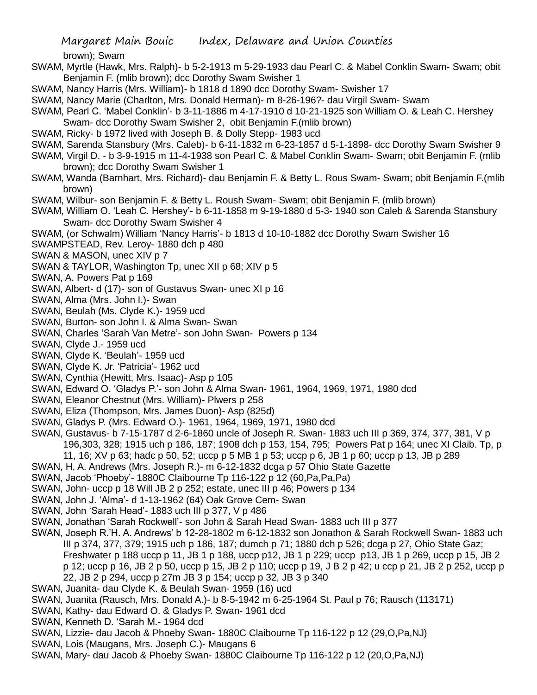brown); Swam

- SWAM, Myrtle (Hawk, Mrs. Ralph)- b 5-2-1913 m 5-29-1933 dau Pearl C. & Mabel Conklin Swam- Swam; obit Benjamin F. (mlib brown); dcc Dorothy Swam Swisher 1
- SWAM, Nancy Harris (Mrs. William)- b 1818 d 1890 dcc Dorothy Swam- Swisher 17
- SWAM, Nancy Marie (Charlton, Mrs. Donald Herman)- m 8-26-196?- dau Virgil Swam- Swam
- SWAM, Pearl C. 'Mabel Conklin'- b 3-11-1886 m 4-17-1910 d 10-21-1925 son William O. & Leah C. Hershey Swam- dcc Dorothy Swam Swisher 2, obit Benjamin F.(mlib brown)
- SWAM, Ricky- b 1972 lived with Joseph B. & Dolly Stepp- 1983 ucd
- SWAM, Sarenda Stansbury (Mrs. Caleb)- b 6-11-1832 m 6-23-1857 d 5-1-1898- dcc Dorothy Swam Swisher 9
- SWAM, Virgil D. b 3-9-1915 m 11-4-1938 son Pearl C. & Mabel Conklin Swam- Swam; obit Benjamin F. (mlib brown); dcc Dorothy Swam Swisher 1
- SWAM, Wanda (Barnhart, Mrs. Richard)- dau Benjamin F. & Betty L. Rous Swam- Swam; obit Benjamin F.(mlib brown)
- SWAM, Wilbur- son Benjamin F. & Betty L. Roush Swam- Swam; obit Benjamin F. (mlib brown)
- SWAM, William O. 'Leah C. Hershey'- b 6-11-1858 m 9-19-1880 d 5-3- 1940 son Caleb & Sarenda Stansbury Swam- dcc Dorothy Swam Swisher 4
- SWAM, (or Schwalm) William 'Nancy Harris'- b 1813 d 10-10-1882 dcc Dorothy Swam Swisher 16
- SWAMPSTEAD, Rev. Leroy- 1880 dch p 480
- SWAN & MASON, unec XIV p 7
- SWAN & TAYLOR, Washington Tp, unec XII p 68; XIV p 5
- SWAN, A. Powers Pat p 169
- SWAN, Albert- d (17)- son of Gustavus Swan- unec XI p 16
- SWAN, Alma (Mrs. John I.)- Swan
- SWAN, Beulah (Ms. Clyde K.)- 1959 ucd
- SWAN, Burton- son John I. & Alma Swan- Swan
- SWAN, Charles 'Sarah Van Metre'- son John Swan- Powers p 134
- SWAN, Clyde J.- 1959 ucd
- SWAN, Clyde K. 'Beulah'- 1959 ucd
- SWAN, Clyde K. Jr. 'Patricia'- 1962 ucd
- SWAN, Cynthia (Hewitt, Mrs. Isaac)- Asp p 105
- SWAN, Edward O. 'Gladys P.'- son John & Alma Swan- 1961, 1964, 1969, 1971, 1980 dcd
- SWAN, Eleanor Chestnut (Mrs. William)- Plwers p 258
- SWAN, Eliza (Thompson, Mrs. James Duon)- Asp (825d)
- SWAN, Gladys P. (Mrs. Edward O.)- 1961, 1964, 1969, 1971, 1980 dcd
- SWAN, Gustavus- b 7-15-1787 d 2-6-1860 uncle of Joseph R. Swan- 1883 uch III p 369, 374, 377, 381, V p 196,303, 328; 1915 uch p 186, 187; 1908 dch p 153, 154, 795; Powers Pat p 164; unec XI Claib. Tp, p 11, 16; XV p 63; hadc p 50, 52; uccp p 5 MB 1 p 53; uccp p 6, JB 1 p 60; uccp p 13, JB p 289
	-
- SWAN, H, A. Andrews (Mrs. Joseph R.)- m 6-12-1832 dcga p 57 Ohio State Gazette
- SWAN, Jacob 'Phoeby'- 1880C Claibourne Tp 116-122 p 12 (60,Pa,Pa,Pa)
- SWAN, John- uccp p 18 Will JB 2 p 252; estate, unec III p 46; Powers p 134
- SWAN, John J. 'Alma'- d 1-13-1962 (64) Oak Grove Cem- Swan
- SWAN, John 'Sarah Head'- 1883 uch III p 377, V p 486
- SWAN, Jonathan 'Sarah Rockwell'- son John & Sarah Head Swan- 1883 uch III p 377
- SWAN, Joseph R.'H. A. Andrews' b 12-28-1802 m 6-12-1832 son Jonathon & Sarah Rockwell Swan- 1883 uch III p 374, 377, 379; 1915 uch p 186, 187; dumch p 71; 1880 dch p 526; dcga p 27, Ohio State Gaz; Freshwater p 188 uccp p 11, JB 1 p 188, uccp p12, JB 1 p 229; uccp p13, JB 1 p 269, uccp p 15, JB 2 p 12; uccp p 16, JB 2 p 50, uccp p 15, JB 2 p 110; uccp p 19, J B 2 p 42; u ccp p 21, JB 2 p 252, uccp p
- 22, JB 2 p 294, uccp p 27m JB 3 p 154; uccp p 32, JB 3 p 340
- SWAN, Juanita- dau Clyde K. & Beulah Swan- 1959 (16) ucd
- SWAN, Juanita (Rausch, Mrs. Donald A.)- b 8-5-1942 m 6-25-1964 St. Paul p 76; Rausch (113171)
- SWAN, Kathy- dau Edward O. & Gladys P. Swan- 1961 dcd
- SWAN, Kenneth D. 'Sarah M.- 1964 dcd
- SWAN, Lizzie- dau Jacob & Phoeby Swan- 1880C Claibourne Tp 116-122 p 12 (29,O,Pa,NJ)
- SWAN, Lois (Maugans, Mrs. Joseph C.)- Maugans 6
- SWAN, Mary- dau Jacob & Phoeby Swan- 1880C Claibourne Tp 116-122 p 12 (20,O,Pa,NJ)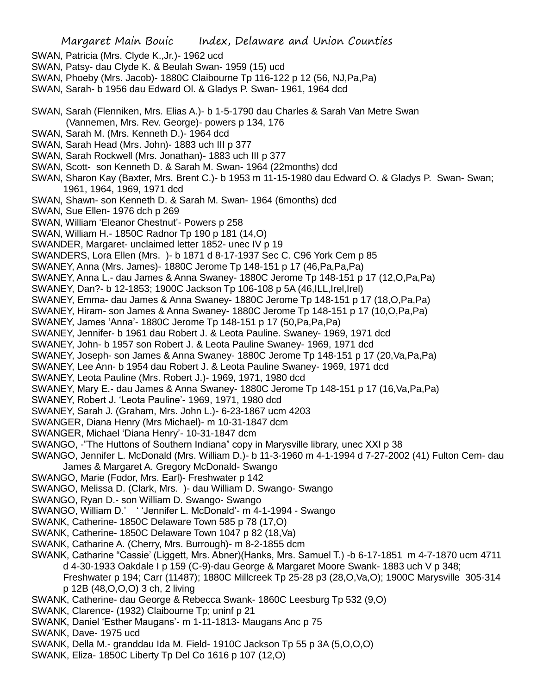- SWAN, Patricia (Mrs. Clyde K.,Jr.)- 1962 ucd
- SWAN, Patsy- dau Clyde K. & Beulah Swan- 1959 (15) ucd
- SWAN, Phoeby (Mrs. Jacob)- 1880C Claibourne Tp 116-122 p 12 (56, NJ,Pa,Pa)
- SWAN, Sarah- b 1956 dau Edward Ol. & Gladys P. Swan- 1961, 1964 dcd
- SWAN, Sarah (Flenniken, Mrs. Elias A.)- b 1-5-1790 dau Charles & Sarah Van Metre Swan (Vannemen, Mrs. Rev. George)- powers p 134, 176
- SWAN, Sarah M. (Mrs. Kenneth D.)- 1964 dcd
- SWAN, Sarah Head (Mrs. John)- 1883 uch III p 377
- SWAN, Sarah Rockwell (Mrs. Jonathan)- 1883 uch III p 377
- SWAN, Scott- son Kenneth D. & Sarah M. Swan- 1964 (22months) dcd
- SWAN, Sharon Kay (Baxter, Mrs. Brent C.)- b 1953 m 11-15-1980 dau Edward O. & Gladys P. Swan- Swan; 1961, 1964, 1969, 1971 dcd
- SWAN, Shawn- son Kenneth D. & Sarah M. Swan- 1964 (6months) dcd
- SWAN, Sue Ellen- 1976 dch p 269
- SWAN, William 'Eleanor Chestnut'- Powers p 258
- SWAN, William H.- 1850C Radnor Tp 190 p 181 (14,O)
- SWANDER, Margaret- unclaimed letter 1852- unec IV p 19
- SWANDERS, Lora Ellen (Mrs. )- b 1871 d 8-17-1937 Sec C. C96 York Cem p 85
- SWANEY, Anna (Mrs. James)- 1880C Jerome Tp 148-151 p 17 (46,Pa,Pa,Pa)
- SWANEY, Anna L.- dau James & Anna Swaney- 1880C Jerome Tp 148-151 p 17 (12,O,Pa,Pa)
- SWANEY, Dan?- b 12-1853; 1900C Jackson Tp 106-108 p 5A (46, ILL, Irel, Irel)
- SWANEY, Emma- dau James & Anna Swaney- 1880C Jerome Tp 148-151 p 17 (18,O,Pa,Pa)
- SWANEY, Hiram- son James & Anna Swaney- 1880C Jerome Tp 148-151 p 17 (10,O,Pa,Pa)
- SWANEY, James 'Anna'- 1880C Jerome Tp 148-151 p 17 (50,Pa,Pa,Pa)
- SWANEY, Jennifer- b 1961 dau Robert J. & Leota Pauline. Swaney- 1969, 1971 dcd
- SWANEY, John- b 1957 son Robert J. & Leota Pauline Swaney- 1969, 1971 dcd
- SWANEY, Joseph- son James & Anna Swaney- 1880C Jerome Tp 148-151 p 17 (20,Va,Pa,Pa)
- SWANEY, Lee Ann- b 1954 dau Robert J. & Leota Pauline Swaney- 1969, 1971 dcd
- SWANEY, Leota Pauline (Mrs. Robert J.)- 1969, 1971, 1980 dcd
- SWANEY, Mary E.- dau James & Anna Swaney- 1880C Jerome Tp 148-151 p 17 (16,Va,Pa,Pa)
- SWANEY, Robert J. 'Leota Pauline'- 1969, 1971, 1980 dcd
- SWANEY, Sarah J. (Graham, Mrs. John L.)- 6-23-1867 ucm 4203
- SWANGER, Diana Henry (Mrs Michael)- m 10-31-1847 dcm
- SWANGER, Michael 'Diana Henry'- 10-31-1847 dcm
- SWANGO, -"The Huttons of Southern Indiana" copy in Marysville library, unec XXI p 38
- SWANGO, Jennifer L. McDonald (Mrs. William D.)- b 11-3-1960 m 4-1-1994 d 7-27-2002 (41) Fulton Cem- dau James & Margaret A. Gregory McDonald- Swango
- SWANGO, Marie (Fodor, Mrs. Earl)- Freshwater p 142
- SWANGO, Melissa D. (Clark, Mrs. )- dau William D. Swango- Swango
- SWANGO, Ryan D.- son William D. Swango- Swango
- SWANGO, William D.' ' 'Jennifer L. McDonald'- m 4-1-1994 Swango
- SWANK, Catherine- 1850C Delaware Town 585 p 78 (17,O)
- SWANK, Catherine- 1850C Delaware Town 1047 p 82 (18,Va)
- SWANK, Catharine A. (Cherry, Mrs. Burrough)- m 8-2-1855 dcm
- SWANK, Catharine "Cassie' (Liggett, Mrs. Abner)(Hanks, Mrs. Samuel T.) -b 6-17-1851 m 4-7-1870 ucm 4711 d 4-30-1933 Oakdale I p 159 (C-9)-dau George & Margaret Moore Swank- 1883 uch V p 348;
	- Freshwater p 194; Carr (11487); 1880C Millcreek Tp 25-28 p3 (28,O,Va,O); 1900C Marysville 305-314 p 12B (48,O,O,O) 3 ch, 2 living
- SWANK, Catherine- dau George & Rebecca Swank- 1860C Leesburg Tp 532 (9,O)
- SWANK, Clarence- (1932) Claibourne Tp; uninf p 21
- SWANK, Daniel 'Esther Maugans'- m 1-11-1813- Maugans Anc p 75
- SWANK, Dave- 1975 ucd
- SWANK, Della M.- granddau Ida M. Field- 1910C Jackson Tp 55 p 3A (5,O,O,O)
- SWANK, Eliza- 1850C Liberty Tp Del Co 1616 p 107 (12,O)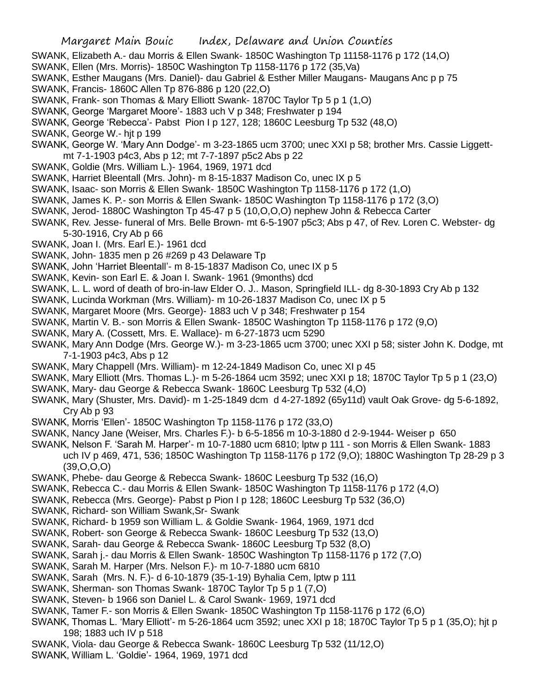- SWANK, Elizabeth A.- dau Morris & Ellen Swank- 1850C Washington Tp 11158-1176 p 172 (14,O)
- SWANK, Ellen (Mrs. Morris)- 1850C Washington Tp 1158-1176 p 172 (35,Va)
- SWANK, Esther Maugans (Mrs. Daniel)- dau Gabriel & Esther Miller Maugans- Maugans Anc p p 75
- SWANK, Francis- 1860C Allen Tp 876-886 p 120 (22,O)
- SWANK, Frank- son Thomas & Mary Elliott Swank- 1870C Taylor Tp 5 p 1 (1,O)
- SWANK, George 'Margaret Moore'- 1883 uch V p 348; Freshwater p 194
- SWANK, George 'Rebecca'- Pabst Pion I p 127, 128; 1860C Leesburg Tp 532 (48,O)
- SWANK, George W.- hjt p 199
- SWANK, George W. 'Mary Ann Dodge'- m 3-23-1865 ucm 3700; unec XXI p 58; brother Mrs. Cassie Liggettmt 7-1-1903 p4c3, Abs p 12; mt 7-7-1897 p5c2 Abs p 22
- SWANK, Goldie (Mrs. William L.)- 1964, 1969, 1971 dcd
- SWANK, Harriet Bleentall (Mrs. John)- m 8-15-1837 Madison Co, unec IX p 5
- SWANK, Isaac- son Morris & Ellen Swank- 1850C Washington Tp 1158-1176 p 172 (1,O)
- SWANK, James K. P.- son Morris & Ellen Swank- 1850C Washington Tp 1158-1176 p 172 (3,O)
- SWANK, Jerod- 1880C Washington Tp 45-47 p 5 (10,O,O,O) nephew John & Rebecca Carter
- SWANK, Rev. Jesse- funeral of Mrs. Belle Brown- mt 6-5-1907 p5c3; Abs p 47, of Rev. Loren C. Webster- dg 5-30-1916, Cry Ab p 66
- SWANK, Joan I. (Mrs. Earl E.)- 1961 dcd
- SWANK, John- 1835 men p 26 #269 p 43 Delaware Tp
- SWANK, John 'Harriet Bleentall'- m 8-15-1837 Madison Co, unec IX p 5
- SWANK, Kevin- son Earl E. & Joan I. Swank- 1961 (9months) dcd
- SWANK, L. L. word of death of bro-in-law Elder O. J.. Mason, Springfield ILL- dg 8-30-1893 Cry Ab p 132
- SWANK, Lucinda Workman (Mrs. William)- m 10-26-1837 Madison Co, unec IX p 5
- SWANK, Margaret Moore (Mrs. George)- 1883 uch V p 348; Freshwater p 154
- SWANK, Martin V. B.- son Morris & Ellen Swank- 1850C Washington Tp 1158-1176 p 172 (9,O)
- SWANK, Mary A. (Cossett, Mrs. E. Wallace)- m 6-27-1873 ucm 5290
- SWANK, Mary Ann Dodge (Mrs. George W.)- m 3-23-1865 ucm 3700; unec XXI p 58; sister John K. Dodge, mt 7-1-1903 p4c3, Abs p 12
- SWANK, Mary Chappell (Mrs. William)- m 12-24-1849 Madison Co, unec XI p 45
- SWANK, Mary Elliott (Mrs. Thomas L.)- m 5-26-1864 ucm 3592; unec XXI p 18; 1870C Taylor Tp 5 p 1 (23,O) SWANK, Mary- dau George & Rebecca Swank- 1860C Leesburg Tp 532 (4,O)
- SWANK, Mary (Shuster, Mrs. David)- m 1-25-1849 dcm d 4-27-1892 (65y11d) vault Oak Grove- dg 5-6-1892, Cry Ab p 93
- SWANK, Morris 'Ellen'- 1850C Washington Tp 1158-1176 p 172 (33,O)
- SWANK, Nancy Jane (Weiser, Mrs. Charles F.)- b 6-5-1856 m 10-3-1880 d 2-9-1944- Weiser p 650
- SWANK, Nelson F. 'Sarah M. Harper'- m 10-7-1880 ucm 6810; lptw p 111 son Morris & Ellen Swank- 1883 uch IV p 469, 471, 536; 1850C Washington Tp 1158-1176 p 172 (9,O); 1880C Washington Tp 28-29 p 3 (39,O,O,O)
- SWANK, Phebe- dau George & Rebecca Swank- 1860C Leesburg Tp 532 (16,O)
- SWANK, Rebecca C.- dau Morris & Ellen Swank- 1850C Washington Tp 1158-1176 p 172 (4,O)
- SWANK, Rebecca (Mrs. George)- Pabst p Pion I p 128; 1860C Leesburg Tp 532 (36,O)
- SWANK, Richard- son William Swank,Sr- Swank
- SWANK, Richard- b 1959 son William L. & Goldie Swank- 1964, 1969, 1971 dcd
- SWANK, Robert- son George & Rebecca Swank- 1860C Leesburg Tp 532 (13,O)
- SWANK, Sarah- dau George & Rebecca Swank- 1860C Leesburg Tp 532 (8,O)
- SWANK, Sarah j.- dau Morris & Ellen Swank- 1850C Washington Tp 1158-1176 p 172 (7,O)
- SWANK, Sarah M. Harper (Mrs. Nelson F.)- m 10-7-1880 ucm 6810
- SWANK, Sarah (Mrs. N. F.)- d 6-10-1879 (35-1-19) Byhalia Cem, lptw p 111
- SWANK, Sherman- son Thomas Swank- 1870C Taylor Tp 5 p 1 (7,O)
- SWANK, Steven- b 1966 son Daniel L. & Carol Swank- 1969, 1971 dcd
- SWANK, Tamer F.- son Morris & Ellen Swank- 1850C Washington Tp 1158-1176 p 172 (6,O)
- SWANK, Thomas L. 'Mary Elliott'- m 5-26-1864 ucm 3592; unec XXI p 18; 1870C Taylor Tp 5 p 1 (35,O); hjt p 198; 1883 uch IV p 518
- SWANK, Viola- dau George & Rebecca Swank- 1860C Leesburg Tp 532 (11/12,O)
- SWANK, William L. 'Goldie'- 1964, 1969, 1971 dcd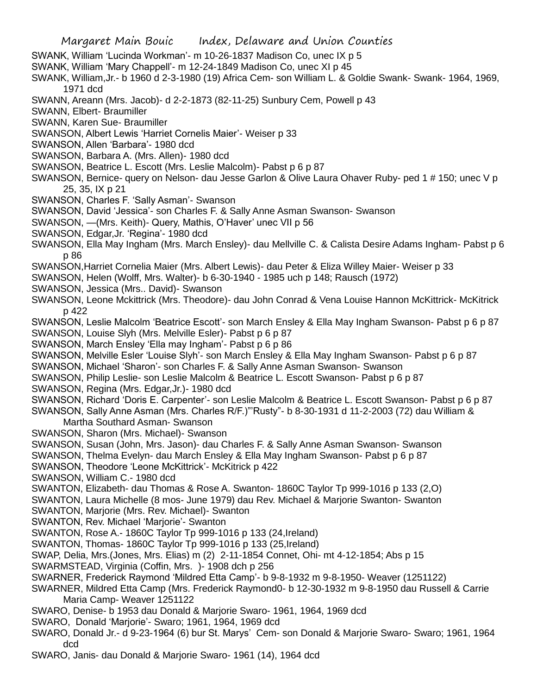- SWANK, William 'Lucinda Workman'- m 10-26-1837 Madison Co, unec IX p 5
- SWANK, William 'Mary Chappell'- m 12-24-1849 Madison Co, unec XI p 45
- SWANK, William,Jr.- b 1960 d 2-3-1980 (19) Africa Cem- son William L. & Goldie Swank- Swank- 1964, 1969, 1971 dcd
- SWANN, Areann (Mrs. Jacob)- d 2-2-1873 (82-11-25) Sunbury Cem, Powell p 43
- SWANN, Elbert- Braumiller
- SWANN, Karen Sue- Braumiller
- SWANSON, Albert Lewis 'Harriet Cornelis Maier'- Weiser p 33
- SWANSON, Allen 'Barbara'- 1980 dcd
- SWANSON, Barbara A. (Mrs. Allen)- 1980 dcd
- SWANSON, Beatrice L. Escott (Mrs. Leslie Malcolm)- Pabst p 6 p 87
- SWANSON, Bernice- query on Nelson- dau Jesse Garlon & Olive Laura Ohaver Ruby- ped 1 # 150; unec V p 25, 35, IX p 21
- SWANSON, Charles F. 'Sally Asman'- Swanson
- SWANSON, David 'Jessica'- son Charles F. & Sally Anne Asman Swanson- Swanson
- SWANSON, —(Mrs. Keith)- Query, Mathis, O'Haver' unec VII p 56
- SWANSON, Edgar,Jr. 'Regina'- 1980 dcd
- SWANSON, Ella May Ingham (Mrs. March Ensley)- dau Mellville C. & Calista Desire Adams Ingham- Pabst p 6 p 86
- SWANSON,Harriet Cornelia Maier (Mrs. Albert Lewis)- dau Peter & Eliza Willey Maier- Weiser p 33
- SWANSON, Helen (Wolff, Mrs. Walter)- b 6-30-1940 1985 uch p 148; Rausch (1972)
- SWANSON, Jessica (Mrs.. David)- Swanson
- SWANSON, Leone Mckittrick (Mrs. Theodore)- dau John Conrad & Vena Louise Hannon McKittrick- McKitrick p 422
- SWANSON, Leslie Malcolm 'Beatrice Escott'- son March Ensley & Ella May Ingham Swanson- Pabst p 6 p 87 SWANSON, Louise Slyh (Mrs. Melville Esler)- Pabst p 6 p 87
- SWANSON, March Ensley 'Ella may Ingham'- Pabst p 6 p 86
- SWANSON, Melville Esler 'Louise Slyh'- son March Ensley & Ella May Ingham Swanson- Pabst p 6 p 87
- SWANSON, Michael 'Sharon'- son Charles F. & Sally Anne Asman Swanson- Swanson
- SWANSON, Philip Leslie- son Leslie Malcolm & Beatrice L. Escott Swanson- Pabst p 6 p 87
- SWANSON, Regina (Mrs. Edgar,Jr.)- 1980 dcd
- SWANSON, Richard 'Doris E. Carpenter'- son Leslie Malcolm & Beatrice L. Escott Swanson- Pabst p 6 p 87
- SWANSON, Sally Anne Asman (Mrs. Charles R/F.)"'Rusty"- b 8-30-1931 d 11-2-2003 (72) dau William & Martha Southard Asman- Swanson
- SWANSON, Sharon (Mrs. Michael)- Swanson
- SWANSON, Susan (John, Mrs. Jason)- dau Charles F. & Sally Anne Asman Swanson- Swanson
- SWANSON, Thelma Evelyn- dau March Ensley & Ella May Ingham Swanson- Pabst p 6 p 87
- SWANSON, Theodore 'Leone McKittrick'- McKitrick p 422
- SWANSON, William C.- 1980 dcd
- SWANTON, Elizabeth- dau Thomas & Rose A. Swanton- 1860C Taylor Tp 999-1016 p 133 (2,O)
- SWANTON, Laura Michelle (8 mos- June 1979) dau Rev. Michael & Marjorie Swanton- Swanton
- SWANTON, Marjorie (Mrs. Rev. Michael)- Swanton
- SWANTON, Rev. Michael 'Marjorie'- Swanton
- SWANTON, Rose A.- 1860C Taylor Tp 999-1016 p 133 (24,Ireland)
- SWANTON, Thomas- 1860C Taylor Tp 999-1016 p 133 (25,Ireland)
- SWAP, Delia, Mrs.(Jones, Mrs. Elias) m (2) 2-11-1854 Connet, Ohi- mt 4-12-1854; Abs p 15
- SWARMSTEAD, Virginia (Coffin, Mrs. )- 1908 dch p 256
- SWARNER, Frederick Raymond 'Mildred Etta Camp'- b 9-8-1932 m 9-8-1950- Weaver (1251122)
- SWARNER, Mildred Etta Camp (Mrs. Frederick Raymond0- b 12-30-1932 m 9-8-1950 dau Russell & Carrie Maria Camp- Weaver 1251122
- SWARO, Denise- b 1953 dau Donald & Marjorie Swaro- 1961, 1964, 1969 dcd
- SWARO, Donald 'Marjorie'- Swaro; 1961, 1964, 1969 dcd
- SWARO, Donald Jr.- d 9-23-1964 (6) bur St. Marys' Cem- son Donald & Marjorie Swaro- Swaro; 1961, 1964 dcd
- SWARO, Janis- dau Donald & Marjorie Swaro- 1961 (14), 1964 dcd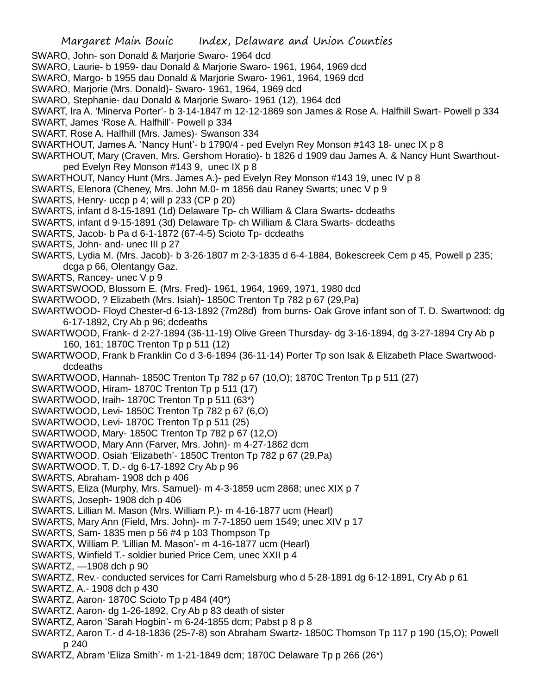SWARO, John- son Donald & Marjorie Swaro- 1964 dcd

SWARO, Laurie- b 1959- dau Donald & Marjorie Swaro- 1961, 1964, 1969 dcd

SWARO, Margo- b 1955 dau Donald & Marjorie Swaro- 1961, 1964, 1969 dcd

SWARO, Marjorie (Mrs. Donald)- Swaro- 1961, 1964, 1969 dcd

SWARO, Stephanie- dau Donald & Marjorie Swaro- 1961 (12), 1964 dcd

SWART, Ira A. 'Minerva Porter'- b 3-14-1847 m 12-12-1869 son James & Rose A. Halfhill Swart- Powell p 334

- SWART, James 'Rose A. Halfhill'- Powell p 334
- SWART, Rose A. Halfhill (Mrs. James)- Swanson 334
- SWARTHOUT, James A. 'Nancy Hunt'- b 1790/4 ped Evelyn Rey Monson #143 18- unec IX p 8
- SWARTHOUT, Mary (Craven, Mrs. Gershom Horatio)- b 1826 d 1909 dau James A. & Nancy Hunt Swarthoutped Evelyn Rey Monson #143 9, unec IX p 8
- SWARTHOUT, Nancy Hunt (Mrs. James A.)- ped Evelyn Rey Monson #143 19, unec IV p 8
- SWARTS, Elenora (Cheney, Mrs. John M.0- m 1856 dau Raney Swarts; unec V p 9
- SWARTS, Henry- uccp p 4; will p 233 (CP p 20)
- SWARTS, infant d 8-15-1891 (1d) Delaware Tp- ch William & Clara Swarts- dcdeaths
- SWARTS, infant d 9-15-1891 (3d) Delaware Tp- ch William & Clara Swarts- dcdeaths
- SWARTS, Jacob- b Pa d 6-1-1872 (67-4-5) Scioto Tp- dcdeaths
- SWARTS, John- and- unec III p 27
- SWARTS, Lydia M. (Mrs. Jacob)- b 3-26-1807 m 2-3-1835 d 6-4-1884, Bokescreek Cem p 45, Powell p 235; dcga p 66, Olentangy Gaz.
- SWARTS, Rancey- unec V p 9
- SWARTSWOOD, Blossom E. (Mrs. Fred)- 1961, 1964, 1969, 1971, 1980 dcd
- SWARTWOOD, ? Elizabeth (Mrs. Isiah)- 1850C Trenton Tp 782 p 67 (29,Pa)
- SWARTWOOD- Floyd Chester-d 6-13-1892 (7m28d) from burns- Oak Grove infant son of T. D. Swartwood; dg 6-17-1892, Cry Ab p 96; dcdeaths
- SWARTWOOD, Frank- d 2-27-1894 (36-11-19) Olive Green Thursday- dg 3-16-1894, dg 3-27-1894 Cry Ab p 160, 161; 1870C Trenton Tp p 511 (12)
- SWARTWOOD, Frank b Franklin Co d 3-6-1894 (36-11-14) Porter Tp son Isak & Elizabeth Place Swartwooddcdeaths
- SWARTWOOD, Hannah- 1850C Trenton Tp 782 p 67 (10,O); 1870C Trenton Tp p 511 (27)
- SWARTWOOD, Hiram- 1870C Trenton Tp p 511 (17)
- SWARTWOOD, Iraih- 1870C Trenton Tp p 511 (63\*)
- SWARTWOOD, Levi- 1850C Trenton Tp 782 p 67 (6,O)
- SWARTWOOD, Levi- 1870C Trenton Tp p 511 (25)
- SWARTWOOD, Mary- 1850C Trenton Tp 782 p 67 (12,O)
- SWARTWOOD, Mary Ann (Farver, Mrs. John)- m 4-27-1862 dcm
- SWARTWOOD. Osiah 'Elizabeth'- 1850C Trenton Tp 782 p 67 (29,Pa)
- SWARTWOOD. T. D.- dg 6-17-1892 Cry Ab p 96
- SWARTS, Abraham- 1908 dch p 406
- SWARTS, Eliza (Murphy, Mrs. Samuel)- m 4-3-1859 ucm 2868; unec XIX p 7
- SWARTS, Joseph- 1908 dch p 406
- SWARTS. Lillian M. Mason (Mrs. William P.)- m 4-16-1877 ucm (Hearl)
- SWARTS, Mary Ann (Field, Mrs. John)- m 7-7-1850 uem 1549; unec XIV p 17
- SWARTS, Sam- 1835 men p 56 #4 p 103 Thompson Tp
- SWARTX, William P. 'Lillian M. Mason'- m 4-16-1877 ucm (Hearl)
- SWARTS, Winfield T.- soldier buried Price Cem, unec XXII p 4
- SWARTZ, —1908 dch p 90
- SWARTZ, Rev.- conducted services for Carri Ramelsburg who d 5-28-1891 dg 6-12-1891, Cry Ab p 61
- SWARTZ, A.- 1908 dch p 430
- SWARTZ, Aaron- 1870C Scioto Tp p 484 (40\*)
- SWARTZ, Aaron- dg 1-26-1892, Cry Ab p 83 death of sister
- SWARTZ, Aaron 'Sarah Hogbin'- m 6-24-1855 dcm; Pabst p 8 p 8
- SWARTZ, Aaron T.- d 4-18-1836 (25-7-8) son Abraham Swartz- 1850C Thomson Tp 117 p 190 (15,O); Powell p 240
- SWARTZ, Abram 'Eliza Smith'- m 1-21-1849 dcm; 1870C Delaware Tp p 266 (26\*)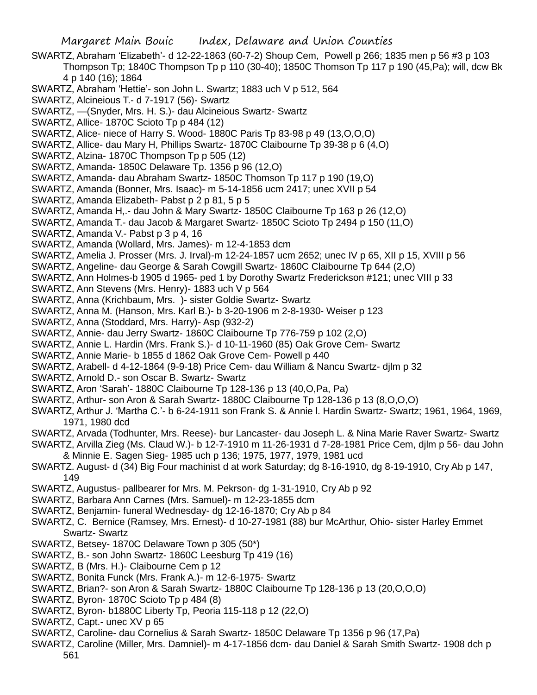- SWARTZ, Abraham 'Elizabeth'- d 12-22-1863 (60-7-2) Shoup Cem, Powell p 266; 1835 men p 56 #3 p 103 Thompson Tp; 1840C Thompson Tp p 110 (30-40); 1850C Thomson Tp 117 p 190 (45,Pa); will, dcw Bk 4 p 140 (16); 1864
- SWARTZ, Abraham 'Hettie'- son John L. Swartz; 1883 uch V p 512, 564
- SWARTZ, Alcineious T.- d 7-1917 (56)- Swartz
- SWARTZ, —(Snyder, Mrs. H. S.)- dau Alcineious Swartz- Swartz
- SWARTZ, Allice- 1870C Scioto Tp p 484 (12)
- SWARTZ, Alice- niece of Harry S. Wood- 1880C Paris Tp 83-98 p 49 (13,O,O,O)
- SWARTZ, Allice- dau Mary H, Phillips Swartz- 1870C Claibourne Tp 39-38 p 6 (4,O)
- SWARTZ, Alzina- 1870C Thompson Tp p 505 (12)
- SWARTZ, Amanda- 1850C Delaware Tp. 1356 p 96 (12,O)
- SWARTZ, Amanda- dau Abraham Swartz- 1850C Thomson Tp 117 p 190 (19,O)
- SWARTZ, Amanda (Bonner, Mrs. Isaac)- m 5-14-1856 ucm 2417; unec XVII p 54
- SWARTZ, Amanda Elizabeth- Pabst p 2 p 81, 5 p 5
- SWARTZ, Amanda H,.- dau John & Mary Swartz- 1850C Claibourne Tp 163 p 26 (12,O)
- SWARTZ, Amanda T.- dau Jacob & Margaret Swartz- 1850C Scioto Tp 2494 p 150 (11,O)
- SWARTZ, Amanda V.- Pabst p 3 p 4, 16
- SWARTZ, Amanda (Wollard, Mrs. James)- m 12-4-1853 dcm
- SWARTZ, Amelia J. Prosser (Mrs. J. Irval)-m 12-24-1857 ucm 2652; unec IV p 65, XII p 15, XVIII p 56
- SWARTZ, Angeline- dau George & Sarah Cowgill Swartz- 1860C Claibourne Tp 644 (2,O)
- SWARTZ, Ann Holmes-b 1905 d 1965- ped 1 by Dorothy Swartz Frederickson #121; unec VIII p 33
- SWARTZ, Ann Stevens (Mrs. Henry)- 1883 uch V p 564
- SWARTZ, Anna (Krichbaum, Mrs. )- sister Goldie Swartz- Swartz
- SWARTZ, Anna M. (Hanson, Mrs. Karl B.)- b 3-20-1906 m 2-8-1930- Weiser p 123
- SWARTZ, Anna (Stoddard, Mrs. Harry)- Asp (932-2)
- SWARTZ, Annie- dau Jerry Swartz- 1860C Claibourne Tp 776-759 p 102 (2,O)
- SWARTZ, Annie L. Hardin (Mrs. Frank S.)- d 10-11-1960 (85) Oak Grove Cem- Swartz
- SWARTZ, Annie Marie- b 1855 d 1862 Oak Grove Cem- Powell p 440
- SWARTZ, Arabell- d 4-12-1864 (9-9-18) Price Cem- dau William & Nancu Swartz- djlm p 32
- SWARTZ, Arnold D.- son Oscar B. Swartz- Swartz
- SWARTZ, Aron 'Sarah'- 1880C Claibourne Tp 128-136 p 13 (40,O,Pa, Pa)
- SWARTZ, Arthur- son Aron & Sarah Swartz- 1880C Claibourne Tp 128-136 p 13 (8,O,O,O)
- SWARTZ, Arthur J. 'Martha C.'- b 6-24-1911 son Frank S. & Annie l. Hardin Swartz- Swartz; 1961, 1964, 1969, 1971, 1980 dcd
- SWARTZ, Arvada (Todhunter, Mrs. Reese)- bur Lancaster- dau Joseph L. & Nina Marie Raver Swartz- Swartz
- SWARTZ, Arvilla Zieg (Ms. Claud W.)- b 12-7-1910 m 11-26-1931 d 7-28-1981 Price Cem, djlm p 56- dau John & Minnie E. Sagen Sieg- 1985 uch p 136; 1975, 1977, 1979, 1981 ucd
- SWARTZ. August- d (34) Big Four machinist d at work Saturday; dg 8-16-1910, dg 8-19-1910, Cry Ab p 147, 149
- SWARTZ, Augustus- pallbearer for Mrs. M. Pekrson- dg 1-31-1910, Cry Ab p 92
- SWARTZ, Barbara Ann Carnes (Mrs. Samuel)- m 12-23-1855 dcm
- SWARTZ, Benjamin- funeral Wednesday- dg 12-16-1870; Cry Ab p 84
- SWARTZ, C. Bernice (Ramsey, Mrs. Ernest)- d 10-27-1981 (88) bur McArthur, Ohio- sister Harley Emmet Swartz- Swartz
- SWARTZ, Betsey- 1870C Delaware Town p 305 (50\*)
- SWARTZ, B.- son John Swartz- 1860C Leesburg Tp 419 (16)
- SWARTZ, B (Mrs. H.)- Claibourne Cem p 12
- SWARTZ, Bonita Funck (Mrs. Frank A.)- m 12-6-1975- Swartz
- SWARTZ, Brian?- son Aron & Sarah Swartz- 1880C Claibourne Tp 128-136 p 13 (20,O,O,O)
- SWARTZ, Byron- 1870C Scioto Tp p 484 (8)
- SWARTZ, Byron- b1880C Liberty Tp, Peoria 115-118 p 12 (22,O)
- SWARTZ, Capt.- unec XV p 65
- SWARTZ, Caroline- dau Cornelius & Sarah Swartz- 1850C Delaware Tp 1356 p 96 (17,Pa)
- SWARTZ, Caroline (Miller, Mrs. Damniel)- m 4-17-1856 dcm- dau Daniel & Sarah Smith Swartz- 1908 dch p 561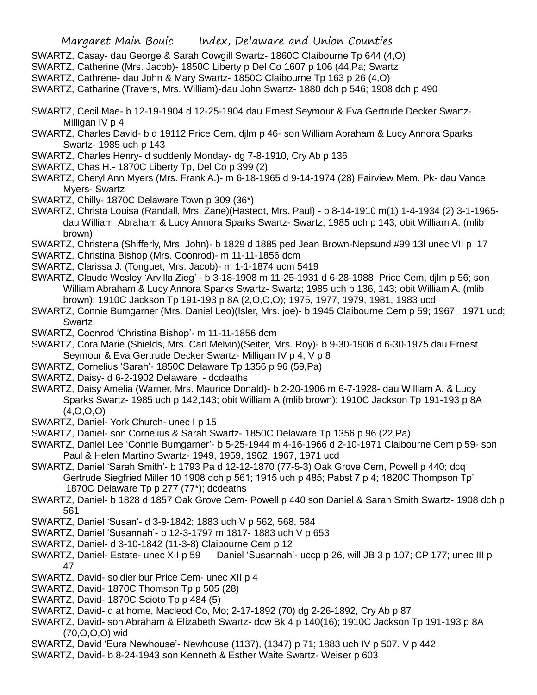- SWARTZ, Casay- dau George & Sarah Cowgill Swartz- 1860C Claibourne Tp 644 (4,O)
- SWARTZ, Catherine (Mrs. Jacob)- 1850C Liberty p Del Co 1607 p 106 (44,Pa; Swartz
- SWARTZ, Cathrene- dau John & Mary Swartz- 1850C Claibourne Tp 163 p 26 (4,O)
- SWARTZ, Catharine (Travers, Mrs. William)-dau John Swartz- 1880 dch p 546; 1908 dch p 490
- SWARTZ, Cecil Mae- b 12-19-1904 d 12-25-1904 dau Ernest Seymour & Eva Gertrude Decker Swartz-Milligan IV p 4
- SWARTZ, Charles David- b d 19112 Price Cem, djlm p 46- son William Abraham & Lucy Annora Sparks Swartz- 1985 uch p 143
- SWARTZ, Charles Henry- d suddenly Monday- dg 7-8-1910, Cry Ab p 136
- SWARTZ, Chas H.- 1870C Liberty Tp, Del Co p 399 (2)
- SWARTZ, Cheryl Ann Myers (Mrs. Frank A.)- m 6-18-1965 d 9-14-1974 (28) Fairview Mem. Pk- dau Vance Myers- Swartz
- SWARTZ, Chilly- 1870C Delaware Town p 309 (36\*)
- SWARTZ, Christa Louisa (Randall, Mrs. Zane)(Hastedt, Mrs. Paul) b 8-14-1910 m(1) 1-4-1934 (2) 3-1-1965 dau William Abraham & Lucy Annora Sparks Swartz- Swartz; 1985 uch p 143; obit William A. (mlib brown)
- SWARTZ, Christena (Shifferly, Mrs. John)- b 1829 d 1885 ped Jean Brown-Nepsund #99 13l unec VII p 17
- SWARTZ, Christina Bishop (Mrs. Coonrod)- m 11-11-1856 dcm
- SWARTZ, Clarissa J. (Tonguet, Mrs. Jacob)- m 1-1-1874 ucm 5419
- SWARTZ, Claude Wesley 'Arvilla Zieg' b 3-18-1908 m 11-25-1931 d 6-28-1988 Price Cem, djlm p 56; son William Abraham & Lucy Annora Sparks Swartz- Swartz; 1985 uch p 136, 143; obit William A. (mlib brown); 1910C Jackson Tp 191-193 p 8A (2,O,O,O); 1975, 1977, 1979, 1981, 1983 ucd
- SWARTZ, Connie Bumgarner (Mrs. Daniel Leo)(Isler, Mrs. joe)- b 1945 Claibourne Cem p 59; 1967, 1971 ucd; Swartz
- SWARTZ, Coonrod 'Christina Bishop'- m 11-11-1856 dcm
- SWARTZ, Cora Marie (Shields, Mrs. Carl Melvin)(Seiter, Mrs. Roy)- b 9-30-1906 d 6-30-1975 dau Ernest Seymour & Eva Gertrude Decker Swartz- Milligan IV p 4, V p 8
- SWARTZ, Cornelius 'Sarah'- 1850C Delaware Tp 1356 p 96 (59,Pa)
- SWARTZ, Daisy- d 6-2-1902 Delaware dcdeaths
- SWARTZ, Daisy Amelia (Warner, Mrs. Maurice Donald)- b 2-20-1906 m 6-7-1928- dau William A. & Lucy Sparks Swartz- 1985 uch p 142,143; obit William A.(mlib brown); 1910C Jackson Tp 191-193 p 8A (4,O,O,O)
- SWARTZ, Daniel- York Church- unec I p 15
- SWARTZ, Daniel- son Cornelius & Sarah Swartz- 1850C Delaware Tp 1356 p 96 (22,Pa)
- SWARTZ, Daniel Lee 'Connie Bumgarner'- b 5-25-1944 m 4-16-1966 d 2-10-1971 Claibourne Cem p 59- son Paul & Helen Martino Swartz- 1949, 1959, 1962, 1967, 1971 ucd
- SWARTZ, Daniel 'Sarah Smith'- b 1793 Pa d 12-12-1870 (77-5-3) Oak Grove Cem, Powell p 440; dcq Gertrude Siegfried Miller 10 1908 dch p 561; 1915 uch p 485; Pabst 7 p 4; 1820C Thompson Tp' 1870C Delaware Tp p 277 (77\*); dcdeaths
- SWARTZ, Daniel- b 1828 d 1857 Oak Grove Cem- Powell p 440 son Daniel & Sarah Smith Swartz- 1908 dch p 561
- SWARTZ, Daniel 'Susan'- d 3-9-1842; 1883 uch V p 562, 568, 584
- SWARTZ, Daniel 'Susannah'- b 12-3-1797 m 1817- 1883 uch V p 653
- SWARTZ, Daniel- d 3-10-1842 (11-3-8) Claibourne Cem p 12
- SWARTZ, Daniel- Estate- unec XII p 59 Daniel 'Susannah'- uccp p 26, will JB 3 p 107; CP 177; unec III p 47
- SWARTZ, David- soldier bur Price Cem- unec XII p 4
- SWARTZ, David- 1870C Thomson Tp p 505 (28)
- SWARTZ, David- 1870C Scioto Tp p 484 (5)
- SWARTZ, David- d at home, Macleod Co, Mo; 2-17-1892 (70) dg 2-26-1892, Cry Ab p 87
- SWARTZ, David- son Abraham & Elizabeth Swartz- dcw Bk 4 p 140(16); 1910C Jackson Tp 191-193 p 8A (70,O,O,O) wid
- SWARTZ, David 'Eura Newhouse'- Newhouse (1137), (1347) p 71; 1883 uch IV p 507. V p 442
- SWARTZ, David- b 8-24-1943 son Kenneth & Esther Waite Swartz- Weiser p 603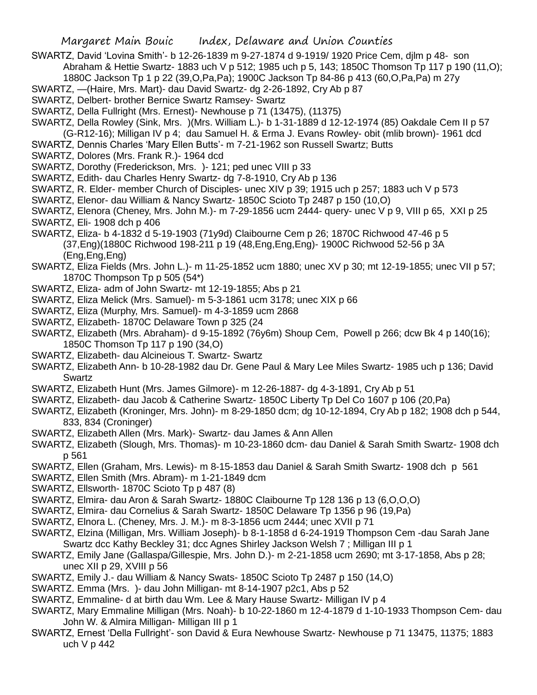- SWARTZ, David 'Lovina Smith'- b 12-26-1839 m 9-27-1874 d 9-1919/ 1920 Price Cem, djlm p 48- son Abraham & Hettie Swartz- 1883 uch V p 512; 1985 uch p 5, 143; 1850C Thomson Tp 117 p 190 (11,O); 1880C Jackson Tp 1 p 22 (39,O,Pa,Pa); 1900C Jackson Tp 84-86 p 413 (60,O,Pa,Pa) m 27y
- SWARTZ, —(Haire, Mrs. Mart)- dau David Swartz- dg 2-26-1892, Cry Ab p 87
- SWARTZ, Delbert- brother Bernice Swartz Ramsey- Swartz
- SWARTZ, Della Fullright (Mrs. Ernest)- Newhouse p 71 (13475), (11375)
- SWARTZ, Della Rowley (Sink, Mrs. )(Mrs. William L.)- b 1-31-1889 d 12-12-1974 (85) Oakdale Cem II p 57 (G-R12-16); Milligan IV p 4; dau Samuel H. & Erma J. Evans Rowley- obit (mlib brown)- 1961 dcd
- SWARTZ, Dennis Charles 'Mary Ellen Butts'- m 7-21-1962 son Russell Swartz; Butts
- SWARTZ, Dolores (Mrs. Frank R.)- 1964 dcd
- SWARTZ, Dorothy (Frederickson, Mrs. )- 121; ped unec VIII p 33
- SWARTZ, Edith- dau Charles Henry Swartz- dg 7-8-1910, Cry Ab p 136
- SWARTZ, R. Elder- member Church of Disciples- unec XIV p 39; 1915 uch p 257; 1883 uch V p 573
- SWARTZ, Elenor- dau William & Nancy Swartz- 1850C Scioto Tp 2487 p 150 (10,O)
- SWARTZ, Elenora (Cheney, Mrs. John M.)- m 7-29-1856 ucm 2444- query- unec V p 9, VIII p 65, XXI p 25 SWARTZ, Eli- 1908 dch p 406
- SWARTZ, Eliza- b 4-1832 d 5-19-1903 (71y9d) Claibourne Cem p 26; 1870C Richwood 47-46 p 5 (37,Eng)(1880C Richwood 198-211 p 19 (48,Eng,Eng,Eng)- 1900C Richwood 52-56 p 3A (Eng,Eng,Eng)
- SWARTZ, Eliza Fields (Mrs. John L.)- m 11-25-1852 ucm 1880; unec XV p 30; mt 12-19-1855; unec VII p 57; 1870C Thompson Tp p 505 (54\*)
- SWARTZ, Eliza- adm of John Swartz- mt 12-19-1855; Abs p 21
- SWARTZ, Eliza Melick (Mrs. Samuel)- m 5-3-1861 ucm 3178; unec XIX p 66
- SWARTZ, Eliza (Murphy, Mrs. Samuel)- m 4-3-1859 ucm 2868
- SWARTZ, Elizabeth- 1870C Delaware Town p 325 (24
- SWARTZ, Elizabeth (Mrs. Abraham)- d 9-15-1892 (76y6m) Shoup Cem, Powell p 266; dcw Bk 4 p 140(16); 1850C Thomson Tp 117 p 190 (34,O)
- SWARTZ, Elizabeth- dau Alcineious T. Swartz- Swartz
- SWARTZ, Elizabeth Ann- b 10-28-1982 dau Dr. Gene Paul & Mary Lee Miles Swartz- 1985 uch p 136; David Swartz
- SWARTZ, Elizabeth Hunt (Mrs. James Gilmore)- m 12-26-1887- dg 4-3-1891, Cry Ab p 51
- SWARTZ, Elizabeth- dau Jacob & Catherine Swartz- 1850C Liberty Tp Del Co 1607 p 106 (20,Pa)
- SWARTZ, Elizabeth (Kroninger, Mrs. John)- m 8-29-1850 dcm; dg 10-12-1894, Cry Ab p 182; 1908 dch p 544, 833, 834 (Croninger)
- SWARTZ, Elizabeth Allen (Mrs. Mark)- Swartz- dau James & Ann Allen
- SWARTZ, Elizabeth (Slough, Mrs. Thomas)- m 10-23-1860 dcm- dau Daniel & Sarah Smith Swartz- 1908 dch p 561
- SWARTZ, Ellen (Graham, Mrs. Lewis)- m 8-15-1853 dau Daniel & Sarah Smith Swartz- 1908 dch p 561
- SWARTZ, Ellen Smith (Mrs. Abram)- m 1-21-1849 dcm
- SWARTZ, Ellsworth- 1870C Scioto Tp p 487 (8)
- SWARTZ, Elmira- dau Aron & Sarah Swartz- 1880C Claibourne Tp 128 136 p 13 (6,O,O,O)
- SWARTZ, Elmira- dau Cornelius & Sarah Swartz- 1850C Delaware Tp 1356 p 96 (19,Pa)
- SWARTZ, Elnora L. (Cheney, Mrs. J. M.)- m 8-3-1856 ucm 2444; unec XVII p 71
- SWARTZ, Elzina (Milligan, Mrs. William Joseph)- b 8-1-1858 d 6-24-1919 Thompson Cem -dau Sarah Jane Swartz dcc Kathy Beckley 31; dcc Agnes Shirley Jackson Welsh 7 ; Milligan III p 1
- SWARTZ, Emily Jane (Gallaspa/Gillespie, Mrs. John D.)- m 2-21-1858 ucm 2690; mt 3-17-1858, Abs p 28; unec XII p 29, XVIII p 56
- SWARTZ, Emily J.- dau William & Nancy Swats- 1850C Scioto Tp 2487 p 150 (14,O)
- SWARTZ. Emma (Mrs. )- dau John Milligan- mt 8-14-1907 p2c1, Abs p 52
- SWARTZ, Emmaline- d at birth dau Wm. Lee & Mary Hause Swartz- Milligan IV p 4
- SWARTZ, Mary Emmaline Milligan (Mrs. Noah)- b 10-22-1860 m 12-4-1879 d 1-10-1933 Thompson Cem- dau John W. & Almira Milligan- Milligan III p 1
- SWARTZ, Ernest 'Della Fullright'- son David & Eura Newhouse Swartz- Newhouse p 71 13475, 11375; 1883 uch V p 442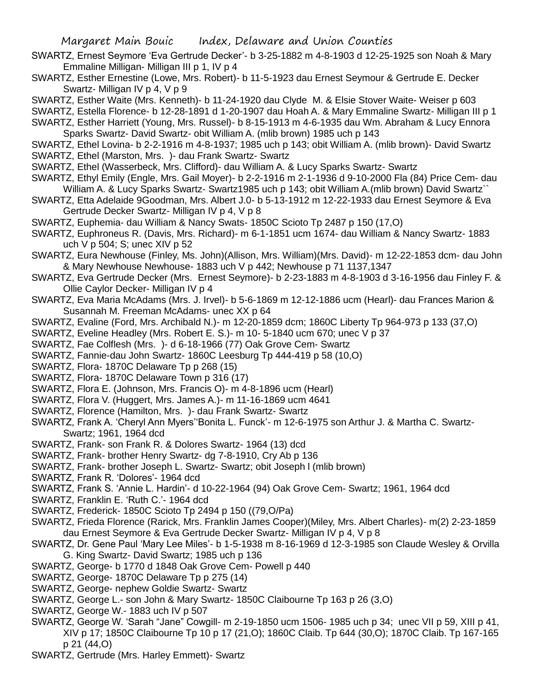- SWARTZ, Ernest Seymore 'Eva Gertrude Decker'- b 3-25-1882 m 4-8-1903 d 12-25-1925 son Noah & Mary Emmaline Milligan- Milligan III p 1, IV p 4
- SWARTZ, Esther Ernestine (Lowe, Mrs. Robert)- b 11-5-1923 dau Ernest Seymour & Gertrude E. Decker Swartz- Milligan IV p 4, V p 9
- SWARTZ, Esther Waite (Mrs. Kenneth)- b 11-24-1920 dau Clyde M. & Elsie Stover Waite- Weiser p 603
- SWARTZ, Estella Florence- b 12-28-1891 d 1-20-1907 dau Hoah A. & Mary Emmaline Swartz- Milligan III p 1
- SWARTZ, Esther Harriett (Young, Mrs. Russel)- b 8-15-1913 m 4-6-1935 dau Wm. Abraham & Lucy Ennora Sparks Swartz- David Swartz- obit William A. (mlib brown) 1985 uch p 143
- SWARTZ, Ethel Lovina- b 2-2-1916 m 4-8-1937; 1985 uch p 143; obit William A. (mlib brown)- David Swartz SWARTZ, Ethel (Marston, Mrs. )- dau Frank Swartz- Swartz
- SWARTZ, Ethel (Wasserbeck, Mrs. Clifford)- dau William A. & Lucy Sparks Swartz- Swartz
- SWARTZ, Ethyl Emily (Engle, Mrs. Gail Moyer)- b 2-2-1916 m 2-1-1936 d 9-10-2000 Fla (84) Price Cem- dau William A. & Lucy Sparks Swartz- Swartz1985 uch p 143; obit William A.(mlib brown) David Swartz``
- SWARTZ, Etta Adelaide 9Goodman, Mrs. Albert J.0- b 5-13-1912 m 12-22-1933 dau Ernest Seymore & Eva Gertrude Decker Swartz- Milligan IV p 4, V p 8
- SWARTZ, Euphemia- dau William & Nancy Swats- 1850C Scioto Tp 2487 p 150 (17,O)
- SWARTZ, Euphroneus R. (Davis, Mrs. Richard)- m 6-1-1851 ucm 1674- dau William & Nancy Swartz- 1883 uch V p 504; S; unec XIV p 52
- SWARTZ, Eura Newhouse (Finley, Ms. John)(Allison, Mrs. William)(Mrs. David)- m 12-22-1853 dcm- dau John & Mary Newhouse Newhouse- 1883 uch V p 442; Newhouse p 71 1137,1347
- SWARTZ, Eva Gertrude Decker (Mrs. Ernest Seymore)- b 2-23-1883 m 4-8-1903 d 3-16-1956 dau Finley F. & Ollie Caylor Decker- Milligan IV p 4
- SWARTZ, Eva Maria McAdams (Mrs. J. Irvel)- b 5-6-1869 m 12-12-1886 ucm (Hearl)- dau Frances Marion & Susannah M. Freeman McAdams- unec XX p 64
- SWARTZ, Evaline (Ford, Mrs. Archibald N.)- m 12-20-1859 dcm; 1860C Liberty Tp 964-973 p 133 (37,O)
- SWARTZ, Eveline Headley (Mrs. Robert E. S.)- m 10- 5-1840 ucm 670; unec V p 37
- SWARTZ, Fae Colflesh (Mrs. )- d 6-18-1966 (77) Oak Grove Cem- Swartz
- SWARTZ, Fannie-dau John Swartz- 1860C Leesburg Tp 444-419 p 58 (10,O)
- SWARTZ, Flora- 1870C Delaware Tp p 268 (15)
- SWARTZ, Flora- 1870C Delaware Town p 316 (17)
- SWARTZ, Flora E. (Johnson, Mrs. Francis O)- m 4-8-1896 ucm (Hearl)
- SWARTZ, Flora V. (Huggert, Mrs. James A.)- m 11-16-1869 ucm 4641
- SWARTZ, Florence (Hamilton, Mrs. )- dau Frank Swartz- Swartz
- SWARTZ, Frank A. 'Cheryl Ann Myers''Bonita L. Funck'- m 12-6-1975 son Arthur J. & Martha C. Swartz-Swartz; 1961, 1964 dcd
- SWARTZ, Frank- son Frank R. & Dolores Swartz- 1964 (13) dcd
- SWARTZ, Frank- brother Henry Swartz- dg 7-8-1910, Cry Ab p 136
- SWARTZ, Frank- brother Joseph L. Swartz- Swartz; obit Joseph l (mlib brown)
- SWARTZ, Frank R. 'Dolores'- 1964 dcd
- SWARTZ, Frank S. 'Annie L. Hardin'- d 10-22-1964 (94) Oak Grove Cem- Swartz; 1961, 1964 dcd
- SWARTZ, Franklin E. 'Ruth C.'- 1964 dcd
- SWARTZ, Frederick- 1850C Scioto Tp 2494 p 150 ((79,O/Pa)
- SWARTZ, Frieda Florence (Rarick, Mrs. Franklin James Cooper)(Miley, Mrs. Albert Charles)- m(2) 2-23-1859 dau Ernest Seymore & Eva Gertrude Decker Swartz- Milligan IV p 4, V p 8
- SWARTZ, Dr. Gene Paul 'Mary Lee Miles'- b 1-5-1938 m 8-16-1969 d 12-3-1985 son Claude Wesley & Orvilla G. King Swartz- David Swartz; 1985 uch p 136
- SWARTZ, George- b 1770 d 1848 Oak Grove Cem- Powell p 440
- SWARTZ, George- 1870C Delaware Tp p 275 (14)
- SWARTZ, George- nephew Goldie Swartz- Swartz
- SWARTZ, George L.- son John & Mary Swartz- 1850C Claibourne Tp 163 p 26 (3,O)
- SWARTZ, George W.- 1883 uch IV p 507
- SWARTZ, George W. 'Sarah "Jane" Cowgill- m 2-19-1850 ucm 1506- 1985 uch p 34; unec VII p 59, XIII p 41, XIV p 17; 1850C Claibourne Tp 10 p 17 (21,O); 1860C Claib. Tp 644 (30,O); 1870C Claib. Tp 167-165 p 21 (44,O)
- SWARTZ, Gertrude (Mrs. Harley Emmett)- Swartz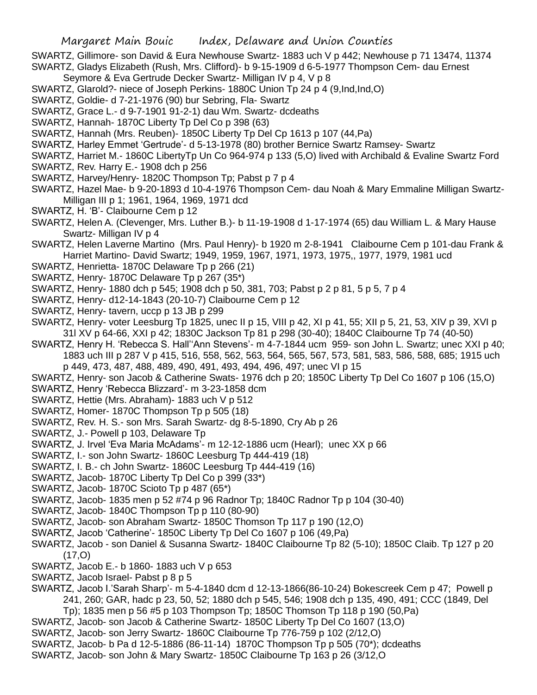SWARTZ, Gillimore- son David & Eura Newhouse Swartz- 1883 uch V p 442; Newhouse p 71 13474, 11374 SWARTZ, Gladys Elizabeth (Rush, Mrs. Clifford)- b 9-15-1909 d 6-5-1977 Thompson Cem- dau Ernest

- Seymore & Eva Gertrude Decker Swartz- Milligan IV p 4, V p 8
- SWARTZ, Glarold?- niece of Joseph Perkins- 1880C Union Tp 24 p 4 (9,Ind,Ind,O)
- SWARTZ, Goldie- d 7-21-1976 (90) bur Sebring, Fla- Swartz
- SWARTZ, Grace L.- d 9-7-1901 91-2-1) dau Wm. Swartz- dcdeaths
- SWARTZ, Hannah- 1870C Liberty Tp Del Co p 398 (63)
- SWARTZ, Hannah (Mrs. Reuben)- 1850C Liberty Tp Del Cp 1613 p 107 (44,Pa)
- SWARTZ, Harley Emmet 'Gertrude'- d 5-13-1978 (80) brother Bernice Swartz Ramsey- Swartz
- SWARTZ, Harriet M.- 1860C LibertyTp Un Co 964-974 p 133 (5,O) lived with Archibald & Evaline Swartz Ford
- SWARTZ, Rev. Harry E.- 1908 dch p 256
- SWARTZ, Harvey/Henry- 1820C Thompson Tp; Pabst p 7 p 4
- SWARTZ, Hazel Mae- b 9-20-1893 d 10-4-1976 Thompson Cem- dau Noah & Mary Emmaline Milligan Swartz-Milligan III p 1; 1961, 1964, 1969, 1971 dcd
- SWARTZ, H. 'B'- Claibourne Cem p 12
- SWARTZ, Helen A. (Clevenger, Mrs. Luther B.)- b 11-19-1908 d 1-17-1974 (65) dau William L. & Mary Hause Swartz- Milligan IV p 4
- SWARTZ, Helen Laverne Martino (Mrs. Paul Henry)- b 1920 m 2-8-1941 Claibourne Cem p 101-dau Frank & Harriet Martino- David Swartz; 1949, 1959, 1967, 1971, 1973, 1975,, 1977, 1979, 1981 ucd
- SWARTZ, Henrietta- 1870C Delaware Tp p 266 (21)
- SWARTZ, Henry- 1870C Delaware Tp p 267 (35\*)
- SWARTZ, Henry- 1880 dch p 545; 1908 dch p 50, 381, 703; Pabst p 2 p 81, 5 p 5, 7 p 4
- SWARTZ, Henry- d12-14-1843 (20-10-7) Claibourne Cem p 12
- SWARTZ, Henry- tavern, uccp p 13 JB p 299
- SWARTZ, Henry- voter Leesburg Tp 1825, unec II p 15, VIII p 42, XI p 41, 55; XII p 5, 21, 53, XIV p 39, XVI p 31l XV p 64-66, XXI p 42; 1830C Jackson Tp 81 p 298 (30-40); 1840C Claibourne Tp 74 (40-50)
- SWARTZ, Henry H. 'Rebecca S. Hall''Ann Stevens'- m 4-7-1844 ucm 959- son John L. Swartz; unec XXI p 40; 1883 uch III p 287 V p 415, 516, 558, 562, 563, 564, 565, 567, 573, 581, 583, 586, 588, 685; 1915 uch p 449, 473, 487, 488, 489, 490, 491, 493, 494, 496, 497; unec VI p 15
- SWARTZ, Henry- son Jacob & Catherine Swats- 1976 dch p 20; 1850C Liberty Tp Del Co 1607 p 106 (15,O)
- SWARTZ, Henry 'Rebecca Blizzard'- m 3-23-1858 dcm
- SWARTZ, Hettie (Mrs. Abraham)- 1883 uch V p 512
- SWARTZ, Homer- 1870C Thompson Tp p 505 (18)
- SWARTZ, Rev. H. S.- son Mrs. Sarah Swartz- dg 8-5-1890, Cry Ab p 26
- SWARTZ, J.- Powell p 103, Delaware Tp
- SWARTZ, J. Irvel 'Eva Maria McAdams'- m 12-12-1886 ucm (Hearl); unec XX p 66
- SWARTZ, I.- son John Swartz- 1860C Leesburg Tp 444-419 (18)
- SWARTZ, I. B.- ch John Swartz- 1860C Leesburg Tp 444-419 (16)
- SWARTZ, Jacob- 1870C Liberty Tp Del Co p 399 (33\*)
- SWARTZ, Jacob- 1870C Scioto Tp p 487 (65\*)
- SWARTZ, Jacob- 1835 men p 52 #74 p 96 Radnor Tp; 1840C Radnor Tp p 104 (30-40)
- SWARTZ, Jacob- 1840C Thompson Tp p 110 (80-90)
- SWARTZ, Jacob- son Abraham Swartz- 1850C Thomson Tp 117 p 190 (12,O)
- SWARTZ, Jacob 'Catherine'- 1850C Liberty Tp Del Co 1607 p 106 (49,Pa)
- SWARTZ, Jacob son Daniel & Susanna Swartz- 1840C Claibourne Tp 82 (5-10); 1850C Claib. Tp 127 p 20  $(17, 0)$
- SWARTZ, Jacob E.- b 1860- 1883 uch V p 653
- SWARTZ, Jacob Israel- Pabst p 8 p 5
- SWARTZ, Jacob I.'Sarah Sharp'- m 5-4-1840 dcm d 12-13-1866(86-10-24) Bokescreek Cem p 47; Powell p 241, 260; GAR, hadc p 23, 50, 52; 1880 dch p 545, 546; 1908 dch p 135, 490, 491; CCC (1849, Del
	- Tp); 1835 men p 56 #5 p 103 Thompson Tp; 1850C Thomson Tp 118 p 190 (50,Pa)
- SWARTZ, Jacob- son Jacob & Catherine Swartz- 1850C Liberty Tp Del Co 1607 (13,O)
- SWARTZ, Jacob- son Jerry Swartz- 1860C Claibourne Tp 776-759 p 102 (2/12,O)
- SWARTZ, Jacob- b Pa d 12-5-1886 (86-11-14) 1870C Thompson Tp p 505 (70\*); dcdeaths
- SWARTZ, Jacob- son John & Mary Swartz- 1850C Claibourne Tp 163 p 26 (3/12,O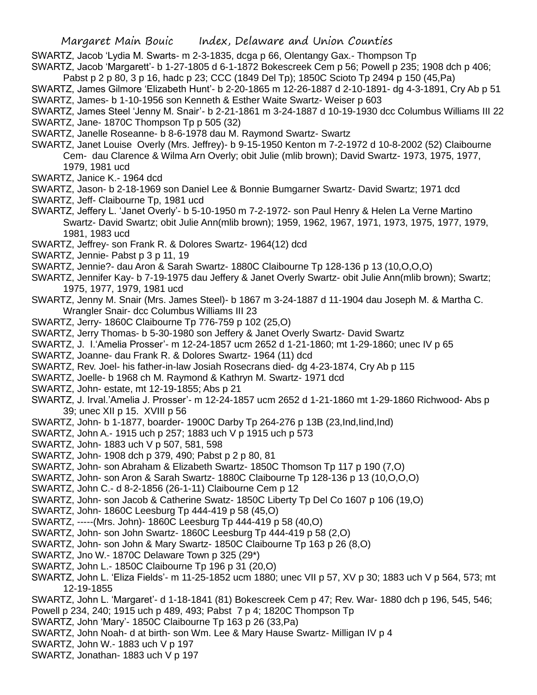SWARTZ, Jacob 'Lydia M. Swarts- m 2-3-1835, dcga p 66, Olentangy Gax.- Thompson Tp

SWARTZ, Jacob 'Margarett'- b 1-27-1805 d 6-1-1872 Bokescreek Cem p 56; Powell p 235; 1908 dch p 406; Pabst p 2 p 80, 3 p 16, hadc p 23; CCC (1849 Del Tp); 1850C Scioto Tp 2494 p 150 (45,Pa)

- SWARTZ, James Gilmore 'Elizabeth Hunt'- b 2-20-1865 m 12-26-1887 d 2-10-1891- dg 4-3-1891, Cry Ab p 51
- SWARTZ, James- b 1-10-1956 son Kenneth & Esther Waite Swartz- Weiser p 603
- SWARTZ, James Steel 'Jenny M. Snair'- b 2-21-1861 m 3-24-1887 d 10-19-1930 dcc Columbus Williams III 22 SWARTZ, Jane- 1870C Thompson Tp p 505 (32)
- SWARTZ, Janelle Roseanne- b 8-6-1978 dau M. Raymond Swartz- Swartz
- SWARTZ, Janet Louise Overly (Mrs. Jeffrey)- b 9-15-1950 Kenton m 7-2-1972 d 10-8-2002 (52) Claibourne Cem- dau Clarence & Wilma Arn Overly; obit Julie (mlib brown); David Swartz- 1973, 1975, 1977, 1979, 1981 ucd
- SWARTZ, Janice K.- 1964 dcd
- SWARTZ, Jason- b 2-18-1969 son Daniel Lee & Bonnie Bumgarner Swartz- David Swartz; 1971 dcd
- SWARTZ, Jeff- Claibourne Tp, 1981 ucd
- SWARTZ, Jeffery L. 'Janet Overly'- b 5-10-1950 m 7-2-1972- son Paul Henry & Helen La Verne Martino Swartz- David Swartz; obit Julie Ann(mlib brown); 1959, 1962, 1967, 1971, 1973, 1975, 1977, 1979, 1981, 1983 ucd
- SWARTZ, Jeffrey- son Frank R. & Dolores Swartz- 1964(12) dcd
- SWARTZ, Jennie- Pabst p 3 p 11, 19
- SWARTZ, Jennie?- dau Aron & Sarah Swartz- 1880C Claibourne Tp 128-136 p 13 (10,O,O,O)
- SWARTZ, Jennifer Kay- b 7-19-1975 dau Jeffery & Janet Overly Swartz- obit Julie Ann(mlib brown); Swartz; 1975, 1977, 1979, 1981 ucd
- SWARTZ, Jenny M. Snair (Mrs. James Steel)- b 1867 m 3-24-1887 d 11-1904 dau Joseph M. & Martha C. Wrangler Snair- dcc Columbus Williams III 23
- SWARTZ, Jerry- 1860C Claibourne Tp 776-759 p 102 (25,O)
- SWARTZ, Jerry Thomas- b 5-30-1980 son Jeffery & Janet Overly Swartz- David Swartz
- SWARTZ, J. I.'Amelia Prosser'- m 12-24-1857 ucm 2652 d 1-21-1860; mt 1-29-1860; unec IV p 65
- SWARTZ, Joanne- dau Frank R. & Dolores Swartz- 1964 (11) dcd
- SWARTZ, Rev. Joel- his father-in-law Josiah Rosecrans died- dg 4-23-1874, Cry Ab p 115
- SWARTZ, Joelle- b 1968 ch M. Raymond & Kathryn M. Swartz- 1971 dcd
- SWARTZ, John- estate, mt 12-19-1855; Abs p 21
- SWARTZ, J. Irval.'Amelia J. Prosser'- m 12-24-1857 ucm 2652 d 1-21-1860 mt 1-29-1860 Richwood- Abs p 39; unec XII p 15. XVIII p 56
- SWARTZ, John- b 1-1877, boarder- 1900C Darby Tp 264-276 p 13B (23,Ind,Iind,Ind)
- SWARTZ, John A.- 1915 uch p 257; 1883 uch V p 1915 uch p 573
- SWARTZ, John- 1883 uch V p 507, 581, 598
- SWARTZ, John- 1908 dch p 379, 490; Pabst p 2 p 80, 81
- SWARTZ, John- son Abraham & Elizabeth Swartz- 1850C Thomson Tp 117 p 190 (7,O)
- SWARTZ, John- son Aron & Sarah Swartz- 1880C Claibourne Tp 128-136 p 13 (10,O,O,O)
- SWARTZ, John C.- d 8-2-1856 (26-1-11) Claibourne Cem p 12
- SWARTZ, John- son Jacob & Catherine Swatz- 1850C Liberty Tp Del Co 1607 p 106 (19,O)
- SWARTZ, John- 1860C Leesburg Tp 444-419 p 58 (45,O)
- SWARTZ, -----(Mrs. John)- 1860C Leesburg Tp 444-419 p 58 (40,O)
- SWARTZ, John- son John Swartz- 1860C Leesburg Tp 444-419 p 58 (2,O)
- SWARTZ, John- son John & Mary Swartz- 1850C Claibourne Tp 163 p 26 (8,O)
- SWARTZ, Jno W.- 1870C Delaware Town p 325 (29\*)
- SWARTZ, John L.- 1850C Claibourne Tp 196 p 31 (20,O)
- SWARTZ, John L. 'Eliza Fields'- m 11-25-1852 ucm 1880; unec VII p 57, XV p 30; 1883 uch V p 564, 573; mt 12-19-1855
- SWARTZ, John L. 'Margaret'- d 1-18-1841 (81) Bokescreek Cem p 47; Rev. War- 1880 dch p 196, 545, 546;
- Powell p 234, 240; 1915 uch p 489, 493; Pabst 7 p 4; 1820C Thompson Tp
- SWARTZ, John 'Mary'- 1850C Claibourne Tp 163 p 26 (33,Pa)
- SWARTZ, John Noah- d at birth- son Wm. Lee & Mary Hause Swartz- Milligan IV p 4
- SWARTZ, John W.- 1883 uch V p 197
- SWARTZ, Jonathan- 1883 uch V p 197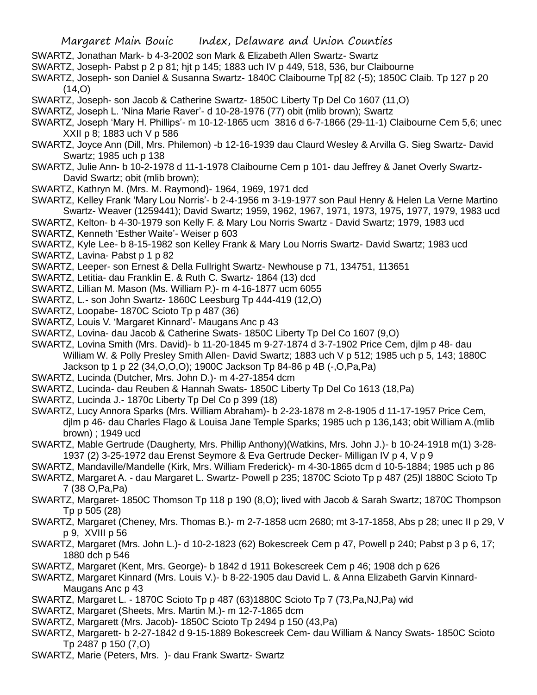- SWARTZ, Jonathan Mark- b 4-3-2002 son Mark & Elizabeth Allen Swartz- Swartz
- SWARTZ, Joseph- Pabst p 2 p 81; hjt p 145; 1883 uch IV p 449, 518, 536, bur Claibourne
- SWARTZ, Joseph- son Daniel & Susanna Swartz- 1840C Claibourne Tp[ 82 (-5); 1850C Claib. Tp 127 p 20  $(14, 0)$
- SWARTZ, Joseph- son Jacob & Catherine Swartz- 1850C Liberty Tp Del Co 1607 (11,O)
- SWARTZ, Joseph L. 'Nina Marie Raver'- d 10-28-1976 (77) obit (mlib brown); Swartz
- SWARTZ, Joseph 'Mary H. Phillips'- m 10-12-1865 ucm 3816 d 6-7-1866 (29-11-1) Claibourne Cem 5,6; unec XXII p 8; 1883 uch V p 586
- SWARTZ, Joyce Ann (Dill, Mrs. Philemon) -b 12-16-1939 dau Claurd Wesley & Arvilla G. Sieg Swartz- David Swartz; 1985 uch p 138
- SWARTZ, Julie Ann- b 10-2-1978 d 11-1-1978 Claibourne Cem p 101- dau Jeffrey & Janet Overly Swartz-David Swartz; obit (mlib brown);
- SWARTZ, Kathryn M. (Mrs. M. Raymond)- 1964, 1969, 1971 dcd
- SWARTZ, Kelley Frank 'Mary Lou Norris'- b 2-4-1956 m 3-19-1977 son Paul Henry & Helen La Verne Martino Swartz- Weaver (1259441); David Swartz; 1959, 1962, 1967, 1971, 1973, 1975, 1977, 1979, 1983 ucd
- SWARTZ, Kelton- b 4-30-1979 son Kelly F. & Mary Lou Norris Swartz David Swartz; 1979, 1983 ucd SWARTZ, Kenneth 'Esther Waite'- Weiser p 603
- SWARTZ, Kyle Lee- b 8-15-1982 son Kelley Frank & Mary Lou Norris Swartz- David Swartz; 1983 ucd
- SWARTZ, Lavina- Pabst p 1 p 82
- SWARTZ, Leeper- son Ernest & Della Fullright Swartz- Newhouse p 71, 134751, 113651
- SWARTZ, Letitia- dau Franklin E. & Ruth C. Swartz- 1864 (13) dcd
- SWARTZ, Lillian M. Mason (Ms. William P.)- m 4-16-1877 ucm 6055
- SWARTZ, L.- son John Swartz- 1860C Leesburg Tp 444-419 (12,O)
- SWARTZ, Loopabe- 1870C Scioto Tp p 487 (36)
- SWARTZ, Louis V. 'Margaret Kinnard'- Maugans Anc p 43
- SWARTZ, Lovina- dau Jacob & Catherine Swats- 1850C Liberty Tp Del Co 1607 (9,O)
- SWARTZ, Lovina Smith (Mrs. David)- b 11-20-1845 m 9-27-1874 d 3-7-1902 Price Cem, djlm p 48- dau William W. & Polly Presley Smith Allen- David Swartz; 1883 uch V p 512; 1985 uch p 5, 143; 1880C Jackson tp 1 p 22 (34,O,O,O); 1900C Jackson Tp 84-86 p 4B (-,O,Pa,Pa)
- SWARTZ, Lucinda (Dutcher, Mrs. John D.)- m 4-27-1854 dcm
- SWARTZ, Lucinda- dau Reuben & Hannah Swats- 1850C Liberty Tp Del Co 1613 (18,Pa)
- SWARTZ, Lucinda J.- 1870c Liberty Tp Del Co p 399 (18)
- SWARTZ, Lucy Annora Sparks (Mrs. William Abraham)- b 2-23-1878 m 2-8-1905 d 11-17-1957 Price Cem, djlm p 46- dau Charles Flago & Louisa Jane Temple Sparks; 1985 uch p 136,143; obit William A.(mlib brown) ; 1949 ucd
- SWARTZ, Mable Gertrude (Daugherty, Mrs. Phillip Anthony)(Watkins, Mrs. John J.)- b 10-24-1918 m(1) 3-28- 1937 (2) 3-25-1972 dau Erenst Seymore & Eva Gertrude Decker- Milligan IV p 4, V p 9
- SWARTZ, Mandaville/Mandelle (Kirk, Mrs. William Frederick)- m 4-30-1865 dcm d 10-5-1884; 1985 uch p 86
- SWARTZ, Margaret A. dau Margaret L. Swartz- Powell p 235; 1870C Scioto Tp p 487 (25)l 1880C Scioto Tp 7 (38 O,Pa,Pa)
- SWARTZ, Margaret- 1850C Thomson Tp 118 p 190 (8,O); lived with Jacob & Sarah Swartz; 1870C Thompson Tp p 505 (28)
- SWARTZ, Margaret (Cheney, Mrs. Thomas B.)- m 2-7-1858 ucm 2680; mt 3-17-1858, Abs p 28; unec II p 29, V p 9, XVIII p 56
- SWARTZ, Margaret (Mrs. John L.)- d 10-2-1823 (62) Bokescreek Cem p 47, Powell p 240; Pabst p 3 p 6, 17; 1880 dch p 546
- SWARTZ, Margaret (Kent, Mrs. George)- b 1842 d 1911 Bokescreek Cem p 46; 1908 dch p 626
- SWARTZ, Margaret Kinnard (Mrs. Louis V.)- b 8-22-1905 dau David L. & Anna Elizabeth Garvin Kinnard-Maugans Anc p 43
- SWARTZ, Margaret L. 1870C Scioto Tp p 487 (63)1880C Scioto Tp 7 (73,Pa,NJ,Pa) wid
- SWARTZ, Margaret (Sheets, Mrs. Martin M.)- m 12-7-1865 dcm
- SWARTZ, Margarett (Mrs. Jacob)- 1850C Scioto Tp 2494 p 150 (43,Pa)
- SWARTZ, Margarett- b 2-27-1842 d 9-15-1889 Bokescreek Cem- dau William & Nancy Swats- 1850C Scioto Tp 2487 p 150 (7,O)
- SWARTZ, Marie (Peters, Mrs. )- dau Frank Swartz- Swartz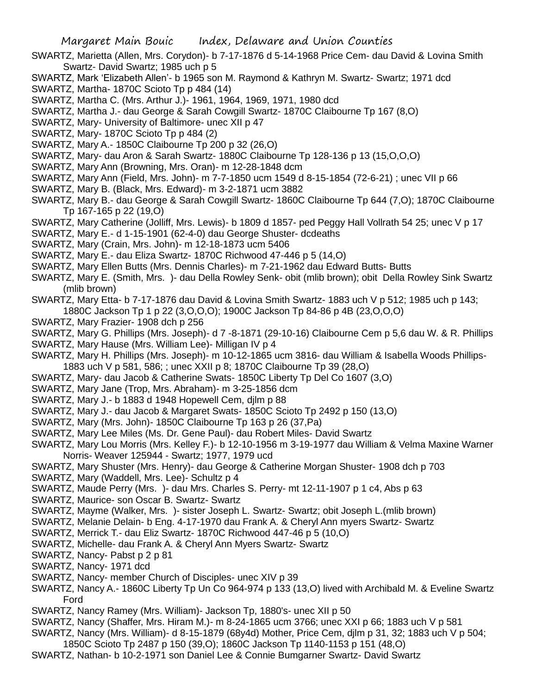- SWARTZ, Marietta (Allen, Mrs. Corydon)- b 7-17-1876 d 5-14-1968 Price Cem- dau David & Lovina Smith Swartz- David Swartz; 1985 uch p 5
- SWARTZ, Mark 'Elizabeth Allen'- b 1965 son M. Raymond & Kathryn M. Swartz- Swartz; 1971 dcd
- SWARTZ, Martha- 1870C Scioto Tp p 484 (14)
- SWARTZ, Martha C. (Mrs. Arthur J.)- 1961, 1964, 1969, 1971, 1980 dcd
- SWARTZ, Martha J.- dau George & Sarah Cowgill Swartz- 1870C Claibourne Tp 167 (8,O)
- SWARTZ, Mary- University of Baltimore- unec XII p 47
- SWARTZ, Mary- 1870C Scioto Tp p 484 (2)
- SWARTZ, Mary A.- 1850C Claibourne Tp 200 p 32 (26,O)
- SWARTZ, Mary- dau Aron & Sarah Swartz- 1880C Claibourne Tp 128-136 p 13 (15,O,O,O)
- SWARTZ, Mary Ann (Browning, Mrs. Oran)- m 12-28-1848 dcm
- SWARTZ, Mary Ann (Field, Mrs. John)- m 7-7-1850 ucm 1549 d 8-15-1854 (72-6-21) ; unec VII p 66
- SWARTZ, Mary B. (Black, Mrs. Edward)- m 3-2-1871 ucm 3882
- SWARTZ, Mary B.- dau George & Sarah Cowgill Swartz- 1860C Claibourne Tp 644 (7,O); 1870C Claibourne Tp 167-165 p 22 (19,O)
- SWARTZ, Mary Catherine (Jolliff, Mrs. Lewis)- b 1809 d 1857- ped Peggy Hall Vollrath 54 25; unec V p 17
- SWARTZ, Mary E.- d 1-15-1901 (62-4-0) dau George Shuster- dcdeaths
- SWARTZ, Mary (Crain, Mrs. John)- m 12-18-1873 ucm 5406
- SWARTZ, Mary E.- dau Eliza Swartz- 1870C Richwood 47-446 p 5 (14,O)
- SWARTZ, Mary Ellen Butts (Mrs. Dennis Charles)- m 7-21-1962 dau Edward Butts- Butts
- SWARTZ, Mary E. (Smith, Mrs. )- dau Della Rowley Senk- obit (mlib brown); obit Della Rowley Sink Swartz (mlib brown)
- SWARTZ, Mary Etta- b 7-17-1876 dau David & Lovina Smith Swartz- 1883 uch V p 512; 1985 uch p 143;
	- 1880C Jackson Tp 1 p 22 (3,O,O,O); 1900C Jackson Tp 84-86 p 4B (23,O,O,O)
- SWARTZ, Mary Frazier- 1908 dch p 256
- SWARTZ, Mary G. Phillips (Mrs. Joseph)- d 7 -8-1871 (29-10-16) Claibourne Cem p 5,6 dau W. & R. Phillips
- SWARTZ, Mary Hause (Mrs. William Lee)- Milligan IV p 4
- SWARTZ, Mary H. Phillips (Mrs. Joseph)- m 10-12-1865 ucm 3816- dau William & Isabella Woods Phillips-1883 uch V p 581, 586; ; unec XXII p 8; 1870C Claibourne Tp 39 (28,O)
- SWARTZ, Mary- dau Jacob & Catherine Swats- 1850C Liberty Tp Del Co 1607 (3,O)
- SWARTZ, Mary Jane (Trop, Mrs. Abraham)- m 3-25-1856 dcm
- SWARTZ, Mary J.- b 1883 d 1948 Hopewell Cem, djlm p 88
- SWARTZ, Mary J.- dau Jacob & Margaret Swats- 1850C Scioto Tp 2492 p 150 (13,O)
- SWARTZ, Mary (Mrs. John)- 1850C Claibourne Tp 163 p 26 (37,Pa)
- SWARTZ, Mary Lee Miles (Ms. Dr. Gene Paul)- dau Robert Miles- David Swartz
- SWARTZ, Mary Lou Morris (Mrs. Kelley F.)- b 12-10-1956 m 3-19-1977 dau William & Velma Maxine Warner Norris- Weaver 125944 - Swartz; 1977, 1979 ucd
- SWARTZ, Mary Shuster (Mrs. Henry)- dau George & Catherine Morgan Shuster- 1908 dch p 703
- SWARTZ, Mary (Waddell, Mrs. Lee)- Schultz p 4
- SWARTZ, Maude Perry (Mrs. )- dau Mrs. Charles S. Perry- mt 12-11-1907 p 1 c4, Abs p 63
- SWARTZ, Maurice- son Oscar B. Swartz- Swartz
- SWARTZ, Mayme (Walker, Mrs. )- sister Joseph L. Swartz- Swartz; obit Joseph L.(mlib brown)
- SWARTZ, Melanie Delain- b Eng. 4-17-1970 dau Frank A. & Cheryl Ann myers Swartz- Swartz
- SWARTZ, Merrick T.- dau Eliz Swartz- 1870C Richwood 447-46 p 5 (10,O)
- SWARTZ, Michelle- dau Frank A. & Cheryl Ann Myers Swartz- Swartz
- SWARTZ, Nancy- Pabst p 2 p 81
- SWARTZ, Nancy- 1971 dcd
- SWARTZ, Nancy- member Church of Disciples- unec XIV p 39
- SWARTZ, Nancy A.- 1860C Liberty Tp Un Co 964-974 p 133 (13,O) lived with Archibald M. & Eveline Swartz Ford
- SWARTZ, Nancy Ramey (Mrs. William)- Jackson Tp, 1880's- unec XII p 50
- SWARTZ, Nancy (Shaffer, Mrs. Hiram M.)- m 8-24-1865 ucm 3766; unec XXI p 66; 1883 uch V p 581
- SWARTZ, Nancy (Mrs. William)- d 8-15-1879 (68y4d) Mother, Price Cem, djlm p 31, 32; 1883 uch V p 504;
- 1850C Scioto Tp 2487 p 150 (39,O); 1860C Jackson Tp 1140-1153 p 151 (48,O)
- SWARTZ, Nathan- b 10-2-1971 son Daniel Lee & Connie Bumgarner Swartz- David Swartz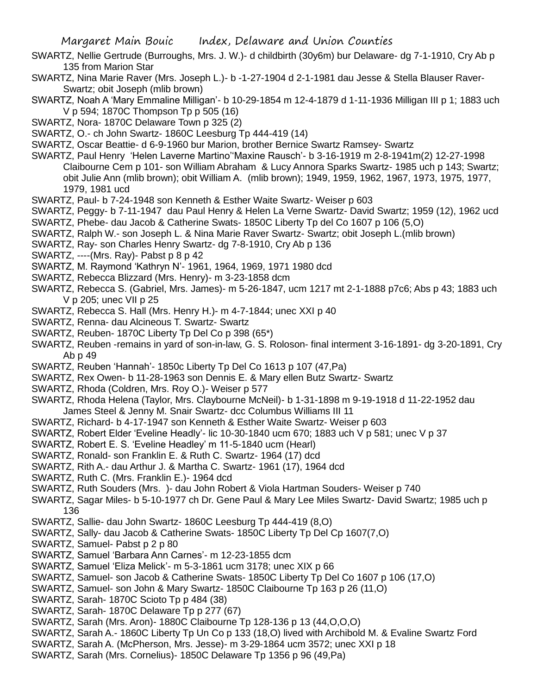- SWARTZ, Nellie Gertrude (Burroughs, Mrs. J. W.)- d childbirth (30y6m) bur Delaware- dg 7-1-1910, Cry Ab p 135 from Marion Star
- SWARTZ, Nina Marie Raver (Mrs. Joseph L.)- b -1-27-1904 d 2-1-1981 dau Jesse & Stella Blauser Raver-Swartz; obit Joseph (mlib brown)
- SWARTZ, Noah A 'Mary Emmaline Milligan'- b 10-29-1854 m 12-4-1879 d 1-11-1936 Milligan III p 1; 1883 uch V p 594; 1870C Thompson Tp p 505 (16)
- SWARTZ, Nora- 1870C Delaware Town p 325 (2)
- SWARTZ, O.- ch John Swartz- 1860C Leesburg Tp 444-419 (14)
- SWARTZ, Oscar Beattie- d 6-9-1960 bur Marion, brother Bernice Swartz Ramsey- Swartz
- SWARTZ, Paul Henry 'Helen Laverne Martino''Maxine Rausch'- b 3-16-1919 m 2-8-1941m(2) 12-27-1998 Claibourne Cem p 101- son William Abraham & Lucy Annora Sparks Swartz- 1985 uch p 143; Swartz; obit Julie Ann (mlib brown); obit William A. (mlib brown); 1949, 1959, 1962, 1967, 1973, 1975, 1977, 1979, 1981 ucd
- SWARTZ, Paul- b 7-24-1948 son Kenneth & Esther Waite Swartz- Weiser p 603
- SWARTZ, Peggy- b 7-11-1947 dau Paul Henry & Helen La Verne Swartz- David Swartz; 1959 (12), 1962 ucd
- SWARTZ, Phebe- dau Jacob & Catherine Swats- 1850C Liberty Tp del Co 1607 p 106 (5,O)
- SWARTZ, Ralph W.- son Joseph L. & Nina Marie Raver Swartz- Swartz; obit Joseph L.(mlib brown)
- SWARTZ, Ray- son Charles Henry Swartz- dg 7-8-1910, Cry Ab p 136
- SWARTZ, ----(Mrs. Ray)- Pabst p 8 p 42
- SWARTZ, M. Raymond 'Kathryn N'- 1961, 1964, 1969, 1971 1980 dcd
- SWARTZ, Rebecca Blizzard (Mrs. Henry)- m 3-23-1858 dcm
- SWARTZ, Rebecca S. (Gabriel, Mrs. James)- m 5-26-1847, ucm 1217 mt 2-1-1888 p7c6; Abs p 43; 1883 uch V p 205; unec VII p 25
- SWARTZ, Rebecca S. Hall (Mrs. Henry H.)- m 4-7-1844; unec XXI p 40
- SWARTZ, Renna- dau Alcineous T. Swartz- Swartz
- SWARTZ, Reuben- 1870C Liberty Tp Del Co p 398 (65\*)
- SWARTZ, Reuben -remains in yard of son-in-law, G. S. Roloson- final interment 3-16-1891- dg 3-20-1891, Cry Ab p 49
- SWARTZ, Reuben 'Hannah'- 1850c Liberty Tp Del Co 1613 p 107 (47,Pa)
- SWARTZ, Rex Owen- b 11-28-1963 son Dennis E. & Mary ellen Butz Swartz- Swartz
- SWARTZ, Rhoda (Coldren, Mrs. Roy O.)- Weiser p 577
- SWARTZ, Rhoda Helena (Taylor, Mrs. Claybourne McNeil)- b 1-31-1898 m 9-19-1918 d 11-22-1952 dau James Steel & Jenny M. Snair Swartz- dcc Columbus Williams III 11
- SWARTZ, Richard- b 4-17-1947 son Kenneth & Esther Waite Swartz- Weiser p 603
- SWARTZ, Robert Elder 'Eveline Headly'- lic 10-30-1840 ucm 670; 1883 uch V p 581; unec V p 37
- SWARTZ, Robert E. S. 'Eveline Headley' m 11-5-1840 ucm (Hearl)
- SWARTZ, Ronald- son Franklin E. & Ruth C. Swartz- 1964 (17) dcd
- SWARTZ, Rith A.- dau Arthur J. & Martha C. Swartz- 1961 (17), 1964 dcd
- SWARTZ, Ruth C. (Mrs. Franklin E.)- 1964 dcd
- SWARTZ, Ruth Souders (Mrs. )- dau John Robert & Viola Hartman Souders- Weiser p 740
- SWARTZ, Sagar Miles- b 5-10-1977 ch Dr. Gene Paul & Mary Lee Miles Swartz- David Swartz; 1985 uch p 136
- SWARTZ, Sallie- dau John Swartz- 1860C Leesburg Tp 444-419 (8,O)
- SWARTZ, Sally- dau Jacob & Catherine Swats- 1850C Liberty Tp Del Cp 1607(7,O)
- SWARTZ, Samuel- Pabst p 2 p 80
- SWARTZ, Samuel 'Barbara Ann Carnes'- m 12-23-1855 dcm
- SWARTZ, Samuel 'Eliza Melick'- m 5-3-1861 ucm 3178; unec XIX p 66
- SWARTZ, Samuel- son Jacob & Catherine Swats- 1850C Liberty Tp Del Co 1607 p 106 (17,O)
- SWARTZ, Samuel- son John & Mary Swartz- 1850C Claibourne Tp 163 p 26 (11,O)
- SWARTZ, Sarah- 1870C Scioto Tp p 484 (38)
- SWARTZ, Sarah- 1870C Delaware Tp p 277 (67)
- SWARTZ, Sarah (Mrs. Aron)- 1880C Claibourne Tp 128-136 p 13 (44,O,O,O)
- SWARTZ, Sarah A.- 1860C Liberty Tp Un Co p 133 (18,O) lived with Archibold M. & Evaline Swartz Ford
- SWARTZ, Sarah A. (McPherson, Mrs. Jesse)- m 3-29-1864 ucm 3572; unec XXI p 18
- SWARTZ, Sarah (Mrs. Cornelius)- 1850C Delaware Tp 1356 p 96 (49,Pa)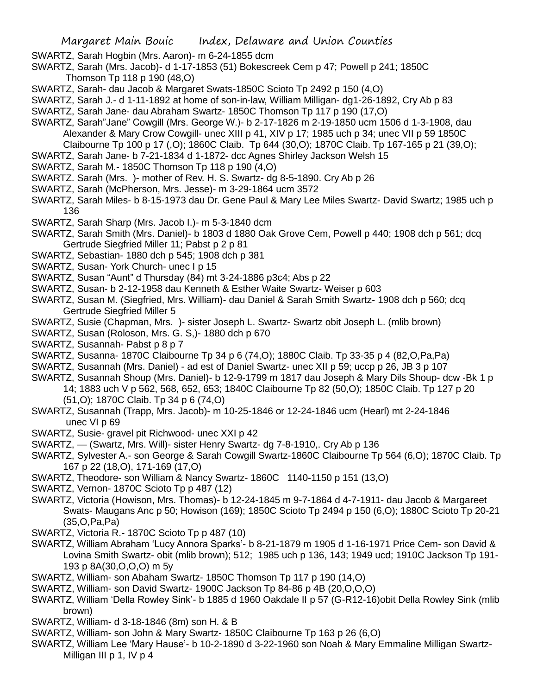- SWARTZ, Sarah Hogbin (Mrs. Aaron)- m 6-24-1855 dcm
- SWARTZ, Sarah (Mrs. Jacob)- d 1-17-1853 (51) Bokescreek Cem p 47; Powell p 241; 1850C Thomson Tp 118 p 190 (48,O)
- SWARTZ, Sarah- dau Jacob & Margaret Swats-1850C Scioto Tp 2492 p 150 (4,O)
- SWARTZ, Sarah J.- d 1-11-1892 at home of son-in-law, William Milligan- dg1-26-1892, Cry Ab p 83
- SWARTZ, Sarah Jane- dau Abraham Swartz- 1850C Thomson Tp 117 p 190 (17,O)
- SWARTZ, Sarah"Jane" Cowgill (Mrs. George W.)- b 2-17-1826 m 2-19-1850 ucm 1506 d 1-3-1908, dau Alexander & Mary Crow Cowgill- unec XIII p 41, XIV p 17; 1985 uch p 34; unec VII p 59 1850C Claibourne Tp 100 p 17 (,O); 1860C Claib. Tp 644 (30,O); 1870C Claib. Tp 167-165 p 21 (39,O);
- SWARTZ, Sarah Jane- b 7-21-1834 d 1-1872- dcc Agnes Shirley Jackson Welsh 15
- SWARTZ, Sarah M.- 1850C Thomson Tp 118 p 190 (4,O)
- SWARTZ. Sarah (Mrs. )- mother of Rev. H. S. Swartz- dg 8-5-1890. Cry Ab p 26
- SWARTZ, Sarah (McPherson, Mrs. Jesse)- m 3-29-1864 ucm 3572
- SWARTZ, Sarah Miles- b 8-15-1973 dau Dr. Gene Paul & Mary Lee Miles Swartz- David Swartz; 1985 uch p 136
- SWARTZ, Sarah Sharp (Mrs. Jacob I.)- m 5-3-1840 dcm
- SWARTZ, Sarah Smith (Mrs. Daniel)- b 1803 d 1880 Oak Grove Cem, Powell p 440; 1908 dch p 561; dcq Gertrude Siegfried Miller 11; Pabst p 2 p 81
- SWARTZ, Sebastian- 1880 dch p 545; 1908 dch p 381
- SWARTZ, Susan- York Church- unec I p 15
- SWARTZ, Susan "Aunt" d Thursday (84) mt 3-24-1886 p3c4; Abs p 22
- SWARTZ, Susan- b 2-12-1958 dau Kenneth & Esther Waite Swartz- Weiser p 603
- SWARTZ, Susan M. (Siegfried, Mrs. William)- dau Daniel & Sarah Smith Swartz- 1908 dch p 560; dcq Gertrude Siegfried Miller 5
- SWARTZ, Susie (Chapman, Mrs. )- sister Joseph L. Swartz- Swartz obit Joseph L. (mlib brown)
- SWARTZ, Susan (Roloson, Mrs. G. S,)- 1880 dch p 670
- SWARTZ, Susannah- Pabst p 8 p 7
- SWARTZ, Susanna- 1870C Claibourne Tp 34 p 6 (74,O); 1880C Claib. Tp 33-35 p 4 (82,O,Pa,Pa)
- SWARTZ, Susannah (Mrs. Daniel) ad est of Daniel Swartz- unec XII p 59; uccp p 26, JB 3 p 107
- SWARTZ, Susannah Shoup (Mrs. Daniel)- b 12-9-1799 m 1817 dau Joseph & Mary Dils Shoup- dcw -Bk 1 p 14; 1883 uch V p 562, 568, 652, 653; 1840C Claibourne Tp 82 (50,O); 1850C Claib. Tp 127 p 20 (51,O); 1870C Claib. Tp 34 p 6 (74,O)
- SWARTZ, Susannah (Trapp, Mrs. Jacob)- m 10-25-1846 or 12-24-1846 ucm (Hearl) mt 2-24-1846 unec VI p 69
- SWARTZ, Susie- gravel pit Richwood- unec XXI p 42
- SWARTZ, (Swartz, Mrs. Will)- sister Henry Swartz- dg 7-8-1910,. Cry Ab p 136
- SWARTZ, Sylvester A.- son George & Sarah Cowgill Swartz-1860C Claibourne Tp 564 (6,O); 1870C Claib. Tp 167 p 22 (18,O), 171-169 (17,O)
- SWARTZ, Theodore- son William & Nancy Swartz- 1860C 1140-1150 p 151 (13,O)
- SWARTZ, Vernon- 1870C Scioto Tp p 487 (12)
- SWARTZ, Victoria (Howison, Mrs. Thomas)- b 12-24-1845 m 9-7-1864 d 4-7-1911- dau Jacob & Margareet Swats- Maugans Anc p 50; Howison (169); 1850C Scioto Tp 2494 p 150 (6,O); 1880C Scioto Tp 20-21 (35,O,Pa,Pa)
- SWARTZ, Victoria R.- 1870C Scioto Tp p 487 (10)
- SWARTZ, William Abraham 'Lucy Annora Sparks'- b 8-21-1879 m 1905 d 1-16-1971 Price Cem- son David & Lovina Smith Swartz- obit (mlib brown); 512; 1985 uch p 136, 143; 1949 ucd; 1910C Jackson Tp 191- 193 p 8A(30,O,O,O) m 5y
- SWARTZ, William- son Abaham Swartz- 1850C Thomson Tp 117 p 190 (14,O)
- SWARTZ, William- son David Swartz- 1900C Jackson Tp 84-86 p 4B (20,O,O,O)
- SWARTZ, William 'Della Rowley Sink'- b 1885 d 1960 Oakdale II p 57 (G-R12-16)obit Della Rowley Sink (mlib brown)
- SWARTZ, William- d 3-18-1846 (8m) son H. & B
- SWARTZ, William- son John & Mary Swartz- 1850C Claibourne Tp 163 p 26 (6,O)
- SWARTZ, William Lee 'Mary Hause'- b 10-2-1890 d 3-22-1960 son Noah & Mary Emmaline Milligan Swartz-Milligan III p 1, IV p 4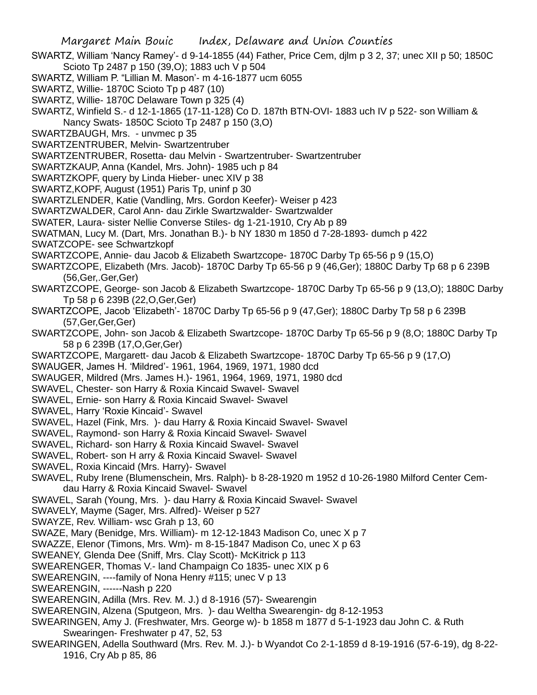SWARTZ, William 'Nancy Ramey'- d 9-14-1855 (44) Father, Price Cem, djlm p 3 2, 37; unec XII p 50; 1850C Scioto Tp 2487 p 150 (39,O); 1883 uch V p 504

- SWARTZ, William P. "Lillian M. Mason'- m 4-16-1877 ucm 6055
- SWARTZ, Willie- 1870C Scioto Tp p 487 (10)
- SWARTZ, Willie- 1870C Delaware Town p 325 (4)
- SWARTZ, Winfield S.- d 12-1-1865 (17-11-128) Co D. 187th BTN-OVI- 1883 uch IV p 522- son William &
- Nancy Swats- 1850C Scioto Tp 2487 p 150 (3,O)
- SWARTZBAUGH, Mrs. unvmec p 35
- SWARTZENTRUBER, Melvin- Swartzentruber
- SWARTZENTRUBER, Rosetta- dau Melvin Swartzentruber- Swartzentruber
- SWARTZKAUP, Anna (Kandel, Mrs. John)- 1985 uch p 84
- SWARTZKOPF, query by Linda Hieber- unec XIV p 38
- SWARTZ,KOPF, August (1951) Paris Tp, uninf p 30
- SWARTZLENDER, Katie (Vandling, Mrs. Gordon Keefer)- Weiser p 423
- SWARTZWALDER, Carol Ann- dau Zirkle Swartzwalder- Swartzwalder
- SWATER, Laura- sister Nellie Converse Stiles- dg 1-21-1910, Cry Ab p 89
- SWATMAN, Lucy M. (Dart, Mrs. Jonathan B.)- b NY 1830 m 1850 d 7-28-1893- dumch p 422
- SWATZCOPE- see Schwartzkopf
- SWARTZCOPE, Annie- dau Jacob & Elizabeth Swartzcope- 1870C Darby Tp 65-56 p 9 (15,O)
- SWARTZCOPE, Elizabeth (Mrs. Jacob)- 1870C Darby Tp 65-56 p 9 (46,Ger); 1880C Darby Tp 68 p 6 239B (56,Ger,.Ger,Ger)
- SWARTZCOPE, George- son Jacob & Elizabeth Swartzcope- 1870C Darby Tp 65-56 p 9 (13,O); 1880C Darby Tp 58 p 6 239B (22,O,Ger,Ger)
- SWARTZCOPE, Jacob 'Elizabeth'- 1870C Darby Tp 65-56 p 9 (47,Ger); 1880C Darby Tp 58 p 6 239B (57,Ger,Ger,Ger)
- SWARTZCOPE, John- son Jacob & Elizabeth Swartzcope- 1870C Darby Tp 65-56 p 9 (8,O; 1880C Darby Tp 58 p 6 239B (17,O,Ger,Ger)
- SWARTZCOPE, Margarett- dau Jacob & Elizabeth Swartzcope- 1870C Darby Tp 65-56 p 9 (17,O)
- SWAUGER, James H. 'Mildred'- 1961, 1964, 1969, 1971, 1980 dcd
- SWAUGER, Mildred (Mrs. James H.)- 1961, 1964, 1969, 1971, 1980 dcd
- SWAVEL, Chester- son Harry & Roxia Kincaid Swavel- Swavel
- SWAVEL, Ernie- son Harry & Roxia Kincaid Swavel- Swavel
- SWAVEL, Harry 'Roxie Kincaid'- Swavel
- SWAVEL, Hazel (Fink, Mrs. )- dau Harry & Roxia Kincaid Swavel- Swavel
- SWAVEL, Raymond- son Harry & Roxia Kincaid Swavel- Swavel
- SWAVEL, Richard- son Harry & Roxia Kincaid Swavel- Swavel
- SWAVEL, Robert- son H arry & Roxia Kincaid Swavel- Swavel
- SWAVEL, Roxia Kincaid (Mrs. Harry)- Swavel
- SWAVEL, Ruby Irene (Blumenschein, Mrs. Ralph)- b 8-28-1920 m 1952 d 10-26-1980 Milford Center Cemdau Harry & Roxia Kincaid Swavel- Swavel
- SWAVEL, Sarah (Young, Mrs. )- dau Harry & Roxia Kincaid Swavel- Swavel
- SWAVELY, Mayme (Sager, Mrs. Alfred)- Weiser p 527
- SWAYZE, Rev. William- wsc Grah p 13, 60
- SWAZE, Mary (Benidge, Mrs. William)- m 12-12-1843 Madison Co, unec X p 7
- SWAZZE, Elenor (Timons, Mrs. Wm)- m 8-15-1847 Madison Co, unec X p 63
- SWEANEY, Glenda Dee (Sniff, Mrs. Clay Scott)- McKitrick p 113
- SWEARENGER, Thomas V.- land Champaign Co 1835- unec XIX p 6
- SWEARENGIN, ----family of Nona Henry #115; unec V p 13
- SWEARENGIN, ------Nash p 220
- SWEARENGIN, Adilla (Mrs. Rev. M. J.) d 8-1916 (57)- Swearengin
- SWEARENGIN, Alzena (Sputgeon, Mrs. )- dau Weltha Swearengin- dg 8-12-1953
- SWEARINGEN, Amy J. (Freshwater, Mrs. George w)- b 1858 m 1877 d 5-1-1923 dau John C. & Ruth Swearingen- Freshwater p 47, 52, 53
- SWEARINGEN, Adella Southward (Mrs. Rev. M. J.)- b Wyandot Co 2-1-1859 d 8-19-1916 (57-6-19), dg 8-22- 1916, Cry Ab p 85, 86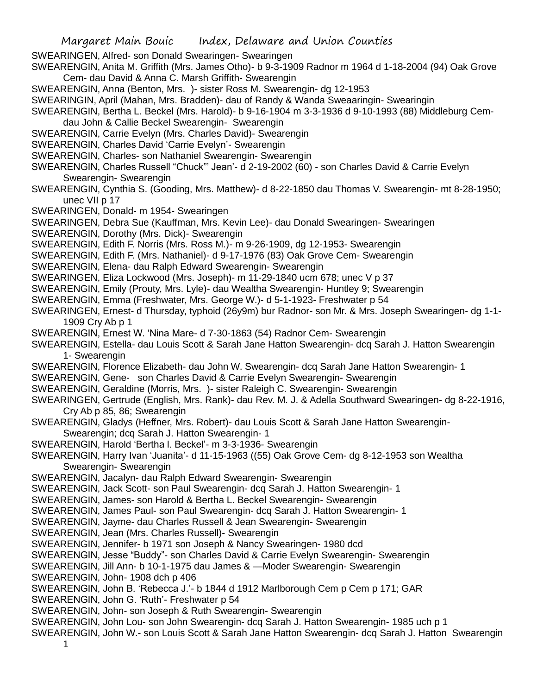SWEARINGEN, Alfred- son Donald Swearingen- Swearingen

SWEARENGIN, Anita M. Griffith (Mrs. James Otho)- b 9-3-1909 Radnor m 1964 d 1-18-2004 (94) Oak Grove Cem- dau David & Anna C. Marsh Griffith- Swearengin

SWEARENGIN, Anna (Benton, Mrs. )- sister Ross M. Swearengin- dg 12-1953

SWEARINGIN, April (Mahan, Mrs. Bradden)- dau of Randy & Wanda Sweaaringin- Swearingin

SWEARENGIN, Bertha L. Beckel (Mrs. Harold)- b 9-16-1904 m 3-3-1936 d 9-10-1993 (88) Middleburg Cemdau John & Callie Beckel Swearengin- Swearengin

- SWEARENGIN, Carrie Evelyn (Mrs. Charles David)- Swearengin
- SWEARENGIN, Charles David 'Carrie Evelyn'- Swearengin
- SWEARENGIN, Charles- son Nathaniel Swearengin- Swearengin
- SWEARENGIN, Charles Russell "Chuck"' Jean'- d 2-19-2002 (60) son Charles David & Carrie Evelyn Swearengin- Swearengin
- SWEARENGIN, Cynthia S. (Gooding, Mrs. Matthew)- d 8-22-1850 dau Thomas V. Swearengin- mt 8-28-1950; unec VII p 17
- SWEARINGEN, Donald- m 1954- Swearingen
- SWEARINGEN, Debra Sue (Kauffman, Mrs. Kevin Lee)- dau Donald Swearingen- Swearingen
- SWEARENGIN, Dorothy (Mrs. Dick)- Swearengin

SWEARENGIN, Edith F. Norris (Mrs. Ross M.)- m 9-26-1909, dg 12-1953- Swearengin

- SWEARENGIN, Edith F. (Mrs. Nathaniel)- d 9-17-1976 (83) Oak Grove Cem- Swearengin
- SWEARENGIN, Elena- dau Ralph Edward Swearengin- Swearengin
- SWEARINGEN, Eliza Lockwood (Mrs. Joseph)- m 11-29-1840 ucm 678; unec V p 37
- SWEARENGIN, Emily (Prouty, Mrs. Lyle)- dau Wealtha Swearengin- Huntley 9; Swearengin
- SWEARENGIN, Emma (Freshwater, Mrs. George W.)- d 5-1-1923- Freshwater p 54
- SWEARINGEN, Ernest- d Thursday, typhoid (26y9m) bur Radnor- son Mr. & Mrs. Joseph Swearingen- dg 1-1- 1909 Cry Ab p 1
- SWEARENGIN, Ernest W. 'Nina Mare- d 7-30-1863 (54) Radnor Cem- Swearengin
- SWEARENGIN, Estella- dau Louis Scott & Sarah Jane Hatton Swearengin- dcq Sarah J. Hatton Swearengin 1- Swearengin
- SWEARENGIN, Florence Elizabeth- dau John W. Swearengin- dcq Sarah Jane Hatton Swearengin- 1
- SWEARENGIN, Gene- son Charles David & Carrie Evelyn Swearengin- Swearengin
- SWEARENGIN, Geraldine (Morris, Mrs. )- sister Raleigh C. Swearengin- Swearengin
- SWEARINGEN, Gertrude (English, Mrs. Rank)- dau Rev. M. J. & Adella Southward Swearingen- dg 8-22-1916, Cry Ab p 85, 86; Swearengin
- SWEARENGIN, Gladys (Heffner, Mrs. Robert)- dau Louis Scott & Sarah Jane Hatton Swearengin-Swearengin; dcq Sarah J. Hatton Swearengin- 1
- SWEARENGIN, Harold 'Bertha l. Beckel'- m 3-3-1936- Swearengin
- SWEARENGIN, Harry Ivan 'Juanita'- d 11-15-1963 ((55) Oak Grove Cem- dg 8-12-1953 son Wealtha Swearengin- Swearengin
- SWEARENGIN, Jacalyn- dau Ralph Edward Swearengin- Swearengin
- SWEARENGIN, Jack Scott- son Paul Swearengin- dcq Sarah J. Hatton Swearengin- 1
- SWEARENGIN, James- son Harold & Bertha L. Beckel Swearengin- Swearengin
- SWEARENGIN, James Paul- son Paul Swearengin- dcq Sarah J. Hatton Swearengin- 1
- SWEARENGIN, Jayme- dau Charles Russell & Jean Swearengin- Swearengin
- SWEARENGIN, Jean (Mrs. Charles Russell)- Swearengin
- SWEARENGIN, Jennifer- b 1971 son Joseph & Nancy Swearingen- 1980 dcd
- SWEARENGIN, Jesse "Buddy"- son Charles David & Carrie Evelyn Swearengin- Swearengin
- SWEARENGIN, Jill Ann- b 10-1-1975 dau James & —Moder Swearengin- Swearengin
- SWEARENGIN, John- 1908 dch p 406
- SWEARENGIN, John B. 'Rebecca J.'- b 1844 d 1912 Marlborough Cem p Cem p 171; GAR
- SWEARENGIN, John G. 'Ruth'- Freshwater p 54
- SWEARENGIN, John- son Joseph & Ruth Swearengin- Swearengin
- SWEARENGIN, John Lou- son John Swearengin- dcq Sarah J. Hatton Swearengin- 1985 uch p 1
- SWEARENGIN, John W.- son Louis Scott & Sarah Jane Hatton Swearengin- dcq Sarah J. Hatton Swearengin 1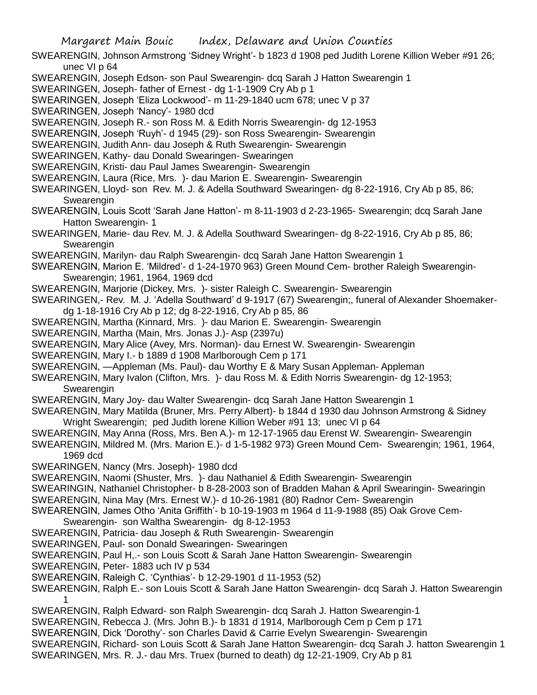SWEARENGIN, Johnson Armstrong 'Sidney Wright'- b 1823 d 1908 ped Judith Lorene Killion Weber #91 26; unec VI p 64

- SWEARENGIN, Joseph Edson- son Paul Swearengin- dcq Sarah J Hatton Swearengin 1
- SWEARINGEN, Joseph- father of Ernest dg 1-1-1909 Cry Ab p 1
- SWEARINGEN, Joseph 'Eliza Lockwood'- m 11-29-1840 ucm 678; unec V p 37
- SWEARINGEN, Joseph 'Nancy'- 1980 dcd
- SWEARENGIN, Joseph R.- son Ross M. & Edith Norris Swearengin- dg 12-1953
- SWEARENGIN, Joseph 'Ruyh'- d 1945 (29)- son Ross Swearengin- Swearengin
- SWEARENGIN, Judith Ann- dau Joseph & Ruth Swearengin- Swearengin
- SWEARINGEN, Kathy- dau Donald Swearingen- Swearingen
- SWEARENGIN, Kristi- dau Paul James Swearengin- Swearengin
- SWEARENGIN, Laura (Rice, Mrs. )- dau Marion E. Swearengin- Swearengin
- SWEARINGEN, Lloyd- son Rev. M. J. & Adella Southward Swearingen- dg 8-22-1916, Cry Ab p 85, 86; **Swearengin**
- SWEARENGIN, Louis Scott 'Sarah Jane Hatton'- m 8-11-1903 d 2-23-1965- Swearengin; dcq Sarah Jane Hatton Swearengin- 1
- SWEARINGEN, Marie- dau Rev. M. J. & Adella Southward Swearingen- dg 8-22-1916, Cry Ab p 85, 86; Swearengin
- SWEARENGIN, Marilyn- dau Ralph Swearengin- dcq Sarah Jane Hatton Swearengin 1
- SWEARENGIN, Marion E. 'Mildred'- d 1-24-1970 963) Green Mound Cem- brother Raleigh Swearengin-Swearengin; 1961, 1964, 1969 dcd
- SWEARENGIN, Marjorie (Dickey, Mrs. )- sister Raleigh C. Swearengin- Swearengin
- SWEARINGEN,- Rev. M. J. 'Adella Southward' d 9-1917 (67) Swearengin;, funeral of Alexander Shoemakerdg 1-18-1916 Cry Ab p 12; dg 8-22-1916, Cry Ab p 85, 86
- SWEARENGIN, Martha (Kinnard, Mrs. )- dau Marion E. Swearengin- Swearengin
- SWEARENGIN, Martha (Main, Mrs. Jonas J.)- Asp (2397u)
- SWEARENGIN, Mary Alice (Avey, Mrs. Norman)- dau Ernest W. Swearengin- Swearengin
- SWEARENGIN, Mary I.- b 1889 d 1908 Marlborough Cem p 171
- SWEARENGIN, —Appleman (Ms. Paul)- dau Worthy E & Mary Susan Appleman- Appleman
- SWEARENGIN, Mary Ivalon (Clifton, Mrs. )- dau Ross M. & Edith Norris Swearengin- dg 12-1953; **Swearengin**
- SWEARENGIN, Mary Joy- dau Walter Swearengin- dcq Sarah Jane Hatton Swearengin 1
- SWEARENGIN, Mary Matilda (Bruner, Mrs. Perry Albert)- b 1844 d 1930 dau Johnson Armstrong & Sidney Wright Swearengin; ped Judith lorene Killion Weber #91 13; unec VI p 64
- SWEARENGIN, May Anna (Ross, Mrs. Ben A.)- m 12-17-1965 dau Erenst W. Swearengin- Swearengin
- SWEARENGIN, Mildred M. (Mrs. Marion E.)- d 1-5-1982 973) Green Mound Cem- Swearengin; 1961, 1964, 1969 dcd
- SWEARINGEN, Nancy (Mrs. Joseph)- 1980 dcd
- SWEARENGIN, Naomi (Shuster, Mrs. )- dau Nathaniel & Edith Swearengin- Swearengin
- SWEARINGIN, Nathaniel Christopher- b 8-28-2003 son of Bradden Mahan & April Swearingin- Swearingin
- SWEARENGIN, Nina May (Mrs. Ernest W.)- d 10-26-1981 (80) Radnor Cem- Swearengin
- SWEARENGIN, James Otho 'Anita Griffith'- b 10-19-1903 m 1964 d 11-9-1988 (85) Oak Grove Cem-
- Swearengin- son Waltha Swearengin- dg 8-12-1953
- SWEARENGIN, Patricia- dau Joseph & Ruth Swearengin- Swearengin
- SWEARINGEN, Paul- son Donald Swearingen- Swearingen
- SWEARENGIN, Paul H,.- son Louis Scott & Sarah Jane Hatton Swearengin- Swearengin
- SWEARENGIN, Peter- 1883 uch IV p 534
- SWEARENGIN, Raleigh C. 'Cynthias'- b 12-29-1901 d 11-1953 (52)
- SWEARENGIN, Ralph E.- son Louis Scott & Sarah Jane Hatton Swearengin- dcq Sarah J. Hatton Swearengin 1
- SWEARENGIN, Ralph Edward- son Ralph Swearengin- dcq Sarah J. Hatton Swearengin-1
- SWEARENGIN, Rebecca J. (Mrs. John B.)- b 1831 d 1914, Marlborough Cem p Cem p 171
- SWEARENGIN, Dick 'Dorothy'- son Charles David & Carrie Evelyn Swearengin- Swearengin
- SWEARENGIN, Richard- son Louis Scott & Sarah Jane Hatton Swearengin- dcq Sarah J. hatton Swearengin 1 SWEARINGEN, Mrs. R. J.- dau Mrs. Truex (burned to death) dg 12-21-1909, Cry Ab p 81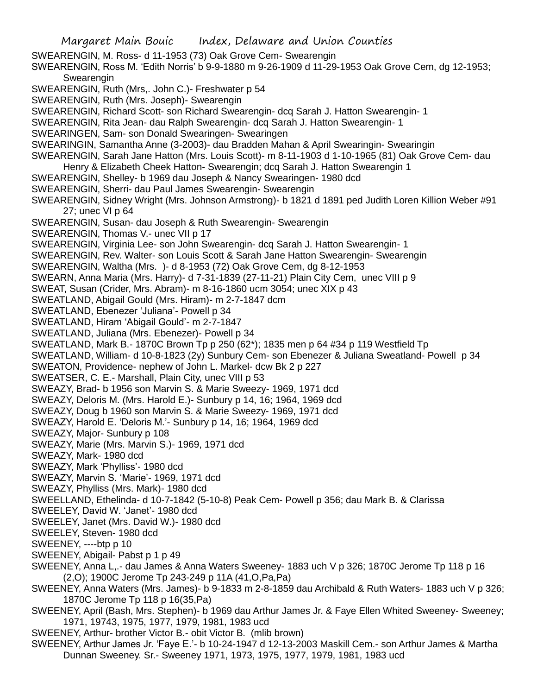Margaret Main Bouic Index, Delaware and Union Counties SWEARENGIN, M. Ross- d 11-1953 (73) Oak Grove Cem- Swearengin SWEARENGIN, Ross M. 'Edith Norris' b 9-9-1880 m 9-26-1909 d 11-29-1953 Oak Grove Cem, dg 12-1953; **Swearengin** SWEARENGIN, Ruth (Mrs,. John C.)- Freshwater p 54 SWEARENGIN, Ruth (Mrs. Joseph)- Swearengin SWEARENGIN, Richard Scott- son Richard Swearengin- dcq Sarah J. Hatton Swearengin- 1 SWEARENGIN, Rita Jean- dau Ralph Swearengin- dcq Sarah J. Hatton Swearengin- 1 SWEARINGEN, Sam- son Donald Swearingen- Swearingen SWEARINGIN, Samantha Anne (3-2003)- dau Bradden Mahan & April Swearingin- Swearingin SWEARENGIN, Sarah Jane Hatton (Mrs. Louis Scott)- m 8-11-1903 d 1-10-1965 (81) Oak Grove Cem- dau Henry & Elizabeth Cheek Hatton- Swearengin; dcq Sarah J. Hatton Swearengin 1 SWEARENGIN, Shelley- b 1969 dau Joseph & Nancy Swearingen- 1980 dcd SWEARENGIN, Sherri- dau Paul James Swearengin- Swearengin SWEARENGIN, Sidney Wright (Mrs. Johnson Armstrong)- b 1821 d 1891 ped Judith Loren Killion Weber #91 27; unec VI p 64 SWEARENGIN, Susan- dau Joseph & Ruth Swearengin- Swearengin SWEARENGIN, Thomas V.- unec VII p 17 SWEARENGIN, Virginia Lee- son John Swearengin- dcq Sarah J. Hatton Swearengin- 1 SWEARENGIN, Rev. Walter- son Louis Scott & Sarah Jane Hatton Swearengin- Swearengin SWEARENGIN, Waltha (Mrs. )- d 8-1953 (72) Oak Grove Cem, dg 8-12-1953 SWEARN, Anna Maria (Mrs. Harry)- d 7-31-1839 (27-11-21) Plain City Cem, unec VIII p 9 SWEAT, Susan (Crider, Mrs. Abram)- m 8-16-1860 ucm 3054; unec XIX p 43 SWEATLAND, Abigail Gould (Mrs. Hiram)- m 2-7-1847 dcm SWEATLAND, Ebenezer 'Juliana'- Powell p 34 SWEATLAND, Hiram 'Abigail Gould'- m 2-7-1847 SWEATLAND, Juliana (Mrs. Ebenezer)- Powell p 34 SWEATLAND, Mark B.- 1870C Brown Tp p 250 (62\*); 1835 men p 64 #34 p 119 Westfield Tp SWEATLAND, William- d 10-8-1823 (2y) Sunbury Cem- son Ebenezer & Juliana Sweatland- Powell p 34 SWEATON, Providence- nephew of John L. Markel- dcw Bk 2 p 227 SWEATSER, C. E.- Marshall, Plain City, unec VIII p 53 SWEAZY, Brad- b 1956 son Marvin S. & Marie Sweezy- 1969, 1971 dcd SWEAZY, Deloris M. (Mrs. Harold E.)- Sunbury p 14, 16; 1964, 1969 dcd SWEAZY, Doug b 1960 son Marvin S. & Marie Sweezy- 1969, 1971 dcd SWEAZY, Harold E. 'Deloris M.'- Sunbury p 14, 16; 1964, 1969 dcd SWEAZY, Major- Sunbury p 108 SWEAZY, Marie (Mrs. Marvin S.)- 1969, 1971 dcd SWEAZY, Mark- 1980 dcd SWEAZY, Mark 'Phylliss'- 1980 dcd SWEAZY, Marvin S. 'Marie'- 1969, 1971 dcd SWEAZY, Phylliss (Mrs. Mark)- 1980 dcd SWEELLAND, Ethelinda- d 10-7-1842 (5-10-8) Peak Cem- Powell p 356; dau Mark B. & Clarissa SWEELEY, David W. 'Janet'- 1980 dcd SWEELEY, Janet (Mrs. David W.)- 1980 dcd SWEELEY, Steven- 1980 dcd SWEENEY, ----btp p 10 SWEENEY, Abigail- Pabst p 1 p 49 SWEENEY, Anna L,.- dau James & Anna Waters Sweeney- 1883 uch V p 326; 1870C Jerome Tp 118 p 16 (2,O); 1900C Jerome Tp 243-249 p 11A (41,O,Pa,Pa) SWEENEY, Anna Waters (Mrs. James)- b 9-1833 m 2-8-1859 dau Archibald & Ruth Waters- 1883 uch V p 326; 1870C Jerome Tp 118 p 16(35,Pa) SWEENEY, April (Bash, Mrs. Stephen)- b 1969 dau Arthur James Jr. & Faye Ellen Whited Sweeney- Sweeney; 1971, 19743, 1975, 1977, 1979, 1981, 1983 ucd SWEENEY, Arthur- brother Victor B.- obit Victor B. (mlib brown)

SWEENEY, Arthur James Jr. 'Faye E.'- b 10-24-1947 d 12-13-2003 Maskill Cem.- son Arthur James & Martha Dunnan Sweeney. Sr.- Sweeney 1971, 1973, 1975, 1977, 1979, 1981, 1983 ucd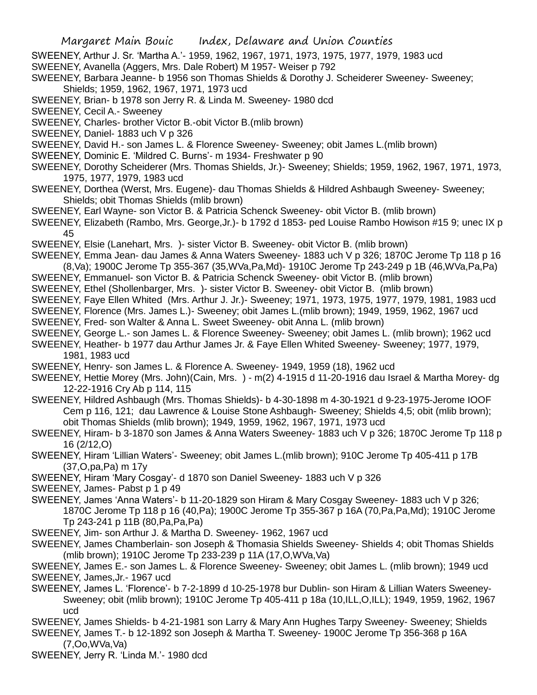SWEENEY, Arthur J. Sr. 'Martha A.'- 1959, 1962, 1967, 1971, 1973, 1975, 1977, 1979, 1983 ucd

- SWEENEY, Avanella (Aggers, Mrs. Dale Robert) M 1957- Weiser p 792
- SWEENEY, Barbara Jeanne- b 1956 son Thomas Shields & Dorothy J. Scheiderer Sweeney- Sweeney; Shields; 1959, 1962, 1967, 1971, 1973 ucd
- SWEENEY, Brian- b 1978 son Jerry R. & Linda M. Sweeney- 1980 dcd
- SWEENEY, Cecil A.- Sweeney
- SWEENEY, Charles- brother Victor B.-obit Victor B.(mlib brown)
- SWEENEY, Daniel- 1883 uch V p 326
- SWEENEY, David H.- son James L. & Florence Sweeney- Sweeney; obit James L.(mlib brown)
- SWEENEY, Dominic E. 'Mildred C. Burns'- m 1934- Freshwater p 90
- SWEENEY, Dorothy Scheiderer (Mrs. Thomas Shields, Jr.)- Sweeney; Shields; 1959, 1962, 1967, 1971, 1973, 1975, 1977, 1979, 1983 ucd
- SWEENEY, Dorthea (Werst, Mrs. Eugene)- dau Thomas Shields & Hildred Ashbaugh Sweeney- Sweeney; Shields; obit Thomas Shields (mlib brown)
- SWEENEY, Earl Wayne- son Victor B. & Patricia Schenck Sweeney- obit Victor B. (mlib brown)
- SWEENEY, Elizabeth (Rambo, Mrs. George,Jr.)- b 1792 d 1853- ped Louise Rambo Howison #15 9; unec IX p 45
- SWEENEY, Elsie (Lanehart, Mrs. )- sister Victor B. Sweeney- obit Victor B. (mlib brown)
- SWEENEY, Emma Jean- dau James & Anna Waters Sweeney- 1883 uch V p 326; 1870C Jerome Tp 118 p 16 (8,Va); 1900C Jerome Tp 355-367 (35,WVa,Pa,Md)- 1910C Jerome Tp 243-249 p 1B (46,WVa,Pa,Pa)
- SWEENEY, Emmanuel- son Victor B. & Patricia Schenck Sweeney- obit Victor B. (mlib brown)
- SWEENEY, Ethel (Shollenbarger, Mrs. )- sister Victor B. Sweeney- obit Victor B. (mlib brown)
- SWEENEY, Faye Ellen Whited (Mrs. Arthur J. Jr.)- Sweeney; 1971, 1973, 1975, 1977, 1979, 1981, 1983 ucd
- SWEENEY, Florence (Mrs. James L.)- Sweeney; obit James L.(mlib brown); 1949, 1959, 1962, 1967 ucd
- SWEENEY, Fred- son Walter & Anna L. Sweet Sweeney- obit Anna L. (mlib brown)
- SWEENEY, George L.- son James L. & Florence Sweeney- Sweeney; obit James L. (mlib brown); 1962 ucd
- SWEENEY, Heather- b 1977 dau Arthur James Jr. & Faye Ellen Whited Sweeney- Sweeney; 1977, 1979, 1981, 1983 ucd
- SWEENEY, Henry- son James L. & Florence A. Sweeney- 1949, 1959 (18), 1962 ucd
- SWEENEY, Hettie Morey (Mrs. John)(Cain, Mrs. ) m(2) 4-1915 d 11-20-1916 dau Israel & Martha Morey- dg 12-22-1916 Cry Ab p 114, 115
- SWEENEY, Hildred Ashbaugh (Mrs. Thomas Shields)- b 4-30-1898 m 4-30-1921 d 9-23-1975-Jerome IOOF Cem p 116, 121; dau Lawrence & Louise Stone Ashbaugh- Sweeney; Shields 4,5; obit (mlib brown); obit Thomas Shields (mlib brown); 1949, 1959, 1962, 1967, 1971, 1973 ucd
- SWEENEY, Hiram- b 3-1870 son James & Anna Waters Sweeney- 1883 uch V p 326; 1870C Jerome Tp 118 p 16 (2/12,O)
- SWEENEY, Hiram 'Lillian Waters'- Sweeney; obit James L.(mlib brown); 910C Jerome Tp 405-411 p 17B (37,O,pa,Pa) m 17y
- SWEENEY, Hiram 'Mary Cosgay'- d 1870 son Daniel Sweeney- 1883 uch V p 326
- SWEENEY, James- Pabst p 1 p 49
- SWEENEY, James 'Anna Waters'- b 11-20-1829 son Hiram & Mary Cosgay Sweeney- 1883 uch V p 326; 1870C Jerome Tp 118 p 16 (40,Pa); 1900C Jerome Tp 355-367 p 16A (70,Pa,Pa,Md); 1910C Jerome Tp 243-241 p 11B (80,Pa,Pa,Pa)
- SWEENEY, Jim- son Arthur J. & Martha D. Sweeney- 1962, 1967 ucd
- SWEENEY, James Chamberlain- son Joseph & Thomasia Shields Sweeney- Shields 4; obit Thomas Shields (mlib brown); 1910C Jerome Tp 233-239 p 11A (17,O,WVa,Va)
- SWEENEY, James E.- son James L. & Florence Sweeney- Sweeney; obit James L. (mlib brown); 1949 ucd SWEENEY, James,Jr.- 1967 ucd
- SWEENEY, James L. 'Florence'- b 7-2-1899 d 10-25-1978 bur Dublin- son Hiram & Lillian Waters Sweeney-Sweeney; obit (mlib brown); 1910C Jerome Tp 405-411 p 18a (10,ILL,O,ILL); 1949, 1959, 1962, 1967 ucd
- SWEENEY, James Shields- b 4-21-1981 son Larry & Mary Ann Hughes Tarpy Sweeney- Sweeney; Shields
- SWEENEY, James T.- b 12-1892 son Joseph & Martha T. Sweeney- 1900C Jerome Tp 356-368 p 16A (7,Oo,WVa,Va)
- SWEENEY, Jerry R. 'Linda M.'- 1980 dcd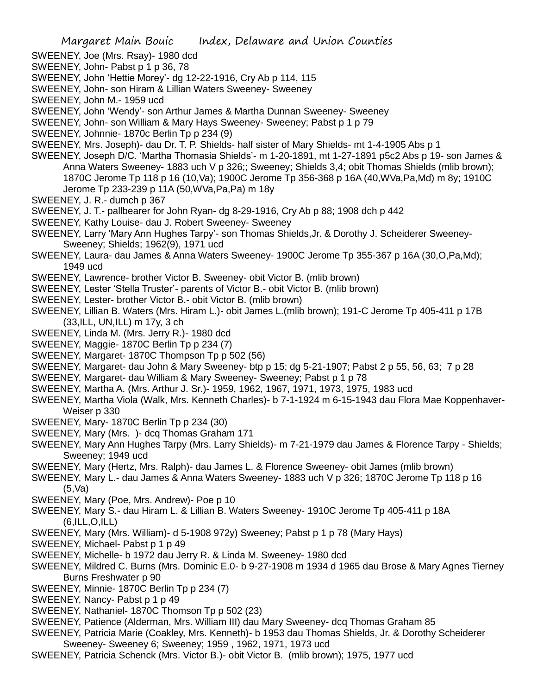- SWEENEY, Joe (Mrs. Rsay)- 1980 dcd
- SWEENEY, John- Pabst p 1 p 36, 78
- SWEENEY, John 'Hettie Morey'- dg 12-22-1916, Cry Ab p 114, 115
- SWEENEY, John- son Hiram & Lillian Waters Sweeney- Sweeney
- SWEENEY, John M.- 1959 ucd
- SWEENEY, John 'Wendy'- son Arthur James & Martha Dunnan Sweeney- Sweeney
- SWEENEY, John- son William & Mary Hays Sweeney- Sweeney; Pabst p 1 p 79
- SWEENEY, Johnnie- 1870c Berlin Tp p 234 (9)
- SWEENEY, Mrs. Joseph)- dau Dr. T. P. Shields- half sister of Mary Shields- mt 1-4-1905 Abs p 1
- SWEENEY, Joseph D/C. 'Martha Thomasia Shields'- m 1-20-1891, mt 1-27-1891 p5c2 Abs p 19- son James & Anna Waters Sweeney- 1883 uch V p 326;; Sweeney; Shields 3,4; obit Thomas Shields (mlib brown); 1870C Jerome Tp 118 p 16 (10,Va); 1900C Jerome Tp 356-368 p 16A (40,WVa,Pa,Md) m 8y; 1910C Jerome Tp 233-239 p 11A (50,WVa,Pa,Pa) m 18y
- SWEENEY, J. R.- dumch p 367
- SWEENEY, J. T.- pallbearer for John Ryan- dg 8-29-1916, Cry Ab p 88; 1908 dch p 442
- SWEENEY, Kathy Louise- dau J. Robert Sweeney- Sweeney
- SWEENEY, Larry 'Mary Ann Hughes Tarpy'- son Thomas Shields,Jr. & Dorothy J. Scheiderer Sweeney-Sweeney; Shields; 1962(9), 1971 ucd
- SWEENEY, Laura- dau James & Anna Waters Sweeney- 1900C Jerome Tp 355-367 p 16A (30,O,Pa,Md); 1949 ucd
- SWEENEY, Lawrence- brother Victor B. Sweeney- obit Victor B. (mlib brown)
- SWEENEY, Lester 'Stella Truster'- parents of Victor B.- obit Victor B. (mlib brown)
- SWEENEY, Lester- brother Victor B.- obit Victor B. (mlib brown)
- SWEENEY, Lillian B. Waters (Mrs. Hiram L.)- obit James L.(mlib brown); 191-C Jerome Tp 405-411 p 17B (33,ILL, UN,ILL) m 17y, 3 ch
- SWEENEY, Linda M. (Mrs. Jerry R.)- 1980 dcd
- SWEENEY, Maggie- 1870C Berlin Tp p 234 (7)
- SWEENEY, Margaret- 1870C Thompson Tp p 502 (56)
- SWEENEY, Margaret- dau John & Mary Sweeney- btp p 15; dg 5-21-1907; Pabst 2 p 55, 56, 63; 7 p 28
- SWEENEY, Margaret- dau William & Mary Sweeney- Sweeney; Pabst p 1 p 78
- SWEENEY, Martha A. (Mrs. Arthur J. Sr.)- 1959, 1962, 1967, 1971, 1973, 1975, 1983 ucd
- SWEENEY, Martha Viola (Walk, Mrs. Kenneth Charles)- b 7-1-1924 m 6-15-1943 dau Flora Mae Koppenhaver-Weiser p 330
- SWEENEY, Mary- 1870C Berlin Tp p 234 (30)
- SWEENEY, Mary (Mrs. )- dcq Thomas Graham 171
- SWEENEY, Mary Ann Hughes Tarpy (Mrs. Larry Shields)- m 7-21-1979 dau James & Florence Tarpy Shields; Sweeney; 1949 ucd
- SWEENEY, Mary (Hertz, Mrs. Ralph)- dau James L. & Florence Sweeney- obit James (mlib brown)
- SWEENEY, Mary L.- dau James & Anna Waters Sweeney- 1883 uch V p 326; 1870C Jerome Tp 118 p 16 (5,Va)
- SWEENEY, Mary (Poe, Mrs. Andrew)- Poe p 10
- SWEENEY, Mary S.- dau Hiram L. & Lillian B. Waters Sweeney- 1910C Jerome Tp 405-411 p 18A (6,ILL,O,ILL)
- SWEENEY, Mary (Mrs. William)- d 5-1908 972y) Sweeney; Pabst p 1 p 78 (Mary Hays)
- SWEENEY, Michael- Pabst p 1 p 49
- SWEENEY, Michelle- b 1972 dau Jerry R. & Linda M. Sweeney- 1980 dcd
- SWEENEY, Mildred C. Burns (Mrs. Dominic E.0- b 9-27-1908 m 1934 d 1965 dau Brose & Mary Agnes Tierney Burns Freshwater p 90
- SWEENEY, Minnie- 1870C Berlin Tp p 234 (7)
- SWEENEY, Nancy- Pabst p 1 p 49
- SWEENEY, Nathaniel- 1870C Thomson Tp p 502 (23)
- SWEENEY, Patience (Alderman, Mrs. William III) dau Mary Sweeney- dcq Thomas Graham 85
- SWEENEY, Patricia Marie (Coakley, Mrs. Kenneth)- b 1953 dau Thomas Shields, Jr. & Dorothy Scheiderer Sweeney- Sweeney 6; Sweeney; 1959 , 1962, 1971, 1973 ucd
- SWEENEY, Patricia Schenck (Mrs. Victor B.)- obit Victor B. (mlib brown); 1975, 1977 ucd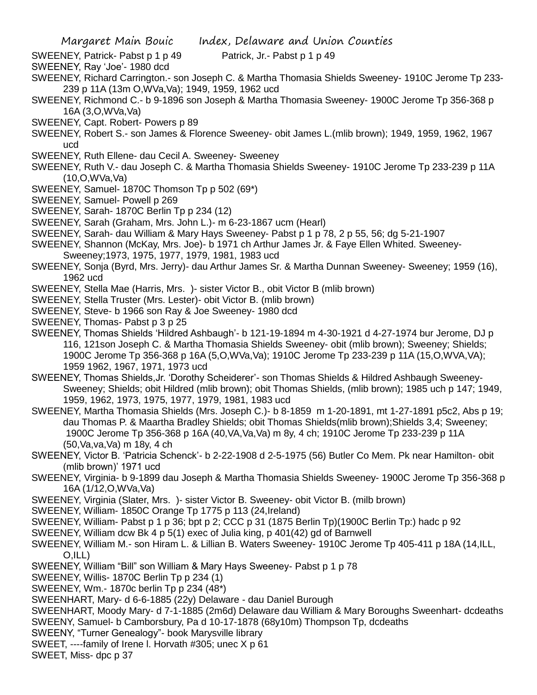SWEENEY, Patrick- Pabst p 1 p 49 Patrick, Jr.- Pabst p 1 p 49

- SWEENEY, Ray 'Joe'- 1980 dcd
- SWEENEY, Richard Carrington.- son Joseph C. & Martha Thomasia Shields Sweeney- 1910C Jerome Tp 233- 239 p 11A (13m O,WVa,Va); 1949, 1959, 1962 ucd
- SWEENEY, Richmond C.- b 9-1896 son Joseph & Martha Thomasia Sweeney- 1900C Jerome Tp 356-368 p 16A (3,O,WVa,Va)
- SWEENEY, Capt. Robert- Powers p 89
- SWEENEY, Robert S.- son James & Florence Sweeney- obit James L.(mlib brown); 1949, 1959, 1962, 1967 ucd
- SWEENEY, Ruth Ellene- dau Cecil A. Sweeney- Sweeney
- SWEENEY, Ruth V.- dau Joseph C. & Martha Thomasia Shields Sweeney- 1910C Jerome Tp 233-239 p 11A (10,O,WVa,Va)
- SWEENEY, Samuel- 1870C Thomson Tp p 502 (69\*)
- SWEENEY, Samuel- Powell p 269
- SWEENEY, Sarah- 1870C Berlin Tp p 234 (12)
- SWEENEY, Sarah (Graham, Mrs. John L.)- m 6-23-1867 ucm (Hearl)
- SWEENEY, Sarah- dau William & Mary Hays Sweeney- Pabst p 1 p 78, 2 p 55, 56; dg 5-21-1907
- SWEENEY, Shannon (McKay, Mrs. Joe)- b 1971 ch Arthur James Jr. & Faye Ellen Whited. Sweeney-
- Sweeney;1973, 1975, 1977, 1979, 1981, 1983 ucd
- SWEENEY, Sonja (Byrd, Mrs. Jerry)- dau Arthur James Sr. & Martha Dunnan Sweeney- Sweeney; 1959 (16), 1962 ucd
- SWEENEY, Stella Mae (Harris, Mrs. )- sister Victor B., obit Victor B (mlib brown)
- SWEENEY, Stella Truster (Mrs. Lester)- obit Victor B. (mlib brown)
- SWEENEY, Steve- b 1966 son Ray & Joe Sweeney- 1980 dcd
- SWEENEY, Thomas- Pabst p 3 p 25
- SWEENEY, Thomas Shields 'Hildred Ashbaugh'- b 121-19-1894 m 4-30-1921 d 4-27-1974 bur Jerome, DJ p 116, 121son Joseph C. & Martha Thomasia Shields Sweeney- obit (mlib brown); Sweeney; Shields; 1900C Jerome Tp 356-368 p 16A (5,O,WVa,Va); 1910C Jerome Tp 233-239 p 11A (15,O,WVA,VA); 1959 1962, 1967, 1971, 1973 ucd
- SWEENEY, Thomas Shields,Jr. 'Dorothy Scheiderer'- son Thomas Shields & Hildred Ashbaugh Sweeney-Sweeney; Shields; obit Hildred (mlib brown); obit Thomas Shields, (mlib brown); 1985 uch p 147; 1949, 1959, 1962, 1973, 1975, 1977, 1979, 1981, 1983 ucd
- SWEENEY, Martha Thomasia Shields (Mrs. Joseph C.)- b 8-1859 m 1-20-1891, mt 1-27-1891 p5c2, Abs p 19; dau Thomas P. & Maartha Bradley Shields; obit Thomas Shields(mlib brown);Shields 3,4; Sweeney; 1900C Jerome Tp 356-368 p 16A (40,VA,Va,Va) m 8y, 4 ch; 1910C Jerome Tp 233-239 p 11A (50,Va,va,Va) m 18y, 4 ch
- SWEENEY, Victor B. 'Patricia Schenck'- b 2-22-1908 d 2-5-1975 (56) Butler Co Mem. Pk near Hamilton- obit (mlib brown)' 1971 ucd
- SWEENEY, Virginia- b 9-1899 dau Joseph & Martha Thomasia Shields Sweeney- 1900C Jerome Tp 356-368 p 16A (1/12,O,WVa,Va)
- SWEENEY, Virginia (Slater, Mrs. )- sister Victor B. Sweeney- obit Victor B. (milb brown)
- SWEENEY, William- 1850C Orange Tp 1775 p 113 (24,Ireland)
- SWEENEY, William- Pabst p 1 p 36; bpt p 2; CCC p 31 (1875 Berlin Tp)(1900C Berlin Tp:) hadc p 92
- SWEENEY, William dcw Bk 4 p 5(1) exec of Julia king, p 401(42) gd of Barnwell
- SWEENEY, William M.- son Hiram L. & Lillian B. Waters Sweeney- 1910C Jerome Tp 405-411 p 18A (14,ILL, O,ILL)
- SWEENEY, William "Bill" son William & Mary Hays Sweeney- Pabst p 1 p 78
- SWEENEY, Willis- 1870C Berlin Tp p 234 (1)
- SWEENEY, Wm.- 1870c berlin Tp p 234 (48\*)
- SWEENHART, Mary- d 6-6-1885 (22y) Delaware dau Daniel Burough
- SWEENHART, Moody Mary- d 7-1-1885 (2m6d) Delaware dau William & Mary Boroughs Sweenhart- dcdeaths SWEENY, Samuel- b Camborsbury, Pa d 10-17-1878 (68y10m) Thompson Tp, dcdeaths
- SWEENY, "Turner Genealogy"- book Marysville library
- SWEET, ----family of Irene l. Horvath #305; unec X p 61
- SWEET, Miss- dpc p 37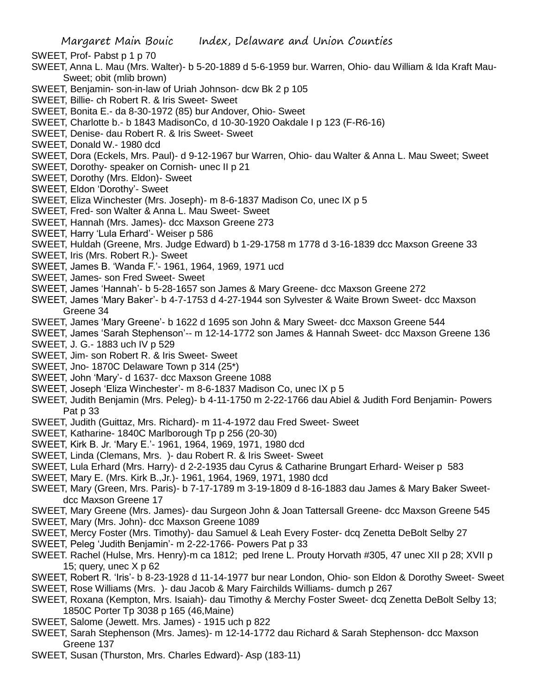- SWEET, Prof- Pabst p 1 p 70
- SWEET, Anna L. Mau (Mrs. Walter)- b 5-20-1889 d 5-6-1959 bur. Warren, Ohio- dau William & Ida Kraft Mau-Sweet; obit (mlib brown)
- SWEET, Benjamin- son-in-law of Uriah Johnson- dcw Bk 2 p 105
- SWEET, Billie- ch Robert R. & Iris Sweet- Sweet
- SWEET, Bonita E.- da 8-30-1972 (85) bur Andover, Ohio- Sweet
- SWEET, Charlotte b.- b 1843 MadisonCo, d 10-30-1920 Oakdale I p 123 (F-R6-16)
- SWEET, Denise- dau Robert R. & Iris Sweet- Sweet
- SWEET, Donald W.- 1980 dcd
- SWEET, Dora (Eckels, Mrs. Paul)- d 9-12-1967 bur Warren, Ohio- dau Walter & Anna L. Mau Sweet; Sweet
- SWEET, Dorothy- speaker on Cornish- unec II p 21
- SWEET, Dorothy (Mrs. Eldon)- Sweet
- SWEET, Eldon 'Dorothy'- Sweet
- SWEET, Eliza Winchester (Mrs. Joseph)- m 8-6-1837 Madison Co, unec IX p 5
- SWEET, Fred- son Walter & Anna L. Mau Sweet- Sweet
- SWEET, Hannah (Mrs. James)- dcc Maxson Greene 273
- SWEET, Harry 'Lula Erhard'- Weiser p 586
- SWEET, Huldah (Greene, Mrs. Judge Edward) b 1-29-1758 m 1778 d 3-16-1839 dcc Maxson Greene 33
- SWEET, Iris (Mrs. Robert R.)- Sweet
- SWEET, James B. 'Wanda F.'- 1961, 1964, 1969, 1971 ucd
- SWEET, James- son Fred Sweet- Sweet
- SWEET, James 'Hannah'- b 5-28-1657 son James & Mary Greene- dcc Maxson Greene 272
- SWEET, James 'Mary Baker'- b 4-7-1753 d 4-27-1944 son Sylvester & Waite Brown Sweet- dcc Maxson Greene 34
- SWEET, James 'Mary Greene'- b 1622 d 1695 son John & Mary Sweet- dcc Maxson Greene 544
- SWEET, James 'Sarah Stephenson'-- m 12-14-1772 son James & Hannah Sweet- dcc Maxson Greene 136
- SWEET, J. G.- 1883 uch IV p 529
- SWEET, Jim- son Robert R. & Iris Sweet- Sweet
- SWEET, Jno- 1870C Delaware Town p 314 (25\*)
- SWEET, John 'Mary'- d 1637- dcc Maxson Greene 1088
- SWEET, Joseph 'Eliza Winchester'- m 8-6-1837 Madison Co, unec IX p 5
- SWEET, Judith Benjamin (Mrs. Peleg)- b 4-11-1750 m 2-22-1766 dau Abiel & Judith Ford Benjamin- Powers Pat p 33
- SWEET, Judith (Guittaz, Mrs. Richard)- m 11-4-1972 dau Fred Sweet- Sweet
- SWEET, Katharine- 1840C Marlborough Tp p 256 (20-30)
- SWEET, Kirk B. Jr. 'Mary E.'- 1961, 1964, 1969, 1971, 1980 dcd
- SWEET, Linda (Clemans, Mrs. )- dau Robert R. & Iris Sweet- Sweet
- SWEET, Lula Erhard (Mrs. Harry)- d 2-2-1935 dau Cyrus & Catharine Brungart Erhard- Weiser p 583
- SWEET, Mary E. (Mrs. Kirk B.,Jr.)- 1961, 1964, 1969, 1971, 1980 dcd
- SWEET, Mary (Green, Mrs. Paris)- b 7-17-1789 m 3-19-1809 d 8-16-1883 dau James & Mary Baker Sweetdcc Maxson Greene 17
- SWEET, Mary Greene (Mrs. James)- dau Surgeon John & Joan Tattersall Greene- dcc Maxson Greene 545
- SWEET, Mary (Mrs. John)- dcc Maxson Greene 1089
- SWEET, Mercy Foster (Mrs. Timothy)- dau Samuel & Leah Every Foster- dcq Zenetta DeBolt Selby 27
- SWEET, Peleg 'Judith Benjamin'- m 2-22-1766- Powers Pat p 33
- SWEET. Rachel (Hulse, Mrs. Henry)-m ca 1812; ped Irene L. Prouty Horvath #305, 47 unec XII p 28; XVII p 15; query, unec  $X$  p 62
- SWEET, Robert R. 'Iris'- b 8-23-1928 d 11-14-1977 bur near London, Ohio- son Eldon & Dorothy Sweet- Sweet
- SWEET, Rose Williams (Mrs. )- dau Jacob & Mary Fairchilds Williams- dumch p 267
- SWEET, Roxana (Kempton, Mrs. Isaiah)- dau Timothy & Merchy Foster Sweet- dcq Zenetta DeBolt Selby 13; 1850C Porter Tp 3038 p 165 (46,Maine)
- SWEET, Salome (Jewett. Mrs. James) 1915 uch p 822
- SWEET, Sarah Stephenson (Mrs. James)- m 12-14-1772 dau Richard & Sarah Stephenson- dcc Maxson Greene 137
- SWEET, Susan (Thurston, Mrs. Charles Edward)- Asp (183-11)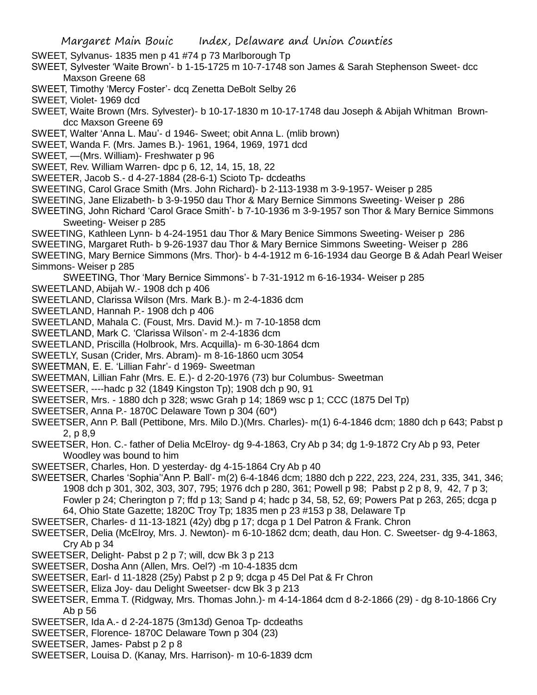SWEET, Sylvanus- 1835 men p 41 #74 p 73 Marlborough Tp

- SWEET, Sylvester 'Waite Brown'- b 1-15-1725 m 10-7-1748 son James & Sarah Stephenson Sweet- dcc Maxson Greene 68
- SWEET, Timothy 'Mercy Foster'- dcq Zenetta DeBolt Selby 26
- SWEET, Violet- 1969 dcd
- SWEET, Waite Brown (Mrs. Sylvester)- b 10-17-1830 m 10-17-1748 dau Joseph & Abijah Whitman Browndcc Maxson Greene 69
- SWEET, Walter 'Anna L. Mau'- d 1946- Sweet; obit Anna L. (mlib brown)
- SWEET, Wanda F. (Mrs. James B.)- 1961, 1964, 1969, 1971 dcd
- SWEET, —(Mrs. William)- Freshwater p 96
- SWEET, Rev. William Warren- dpc p 6, 12, 14, 15, 18, 22
- SWEETER, Jacob S.- d 4-27-1884 (28-6-1) Scioto Tp- dcdeaths
- SWEETING, Carol Grace Smith (Mrs. John Richard)- b 2-113-1938 m 3-9-1957- Weiser p 285
- SWEETING, Jane Elizabeth- b 3-9-1950 dau Thor & Mary Bernice Simmons Sweeting- Weiser p 286
- SWEETING, John Richard 'Carol Grace Smith'- b 7-10-1936 m 3-9-1957 son Thor & Mary Bernice Simmons Sweeting- Weiser p 285
- SWEETING, Kathleen Lynn- b 4-24-1951 dau Thor & Mary Benice Simmons Sweeting- Weiser p 286
- SWEETING, Margaret Ruth- b 9-26-1937 dau Thor & Mary Bernice Simmons Sweeting- Weiser p 286
- SWEETING, Mary Bernice Simmons (Mrs. Thor)- b 4-4-1912 m 6-16-1934 dau George B & Adah Pearl Weiser Simmons- Weiser p 285
- SWEETING, Thor 'Mary Bernice Simmons'- b 7-31-1912 m 6-16-1934- Weiser p 285
- SWEETLAND, Abijah W.- 1908 dch p 406
- SWEETLAND, Clarissa Wilson (Mrs. Mark B.)- m 2-4-1836 dcm
- SWEETLAND, Hannah P.- 1908 dch p 406
- SWEETLAND, Mahala C. (Foust, Mrs. David M.)- m 7-10-1858 dcm
- SWEETLAND, Mark C. 'Clarissa Wilson'- m 2-4-1836 dcm
- SWEETLAND, Priscilla (Holbrook, Mrs. Acquilla)- m 6-30-1864 dcm
- SWEETLY, Susan (Crider, Mrs. Abram)- m 8-16-1860 ucm 3054
- SWEETMAN, E. E. 'Lillian Fahr'- d 1969- Sweetman
- SWEETMAN, Lillian Fahr (Mrs. E. E.)- d 2-20-1976 (73) bur Columbus- Sweetman
- SWEETSER, ----hadc p 32 (1849 Kingston Tp); 1908 dch p 90, 91
- SWEETSER, Mrs. 1880 dch p 328; wswc Grah p 14; 1869 wsc p 1; CCC (1875 Del Tp)
- SWEETSER, Anna P.- 1870C Delaware Town p 304 (60\*)
- SWEETSER, Ann P. Ball (Pettibone, Mrs. Milo D.)(Mrs. Charles)- m(1) 6-4-1846 dcm; 1880 dch p 643; Pabst p 2, p 8,9
- SWEETSER, Hon. C.- father of Delia McElroy- dg 9-4-1863, Cry Ab p 34; dg 1-9-1872 Cry Ab p 93, Peter Woodley was bound to him
- SWEETSER, Charles, Hon. D yesterday- dg 4-15-1864 Cry Ab p 40
- SWEETSER, Charles 'Sophia''Ann P. Ball'- m(2) 6-4-1846 dcm; 1880 dch p 222, 223, 224, 231, 335, 341, 346; 1908 dch p 301, 302, 303, 307, 795; 1976 dch p 280, 361; Powell p 98; Pabst p 2 p 8, 9, 42, 7 p 3; Fowler p 24; Cherington p 7; ffd p 13; Sand p 4; hadc p 34, 58, 52, 69; Powers Pat p 263, 265; dcga p 64, Ohio State Gazette; 1820C Troy Tp; 1835 men p 23 #153 p 38, Delaware Tp
- SWEETSER, Charles- d 11-13-1821 (42y) dbg p 17; dcga p 1 Del Patron & Frank. Chron
- SWEETSER, Delia (McElroy, Mrs. J. Newton)- m 6-10-1862 dcm; death, dau Hon. C. Sweetser- dg 9-4-1863, Cry Ab p 34
- SWEETSER, Delight- Pabst p 2 p 7; will, dcw Bk 3 p 213
- SWEETSER, Dosha Ann (Allen, Mrs. Oel?) -m 10-4-1835 dcm
- SWEETSER, Earl- d 11-1828 (25y) Pabst p 2 p 9; dcga p 45 Del Pat & Fr Chron
- SWEETSER, Eliza Joy- dau Delight Sweetser- dcw Bk 3 p 213
- SWEETSER, Emma T. (Ridgway, Mrs. Thomas John.)- m 4-14-1864 dcm d 8-2-1866 (29) dg 8-10-1866 Cry Ab p 56
- SWEETSER, Ida A.- d 2-24-1875 (3m13d) Genoa Tp- dcdeaths
- SWEETSER, Florence- 1870C Delaware Town p 304 (23)
- SWEETSER, James- Pabst p 2 p 8
- SWEETSER, Louisa D. (Kanay, Mrs. Harrison)- m 10-6-1839 dcm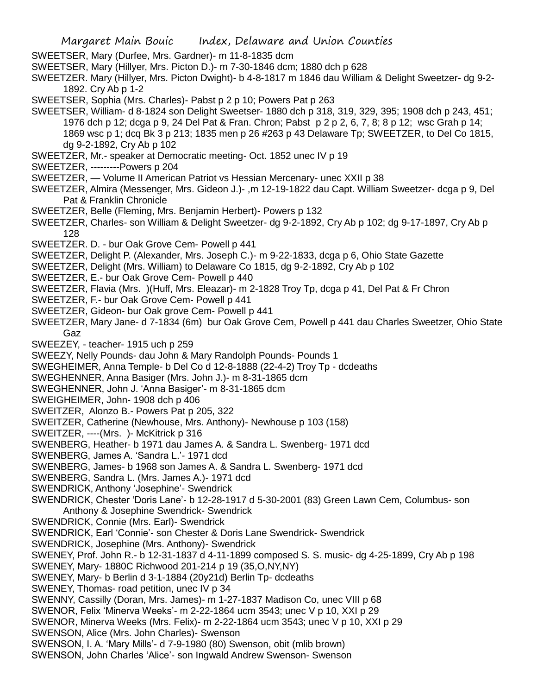- SWEETSER, Mary (Durfee, Mrs. Gardner)- m 11-8-1835 dcm
- SWEETSER, Mary (Hillyer, Mrs. Picton D.)- m 7-30-1846 dcm; 1880 dch p 628
- SWEETZER. Mary (Hillyer, Mrs. Picton Dwight)- b 4-8-1817 m 1846 dau William & Delight Sweetzer- dg 9-2- 1892. Cry Ab p 1-2
- SWEETSER, Sophia (Mrs. Charles)- Pabst p 2 p 10; Powers Pat p 263
- SWEETSER, William- d 8-1824 son Delight Sweetser- 1880 dch p 318, 319, 329, 395; 1908 dch p 243, 451; 1976 dch p 12; dcga p 9, 24 Del Pat & Fran. Chron; Pabst p 2 p 2, 6, 7, 8; 8 p 12; wsc Grah p 14; 1869 wsc p 1; dcq Bk 3 p 213; 1835 men p 26 #263 p 43 Delaware Tp; SWEETZER, to Del Co 1815, dg 9-2-1892, Cry Ab p 102
- SWEETZER, Mr.- speaker at Democratic meeting- Oct. 1852 unec IV p 19
- SWEETZER, ---------Powers p 204
- SWEETZER, Volume II American Patriot vs Hessian Mercenary- unec XXII p 38
- SWEETZER, Almira (Messenger, Mrs. Gideon J.)- ,m 12-19-1822 dau Capt. William Sweetzer- dcga p 9, Del Pat & Franklin Chronicle
- SWEETZER, Belle (Fleming, Mrs. Benjamin Herbert)- Powers p 132
- SWEETZER, Charles- son William & Delight Sweetzer- dg 9-2-1892, Cry Ab p 102; dg 9-17-1897, Cry Ab p 128
- SWEETZER. D. bur Oak Grove Cem- Powell p 441
- SWEETZER, Delight P. (Alexander, Mrs. Joseph C.)- m 9-22-1833, dcga p 6, Ohio State Gazette
- SWEETZER, Delight (Mrs. William) to Delaware Co 1815, dg 9-2-1892, Cry Ab p 102
- SWEETZER, E.- bur Oak Grove Cem- Powell p 440
- SWEETZER, Flavia (Mrs. )(Huff, Mrs. Eleazar)- m 2-1828 Troy Tp, dcga p 41, Del Pat & Fr Chron
- SWEETZER, F.- bur Oak Grove Cem- Powell p 441
- SWEETZER, Gideon- bur Oak grove Cem- Powell p 441
- SWEETZER, Mary Jane- d 7-1834 (6m) bur Oak Grove Cem, Powell p 441 dau Charles Sweetzer, Ohio State Gaz
- SWEEZEY, teacher- 1915 uch p 259
- SWEEZY, Nelly Pounds- dau John & Mary Randolph Pounds- Pounds 1
- SWEGHEIMER, Anna Temple- b Del Co d 12-8-1888 (22-4-2) Troy Tp dcdeaths
- SWEGHENNER, Anna Basiger (Mrs. John J.)- m 8-31-1865 dcm
- SWEGHENNER, John J. 'Anna Basiger'- m 8-31-1865 dcm
- SWEIGHEIMER, John- 1908 dch p 406
- SWEITZER, Alonzo B.- Powers Pat p 205, 322
- SWEITZER, Catherine (Newhouse, Mrs. Anthony)- Newhouse p 103 (158)
- SWEITZER, ----(Mrs. )- McKitrick p 316
- SWENBERG, Heather- b 1971 dau James A. & Sandra L. Swenberg- 1971 dcd
- SWENBERG, James A. 'Sandra L.'- 1971 dcd
- SWENBERG, James- b 1968 son James A. & Sandra L. Swenberg- 1971 dcd
- SWENBERG, Sandra L. (Mrs. James A.)- 1971 dcd
- SWENDRICK, Anthony 'Josephine'- Swendrick
- SWENDRICK, Chester 'Doris Lane'- b 12-28-1917 d 5-30-2001 (83) Green Lawn Cem, Columbus- son Anthony & Josephine Swendrick- Swendrick
- SWENDRICK, Connie (Mrs. Earl)- Swendrick
- SWENDRICK, Earl 'Connie'- son Chester & Doris Lane Swendrick- Swendrick
- SWENDRICK, Josephine (Mrs. Anthony)- Swendrick
- SWENEY, Prof. John R.- b 12-31-1837 d 4-11-1899 composed S. S. music- dg 4-25-1899, Cry Ab p 198
- SWENEY, Mary- 1880C Richwood 201-214 p 19 (35,O,NY,NY)
- SWENEY, Mary- b Berlin d 3-1-1884 (20y21d) Berlin Tp- dcdeaths
- SWENEY, Thomas- road petition, unec IV p 34
- SWENNY, Cassilly (Doran, Mrs. James)- m 1-27-1837 Madison Co, unec VIII p 68
- SWENOR, Felix 'Minerva Weeks'- m 2-22-1864 ucm 3543; unec V p 10, XXI p 29
- SWENOR, Minerva Weeks (Mrs. Felix)- m 2-22-1864 ucm 3543; unec V p 10, XXI p 29
- SWENSON, Alice (Mrs. John Charles)- Swenson
- SWENSON, I. A. 'Mary Mills'- d 7-9-1980 (80) Swenson, obit (mlib brown)
- SWENSON, John Charles 'Alice'- son Ingwald Andrew Swenson- Swenson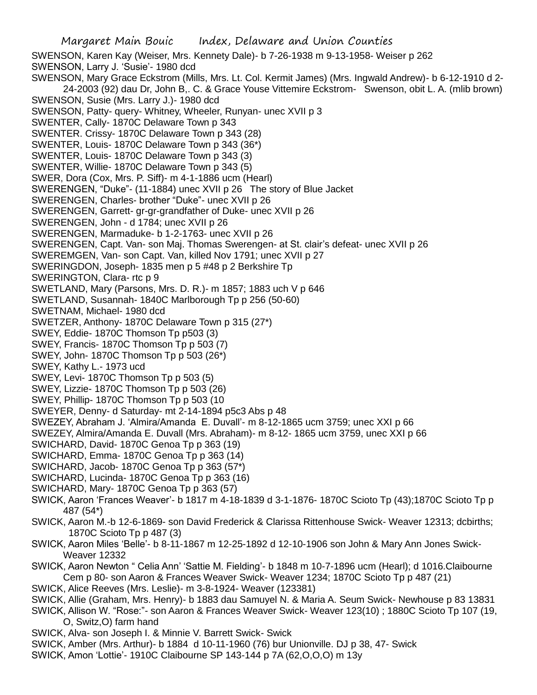SWENSON, Karen Kay (Weiser, Mrs. Kennety Dale)- b 7-26-1938 m 9-13-1958- Weiser p 262 SWENSON, Larry J. 'Susie'- 1980 dcd SWENSON, Mary Grace Eckstrom (Mills, Mrs. Lt. Col. Kermit James) (Mrs. Ingwald Andrew)- b 6-12-1910 d 2- 24-2003 (92) dau Dr, John B,. C. & Grace Youse Vittemire Eckstrom- Swenson, obit L. A. (mlib brown) SWENSON, Susie (Mrs. Larry J.)- 1980 dcd SWENSON, Patty- query- Whitney, Wheeler, Runyan- unec XVII p 3 SWENTER, Cally- 1870C Delaware Town p 343 SWENTER. Crissy- 1870C Delaware Town p 343 (28) SWENTER, Louis- 1870C Delaware Town p 343 (36\*) SWENTER, Louis- 1870C Delaware Town p 343 (3) SWENTER, Willie- 1870C Delaware Town p 343 (5) SWER, Dora (Cox, Mrs. P. Siff)- m 4-1-1886 ucm (Hearl) SWERENGEN, "Duke"- (11-1884) unec XVII p 26 The story of Blue Jacket SWERENGEN, Charles- brother "Duke"- unec XVII p 26 SWERENGEN, Garrett- gr-gr-grandfather of Duke- unec XVII p 26 SWERENGEN, John - d 1784; unec XVII p 26 SWERENGEN, Marmaduke- b 1-2-1763- unec XVII p 26 SWERENGEN, Capt. Van- son Maj. Thomas Swerengen- at St. clair's defeat- unec XVII p 26 SWEREMGEN, Van- son Capt. Van, killed Nov 1791; unec XVII p 27 SWERINGDON, Joseph- 1835 men p 5 #48 p 2 Berkshire Tp SWERINGTON, Clara- rtc p 9 SWETLAND, Mary (Parsons, Mrs. D. R.)- m 1857; 1883 uch V p 646 SWETLAND, Susannah- 1840C Marlborough Tp p 256 (50-60) SWETNAM, Michael- 1980 dcd SWETZER, Anthony- 1870C Delaware Town p 315 (27\*) SWEY, Eddie- 1870C Thomson Tp p503 (3) SWEY, Francis- 1870C Thomson Tp p 503 (7) SWEY, John- 1870C Thomson Tp p 503 (26\*) SWEY, Kathy L.- 1973 ucd SWEY, Levi- 1870C Thomson Tp p 503 (5) SWEY, Lizzie- 1870C Thomson Tp p 503 (26) SWEY, Phillip- 1870C Thomson Tp p 503 (10 SWEYER, Denny- d Saturday- mt 2-14-1894 p5c3 Abs p 48 SWEZEY, Abraham J. 'Almira/Amanda E. Duvall'- m 8-12-1865 ucm 3759; unec XXI p 66 SWEZEY, Almira/Amanda E. Duvall (Mrs. Abraham)- m 8-12- 1865 ucm 3759, unec XXI p 66 SWICHARD, David- 1870C Genoa Tp p 363 (19) SWICHARD, Emma- 1870C Genoa Tp p 363 (14) SWICHARD, Jacob- 1870C Genoa Tp p 363 (57\*) SWICHARD, Lucinda- 1870C Genoa Tp p 363 (16) SWICHARD, Mary- 1870C Genoa Tp p 363 (57) SWICK, Aaron 'Frances Weaver'- b 1817 m 4-18-1839 d 3-1-1876- 1870C Scioto Tp (43);1870C Scioto Tp p 487 (54\*) SWICK, Aaron M.-b 12-6-1869- son David Frederick & Clarissa Rittenhouse Swick- Weaver 12313; dcbirths; 1870C Scioto Tp p 487 (3) SWICK, Aaron Miles 'Belle'- b 8-11-1867 m 12-25-1892 d 12-10-1906 son John & Mary Ann Jones Swick-Weaver 12332 SWICK, Aaron Newton " Celia Ann' 'Sattie M. Fielding'- b 1848 m 10-7-1896 ucm (Hearl); d 1016.Claibourne Cem p 80- son Aaron & Frances Weaver Swick- Weaver 1234; 1870C Scioto Tp p 487 (21) SWICK, Alice Reeves (Mrs. Leslie)- m 3-8-1924- Weaver (123381) SWICK, Allie (Graham, Mrs. Henry)- b 1883 dau Samuyel N. & Maria A. Seum Swick- Newhouse p 83 13831 SWICK, Allison W. "Rose:"- son Aaron & Frances Weaver Swick- Weaver 123(10) ; 1880C Scioto Tp 107 (19, O, Switz,O) farm hand

- SWICK, Alva- son Joseph I. & Minnie V. Barrett Swick- Swick
- SWICK, Amber (Mrs. Arthur)- b 1884 d 10-11-1960 (76) bur Unionville. DJ p 38, 47- Swick
- SWICK, Amon 'Lottie'- 1910C Claibourne SP 143-144 p 7A (62,O,O,O) m 13y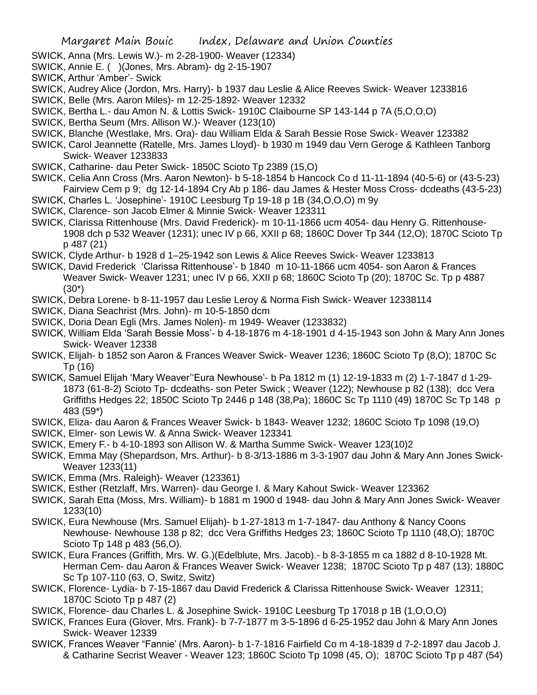- SWICK, Anna (Mrs. Lewis W.)- m 2-28-1900- Weaver (12334)
- SWICK, Annie E. ( )(Jones, Mrs. Abram)- dg 2-15-1907
- SWICK, Arthur 'Amber'- Swick
- SWICK, Audrey Alice (Jordon, Mrs. Harry)- b 1937 dau Leslie & Alice Reeves Swick- Weaver 1233816 SWICK, Belle (Mrs. Aaron Miles)- m 12-25-1892- Weaver 12332
- SWICK, Bertha L.- dau Amon N. & Lottis Swick- 1910C Claibourne SP 143-144 p 7A (5,O,O,O)
- SWICK, Bertha Seum (Mrs. Allison W.)- Weaver (123(10)
- SWICK, Blanche (Westlake, Mrs. Ora)- dau William Elda & Sarah Bessie Rose Swick- Weaver 123382
- SWICK, Carol Jeannette (Ratelle, Mrs. James Lloyd)- b 1930 m 1949 dau Vern Geroge & Kathleen Tanborg Swick- Weaver 1233833
- SWICK, Catharine- dau Peter Swick- 1850C Scioto Tp 2389 (15,O)
- SWICK, Celia Ann Cross (Mrs. Aaron Newton)- b 5-18-1854 b Hancock Co d 11-11-1894 (40-5-6) or (43-5-23) Fairview Cem p 9; dg 12-14-1894 Cry Ab p 186- dau James & Hester Moss Cross- dcdeaths (43-5-23)
- SWICK, Charles L. 'Josephine'- 1910C Leesburg Tp 19-18 p 1B (34,O,O,O) m 9y
- SWICK, Clarence- son Jacob Elmer & Minnie Swick- Weaver 123311
- SWICK, Clarissa Rittenhouse (Mrs. David Frederick)- m 10-11-1866 ucm 4054- dau Henry G. Rittenhouse-1908 dch p 532 Weaver (1231); unec IV p 66, XXII p 68; 1860C Dover Tp 344 (12,O); 1870C Scioto Tp p 487 (21)
- SWICK, Clyde Arthur- b 1928 d 1–25-1942 son Lewis & Alice Reeves Swick- Weaver 1233813
- SWICK, David Frederick 'Clarissa Rittenhouse'- b 1840 m 10-11-1866 ucm 4054- son Aaron & Frances Weaver Swick- Weaver 1231; unec IV p 66, XXII p 68; 1860C Scioto Tp (20); 1870C Sc. Tp p 4887 (30\*)
- SWICK, Debra Lorene- b 8-11-1957 dau Leslie Leroy & Norma Fish Swick- Weaver 12338114
- SWICK, Diana Seachrist (Mrs. John)- m 10-5-1850 dcm
- SWICK, Doria Dean Egli (Mrs. James Nolen)- m 1949- Weaver (1233832)
- SWICK, William Elda 'Sarah Bessie Moss'- b 4-18-1876 m 4-18-1901 d 4-15-1943 son John & Mary Ann Jones Swick- Weaver 12338
- SWICK, Elijah- b 1852 son Aaron & Frances Weaver Swick- Weaver 1236; 1860C Scioto Tp (8,O); 1870C Sc Tp (16)
- SWICK, Samuel Elijah 'Mary Weaver''Eura Newhouse'- b Pa 1812 m (1) 12-19-1833 m (2) 1-7-1847 d 1-29- 1873 (61-8-2) Scioto Tp- dcdeaths- son Peter Swick ; Weaver (122); Newhouse p 82 (138); dcc Vera Griffiths Hedges 22; 1850C Scioto Tp 2446 p 148 (38,Pa); 1860C Sc Tp 1110 (49) 1870C Sc Tp 148 p 483 (59\*)
- SWICK, Eliza- dau Aaron & Frances Weaver Swick- b 1843- Weaver 1232; 1860C Scioto Tp 1098 (19,O)
- SWICK, Elmer- son Lewis W. & Anna Swick- Weaver 123341
- SWICK, Emery F.- b 4-10-1893 son Allison W. & Martha Summe Swick- Weaver 123(10)2
- SWICK, Emma May (Shepardson, Mrs. Arthur)- b 8-3/13-1886 m 3-3-1907 dau John & Mary Ann Jones Swick-Weaver 1233(11)
- SWICK, Emma (Mrs. Raleigh)- Weaver (123361)
- SWICK, Esther (Retzlaff, Mrs. Warren)- dau George I. & Mary Kahout Swick- Weaver 123362
- SWICK, Sarah Etta (Moss, Mrs. William)- b 1881 m 1900 d 1948- dau John & Mary Ann Jones Swick- Weaver 1233(10)
- SWICK, Eura Newhouse (Mrs. Samuel Elijah)- b 1-27-1813 m 1-7-1847- dau Anthony & Nancy Coons Newhouse- Newhouse 138 p 82; dcc Vera Griffiths Hedges 23; 1860C Scioto Tp 1110 (48,O); 1870C Scioto Tp 148 p 483 (56,O).
- SWICK, Eura Frances (Griffith, Mrs. W. G.)(Edelblute, Mrs. Jacob).- b 8-3-1855 m ca 1882 d 8-10-1928 Mt. Herman Cem- dau Aaron & Frances Weaver Swick- Weaver 1238; 1870C Scioto Tp p 487 (13); 1880C Sc Tp 107-110 (63, O, Switz, Switz)
- SWICK, Florence- Lydia- b 7-15-1867 dau David Frederick & Clarissa Rittenhouse Swick- Weaver 12311; 1870C Scioto Tp p 487 (2)
- SWICK, Florence- dau Charles L. & Josephine Swick- 1910C Leesburg Tp 17018 p 1B (1,O,O,O)
- SWICK, Frances Eura (Glover, Mrs. Frank)- b 7-7-1877 m 3-5-1896 d 6-25-1952 dau John & Mary Ann Jones Swick- Weaver 12339
- SWICK, Frances Weaver "Fannie' (Mrs. Aaron)- b 1-7-1816 Fairfield Co m 4-18-1839 d 7-2-1897 dau Jacob J. & Catharine Secrist Weaver - Weaver 123; 1860C Scioto Tp 1098 (45, O); 1870C Scioto Tp p 487 (54)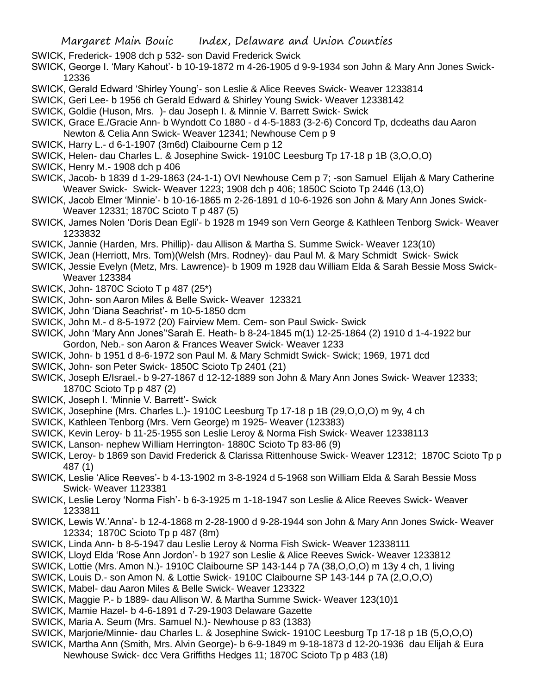- SWICK, Frederick- 1908 dch p 532- son David Frederick Swick
- SWICK, George I. 'Mary Kahout'- b 10-19-1872 m 4-26-1905 d 9-9-1934 son John & Mary Ann Jones Swick-12336
- SWICK, Gerald Edward 'Shirley Young'- son Leslie & Alice Reeves Swick- Weaver 1233814
- SWICK, Geri Lee- b 1956 ch Gerald Edward & Shirley Young Swick- Weaver 12338142
- SWICK, Goldie (Huson, Mrs. )- dau Joseph I. & Minnie V. Barrett Swick- Swick
- SWICK, Grace E./Gracie Ann- b Wyndott Co 1880 d 4-5-1883 (3-2-6) Concord Tp, dcdeaths dau Aaron Newton & Celia Ann Swick- Weaver 12341; Newhouse Cem p 9
- SWICK, Harry L.- d 6-1-1907 (3m6d) Claibourne Cem p 12
- SWICK, Helen- dau Charles L. & Josephine Swick- 1910C Leesburg Tp 17-18 p 1B (3,O,O,O)
- SWICK, Henry M.- 1908 dch p 406
- SWICK, Jacob- b 1839 d 1-29-1863 (24-1-1) OVI Newhouse Cem p 7; -son Samuel Elijah & Mary Catherine Weaver Swick- Swick- Weaver 1223; 1908 dch p 406; 1850C Scioto Tp 2446 (13,O)
- SWICK, Jacob Elmer 'Minnie'- b 10-16-1865 m 2-26-1891 d 10-6-1926 son John & Mary Ann Jones Swick-Weaver 12331; 1870C Scioto T p 487 (5)
- SWICK, James Nolen 'Doris Dean Egli'- b 1928 m 1949 son Vern George & Kathleen Tenborg Swick- Weaver 1233832
- SWICK, Jannie (Harden, Mrs. Phillip)- dau Allison & Martha S. Summe Swick- Weaver 123(10)
- SWICK, Jean (Herriott, Mrs. Tom)(Welsh (Mrs. Rodney)- dau Paul M. & Mary Schmidt Swick- Swick
- SWICK, Jessie Evelyn (Metz, Mrs. Lawrence)- b 1909 m 1928 dau William Elda & Sarah Bessie Moss Swick-Weaver 123384
- SWICK, John- 1870C Scioto T p 487 (25\*)
- SWICK, John- son Aaron Miles & Belle Swick- Weaver 123321
- SWICK, John 'Diana Seachrist'- m 10-5-1850 dcm
- SWICK, John M.- d 8-5-1972 (20) Fairview Mem. Cem- son Paul Swick- Swick
- SWICK, John 'Mary Ann Jones''Sarah E. Heath- b 8-24-1845 m(1) 12-25-1864 (2) 1910 d 1-4-1922 bur Gordon, Neb.- son Aaron & Frances Weaver Swick- Weaver 1233
- SWICK, John- b 1951 d 8-6-1972 son Paul M. & Mary Schmidt Swick- Swick; 1969, 1971 dcd
- SWICK, John- son Peter Swick- 1850C Scioto Tp 2401 (21)
- SWICK, Joseph E/Israel.- b 9-27-1867 d 12-12-1889 son John & Mary Ann Jones Swick- Weaver 12333; 1870C Scioto Tp p 487 (2)
- SWICK, Joseph I. 'Minnie V. Barrett'- Swick
- SWICK, Josephine (Mrs. Charles L.)- 1910C Leesburg Tp 17-18 p 1B (29, O, O, O) m 9y, 4 ch
- SWICK, Kathleen Tenborg (Mrs. Vern George) m 1925- Weaver (123383)
- SWICK, Kevin Leroy- b 11-25-1955 son Leslie Leroy & Norma Fish Swick- Weaver 12338113
- SWICK, Lanson- nephew William Herrington- 1880C Scioto Tp 83-86 (9)
- SWICK, Leroy- b 1869 son David Frederick & Clarissa Rittenhouse Swick- Weaver 12312; 1870C Scioto Tp p 487 (1)
- SWICK, Leslie 'Alice Reeves'- b 4-13-1902 m 3-8-1924 d 5-1968 son William Elda & Sarah Bessie Moss Swick- Weaver 1123381
- SWICK, Leslie Leroy 'Norma Fish'- b 6-3-1925 m 1-18-1947 son Leslie & Alice Reeves Swick- Weaver 1233811
- SWICK, Lewis W.'Anna'- b 12-4-1868 m 2-28-1900 d 9-28-1944 son John & Mary Ann Jones Swick- Weaver 12334; 1870C Scioto Tp p 487 (8m)
- SWICK, Linda Ann- b 8-5-1947 dau Leslie Leroy & Norma Fish Swick- Weaver 12338111
- SWICK, Lloyd Elda 'Rose Ann Jordon'- b 1927 son Leslie & Alice Reeves Swick- Weaver 1233812
- SWICK, Lottie (Mrs. Amon N.)- 1910C Claibourne SP 143-144 p 7A (38,O,O,O) m 13y 4 ch, 1 living
- SWICK, Louis D.- son Amon N. & Lottie Swick- 1910C Claibourne SP 143-144 p 7A (2,O,O,O)
- SWICK, Mabel- dau Aaron Miles & Belle Swick- Weaver 123322
- SWICK, Maggie P.- b 1889- dau Allison W. & Martha Summe Swick- Weaver 123(10)1
- SWICK, Mamie Hazel- b 4-6-1891 d 7-29-1903 Delaware Gazette
- SWICK, Maria A. Seum (Mrs. Samuel N.)- Newhouse p 83 (1383)
- SWICK, Marjorie/Minnie- dau Charles L. & Josephine Swick- 1910C Leesburg Tp 17-18 p 1B (5,O,O,O)
- SWICK, Martha Ann (Smith, Mrs. Alvin George)- b 6-9-1849 m 9-18-1873 d 12-20-1936 dau Elijah & Eura Newhouse Swick- dcc Vera Griffiths Hedges 11; 1870C Scioto Tp p 483 (18)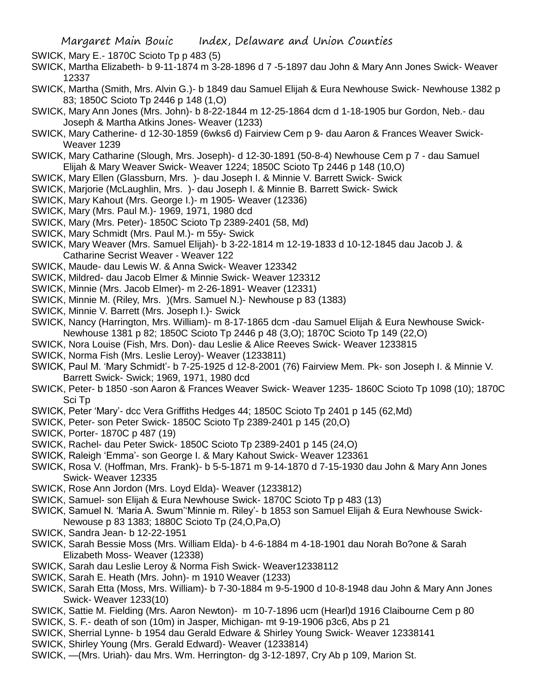SWICK, Mary E.- 1870C Scioto Tp p 483 (5)

- SWICK, Martha Elizabeth- b 9-11-1874 m 3-28-1896 d 7 -5-1897 dau John & Mary Ann Jones Swick- Weaver 12337
- SWICK, Martha (Smith, Mrs. Alvin G.)- b 1849 dau Samuel Elijah & Eura Newhouse Swick- Newhouse 1382 p 83; 1850C Scioto Tp 2446 p 148 (1,O)
- SWICK, Mary Ann Jones (Mrs. John)- b 8-22-1844 m 12-25-1864 dcm d 1-18-1905 bur Gordon, Neb.- dau Joseph & Martha Atkins Jones- Weaver (1233)
- SWICK, Mary Catherine- d 12-30-1859 (6wks6 d) Fairview Cem p 9- dau Aaron & Frances Weaver Swick-Weaver 1239
- SWICK, Mary Catharine (Slough, Mrs. Joseph)- d 12-30-1891 (50-8-4) Newhouse Cem p 7 dau Samuel Elijah & Mary Weaver Swick- Weaver 1224; 1850C Scioto Tp 2446 p 148 (10,O)
- SWICK, Mary Ellen (Glassburn, Mrs. )- dau Joseph I. & Minnie V. Barrett Swick- Swick
- SWICK, Marjorie (McLaughlin, Mrs. )- dau Joseph I. & Minnie B. Barrett Swick- Swick
- SWICK, Mary Kahout (Mrs. George I.)- m 1905- Weaver (12336)
- SWICK, Mary (Mrs. Paul M.)- 1969, 1971, 1980 dcd
- SWICK, Mary (Mrs. Peter)- 1850C Scioto Tp 2389-2401 (58, Md)
- SWICK, Mary Schmidt (Mrs. Paul M.)- m 55y- Swick
- SWICK, Mary Weaver (Mrs. Samuel Elijah)- b 3-22-1814 m 12-19-1833 d 10-12-1845 dau Jacob J. & Catharine Secrist Weaver - Weaver 122
- SWICK, Maude- dau Lewis W. & Anna Swick- Weaver 123342
- SWICK, Mildred- dau Jacob Elmer & Minnie Swick- Weaver 123312
- SWICK, Minnie (Mrs. Jacob Elmer)- m 2-26-1891- Weaver (12331)
- SWICK, Minnie M. (Riley, Mrs. )(Mrs. Samuel N.)- Newhouse p 83 (1383)
- SWICK, Minnie V. Barrett (Mrs. Joseph I.)- Swick
- SWICK, Nancy (Harrington, Mrs. William)- m 8-17-1865 dcm -dau Samuel Elijah & Eura Newhouse Swick-Newhouse 1381 p 82; 1850C Scioto Tp 2446 p 48 (3,O); 1870C Scioto Tp 149 (22,O)
- SWICK, Nora Louise (Fish, Mrs. Don)- dau Leslie & Alice Reeves Swick- Weaver 1233815
- SWICK, Norma Fish (Mrs. Leslie Leroy)- Weaver (1233811)
- SWICK, Paul M. 'Mary Schmidt'- b 7-25-1925 d 12-8-2001 (76) Fairview Mem. Pk- son Joseph I. & Minnie V. Barrett Swick- Swick; 1969, 1971, 1980 dcd
- SWICK, Peter- b 1850 -son Aaron & Frances Weaver Swick- Weaver 1235- 1860C Scioto Tp 1098 (10); 1870C Sci Tp
- SWICK, Peter 'Mary'- dcc Vera Griffiths Hedges 44; 1850C Scioto Tp 2401 p 145 (62,Md)
- SWICK, Peter- son Peter Swick- 1850C Scioto Tp 2389-2401 p 145 (20,O)
- SWICK, Porter- 1870C p 487 (19)
- SWICK, Rachel- dau Peter Swick- 1850C Scioto Tp 2389-2401 p 145 (24,O)
- SWICK, Raleigh 'Emma'- son George I. & Mary Kahout Swick- Weaver 123361
- SWICK, Rosa V. (Hoffman, Mrs. Frank)- b 5-5-1871 m 9-14-1870 d 7-15-1930 dau John & Mary Ann Jones Swick- Weaver 12335
- SWICK, Rose Ann Jordon (Mrs. Loyd Elda)- Weaver (1233812)
- SWICK, Samuel- son Elijah & Eura Newhouse Swick- 1870C Scioto Tp p 483 (13)
- SWICK, Samuel N. 'Maria A. Swum''Minnie m. Riley'- b 1853 son Samuel Elijah & Eura Newhouse Swick-Newouse p 83 1383; 1880C Scioto Tp (24,O,Pa,O)
- SWICK, Sandra Jean- b 12-22-1951
- SWICK, Sarah Bessie Moss (Mrs. William Elda)- b 4-6-1884 m 4-18-1901 dau Norah Bo?one & Sarah Elizabeth Moss- Weaver (12338)
- SWICK, Sarah dau Leslie Leroy & Norma Fish Swick- Weaver12338112
- SWICK, Sarah E. Heath (Mrs. John)- m 1910 Weaver (1233)
- SWICK, Sarah Etta (Moss, Mrs. William)- b 7-30-1884 m 9-5-1900 d 10-8-1948 dau John & Mary Ann Jones Swick- Weaver 1233(10)
- SWICK, Sattie M. Fielding (Mrs. Aaron Newton)- m 10-7-1896 ucm (Hearl)d 1916 Claibourne Cem p 80 SWICK, S. F.- death of son (10m) in Jasper, Michigan- mt 9-19-1906 p3c6, Abs p 21
- SWICK, Sherrial Lynne- b 1954 dau Gerald Edware & Shirley Young Swick- Weaver 12338141
- SWICK, Shirley Young (Mrs. Gerald Edward)- Weaver (1233814)
- SWICK, —(Mrs. Uriah)- dau Mrs. Wm. Herrington- dg 3-12-1897, Cry Ab p 109, Marion St.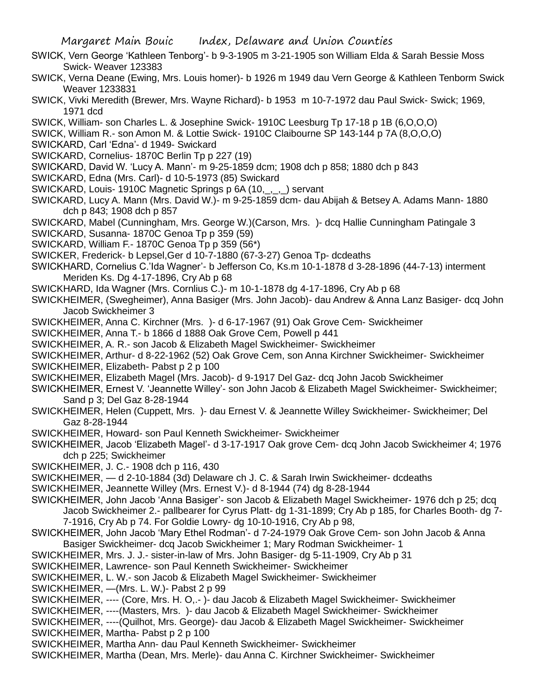- SWICK, Vern George 'Kathleen Tenborg'- b 9-3-1905 m 3-21-1905 son William Elda & Sarah Bessie Moss Swick- Weaver 123383
- SWICK, Verna Deane (Ewing, Mrs. Louis homer)- b 1926 m 1949 dau Vern George & Kathleen Tenborm Swick Weaver 1233831
- SWICK, Vivki Meredith (Brewer, Mrs. Wayne Richard)- b 1953 m 10-7-1972 dau Paul Swick- Swick; 1969, 1971 dcd
- SWICK, William- son Charles L. & Josephine Swick- 1910C Leesburg Tp 17-18 p 1B (6,O,O,O)
- SWICK, William R.- son Amon M. & Lottie Swick- 1910C Claibourne SP 143-144 p 7A (8,O,O,O)
- SWICKARD, Carl 'Edna'- d 1949- Swickard
- SWICKARD, Cornelius- 1870C Berlin Tp p 227 (19)
- SWICKARD, David W. 'Lucy A. Mann'- m 9-25-1859 dcm; 1908 dch p 858; 1880 dch p 843
- SWICKARD, Edna (Mrs. Carl)- d 10-5-1973 (85) Swickard
- SWICKARD, Louis- 1910C Magnetic Springs p 6A (10,\_,\_,\_) servant
- SWICKARD, Lucy A. Mann (Mrs. David W.)- m 9-25-1859 dcm- dau Abijah & Betsey A. Adams Mann- 1880 dch p 843; 1908 dch p 857
- SWICKARD, Mabel (Cunningham, Mrs. George W.)(Carson, Mrs. )- dcq Hallie Cunningham Patingale 3
- SWICKARD, Susanna- 1870C Genoa Tp p 359 (59)
- SWICKARD, William F.- 1870C Genoa Tp p 359 (56\*)
- SWICKER, Frederick- b Lepsel,Ger d 10-7-1880 (67-3-27) Genoa Tp- dcdeaths
- SWICKHARD, Cornelius C.'Ida Wagner'- b Jefferson Co, Ks.m 10-1-1878 d 3-28-1896 (44-7-13) interment Meriden Ks. Dg 4-17-1896, Cry Ab p 68
- SWICKHARD, Ida Wagner (Mrs. Cornlius C.)- m 10-1-1878 dg 4-17-1896, Cry Ab p 68
- SWICKHEIMER, (Swegheimer), Anna Basiger (Mrs. John Jacob)- dau Andrew & Anna Lanz Basiger- dcq John Jacob Swickheimer 3
- SWICKHEIMER, Anna C. Kirchner (Mrs. )- d 6-17-1967 (91) Oak Grove Cem- Swickheimer
- SWICKHEIMER, Anna T.- b 1866 d 1888 Oak Grove Cem, Powell p 441
- SWICKHEIMER, A. R.- son Jacob & Elizabeth Magel Swickheimer- Swickheimer
- SWICKHEIMER, Arthur- d 8-22-1962 (52) Oak Grove Cem, son Anna Kirchner Swickheimer- Swickheimer
- SWICKHEIMER, Elizabeth- Pabst p 2 p 100
- SWICKHEIMER, Elizabeth Magel (Mrs. Jacob)- d 9-1917 Del Gaz- dcq John Jacob Swickheimer
- SWICKHEIMER, Ernest V. 'Jeannette Willey'- son John Jacob & Elizabeth Magel Swickheimer- Swickheimer; Sand p 3; Del Gaz 8-28-1944
- SWICKHEIMER, Helen (Cuppett, Mrs. )- dau Ernest V. & Jeannette Willey Swickheimer- Swickheimer; Del Gaz 8-28-1944
- SWICKHEIMER, Howard- son Paul Kenneth Swickheimer- Swickheimer
- SWICKHEIMER, Jacob 'Elizabeth Magel'- d 3-17-1917 Oak grove Cem- dcq John Jacob Swickheimer 4; 1976 dch p 225; Swickheimer
- SWICKHEIMER, J. C.- 1908 dch p 116, 430
- SWICKHEIMER, d 2-10-1884 (3d) Delaware ch J. C. & Sarah Irwin Swickheimer- dcdeaths
- SWICKHEIMER, Jeannette Willey (Mrs. Ernest V.)- d 8-1944 (74) dg 8-28-1944
- SWICKHEIMER, John Jacob 'Anna Basiger'- son Jacob & Elizabeth Magel Swickheimer- 1976 dch p 25; dcq Jacob Swickheimer 2.- pallbearer for Cyrus Platt- dg 1-31-1899; Cry Ab p 185, for Charles Booth- dg 7- 7-1916, Cry Ab p 74. For Goldie Lowry- dg 10-10-1916, Cry Ab p 98,
- SWICKHEIMER, John Jacob 'Mary Ethel Rodman'- d 7-24-1979 Oak Grove Cem- son John Jacob & Anna Basiger Swickheimer- dcq Jacob Swickheimer 1; Mary Rodman Swickheimer- 1
- SWICKHEIMER, Mrs. J. J.- sister-in-law of Mrs. John Basiger- dg 5-11-1909, Cry Ab p 31
- SWICKHEIMER, Lawrence- son Paul Kenneth Swickheimer- Swickheimer
- SWICKHEIMER, L. W.- son Jacob & Elizabeth Magel Swickheimer- Swickheimer
- SWICKHEIMER, —(Mrs. L. W.)- Pabst 2 p 99
- SWICKHEIMER, ---- (Core, Mrs. H. O,.- )- dau Jacob & Elizabeth Magel Swickheimer- Swickheimer
- SWICKHEIMER, ----(Masters, Mrs. )- dau Jacob & Elizabeth Magel Swickheimer- Swickheimer
- SWICKHEIMER, ----(Quilhot, Mrs. George)- dau Jacob & Elizabeth Magel Swickheimer- Swickheimer SWICKHEIMER, Martha- Pabst p 2 p 100
- SWICKHEIMER, Martha Ann- dau Paul Kenneth Swickheimer- Swickheimer
- SWICKHEIMER, Martha (Dean, Mrs. Merle)- dau Anna C. Kirchner Swickheimer- Swickheimer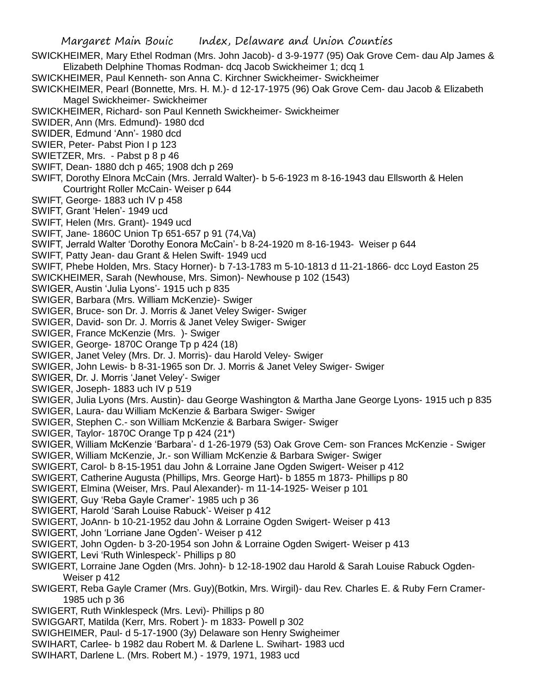Margaret Main Bouic Index, Delaware and Union Counties SWICKHEIMER, Mary Ethel Rodman (Mrs. John Jacob)- d 3-9-1977 (95) Oak Grove Cem- dau Alp James & Elizabeth Delphine Thomas Rodman- dcq Jacob Swickheimer 1; dcq 1 SWICKHEIMER, Paul Kenneth- son Anna C. Kirchner Swickheimer- Swickheimer SWICKHEIMER, Pearl (Bonnette, Mrs. H. M.)- d 12-17-1975 (96) Oak Grove Cem- dau Jacob & Elizabeth Magel Swickheimer- Swickheimer SWICKHEIMER, Richard- son Paul Kenneth Swickheimer- Swickheimer SWIDER, Ann (Mrs. Edmund)- 1980 dcd SWIDER, Edmund 'Ann'- 1980 dcd SWIER, Peter- Pabst Pion I p 123 SWIETZER, Mrs. - Pabst p 8 p 46 SWIFT, Dean- 1880 dch p 465; 1908 dch p 269 SWIFT, Dorothy Elnora McCain (Mrs. Jerrald Walter)- b 5-6-1923 m 8-16-1943 dau Ellsworth & Helen Courtright Roller McCain- Weiser p 644 SWIFT, George- 1883 uch IV p 458 SWIFT, Grant 'Helen'- 1949 ucd SWIFT, Helen (Mrs. Grant)- 1949 ucd SWIFT, Jane- 1860C Union Tp 651-657 p 91 (74,Va) SWIFT, Jerrald Walter 'Dorothy Eonora McCain'- b 8-24-1920 m 8-16-1943- Weiser p 644 SWIFT, Patty Jean- dau Grant & Helen Swift- 1949 ucd SWIFT, Phebe Holden, Mrs. Stacy Horner)- b 7-13-1783 m 5-10-1813 d 11-21-1866- dcc Loyd Easton 25 SWICKHEIMER, Sarah (Newhouse, Mrs. Simon)- Newhouse p 102 (1543) SWIGER, Austin 'Julia Lyons'- 1915 uch p 835 SWIGER, Barbara (Mrs. William McKenzie)- Swiger SWIGER, Bruce- son Dr. J. Morris & Janet Veley Swiger- Swiger SWIGER, David- son Dr. J. Morris & Janet Veley Swiger- Swiger SWIGER, France McKenzie (Mrs. )- Swiger SWIGER, George- 1870C Orange Tp p 424 (18) SWIGER, Janet Veley (Mrs. Dr. J. Morris)- dau Harold Veley- Swiger SWIGER, John Lewis- b 8-31-1965 son Dr. J. Morris & Janet Veley Swiger- Swiger SWIGER, Dr. J. Morris 'Janet Veley'- Swiger SWIGER, Joseph- 1883 uch IV p 519 SWIGER, Julia Lyons (Mrs. Austin)- dau George Washington & Martha Jane George Lyons- 1915 uch p 835 SWIGER, Laura- dau William McKenzie & Barbara Swiger- Swiger SWIGER, Stephen C.- son William McKenzie & Barbara Swiger- Swiger SWIGER, Taylor- 1870C Orange Tp p 424 (21\*) SWIGER, William McKenzie 'Barbara'- d 1-26-1979 (53) Oak Grove Cem- son Frances McKenzie - Swiger SWIGER, William McKenzie, Jr.- son William McKenzie & Barbara Swiger- Swiger SWIGERT, Carol- b 8-15-1951 dau John & Lorraine Jane Ogden Swigert- Weiser p 412 SWIGERT, Catherine Augusta (Phillips, Mrs. George Hart)- b 1855 m 1873- Phillips p 80 SWIGERT, Elmina (Weiser, Mrs. Paul Alexander)- m 11-14-1925- Weiser p 101 SWIGERT, Guy 'Reba Gayle Cramer'- 1985 uch p 36 SWIGERT, Harold 'Sarah Louise Rabuck'- Weiser p 412 SWIGERT, JoAnn- b 10-21-1952 dau John & Lorraine Ogden Swigert- Weiser p 413 SWIGERT, John 'Lorriane Jane Ogden'- Weiser p 412 SWIGERT, John Ogden- b 3-20-1954 son John & Lorraine Ogden Swigert- Weiser p 413 SWIGERT, Levi 'Ruth Winlespeck'- Phillips p 80 SWIGERT, Lorraine Jane Ogden (Mrs. John)- b 12-18-1902 dau Harold & Sarah Louise Rabuck Ogden-Weiser p 412 SWIGERT, Reba Gayle Cramer (Mrs. Guy)(Botkin, Mrs. Wirgil)- dau Rev. Charles E. & Ruby Fern Cramer-1985 uch p 36 SWIGERT, Ruth Winklespeck (Mrs. Levi)- Phillips p 80 SWIGGART, Matilda (Kerr, Mrs. Robert )- m 1833- Powell p 302 SWIGHEIMER, Paul- d 5-17-1900 (3y) Delaware son Henry Swigheimer SWIHART, Carlee- b 1982 dau Robert M. & Darlene L. Swihart- 1983 ucd

SWIHART, Darlene L. (Mrs. Robert M.) - 1979, 1971, 1983 ucd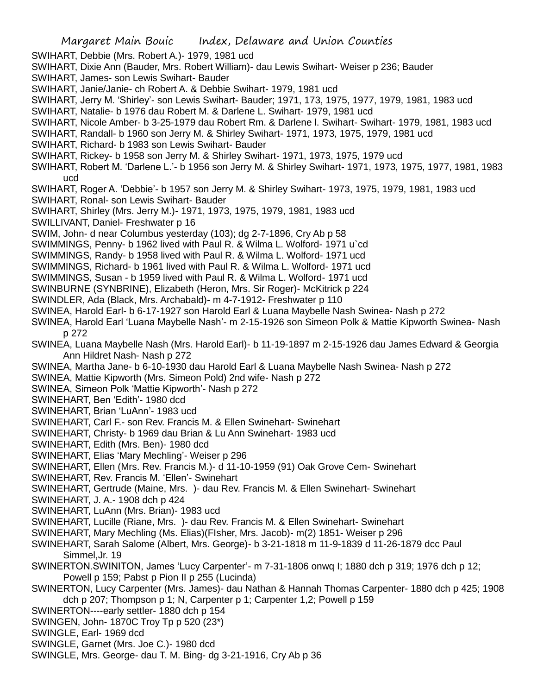- SWIHART, Debbie (Mrs. Robert A.)- 1979, 1981 ucd
- SWIHART, Dixie Ann (Bauder, Mrs. Robert William)- dau Lewis Swihart- Weiser p 236; Bauder
- SWIHART, James- son Lewis Swihart- Bauder
- SWIHART, Janie/Janie- ch Robert A. & Debbie Swihart- 1979, 1981 ucd
- SWIHART, Jerry M. 'Shirley'- son Lewis Swihart- Bauder; 1971, 173, 1975, 1977, 1979, 1981, 1983 ucd
- SWIHART, Natalie- b 1976 dau Robert M. & Darlene L. Swihart- 1979, 1981 ucd
- SWIHART, Nicole Amber- b 3-25-1979 dau Robert Rm. & Darlene l. Swihart- Swihart- 1979, 1981, 1983 ucd
- SWIHART, Randall- b 1960 son Jerry M. & Shirley Swihart- 1971, 1973, 1975, 1979, 1981 ucd
- SWIHART, Richard- b 1983 son Lewis Swihart- Bauder
- SWIHART, Rickey- b 1958 son Jerry M. & Shirley Swihart- 1971, 1973, 1975, 1979 ucd
- SWIHART, Robert M. 'Darlene L.'- b 1956 son Jerry M. & Shirley Swihart- 1971, 1973, 1975, 1977, 1981, 1983 ucd
- SWIHART, Roger A. 'Debbie'- b 1957 son Jerry M. & Shirley Swihart- 1973, 1975, 1979, 1981, 1983 ucd
- SWIHART, Ronal- son Lewis Swihart- Bauder
- SWIHART, Shirley (Mrs. Jerry M.)- 1971, 1973, 1975, 1979, 1981, 1983 ucd
- SWILLIVANT, Daniel- Freshwater p 16
- SWIM, John- d near Columbus yesterday (103); dg 2-7-1896, Cry Ab p 58
- SWIMMINGS, Penny- b 1962 lived with Paul R. & Wilma L. Wolford- 1971 u`cd
- SWIMMINGS, Randy- b 1958 lived with Paul R. & Wilma L. Wolford- 1971 ucd
- SWIMMINGS, Richard- b 1961 lived with Paul R. & Wilma L. Wolford- 1971 ucd
- SWIMMINGS, Susan b 1959 lived with Paul R. & Wilma L. Wolford- 1971 ucd
- SWINBURNE (SYNBRINE), Elizabeth (Heron, Mrs. Sir Roger)- McKitrick p 224
- SWINDLER, Ada (Black, Mrs. Archabald)- m 4-7-1912- Freshwater p 110
- SWINEA, Harold Earl- b 6-17-1927 son Harold Earl & Luana Maybelle Nash Swinea- Nash p 272
- SWINEA, Harold Earl 'Luana Maybelle Nash'- m 2-15-1926 son Simeon Polk & Mattie Kipworth Swinea- Nash p 272
- SWINEA, Luana Maybelle Nash (Mrs. Harold Earl)- b 11-19-1897 m 2-15-1926 dau James Edward & Georgia Ann Hildret Nash- Nash p 272
- SWINEA, Martha Jane- b 6-10-1930 dau Harold Earl & Luana Maybelle Nash Swinea- Nash p 272
- SWINEA, Mattie Kipworth (Mrs. Simeon Pold) 2nd wife- Nash p 272
- SWINEA, Simeon Polk 'Mattie Kipworth'- Nash p 272
- SWINEHART, Ben 'Edith'- 1980 dcd
- SWINEHART, Brian 'LuAnn'- 1983 ucd
- SWINEHART, Carl F.- son Rev. Francis M. & Ellen Swinehart- Swinehart
- SWINEHART, Christy- b 1969 dau Brian & Lu Ann Swinehart- 1983 ucd
- SWINEHART, Edith (Mrs. Ben)- 1980 dcd
- SWINEHART, Elias 'Mary Mechling'- Weiser p 296
- SWINEHART, Ellen (Mrs. Rev. Francis M.)- d 11-10-1959 (91) Oak Grove Cem- Swinehart
- SWINEHART, Rev. Francis M. 'Ellen'- Swinehart
- SWINEHART, Gertrude (Maine, Mrs. )- dau Rev. Francis M. & Ellen Swinehart- Swinehart
- SWINEHART, J. A.- 1908 dch p 424
- SWINEHART, LuAnn (Mrs. Brian)- 1983 ucd
- SWINEHART, Lucille (Riane, Mrs. )- dau Rev. Francis M. & Ellen Swinehart- Swinehart
- SWINEHART, Mary Mechling (Ms. Elias)(FIsher, Mrs. Jacob)- m(2) 1851- Weiser p 296
- SWINEHART, Sarah Salome (Albert, Mrs. George)- b 3-21-1818 m 11-9-1839 d 11-26-1879 dcc Paul Simmel,Jr. 19
- SWINERTON.SWINITON, James 'Lucy Carpenter'- m 7-31-1806 onwq I; 1880 dch p 319; 1976 dch p 12; Powell p 159; Pabst p Pion II p 255 (Lucinda)
- SWINERTON, Lucy Carpenter (Mrs. James)- dau Nathan & Hannah Thomas Carpenter- 1880 dch p 425; 1908 dch p 207; Thompson p 1; N, Carpenter p 1; Carpenter 1,2; Powell p 159
- SWINERTON----early settler- 1880 dch p 154
- SWINGEN, John- 1870C Troy Tp p 520 (23\*)
- SWINGLE, Earl- 1969 dcd
- SWINGLE, Garnet (Mrs. Joe C.)- 1980 dcd
- SWINGLE, Mrs. George- dau T. M. Bing- dg 3-21-1916, Cry Ab p 36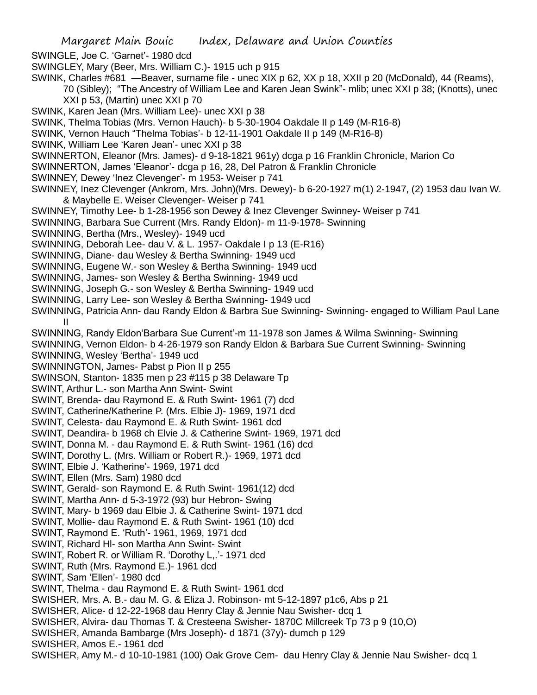SWINGLE, Joe C. 'Garnet'- 1980 dcd

- SWINGLEY, Mary (Beer, Mrs. William C.)- 1915 uch p 915
- SWINK, Charles #681 —Beaver, surname file unec XIX p 62, XX p 18, XXII p 20 (McDonald), 44 (Reams),

70 (Sibley); "The Ancestry of William Lee and Karen Jean Swink"- mlib; unec XXI p 38; (Knotts), unec XXI p 53, (Martin) unec XXI p 70

SWINK, Karen Jean (Mrs. William Lee)- unec XXI p 38

SWINK, Thelma Tobias (Mrs. Vernon Hauch)- b 5-30-1904 Oakdale II p 149 (M-R16-8)

SWINK, Vernon Hauch "Thelma Tobias'- b 12-11-1901 Oakdale II p 149 (M-R16-8)

SWINK, William Lee 'Karen Jean'- unec XXI p 38

SWINNERTON, Eleanor (Mrs. James)- d 9-18-1821 961y) dcga p 16 Franklin Chronicle, Marion Co

SWINNERTON, James 'Eleanor'- dcga p 16, 28, Del Patron & Franklin Chronicle

- SWINNEY, Dewey 'Inez Clevenger'- m 1953- Weiser p 741
- SWINNEY, Inez Clevenger (Ankrom, Mrs. John)(Mrs. Dewey)- b 6-20-1927 m(1) 2-1947, (2) 1953 dau Ivan W. & Maybelle E. Weiser Clevenger- Weiser p 741
- SWINNEY, Timothy Lee- b 1-28-1956 son Dewey & Inez Clevenger Swinney- Weiser p 741

SWINNING, Barbara Sue Current (Mrs. Randy Eldon)- m 11-9-1978- Swinning

SWINNING, Bertha (Mrs., Wesley)- 1949 ucd

- SWINNING, Deborah Lee- dau V. & L. 1957- Oakdale I p 13 (E-R16)
- SWINNING, Diane- dau Wesley & Bertha Swinning- 1949 ucd
- SWINNING, Eugene W.- son Wesley & Bertha Swinning- 1949 ucd
- SWINNING, James- son Wesley & Bertha Swinning- 1949 ucd
- SWINNING, Joseph G.- son Wesley & Bertha Swinning- 1949 ucd
- SWINNING, Larry Lee- son Wesley & Bertha Swinning- 1949 ucd
- SWINNING, Patricia Ann- dau Randy Eldon & Barbra Sue Swinning- Swinning- engaged to William Paul Lane II
- SWINNING, Randy Eldon'Barbara Sue Current'-m 11-1978 son James & Wilma Swinning- Swinning

SWINNING, Vernon Eldon- b 4-26-1979 son Randy Eldon & Barbara Sue Current Swinning- Swinning

SWINNING, Wesley 'Bertha'- 1949 ucd

- SWINNINGTON, James- Pabst p Pion II p 255
- SWINSON, Stanton- 1835 men p 23 #115 p 38 Delaware Tp
- SWINT, Arthur L.- son Martha Ann Swint- Swint
- SWINT, Brenda- dau Raymond E. & Ruth Swint- 1961 (7) dcd
- SWINT, Catherine/Katherine P. (Mrs. Elbie J)- 1969, 1971 dcd
- SWINT, Celesta- dau Raymond E. & Ruth Swint- 1961 dcd
- SWINT, Deandira- b 1968 ch Elvie J. & Catherine Swint- 1969, 1971 dcd
- SWINT, Donna M. dau Raymond E. & Ruth Swint- 1961 (16) dcd
- SWINT, Dorothy L. (Mrs. William or Robert R.)- 1969, 1971 dcd
- SWINT, Elbie J. 'Katherine'- 1969, 1971 dcd
- SWINT, Ellen (Mrs. Sam) 1980 dcd
- SWINT, Gerald- son Raymond E. & Ruth Swint- 1961(12) dcd
- SWINT, Martha Ann- d 5-3-1972 (93) bur Hebron- Swing
- SWINT, Mary- b 1969 dau Elbie J. & Catherine Swint- 1971 dcd
- SWINT, Mollie- dau Raymond E. & Ruth Swint- 1961 (10) dcd
- SWINT, Raymond E. 'Ruth'- 1961, 1969, 1971 dcd
- SWINT, Richard Hl- son Martha Ann Swint- Swint
- SWINT, Robert R. or William R. 'Dorothy L,.'- 1971 dcd
- SWINT, Ruth (Mrs. Raymond E.)- 1961 dcd
- SWINT, Sam 'Ellen'- 1980 dcd
- SWINT, Thelma dau Raymond E. & Ruth Swint- 1961 dcd
- SWISHER, Mrs. A. B.- dau M. G. & Eliza J. Robinson- mt 5-12-1897 p1c6, Abs p 21
- SWISHER, Alice- d 12-22-1968 dau Henry Clay & Jennie Nau Swisher- dcq 1
- SWISHER, Alvira- dau Thomas T. & Cresteena Swisher- 1870C Millcreek Tp 73 p 9 (10,O)
- SWISHER, Amanda Bambarge (Mrs Joseph)- d 1871 (37y)- dumch p 129
- SWISHER, Amos E.- 1961 dcd
- SWISHER, Amy M.- d 10-10-1981 (100) Oak Grove Cem- dau Henry Clay & Jennie Nau Swisher- dcq 1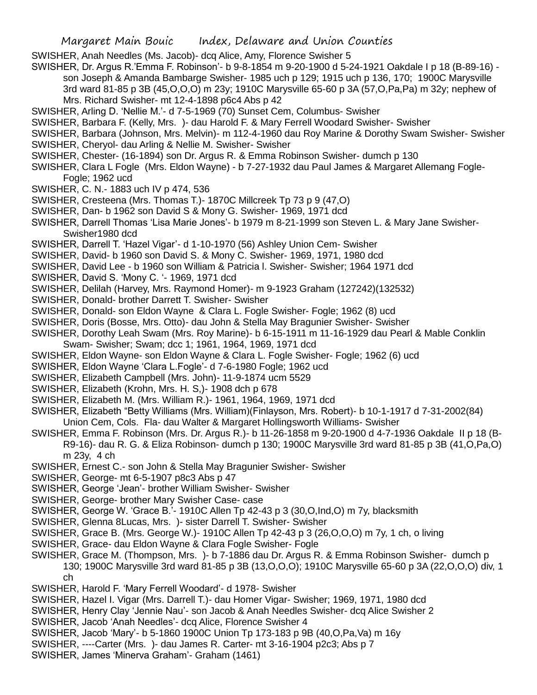- SWISHER, Anah Needles (Ms. Jacob)- dcq Alice, Amy, Florence Swisher 5
- SWISHER, Dr. Argus R.'Emma F. Robinson'- b 9-8-1854 m 9-20-1900 d 5-24-1921 Oakdale I p 18 (B-89-16) son Joseph & Amanda Bambarge Swisher- 1985 uch p 129; 1915 uch p 136, 170; 1900C Marysville 3rd ward 81-85 p 3B (45,O,O,O) m 23y; 1910C Marysville 65-60 p 3A (57,O,Pa,Pa) m 32y; nephew of Mrs. Richard Swisher- mt 12-4-1898 p6c4 Abs p 42
- SWISHER, Arling D. 'Nellie M.'- d 7-5-1969 (70) Sunset Cem, Columbus- Swisher
- SWISHER, Barbara F. (Kelly, Mrs. )- dau Harold F. & Mary Ferrell Woodard Swisher- Swisher
- SWISHER, Barbara (Johnson, Mrs. Melvin)- m 112-4-1960 dau Roy Marine & Dorothy Swam Swisher- Swisher
- SWISHER, Cheryol- dau Arling & Nellie M. Swisher- Swisher
- SWISHER, Chester- (16-1894) son Dr. Argus R. & Emma Robinson Swisher- dumch p 130
- SWISHER, Clara L Fogle (Mrs. Eldon Wayne) b 7-27-1932 dau Paul James & Margaret Allemang Fogle-Fogle; 1962 ucd
- SWISHER, C. N.- 1883 uch IV p 474, 536
- SWISHER, Cresteena (Mrs. Thomas T.)- 1870C Millcreek Tp 73 p 9 (47,O)
- SWISHER, Dan- b 1962 son David S & Mony G. Swisher- 1969, 1971 dcd
- SWISHER, Darrell Thomas 'Lisa Marie Jones'- b 1979 m 8-21-1999 son Steven L. & Mary Jane Swisher-Swisher1980 dcd
- SWISHER, Darrell T. 'Hazel Vigar'- d 1-10-1970 (56) Ashley Union Cem- Swisher
- SWISHER, David- b 1960 son David S. & Mony C. Swisher- 1969, 1971, 1980 dcd
- SWISHER, David Lee b 1960 son William & Patricia l. Swisher- Swisher; 1964 1971 dcd
- SWISHER, David S. 'Mony C. '- 1969, 1971 dcd
- SWISHER, Delilah (Harvey, Mrs. Raymond Homer)- m 9-1923 Graham (127242)(132532)
- SWISHER, Donald- brother Darrett T. Swisher- Swisher
- SWISHER, Donald- son Eldon Wayne & Clara L. Fogle Swisher- Fogle; 1962 (8) ucd
- SWISHER, Doris (Bosse, Mrs. Otto)- dau John & Stella May Bragunier Swisher- Swisher
- SWISHER, Dorothy Leah Swam (Mrs. Roy Marine)- b 6-15-1911 m 11-16-1929 dau Pearl & Mable Conklin Swam- Swisher; Swam; dcc 1; 1961, 1964, 1969, 1971 dcd
- SWISHER, Eldon Wayne- son Eldon Wayne & Clara L. Fogle Swisher- Fogle; 1962 (6) ucd
- SWISHER, Eldon Wayne 'Clara L.Fogle'- d 7-6-1980 Fogle; 1962 ucd
- SWISHER, Elizabeth Campbell (Mrs. John)- 11-9-1874 ucm 5529
- SWISHER, Elizabeth (Krohn, Mrs. H. S,)- 1908 dch p 678
- SWISHER, Elizabeth M. (Mrs. William R.)- 1961, 1964, 1969, 1971 dcd
- SWISHER, Elizabeth "Betty Williams (Mrs. William)(Finlayson, Mrs. Robert)- b 10-1-1917 d 7-31-2002(84) Union Cem, Cols. Fla- dau Walter & Margaret Hollingsworth Williams- Swisher
- SWISHER, Emma F. Robinson (Mrs. Dr. Argus R.)- b 11-26-1858 m 9-20-1900 d 4-7-1936 Oakdale II p 18 (B-R9-16)- dau R. G. & Eliza Robinson- dumch p 130; 1900C Marysville 3rd ward 81-85 p 3B (41,O,Pa,O) m 23y, 4 ch
- SWISHER, Ernest C.- son John & Stella May Bragunier Swisher- Swisher
- SWISHER, George- mt 6-5-1907 p8c3 Abs p 47
- SWISHER, George 'Jean'- brother William Swisher- Swisher
- SWISHER, George- brother Mary Swisher Case- case
- SWISHER, George W. 'Grace B.'- 1910C Allen Tp 42-43 p 3 (30,O,Ind,O) m 7y, blacksmith
- SWISHER, Glenna 8Lucas, Mrs. )- sister Darrell T. Swisher- Swisher
- SWISHER, Grace B. (Mrs. George W.)- 1910C Allen Tp 42-43 p 3 (26,O,O,O) m 7y, 1 ch, o living
- SWISHER, Grace- dau Eldon Wayne & Clara Fogle Swisher- Fogle
- SWISHER, Grace M. (Thompson, Mrs. )- b 7-1886 dau Dr. Argus R. & Emma Robinson Swisher- dumch p 130; 1900C Marysville 3rd ward 81-85 p 3B (13,O,O,O); 1910C Marysville 65-60 p 3A (22,O,O,O) div, 1 ch
- SWISHER, Harold F. 'Mary Ferrell Woodard'- d 1978- Swisher
- SWISHER, Hazel I. Vigar (Mrs. Darrell T.)- dau Homer Vigar- Swisher; 1969, 1971, 1980 dcd
- SWISHER, Henry Clay 'Jennie Nau'- son Jacob & Anah Needles Swisher- dcq Alice Swisher 2
- SWISHER, Jacob 'Anah Needles'- dcq Alice, Florence Swisher 4
- SWISHER, Jacob 'Mary'- b 5-1860 1900C Union Tp 173-183 p 9B (40,O,Pa,Va) m 16y
- SWISHER, ----Carter (Mrs. )- dau James R. Carter- mt 3-16-1904 p2c3; Abs p 7
- SWISHER, James 'Minerva Graham'- Graham (1461)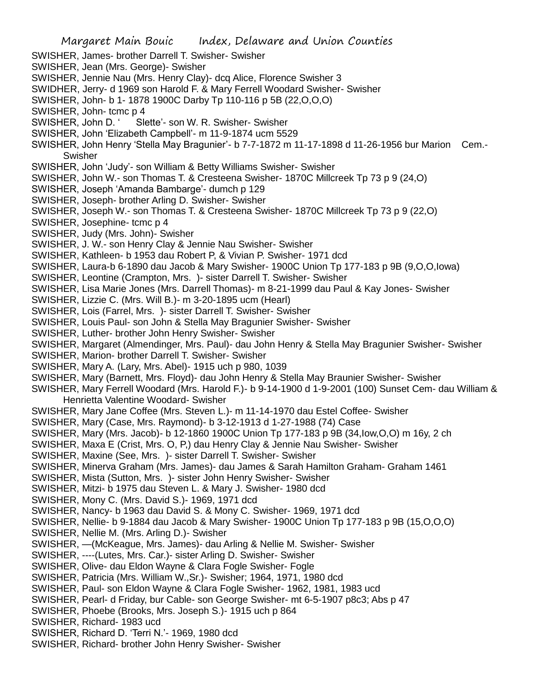Margaret Main Bouic Index, Delaware and Union Counties SWISHER, James- brother Darrell T. Swisher- Swisher SWISHER, Jean (Mrs. George)- Swisher SWISHER, Jennie Nau (Mrs. Henry Clay)- dcq Alice, Florence Swisher 3 SWIDHER, Jerry- d 1969 son Harold F. & Mary Ferrell Woodard Swisher- Swisher SWISHER, John- b 1- 1878 1900C Darby Tp 110-116 p 5B (22,O,O,O) SWISHER, John- tcmc p 4 SWISHER, John D. ' Slette'- son W. R. Swisher- Swisher SWISHER, John 'Elizabeth Campbell'- m 11-9-1874 ucm 5529 SWISHER, John Henry 'Stella May Bragunier'- b 7-7-1872 m 11-17-1898 d 11-26-1956 bur Marion Cem.- Swisher SWISHER, John 'Judy'- son William & Betty Williams Swisher- Swisher SWISHER, John W.- son Thomas T. & Cresteena Swisher- 1870C Millcreek Tp 73 p 9 (24,O) SWISHER, Joseph 'Amanda Bambarge'- dumch p 129 SWISHER, Joseph- brother Arling D. Swisher- Swisher SWISHER, Joseph W.- son Thomas T. & Cresteena Swisher- 1870C Millcreek Tp 73 p 9 (22,O) SWISHER, Josephine- tcmc p 4 SWISHER, Judy (Mrs. John)- Swisher SWISHER, J. W.- son Henry Clay & Jennie Nau Swisher- Swisher SWISHER, Kathleen- b 1953 dau Robert P, & Vivian P. Swisher- 1971 dcd SWISHER, Laura-b 6-1890 dau Jacob & Mary Swisher- 1900C Union Tp 177-183 p 9B (9,O,O,Iowa) SWISHER, Leontine (Crampton, Mrs. )- sister Darrell T. Swisher- Swisher SWISHER, Lisa Marie Jones (Mrs. Darrell Thomas)- m 8-21-1999 dau Paul & Kay Jones- Swisher SWISHER, Lizzie C. (Mrs. Will B.)- m 3-20-1895 ucm (Hearl) SWISHER, Lois (Farrel, Mrs. )- sister Darrell T. Swisher- Swisher SWISHER, Louis Paul- son John & Stella May Bragunier Swisher- Swisher SWISHER, Luther- brother John Henry Swisher- Swisher SWISHER, Margaret (Almendinger, Mrs. Paul)- dau John Henry & Stella May Bragunier Swisher- Swisher SWISHER, Marion- brother Darrell T. Swisher- Swisher SWISHER, Mary A. (Lary, Mrs. Abel)- 1915 uch p 980, 1039 SWISHER, Mary (Barnett, Mrs. Floyd)- dau John Henry & Stella May Braunier Swisher- Swisher SWISHER, Mary Ferrell Woodard (Mrs. Harold F.)- b 9-14-1900 d 1-9-2001 (100) Sunset Cem- dau William & Henrietta Valentine Woodard- Swisher SWISHER, Mary Jane Coffee (Mrs. Steven L.)- m 11-14-1970 dau Estel Coffee- Swisher SWISHER, Mary (Case, Mrs. Raymond)- b 3-12-1913 d 1-27-1988 (74) Case SWISHER, Mary (Mrs. Jacob)- b 12-1860 1900C Union Tp 177-183 p 9B (34,Iow,O,O) m 16y, 2 ch SWISHER, Maxa E (Crist, Mrs. O, P,) dau Henry Clay & Jennie Nau Swisher- Swisher SWISHER, Maxine (See, Mrs. )- sister Darrell T. Swisher- Swisher SWISHER, Minerva Graham (Mrs. James)- dau James & Sarah Hamilton Graham- Graham 1461 SWISHER, Mista (Sutton, Mrs. )- sister John Henry Swisher- Swisher SWISHER, Mitzi- b 1975 dau Steven L. & Mary J. Swisher- 1980 dcd SWISHER, Mony C. (Mrs. David S.)- 1969, 1971 dcd SWISHER, Nancy- b 1963 dau David S. & Mony C. Swisher- 1969, 1971 dcd SWISHER, Nellie- b 9-1884 dau Jacob & Mary Swisher- 1900C Union Tp 177-183 p 9B (15,O,O,O) SWISHER, Nellie M. (Mrs. Arling D.)- Swisher SWISHER, —(McKeague, Mrs. James)- dau Arling & Nellie M. Swisher- Swisher SWISHER, ----(Lutes, Mrs. Car.)- sister Arling D. Swisher- Swisher SWISHER, Olive- dau Eldon Wayne & Clara Fogle Swisher- Fogle SWISHER, Patricia (Mrs. William W.,Sr.)- Swisher; 1964, 1971, 1980 dcd SWISHER, Paul- son Eldon Wayne & Clara Fogle Swisher- 1962, 1981, 1983 ucd SWISHER, Pearl- d Friday, bur Cable- son George Swisher- mt 6-5-1907 p8c3; Abs p 47 SWISHER, Phoebe (Brooks, Mrs. Joseph S.)- 1915 uch p 864 SWISHER, Richard- 1983 ucd SWISHER, Richard D. 'Terri N.'- 1969, 1980 dcd SWISHER, Richard- brother John Henry Swisher- Swisher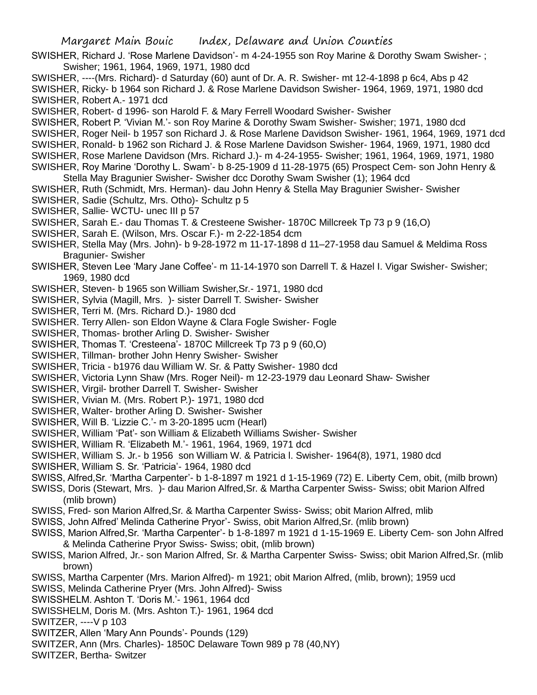- SWISHER, Richard J. 'Rose Marlene Davidson'- m 4-24-1955 son Roy Marine & Dorothy Swam Swisher- ; Swisher; 1961, 1964, 1969, 1971, 1980 dcd
- SWISHER, ----(Mrs. Richard)- d Saturday (60) aunt of Dr. A. R. Swisher- mt 12-4-1898 p 6c4, Abs p 42

SWISHER, Ricky- b 1964 son Richard J. & Rose Marlene Davidson Swisher- 1964, 1969, 1971, 1980 dcd SWISHER, Robert A.- 1971 dcd

SWISHER, Robert- d 1996- son Harold F. & Mary Ferrell Woodard Swisher- Swisher

SWISHER, Robert P. 'Vivian M.'- son Roy Marine & Dorothy Swam Swisher- Swisher; 1971, 1980 dcd

SWISHER, Roger Neil- b 1957 son Richard J. & Rose Marlene Davidson Swisher- 1961, 1964, 1969, 1971 dcd

SWISHER, Ronald- b 1962 son Richard J. & Rose Marlene Davidson Swisher- 1964, 1969, 1971, 1980 dcd

SWISHER, Rose Marlene Davidson (Mrs. Richard J.)- m 4-24-1955- Swisher; 1961, 1964, 1969, 1971, 1980

SWISHER, Roy Marine 'Dorothy L. Swam'- b 8-25-1909 d 11-28-1975 (65) Prospect Cem- son John Henry &

- Stella May Bragunier Swisher- Swisher dcc Dorothy Swam Swisher (1); 1964 dcd SWISHER, Ruth (Schmidt, Mrs. Herman)- dau John Henry & Stella May Bragunier Swisher- Swisher
- SWISHER, Sadie (Schultz, Mrs. Otho)- Schultz p 5
- SWISHER, Sallie- WCTU- unec III p 57
- SWISHER, Sarah E.- dau Thomas T. & Cresteene Swisher- 1870C Millcreek Tp 73 p 9 (16,O)
- SWISHER, Sarah E. (Wilson, Mrs. Oscar F.)- m 2-22-1854 dcm
- SWISHER, Stella May (Mrs. John)- b 9-28-1972 m 11-17-1898 d 11–27-1958 dau Samuel & Meldima Ross Bragunier- Swisher
- SWISHER, Steven Lee 'Mary Jane Coffee'- m 11-14-1970 son Darrell T. & Hazel I. Vigar Swisher- Swisher; 1969, 1980 dcd
- SWISHER, Steven- b 1965 son William Swisher,Sr.- 1971, 1980 dcd
- SWISHER, Sylvia (Magill, Mrs. )- sister Darrell T. Swisher- Swisher
- SWISHER, Terri M. (Mrs. Richard D.)- 1980 dcd
- SWISHER. Terry Allen- son Eldon Wayne & Clara Fogle Swisher- Fogle
- SWISHER, Thomas- brother Arling D. Swisher- Swisher
- SWISHER, Thomas T. 'Cresteena'- 1870C Millcreek Tp 73 p 9 (60,O)
- SWISHER, Tillman- brother John Henry Swisher- Swisher
- SWISHER, Tricia b1976 dau William W. Sr. & Patty Swisher- 1980 dcd
- SWISHER, Victoria Lynn Shaw (Mrs. Roger Neil)- m 12-23-1979 dau Leonard Shaw- Swisher
- SWISHER, Virgil- brother Darrell T. Swisher- Swisher
- SWISHER, Vivian M. (Mrs. Robert P.)- 1971, 1980 dcd
- SWISHER, Walter- brother Arling D. Swisher- Swisher
- SWISHER, Will B. 'Lizzie C.'- m 3-20-1895 ucm (Hearl)
- SWISHER, William 'Pat'- son William & Elizabeth Williams Swisher- Swisher
- SWISHER, William R. 'Elizabeth M.'- 1961, 1964, 1969, 1971 dcd
- SWISHER, William S. Jr.- b 1956 son William W. & Patricia l. Swisher- 1964(8), 1971, 1980 dcd
- SWISHER, William S. Sr. 'Patricia'- 1964, 1980 dcd
- SWISS, Alfred,Sr. 'Martha Carpenter'- b 1-8-1897 m 1921 d 1-15-1969 (72) E. Liberty Cem, obit, (milb brown)
- SWISS, Doris (Stewart, Mrs. )- dau Marion Alfred,Sr. & Martha Carpenter Swiss- Swiss; obit Marion Alfred (mlib brown)
- SWISS, Fred- son Marion Alfred,Sr. & Martha Carpenter Swiss- Swiss; obit Marion Alfred, mlib
- SWISS, John Alfred' Melinda Catherine Pryor'- Swiss, obit Marion Alfred,Sr. (mlib brown)
- SWISS, Marion Alfred,Sr. 'Martha Carpenter'- b 1-8-1897 m 1921 d 1-15-1969 E. Liberty Cem- son John Alfred & Melinda Catherine Pryor Swiss- Swiss; obit, (mlib brown)
- SWISS, Marion Alfred, Jr.- son Marion Alfred, Sr. & Martha Carpenter Swiss- Swiss; obit Marion Alfred,Sr. (mlib brown)
- SWISS, Martha Carpenter (Mrs. Marion Alfred)- m 1921; obit Marion Alfred, (mlib, brown); 1959 ucd
- SWISS, Melinda Catherine Pryer (Mrs. John Alfred)- Swiss
- SWISSHELM. Ashton T. 'Doris M.'- 1961, 1964 dcd
- SWISSHELM, Doris M. (Mrs. Ashton T.)- 1961, 1964 dcd
- SWITZER, ----V p 103
- SWITZER, Allen 'Mary Ann Pounds'- Pounds (129)
- SWITZER, Ann (Mrs. Charles)- 1850C Delaware Town 989 p 78 (40,NY)
- SWITZER, Bertha- Switzer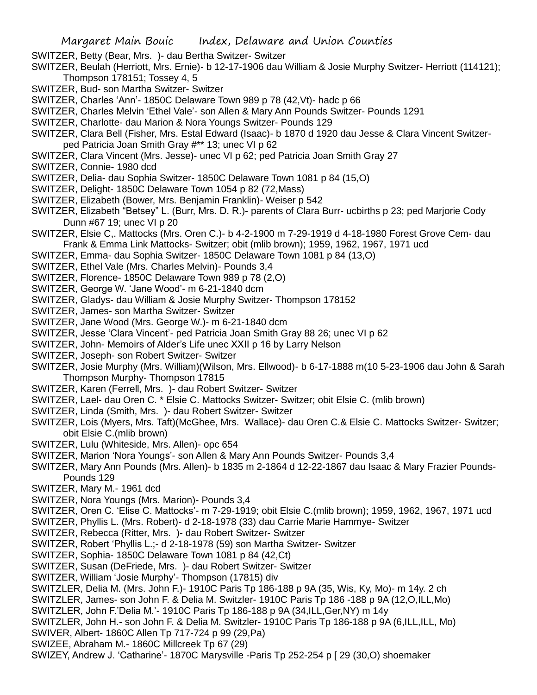SWITZER, Betty (Bear, Mrs. )- dau Bertha Switzer- Switzer

SWITZER, Beulah (Herriott, Mrs. Ernie)- b 12-17-1906 dau William & Josie Murphy Switzer- Herriott (114121); Thompson 178151; Tossey 4, 5

- SWITZER, Bud- son Martha Switzer- Switzer
- SWITZER, Charles 'Ann'- 1850C Delaware Town 989 p 78 (42,Vt)- hadc p 66

SWITZER, Charles Melvin 'Ethel Vale'- son Allen & Mary Ann Pounds Switzer- Pounds 1291

- SWITZER, Charlotte- dau Marion & Nora Youngs Switzer- Pounds 129
- SWITZER, Clara Bell (Fisher, Mrs. Estal Edward (Isaac)- b 1870 d 1920 dau Jesse & Clara Vincent Switzerped Patricia Joan Smith Gray #\*\* 13; unec VI p 62
- SWITZER, Clara Vincent (Mrs. Jesse)- unec VI p 62; ped Patricia Joan Smith Gray 27
- SWITZER, Connie- 1980 dcd
- SWITZER, Delia- dau Sophia Switzer- 1850C Delaware Town 1081 p 84 (15,O)
- SWITZER, Delight- 1850C Delaware Town 1054 p 82 (72,Mass)
- SWITZER, Elizabeth (Bower, Mrs. Benjamin Franklin)- Weiser p 542
- SWITZER, Elizabeth "Betsey" L. (Burr, Mrs. D. R.)- parents of Clara Burr- ucbirths p 23; ped Marjorie Cody Dunn #67 19; unec VI p 20
- SWITZER, Elsie C,. Mattocks (Mrs. Oren C.)- b 4-2-1900 m 7-29-1919 d 4-18-1980 Forest Grove Cem- dau Frank & Emma Link Mattocks- Switzer; obit (mlib brown); 1959, 1962, 1967, 1971 ucd
- SWITZER, Emma- dau Sophia Switzer- 1850C Delaware Town 1081 p 84 (13,O)
- SWITZER, Ethel Vale (Mrs. Charles Melvin)- Pounds 3,4
- SWITZER, Florence- 1850C Delaware Town 989 p 78 (2,O)
- SWITZER, George W. 'Jane Wood'- m 6-21-1840 dcm
- SWITZER, Gladys- dau William & Josie Murphy Switzer- Thompson 178152
- SWITZER, James- son Martha Switzer- Switzer
- SWITZER, Jane Wood (Mrs. George W.)- m 6-21-1840 dcm
- SWITZER, Jesse 'Clara Vincent'- ped Patricia Joan Smith Gray 88 26; unec VI p 62
- SWITZER, John- Memoirs of Alder's Life unec XXII p 16 by Larry Nelson
- SWITZER, Joseph- son Robert Switzer- Switzer
- SWITZER, Josie Murphy (Mrs. William)(Wilson, Mrs. Ellwood)- b 6-17-1888 m(10 5-23-1906 dau John & Sarah Thompson Murphy- Thompson 17815
- SWITZER, Karen (Ferrell, Mrs. )- dau Robert Switzer- Switzer
- SWITZER, Lael- dau Oren C. \* Elsie C. Mattocks Switzer- Switzer; obit Elsie C. (mlib brown)
- SWITZER, Linda (Smith, Mrs. )- dau Robert Switzer- Switzer
- SWITZER, Lois (Myers, Mrs. Taft)(McGhee, Mrs. Wallace)- dau Oren C.& Elsie C. Mattocks Switzer- Switzer; obit Elsie C.(mlib brown)
- SWITZER, Lulu (Whiteside, Mrs. Allen)- opc 654
- SWITZER, Marion 'Nora Youngs'- son Allen & Mary Ann Pounds Switzer- Pounds 3,4
- SWITZER, Mary Ann Pounds (Mrs. Allen)- b 1835 m 2-1864 d 12-22-1867 dau Isaac & Mary Frazier Pounds-Pounds 129
- SWITZER, Mary M.- 1961 dcd
- SWITZER, Nora Youngs (Mrs. Marion)- Pounds 3,4
- SWITZER, Oren C. 'Elise C. Mattocks'- m 7-29-1919; obit Elsie C.(mlib brown); 1959, 1962, 1967, 1971 ucd
- SWITZER, Phyllis L. (Mrs. Robert)- d 2-18-1978 (33) dau Carrie Marie Hammye- Switzer
- SWITZER, Rebecca (Ritter, Mrs. )- dau Robert Switzer- Switzer
- SWITZER, Robert 'Phyllis L.;- d 2-18-1978 (59) son Martha Switzer- Switzer
- SWITZER, Sophia- 1850C Delaware Town 1081 p 84 (42,Ct)
- SWITZER, Susan (DeFriede, Mrs. )- dau Robert Switzer- Switzer
- SWITZER, William 'Josie Murphy'- Thompson (17815) div
- SWITZLER, Delia M. (Mrs. John F.)- 1910C Paris Tp 186-188 p 9A (35, Wis, Ky, Mo)- m 14y. 2 ch
- SWITZLER, James- son John F. & Delia M. Switzler- 1910C Paris Tp 186 -188 p 9A (12,O,ILL,Mo)
- SWITZLER, John F.'Delia M.'- 1910C Paris Tp 186-188 p 9A (34,ILL,Ger,NY) m 14y
- SWITZLER, John H.- son John F. & Delia M. Switzler- 1910C Paris Tp 186-188 p 9A (6,ILL,ILL, Mo) SWIVER, Albert- 1860C Allen Tp 717-724 p 99 (29,Pa)
- SWIZEE, Abraham M.- 1860C Millcreek Tp 67 (29)
- SWIZEY, Andrew J. 'Catharine'- 1870C Marysville -Paris Tp 252-254 p [ 29 (30,O) shoemaker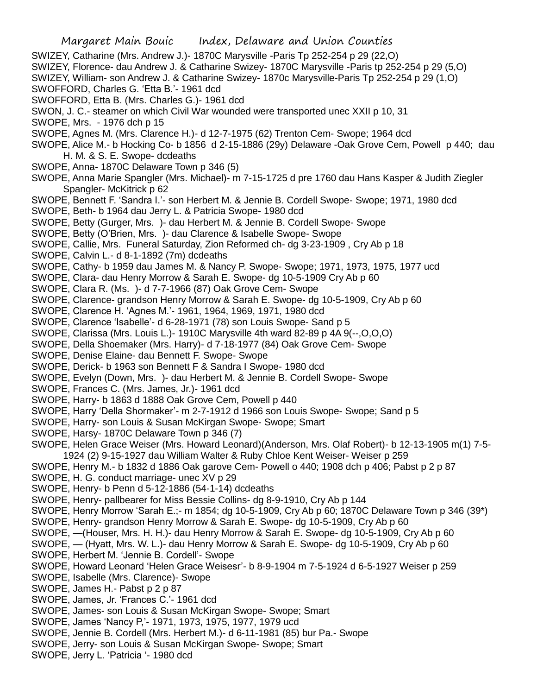Margaret Main Bouic Index, Delaware and Union Counties SWIZEY, Catharine (Mrs. Andrew J.)- 1870C Marysville -Paris Tp 252-254 p 29 (22,O) SWIZEY, Florence- dau Andrew J. & Catharine Swizey- 1870C Marysville -Paris tp 252-254 p 29 (5,O) SWIZEY, William- son Andrew J. & Catharine Swizey- 1870c Marysville-Paris Tp 252-254 p 29 (1,O) SWOFFORD, Charles G. 'Etta B.'- 1961 dcd SWOFFORD, Etta B. (Mrs. Charles G.)- 1961 dcd SWON, J. C.- steamer on which Civil War wounded were transported unec XXII p 10, 31 SWOPE, Mrs. - 1976 dch p 15 SWOPE, Agnes M. (Mrs. Clarence H.)- d 12-7-1975 (62) Trenton Cem- Swope; 1964 dcd SWOPE, Alice M.- b Hocking Co- b 1856 d 2-15-1886 (29y) Delaware -Oak Grove Cem, Powell p 440; dau H. M. & S. E. Swope- dcdeaths SWOPE, Anna- 1870C Delaware Town p 346 (5) SWOPE, Anna Marie Spangler (Mrs. Michael)- m 7-15-1725 d pre 1760 dau Hans Kasper & Judith Ziegler Spangler- McKitrick p 62 SWOPE, Bennett F. 'Sandra I.'- son Herbert M. & Jennie B. Cordell Swope- Swope; 1971, 1980 dcd SWOPE, Beth- b 1964 dau Jerry L. & Patricia Swope- 1980 dcd SWOPE, Betty (Gurger, Mrs. )- dau Herbert M. & Jennie B. Cordell Swope- Swope SWOPE, Betty (O'Brien, Mrs. )- dau Clarence & Isabelle Swope- Swope SWOPE, Callie, Mrs. Funeral Saturday, Zion Reformed ch- dg 3-23-1909 , Cry Ab p 18 SWOPE, Calvin L.- d 8-1-1892 (7m) dcdeaths SWOPE, Cathy- b 1959 dau James M. & Nancy P. Swope- Swope; 1971, 1973, 1975, 1977 ucd SWOPE, Clara- dau Henry Morrow & Sarah E. Swope- dg 10-5-1909 Cry Ab p 60 SWOPE, Clara R. (Ms. )- d 7-7-1966 (87) Oak Grove Cem- Swope SWOPE, Clarence- grandson Henry Morrow & Sarah E. Swope- dg 10-5-1909, Cry Ab p 60 SWOPE, Clarence H. 'Agnes M.'- 1961, 1964, 1969, 1971, 1980 dcd SWOPE, Clarence 'Isabelle'- d 6-28-1971 (78) son Louis Swope- Sand p 5 SWOPE, Clarissa (Mrs. Louis L.)- 1910C Marysville 4th ward 82-89 p 4A 9(--,O,O,O) SWOPE, Della Shoemaker (Mrs. Harry)- d 7-18-1977 (84) Oak Grove Cem- Swope SWOPE, Denise Elaine- dau Bennett F. Swope- Swope SWOPE, Derick- b 1963 son Bennett F & Sandra I Swope- 1980 dcd SWOPE, Evelyn (Down, Mrs. )- dau Herbert M. & Jennie B. Cordell Swope- Swope SWOPE, Frances C. (Mrs. James, Jr.)- 1961 dcd SWOPE, Harry- b 1863 d 1888 Oak Grove Cem, Powell p 440 SWOPE, Harry 'Della Shormaker'- m 2-7-1912 d 1966 son Louis Swope- Swope; Sand p 5 SWOPE, Harry- son Louis & Susan McKirgan Swope- Swope; Smart SWOPE, Harsy- 1870C Delaware Town p 346 (7) SWOPE, Helen Grace Weiser (Mrs. Howard Leonard)(Anderson, Mrs. Olaf Robert)- b 12-13-1905 m(1) 7-5- 1924 (2) 9-15-1927 dau William Walter & Ruby Chloe Kent Weiser- Weiser p 259 SWOPE, Henry M.- b 1832 d 1886 Oak garove Cem- Powell o 440; 1908 dch p 406; Pabst p 2 p 87 SWOPE, H. G. conduct marriage- unec XV p 29 SWOPE, Henry- b Penn d 5-12-1886 (54-1-14) dcdeaths SWOPE, Henry- pallbearer for Miss Bessie Collins- dg 8-9-1910, Cry Ab p 144 SWOPE, Henry Morrow 'Sarah E.;- m 1854; dg 10-5-1909, Cry Ab p 60; 1870C Delaware Town p 346 (39\*) SWOPE, Henry- grandson Henry Morrow & Sarah E. Swope- dg 10-5-1909, Cry Ab p 60 SWOPE, —(Houser, Mrs. H. H.)- dau Henry Morrow & Sarah E. Swope- dg 10-5-1909, Cry Ab p 60 SWOPE, — (Hyatt, Mrs. W. L.)- dau Henry Morrow & Sarah E. Swope- dg 10-5-1909, Cry Ab p 60 SWOPE, Herbert M. 'Jennie B. Cordell'- Swope SWOPE, Howard Leonard 'Helen Grace Weisesr'- b 8-9-1904 m 7-5-1924 d 6-5-1927 Weiser p 259 SWOPE, Isabelle (Mrs. Clarence)- Swope SWOPE, James H.- Pabst p 2 p 87 SWOPE, James, Jr. 'Frances C.'- 1961 dcd SWOPE, James- son Louis & Susan McKirgan Swope- Swope; Smart SWOPE, James 'Nancy P,'- 1971, 1973, 1975, 1977, 1979 ucd SWOPE, Jennie B. Cordell (Mrs. Herbert M.)- d 6-11-1981 (85) bur Pa.- Swope

- SWOPE, Jerry- son Louis & Susan McKirgan Swope- Swope; Smart
- SWOPE, Jerry L. 'Patricia '- 1980 dcd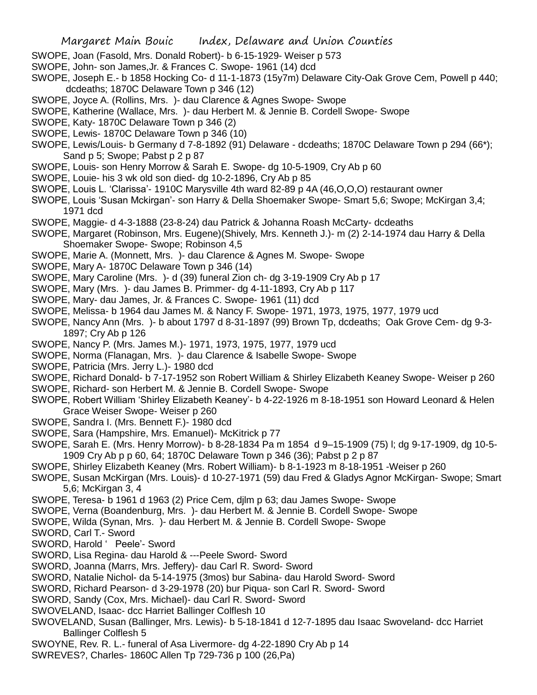- SWOPE, Joan (Fasold, Mrs. Donald Robert)- b 6-15-1929- Weiser p 573
- SWOPE, John- son James,Jr. & Frances C. Swope- 1961 (14) dcd
- SWOPE, Joseph E.- b 1858 Hocking Co- d 11-1-1873 (15y7m) Delaware City-Oak Grove Cem, Powell p 440; dcdeaths; 1870C Delaware Town p 346 (12)
- SWOPE, Joyce A. (Rollins, Mrs. )- dau Clarence & Agnes Swope- Swope
- SWOPE, Katherine (Wallace, Mrs. )- dau Herbert M. & Jennie B. Cordell Swope- Swope
- SWOPE, Katy- 1870C Delaware Town p 346 (2)
- SWOPE, Lewis- 1870C Delaware Town p 346 (10)
- SWOPE, Lewis/Louis- b Germany d 7-8-1892 (91) Delaware dcdeaths; 1870C Delaware Town p 294 (66\*); Sand p 5; Swope; Pabst p 2 p 87
- SWOPE, Louis- son Henry Morrow & Sarah E. Swope- dg 10-5-1909, Cry Ab p 60
- SWOPE, Louie- his 3 wk old son died- dg 10-2-1896, Cry Ab p 85
- SWOPE, Louis L. 'Clarissa'- 1910C Marysville 4th ward 82-89 p 4A (46,O,O,O) restaurant owner
- SWOPE, Louis 'Susan Mckirgan'- son Harry & Della Shoemaker Swope- Smart 5,6; Swope; McKirgan 3,4; 1971 dcd
- SWOPE, Maggie- d 4-3-1888 (23-8-24) dau Patrick & Johanna Roash McCarty- dcdeaths
- SWOPE, Margaret (Robinson, Mrs. Eugene)(Shively, Mrs. Kenneth J.)- m (2) 2-14-1974 dau Harry & Della Shoemaker Swope- Swope; Robinson 4,5
- SWOPE, Marie A. (Monnett, Mrs. )- dau Clarence & Agnes M. Swope- Swope
- SWOPE, Mary A- 1870C Delaware Town p 346 (14)
- SWOPE, Mary Caroline (Mrs. )- d (39) funeral Zion ch- dg 3-19-1909 Cry Ab p 17
- SWOPE, Mary (Mrs. )- dau James B. Primmer- dg 4-11-1893, Cry Ab p 117
- SWOPE, Mary- dau James, Jr. & Frances C. Swope- 1961 (11) dcd
- SWOPE, Melissa- b 1964 dau James M. & Nancy F. Swope- 1971, 1973, 1975, 1977, 1979 ucd
- SWOPE, Nancy Ann (Mrs. )- b about 1797 d 8-31-1897 (99) Brown Tp, dcdeaths; Oak Grove Cem- dg 9-3- 1897; Cry Ab p 126
- SWOPE, Nancy P. (Mrs. James M.)- 1971, 1973, 1975, 1977, 1979 ucd
- SWOPE, Norma (Flanagan, Mrs. )- dau Clarence & Isabelle Swope- Swope
- SWOPE, Patricia (Mrs. Jerry L.)- 1980 dcd
- SWOPE, Richard Donald- b 7-17-1952 son Robert William & Shirley Elizabeth Keaney Swope- Weiser p 260
- SWOPE, Richard- son Herbert M. & Jennie B. Cordell Swope- Swope
- SWOPE, Robert William 'Shirley Elizabeth Keaney'- b 4-22-1926 m 8-18-1951 son Howard Leonard & Helen Grace Weiser Swope- Weiser p 260
- SWOPE, Sandra I. (Mrs. Bennett F.)- 1980 dcd
- SWOPE, Sara (Hampshire, Mrs. Emanuel)- McKitrick p 77
- SWOPE, Sarah E. (Mrs. Henry Morrow)- b 8-28-1834 Pa m 1854 d 9–15-1909 (75) l; dg 9-17-1909, dg 10-5- 1909 Cry Ab p p 60, 64; 1870C Delaware Town p 346 (36); Pabst p 2 p 87
- SWOPE, Shirley Elizabeth Keaney (Mrs. Robert William)- b 8-1-1923 m 8-18-1951 -Weiser p 260
- SWOPE, Susan McKirgan (Mrs. Louis)- d 10-27-1971 (59) dau Fred & Gladys Agnor McKirgan- Swope; Smart 5,6; McKirgan 3, 4
- SWOPE, Teresa- b 1961 d 1963 (2) Price Cem, djlm p 63; dau James Swope- Swope
- SWOPE, Verna (Boandenburg, Mrs. )- dau Herbert M. & Jennie B. Cordell Swope- Swope
- SWOPE, Wilda (Synan, Mrs. )- dau Herbert M. & Jennie B. Cordell Swope- Swope

SWORD, Carl T.- Sword

- SWORD, Harold ' Peele'- Sword
- SWORD, Lisa Regina- dau Harold & ---Peele Sword- Sword
- SWORD, Joanna (Marrs, Mrs. Jeffery)- dau Carl R. Sword- Sword
- SWORD, Natalie Nichol- da 5-14-1975 (3mos) bur Sabina- dau Harold Sword- Sword
- SWORD, Richard Pearson- d 3-29-1978 (20) bur Piqua- son Carl R. Sword- Sword
- SWORD, Sandy (Cox, Mrs. Michael)- dau Carl R. Sword- Sword
- SWOVELAND, Isaac- dcc Harriet Ballinger Colflesh 10
- SWOVELAND, Susan (Ballinger, Mrs. Lewis)- b 5-18-1841 d 12-7-1895 dau Isaac Swoveland- dcc Harriet Ballinger Colflesh 5
- SWOYNE, Rev. R. L.- funeral of Asa Livermore- dg 4-22-1890 Cry Ab p 14
- SWREVES?, Charles- 1860C Allen Tp 729-736 p 100 (26,Pa)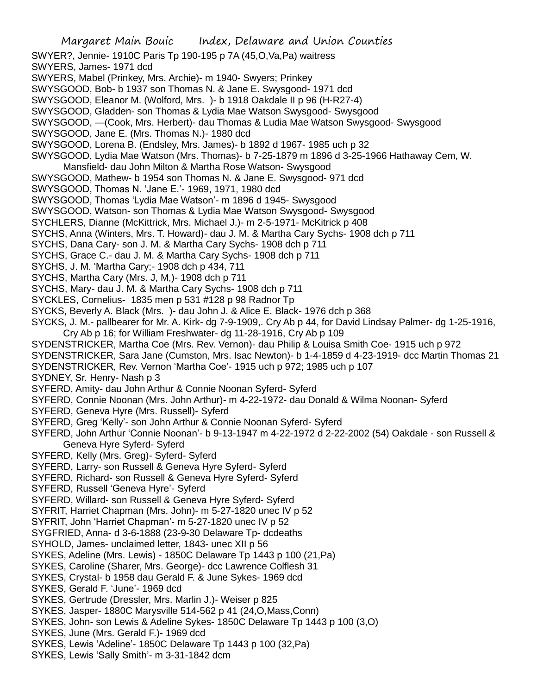SWYER?, Jennie- 1910C Paris Tp 190-195 p 7A (45,O,Va,Pa) waitress

SWYERS, James- 1971 dcd

SWYERS, Mabel (Prinkey, Mrs. Archie)- m 1940- Swyers; Prinkey

SWYSGOOD, Bob- b 1937 son Thomas N. & Jane E. Swysgood- 1971 dcd

SWYSGOOD, Eleanor M. (Wolford, Mrs. )- b 1918 Oakdale II p 96 (H-R27-4)

SWYSGOOD, Gladden- son Thomas & Lydia Mae Watson Swysgood- Swysgood

SWYSGOOD, —(Cook, Mrs. Herbert)- dau Thomas & Ludia Mae Watson Swysgood- Swysgood

SWYSGOOD, Jane E. (Mrs. Thomas N.)- 1980 dcd

SWYSGOOD, Lorena B. (Endsley, Mrs. James)- b 1892 d 1967- 1985 uch p 32

SWYSGOOD, Lydia Mae Watson (Mrs. Thomas)- b 7-25-1879 m 1896 d 3-25-1966 Hathaway Cem, W.

Mansfield- dau John Milton & Martha Rose Watson- Swysgood

SWYSGOOD, Mathew- b 1954 son Thomas N. & Jane E. Swysgood- 971 dcd

SWYSGOOD, Thomas N. 'Jane E.'- 1969, 1971, 1980 dcd

SWYSGOOD, Thomas 'Lydia Mae Watson'- m 1896 d 1945- Swysgood

SWYSGOOD, Watson- son Thomas & Lydia Mae Watson Swysgood- Swysgood

SYCHLERS, Dianne (McKittrick, Mrs. Michael J.)- m 2-5-1971- McKitrick p 408

SYCHS, Anna (Winters, Mrs. T. Howard)- dau J. M. & Martha Cary Sychs- 1908 dch p 711

SYCHS, Dana Cary- son J. M. & Martha Cary Sychs- 1908 dch p 711

SYCHS, Grace C.- dau J. M. & Martha Cary Sychs- 1908 dch p 711

SYCHS, J. M. 'Martha Cary;- 1908 dch p 434, 711

SYCHS, Martha Cary (Mrs. J, M,)- 1908 dch p 711

SYCHS, Mary- dau J. M. & Martha Cary Sychs- 1908 dch p 711

SYCKLES, Cornelius- 1835 men p 531 #128 p 98 Radnor Tp

SYCKS, Beverly A. Black (Mrs. )- dau John J. & Alice E. Black- 1976 dch p 368

SYCKS, J. M.- pallbearer for Mr. A. Kirk- dg 7-9-1909,. Cry Ab p 44, for David Lindsay Palmer- dg 1-25-1916, Cry Ab p 16; for William Freshwater- dg 11-28-1916, Cry Ab p 109

SYDENSTRICKER, Martha Coe (Mrs. Rev. Vernon)- dau Philip & Louisa Smith Coe- 1915 uch p 972

SYDENSTRICKER, Sara Jane (Cumston, Mrs. Isac Newton)- b 1-4-1859 d 4-23-1919- dcc Martin Thomas 21

SYDENSTRICKER, Rev. Vernon 'Martha Coe'- 1915 uch p 972; 1985 uch p 107

SYDNEY, Sr. Henry- Nash p 3

SYFERD, Amity- dau John Arthur & Connie Noonan Syferd- Syferd

SYFERD, Connie Noonan (Mrs. John Arthur)- m 4-22-1972- dau Donald & Wilma Noonan- Syferd

SYFERD, Geneva Hyre (Mrs. Russell)- Syferd

SYFERD, Greg 'Kelly'- son John Arthur & Connie Noonan Syferd- Syferd

SYFERD, John Arthur 'Connie Noonan'- b 9-13-1947 m 4-22-1972 d 2-22-2002 (54) Oakdale - son Russell & Geneva Hyre Syferd- Syferd

SYFERD, Kelly (Mrs. Greg)- Syferd- Syferd

SYFERD, Larry- son Russell & Geneva Hyre Syferd- Syferd

SYFERD, Richard- son Russell & Geneva Hyre Syferd- Syferd

SYFERD, Russell 'Geneva Hyre'- Syferd

SYFERD, Willard- son Russell & Geneva Hyre Syferd- Syferd

SYFRIT, Harriet Chapman (Mrs. John)- m 5-27-1820 unec IV p 52

SYFRIT, John 'Harriet Chapman'- m 5-27-1820 unec IV p 52

SYGFRIED, Anna- d 3-6-1888 (23-9-30 Delaware Tp- dcdeaths

SYHOLD, James- unclaimed letter, 1843- unec XII p 56

SYKES, Adeline (Mrs. Lewis) - 1850C Delaware Tp 1443 p 100 (21,Pa)

SYKES, Caroline (Sharer, Mrs. George)- dcc Lawrence Colflesh 31

SYKES, Crystal- b 1958 dau Gerald F. & June Sykes- 1969 dcd

SYKES, Gerald F. 'June'- 1969 dcd

SYKES, Gertrude (Dressler, Mrs. Marlin J.)- Weiser p 825

SYKES, Jasper- 1880C Marysville 514-562 p 41 (24,O,Mass,Conn)

SYKES, John- son Lewis & Adeline Sykes- 1850C Delaware Tp 1443 p 100 (3,O)

SYKES, June (Mrs. Gerald F.)- 1969 dcd

SYKES, Lewis 'Adeline'- 1850C Delaware Tp 1443 p 100 (32,Pa)

SYKES, Lewis 'Sally Smith'- m 3-31-1842 dcm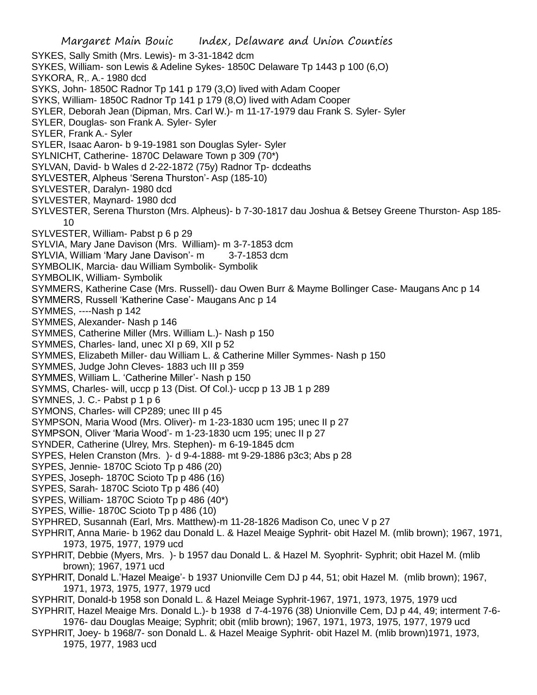Margaret Main Bouic Index, Delaware and Union Counties SYKES, Sally Smith (Mrs. Lewis)- m 3-31-1842 dcm SYKES, William- son Lewis & Adeline Sykes- 1850C Delaware Tp 1443 p 100 (6,O) SYKORA, R,. A.- 1980 dcd SYKS, John- 1850C Radnor Tp 141 p 179 (3,O) lived with Adam Cooper SYKS, William- 1850C Radnor Tp 141 p 179 (8,O) lived with Adam Cooper SYLER, Deborah Jean (Dipman, Mrs. Carl W.)- m 11-17-1979 dau Frank S. Syler- Syler SYLER, Douglas- son Frank A. Syler- Syler SYLER, Frank A.- Syler SYLER, Isaac Aaron- b 9-19-1981 son Douglas Syler- Syler SYLNICHT, Catherine- 1870C Delaware Town p 309 (70\*) SYLVAN, David- b Wales d 2-22-1872 (75y) Radnor Tp- dcdeaths SYLVESTER, Alpheus 'Serena Thurston'- Asp (185-10) SYLVESTER, Daralyn- 1980 dcd SYLVESTER, Maynard- 1980 dcd SYLVESTER, Serena Thurston (Mrs. Alpheus)- b 7-30-1817 dau Joshua & Betsey Greene Thurston- Asp 185- 10 SYLVESTER, William- Pabst p 6 p 29 SYLVIA, Mary Jane Davison (Mrs. William)- m 3-7-1853 dcm SYLVIA, William 'Mary Jane Davison'- m 3-7-1853 dcm SYMBOLIK, Marcia- dau William Symbolik- Symbolik SYMBOLIK, William- Symbolik SYMMERS, Katherine Case (Mrs. Russell)- dau Owen Burr & Mayme Bollinger Case- Maugans Anc p 14 SYMMERS, Russell 'Katherine Case'- Maugans Anc p 14 SYMMES, ----Nash p 142 SYMMES, Alexander- Nash p 146 SYMMES, Catherine Miller (Mrs. William L.)- Nash p 150 SYMMES, Charles- land, unec XI p 69, XII p 52 SYMMES, Elizabeth Miller- dau William L. & Catherine Miller Symmes- Nash p 150 SYMMES, Judge John Cleves- 1883 uch III p 359 SYMMES, William L. 'Catherine Miller'- Nash p 150 SYMMS, Charles- will, uccp p 13 (Dist. Of Col.)- uccp p 13 JB 1 p 289 SYMNES, J. C.- Pabst p 1 p 6 SYMONS, Charles- will CP289; unec III p 45 SYMPSON, Maria Wood (Mrs. Oliver)- m 1-23-1830 ucm 195; unec II p 27 SYMPSON, Oliver 'Maria Wood'- m 1-23-1830 ucm 195; unec II p 27 SYNDER, Catherine (Ulrey, Mrs. Stephen)- m 6-19-1845 dcm SYPES, Helen Cranston (Mrs. )- d 9-4-1888- mt 9-29-1886 p3c3; Abs p 28 SYPES, Jennie- 1870C Scioto Tp p 486 (20) SYPES, Joseph- 1870C Scioto Tp p 486 (16) SYPES, Sarah- 1870C Scioto Tp p 486 (40) SYPES, William- 1870C Scioto Tp p 486 (40\*) SYPES, Willie- 1870C Scioto Tp p 486 (10) SYPHRED, Susannah (Earl, Mrs. Matthew)-m 11-28-1826 Madison Co, unec V p 27 SYPHRIT, Anna Marie- b 1962 dau Donald L. & Hazel Meaige Syphrit- obit Hazel M. (mlib brown); 1967, 1971, 1973, 1975, 1977, 1979 ucd SYPHRIT, Debbie (Myers, Mrs. )- b 1957 dau Donald L. & Hazel M. Syophrit- Syphrit; obit Hazel M. (mlib brown); 1967, 1971 ucd SYPHRIT, Donald L.'Hazel Meaige'- b 1937 Unionville Cem DJ p 44, 51; obit Hazel M. (mlib brown); 1967, 1971, 1973, 1975, 1977, 1979 ucd SYPHRIT, Donald-b 1958 son Donald L. & Hazel Meiage Syphrit-1967, 1971, 1973, 1975, 1979 ucd SYPHRIT, Hazel Meaige Mrs. Donald L.)- b 1938 d 7-4-1976 (38) Unionville Cem, DJ p 44, 49; interment 7-6- 1976- dau Douglas Meaige; Syphrit; obit (mlib brown); 1967, 1971, 1973, 1975, 1977, 1979 ucd SYPHRIT, Joey- b 1968/7- son Donald L. & Hazel Meaige Syphrit- obit Hazel M. (mlib brown)1971, 1973, 1975, 1977, 1983 ucd